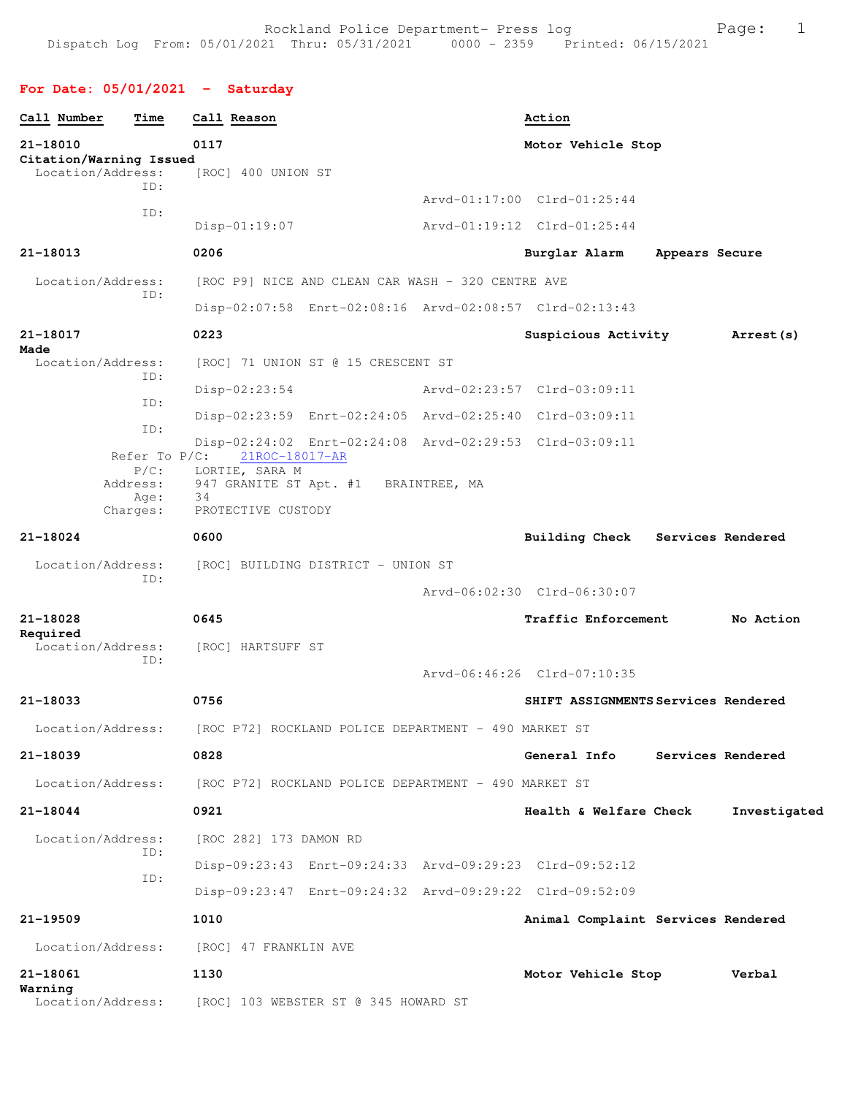## **For Date: 05/01/2021 - Saturday**

| Call Number                                  | Time                                    | Call Reason                      |                                                      | Action                                                  |                |                   |
|----------------------------------------------|-----------------------------------------|----------------------------------|------------------------------------------------------|---------------------------------------------------------|----------------|-------------------|
| 21-18010                                     |                                         | 0117                             |                                                      | Motor Vehicle Stop                                      |                |                   |
| Citation/Warning Issued<br>Location/Address: |                                         | [ROC] 400 UNION ST               |                                                      |                                                         |                |                   |
|                                              | TD:                                     |                                  |                                                      | Arvd-01:17:00 Clrd-01:25:44                             |                |                   |
|                                              | ID:                                     | $Disp-01:19:07$                  |                                                      | Arvd-01:19:12 Clrd-01:25:44                             |                |                   |
| 21-18013                                     |                                         | 0206                             |                                                      | Burglar Alarm                                           | Appears Secure |                   |
| Location/Address:                            |                                         |                                  | [ROC P9] NICE AND CLEAN CAR WASH - 320 CENTRE AVE    |                                                         |                |                   |
|                                              | TD:                                     |                                  |                                                      | Disp-02:07:58 Enrt-02:08:16 Arvd-02:08:57 Clrd-02:13:43 |                |                   |
| 21-18017                                     |                                         | 0223                             |                                                      | Suspicious Activity                                     |                | Arrest (s)        |
| Made<br>Location/Address:                    |                                         |                                  | [ROC] 71 UNION ST @ 15 CRESCENT ST                   |                                                         |                |                   |
|                                              | ID:                                     | $Disp-02:23:54$                  |                                                      | Arvd-02:23:57 Clrd-03:09:11                             |                |                   |
|                                              | ID:                                     |                                  |                                                      | Disp-02:23:59 Enrt-02:24:05 Arvd-02:25:40 Clrd-03:09:11 |                |                   |
|                                              | ID:                                     |                                  |                                                      | Disp-02:24:02 Enrt-02:24:08 Arvd-02:29:53 Clrd-03:09:11 |                |                   |
|                                              | Refer To $P/C$ :<br>$P/C$ :<br>Address: | 21ROC-18017-AR<br>LORTIE, SARA M | 947 GRANITE ST Apt. #1 BRAINTREE, MA                 |                                                         |                |                   |
|                                              | Age:<br>Charges:                        | 34<br>PROTECTIVE CUSTODY         |                                                      |                                                         |                |                   |
| 21-18024                                     |                                         | 0600                             |                                                      | <b>Building Check</b>                                   |                | Services Rendered |
| Location/Address:                            |                                         |                                  | [ROC] BUILDING DISTRICT - UNION ST                   |                                                         |                |                   |
|                                              | ID:                                     |                                  |                                                      | Arvd-06:02:30 Clrd-06:30:07                             |                |                   |
| 21-18028                                     |                                         | 0645                             |                                                      | Traffic Enforcement                                     |                | No Action         |
| Required<br>Location/Address:                |                                         | [ROC] HARTSUFF ST                |                                                      |                                                         |                |                   |
|                                              | ID:                                     |                                  |                                                      | Arvd-06:46:26 Clrd-07:10:35                             |                |                   |
| 21-18033                                     |                                         | 0756                             |                                                      | SHIFT ASSIGNMENTS Services Rendered                     |                |                   |
| Location/Address:                            |                                         |                                  | [ROC P72] ROCKLAND POLICE DEPARTMENT - 490 MARKET ST |                                                         |                |                   |
| 21-18039                                     |                                         | 0828                             |                                                      | <b>General Info</b>                                     |                | Services Rendered |
| Location/Address:                            |                                         |                                  | [ROC P72] ROCKLAND POLICE DEPARTMENT - 490 MARKET ST |                                                         |                |                   |
| 21-18044                                     |                                         | 0921                             |                                                      | Health & Welfare Check                                  |                | Investigated      |
| Location/Address:                            | ID:                                     | [ROC 282] 173 DAMON RD           |                                                      |                                                         |                |                   |
|                                              | ID:                                     |                                  |                                                      | Disp-09:23:43 Enrt-09:24:33 Arvd-09:29:23 Clrd-09:52:12 |                |                   |
|                                              |                                         |                                  |                                                      | Disp-09:23:47 Enrt-09:24:32 Arvd-09:29:22 Clrd-09:52:09 |                |                   |
| 21-19509                                     |                                         | 1010                             |                                                      | Animal Complaint Services Rendered                      |                |                   |
| Location/Address:                            |                                         | [ROC] 47 FRANKLIN AVE            |                                                      |                                                         |                |                   |
| 21-18061                                     |                                         | 1130                             |                                                      | Motor Vehicle Stop                                      |                | Verbal            |
| Warning<br>Location/Address:                 |                                         |                                  | [ROC] 103 WEBSTER ST @ 345 HOWARD ST                 |                                                         |                |                   |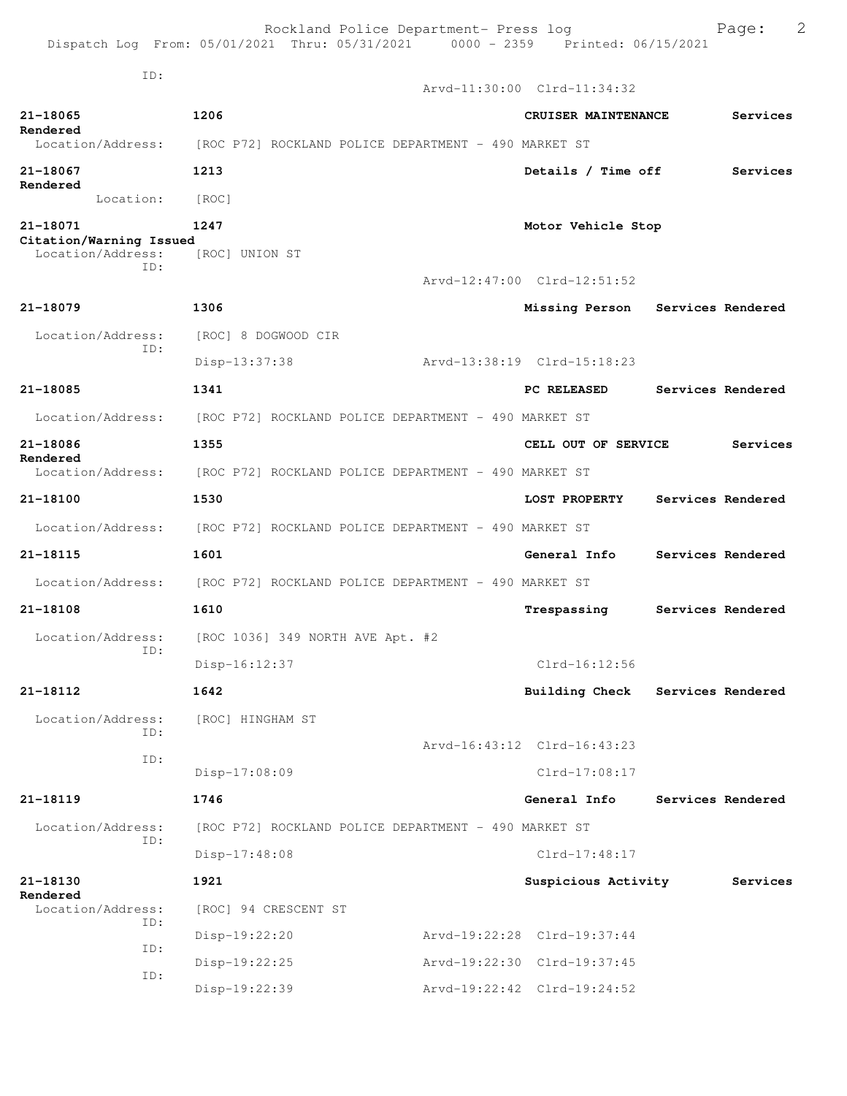|                                               | Dispatch Log From: 05/01/2021 Thru: 05/31/2021 0000 - 2359 Printed: 06/15/2021 | Rockland Police Department- Press log |                                  | 2<br>Page:        |
|-----------------------------------------------|--------------------------------------------------------------------------------|---------------------------------------|----------------------------------|-------------------|
| ID:                                           |                                                                                |                                       | Arvd-11:30:00 Clrd-11:34:32      |                   |
|                                               |                                                                                |                                       |                                  |                   |
| $21 - 18065$<br>Rendered<br>Location/Address: | 1206<br>[ROC P72] ROCKLAND POLICE DEPARTMENT - 490 MARKET ST                   |                                       | CRUISER MAINTENANCE              | Services          |
| 21-18067                                      | 1213                                                                           |                                       | Details / Time off               | Services          |
| Rendered<br>Location:                         |                                                                                |                                       |                                  |                   |
|                                               | [ROC]                                                                          |                                       |                                  |                   |
| 21-18071<br>Citation/Warning Issued           | 1247                                                                           |                                       | Motor Vehicle Stop               |                   |
| Location/Address:<br>ID:                      | [ROC] UNION ST                                                                 |                                       |                                  |                   |
|                                               |                                                                                |                                       | Arvd-12:47:00 Clrd-12:51:52      |                   |
| 21-18079                                      | 1306                                                                           |                                       | Missing Person Services Rendered |                   |
| Location/Address:                             | [ROC] 8 DOGWOOD CIR                                                            |                                       |                                  |                   |
| ID:                                           | Disp-13:37:38                                                                  |                                       | Arvd-13:38:19 Clrd-15:18:23      |                   |
| 21-18085                                      | 1341                                                                           |                                       | PC RELEASED                      | Services Rendered |
| Location/Address:                             | [ROC P72] ROCKLAND POLICE DEPARTMENT - 490 MARKET ST                           |                                       |                                  |                   |
| 21-18086                                      | 1355                                                                           |                                       | CELL OUT OF SERVICE              | Services          |
| Rendered<br>Location/Address:                 | [ROC P72] ROCKLAND POLICE DEPARTMENT - 490 MARKET ST                           |                                       |                                  |                   |
| 21-18100                                      | 1530                                                                           |                                       | LOST PROPERTY                    | Services Rendered |
| Location/Address:                             | [ROC P72] ROCKLAND POLICE DEPARTMENT - 490 MARKET ST                           |                                       |                                  |                   |
| 21-18115                                      | 1601                                                                           |                                       | General Info                     | Services Rendered |
|                                               | Location/Address: [ROC P72] ROCKLAND POLICE DEPARTMENT - 490 MARKET ST         |                                       |                                  |                   |
| 21-18108                                      | 1610                                                                           |                                       | Trespassing                      | Services Rendered |
|                                               | Location/Address: [ROC 1036] 349 NORTH AVE Apt. #2                             |                                       |                                  |                   |
| ID:                                           | Disp-16:12:37                                                                  |                                       | $Clrd-16:12:56$                  |                   |
| 21-18112                                      | 1642                                                                           |                                       | Building Check                   | Services Rendered |
| Location/Address:                             | [ROC] HINGHAM ST                                                               |                                       |                                  |                   |
| ID:                                           |                                                                                |                                       | Arvd-16:43:12 Clrd-16:43:23      |                   |
| ID:                                           | Disp-17:08:09                                                                  |                                       | $Clrd-17:08:17$                  |                   |
| 21-18119                                      | 1746                                                                           |                                       | General Info                     | Services Rendered |
| Location/Address:                             | [ROC P72] ROCKLAND POLICE DEPARTMENT - 490 MARKET ST                           |                                       |                                  |                   |
| ID:                                           | $Disp-17:48:08$                                                                |                                       | $Clrd-17:48:17$                  |                   |
| 21-18130                                      | 1921                                                                           |                                       | Suspicious Activity              | Services          |
| Rendered<br>Location/Address:                 | [ROC] 94 CRESCENT ST                                                           |                                       |                                  |                   |
| ID:                                           | Disp-19:22:20                                                                  |                                       | Arvd-19:22:28 Clrd-19:37:44      |                   |
| ID:                                           | $Disp-19:22:25$                                                                |                                       | Arvd-19:22:30 Clrd-19:37:45      |                   |
| ID:                                           | Disp-19:22:39                                                                  |                                       | Arvd-19:22:42 Clrd-19:24:52      |                   |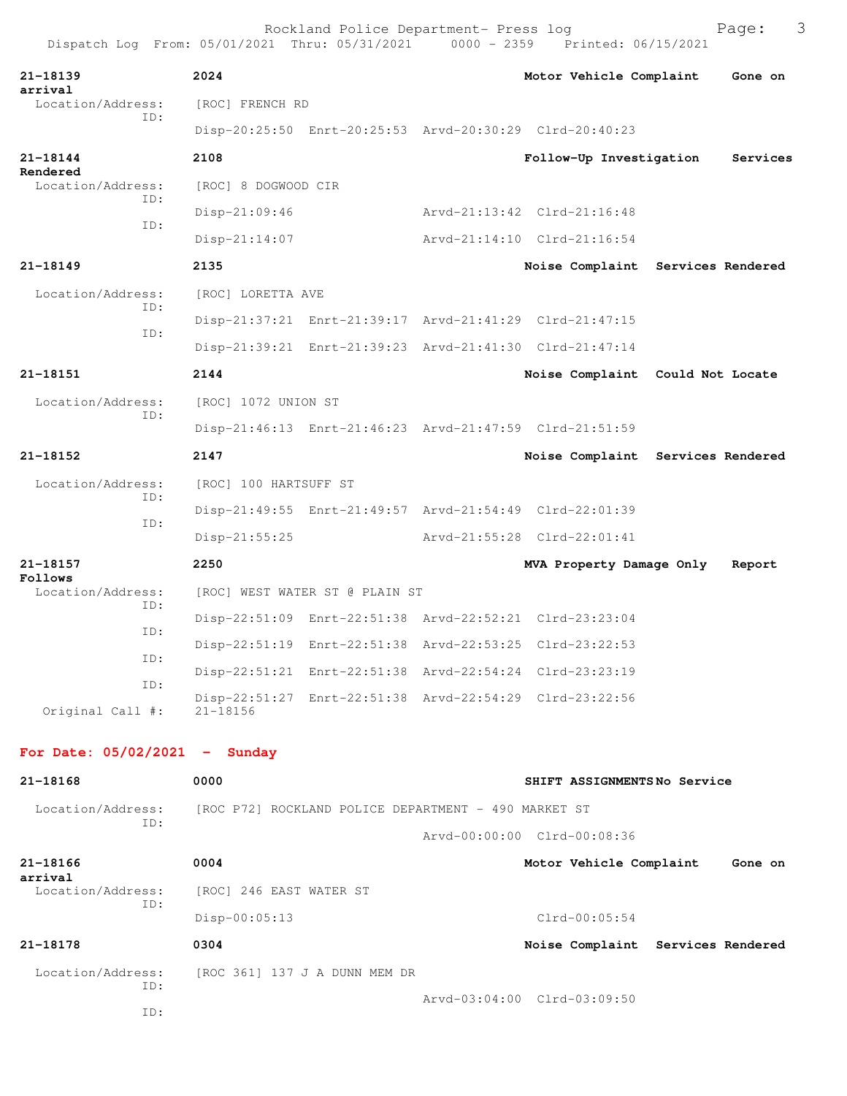| 21-18139<br>arrival             | 2024                    |                                                         | Motor Vehicle Complaint                                 | Gone on  |
|---------------------------------|-------------------------|---------------------------------------------------------|---------------------------------------------------------|----------|
| Location/Address:<br>ID:        | [ROC] FRENCH RD         |                                                         |                                                         |          |
|                                 |                         | Disp-20:25:50 Enrt-20:25:53 Arvd-20:30:29 Clrd-20:40:23 |                                                         |          |
| 21-18144<br>Rendered            | 2108                    |                                                         | Follow-Up Investigation                                 | Services |
| Location/Address:               | [ROC] 8 DOGWOOD CIR     |                                                         |                                                         |          |
| ID:                             | $Disp-21:09:46$         |                                                         | Arvd-21:13:42 Clrd-21:16:48                             |          |
| ID:                             | $Disp-21:14:07$         |                                                         | Arvd-21:14:10 Clrd-21:16:54                             |          |
| 21-18149                        | 2135                    |                                                         | Noise Complaint Services Rendered                       |          |
| Location/Address:               | [ROC] LORETTA AVE       |                                                         |                                                         |          |
| ID:                             |                         | Disp-21:37:21 Enrt-21:39:17 Arvd-21:41:29 Clrd-21:47:15 |                                                         |          |
| ID:                             |                         | Disp-21:39:21 Enrt-21:39:23 Arvd-21:41:30 Clrd-21:47:14 |                                                         |          |
| 21-18151                        | 2144                    |                                                         | Noise Complaint Could Not Locate                        |          |
| Location/Address:               | [ROC] 1072 UNION ST     |                                                         |                                                         |          |
| ID:                             |                         | Disp-21:46:13 Enrt-21:46:23 Arvd-21:47:59 Clrd-21:51:59 |                                                         |          |
| 21-18152                        | 2147                    |                                                         | Noise Complaint Services Rendered                       |          |
| Location/Address:               | [ROC] 100 HARTSUFF ST   |                                                         |                                                         |          |
| ID:                             |                         | Disp-21:49:55 Enrt-21:49:57 Arvd-21:54:49 Clrd-22:01:39 |                                                         |          |
| ID:                             | $Disp-21:55:25$         |                                                         | Arvd-21:55:28 Clrd-22:01:41                             |          |
| 21-18157                        | 2250                    |                                                         | MVA Property Damage Only                                | Report   |
| Follows<br>Location/Address:    |                         | [ROC] WEST WATER ST @ PLAIN ST                          |                                                         |          |
| ID:                             |                         | Disp-22:51:09 Enrt-22:51:38 Arvd-22:52:21 Clrd-23:23:04 |                                                         |          |
| ID:                             |                         | Disp-22:51:19 Enrt-22:51:38 Arvd-22:53:25 Clrd-23:22:53 |                                                         |          |
| ID:                             |                         |                                                         | Disp-22:51:21 Enrt-22:51:38 Arvd-22:54:24 Clrd-23:23:19 |          |
| ID:<br>Original Call #:         | $21 - 18156$            | Disp-22:51:27 Enrt-22:51:38 Arvd-22:54:29 Clrd-23:22:56 |                                                         |          |
| For Date: $05/02/2021$ - Sunday |                         |                                                         |                                                         |          |
| 21-18168                        | 0000                    |                                                         | SHIFT ASSIGNMENTSNo Service                             |          |
| Location/Address:               |                         | [ROC P72] ROCKLAND POLICE DEPARTMENT - 490 MARKET ST    |                                                         |          |
| ID:                             |                         |                                                         | Arvd-00:00:00 Clrd-00:08:36                             |          |
| 21-18166                        | 0004                    |                                                         | Motor Vehicle Complaint                                 | Gone on  |
| arrival<br>Location/Address:    | [ROC] 246 EAST WATER ST |                                                         |                                                         |          |
| ID:                             | Disp-00:05:13           |                                                         | $Clrd-00:05:54$                                         |          |
| 21-18178                        | 0304                    |                                                         | Noise Complaint Services Rendered                       |          |
| Location/Address:<br>ID:        |                         | [ROC 361] 137 J A DUNN MEM DR                           |                                                         |          |
| ID:                             |                         |                                                         | Arvd-03:04:00 Clrd-03:09:50                             |          |
|                                 |                         |                                                         |                                                         |          |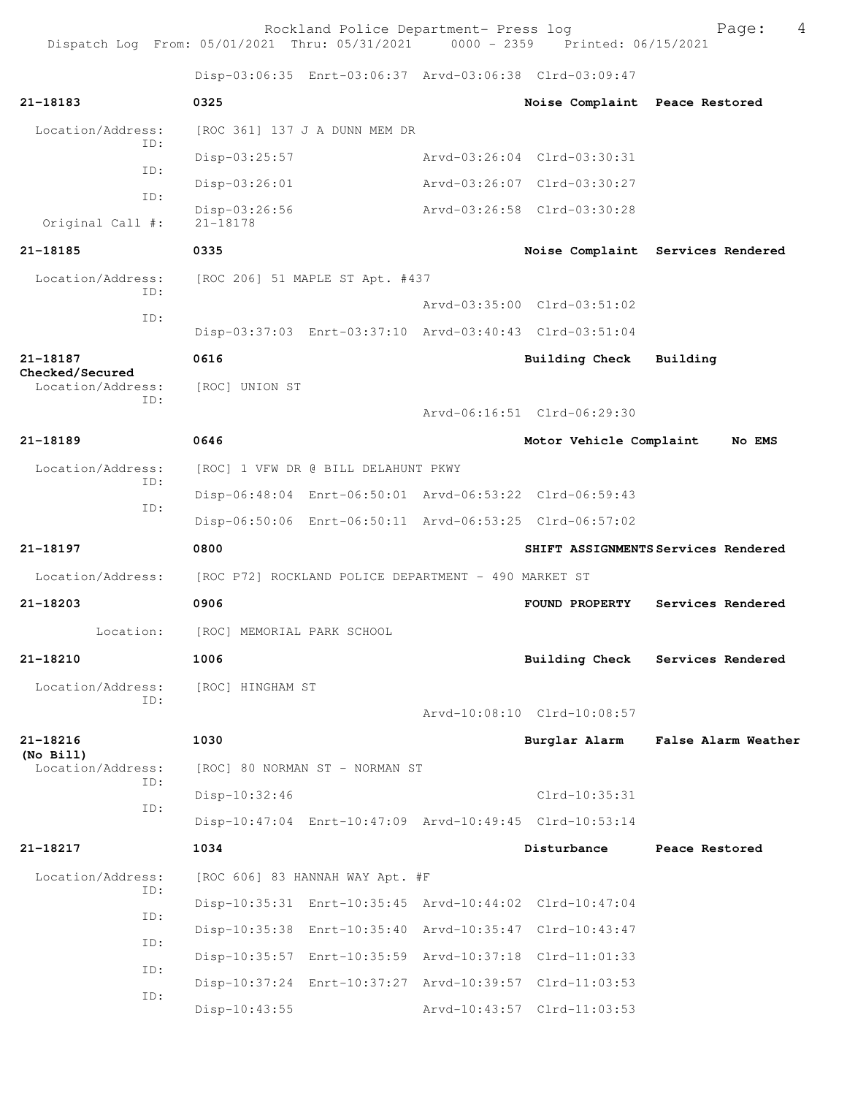Rockland Police Department- Press log Page: 4 Dispatch Log From: 05/01/2021 Thru: 05/31/2021 Disp-03:06:35 Enrt-03:06:37 Arvd-03:06:38 Clrd-03:09:47 **21-18183 0325 Noise Complaint Peace Restored** Location/Address: [ROC 361] 137 J A DUNN MEM DR ID: Disp-03:25:57 Arvd-03:26:04 Clrd-03:30:31 ID: Disp-03:26:01 Arvd-03:26:07 Clrd-03:30:27 ID: Disp-03:26:56 Arvd-03:26:58 Clrd-03:30:28 Original Call #: **21-18185 0335 Noise Complaint Services Rendered** Location/Address: [ROC 206] 51 MAPLE ST Apt. #437 ID: Arvd-03:35:00 Clrd-03:51:02 ID: Disp-03:37:03 Enrt-03:37:10 Arvd-03:40:43 Clrd-03:51:04 **21-18187 0616 Building Check Building Checked/Secured**  Location/Address: [ROC] UNION ST ID: Arvd-06:16:51 Clrd-06:29:30 **21-18189 0646 Motor Vehicle Complaint No EMS** Location/Address: [ROC] 1 VFW DR @ BILL DELAHUNT PKWY ID: Disp-06:48:04 Enrt-06:50:01 Arvd-06:53:22 Clrd-06:59:43 ID: Disp-06:50:06 Enrt-06:50:11 Arvd-06:53:25 Clrd-06:57:02 **21-18197 0800 SHIFT ASSIGNMENTS Services Rendered** Location/Address: [ROC P72] ROCKLAND POLICE DEPARTMENT - 490 MARKET ST **21-18203 0906 FOUND PROPERTY Services Rendered** Location: [ROC] MEMORIAL PARK SCHOOL **21-18210 1006 Building Check Services Rendered** Location/Address: [ROC] HINGHAM ST ID: Arvd-10:08:10 Clrd-10:08:57 **21-18216 1030 Burglar Alarm False Alarm Weather (No Bill)**  [ROC] 80 NORMAN ST - NORMAN ST ID: Disp-10:32:46 Clrd-10:35:31 ID: Disp-10:47:04 Enrt-10:47:09 Arvd-10:49:45 Clrd-10:53:14 **21-18217 1034 Disturbance Peace Restored** Location/Address: [ROC 606] 83 HANNAH WAY Apt. #F ID: Disp-10:35:31 Enrt-10:35:45 Arvd-10:44:02 Clrd-10:47:04 ID: Disp-10:35:38 Enrt-10:35:40 Arvd-10:35:47 Clrd-10:43:47 ID: Disp-10:35:57 Enrt-10:35:59 Arvd-10:37:18 Clrd-11:01:33 ID: Disp-10:37:24 Enrt-10:37:27 Arvd-10:39:57 Clrd-11:03:53 ID:

Disp-10:43:55 Arvd-10:43:57 Clrd-11:03:53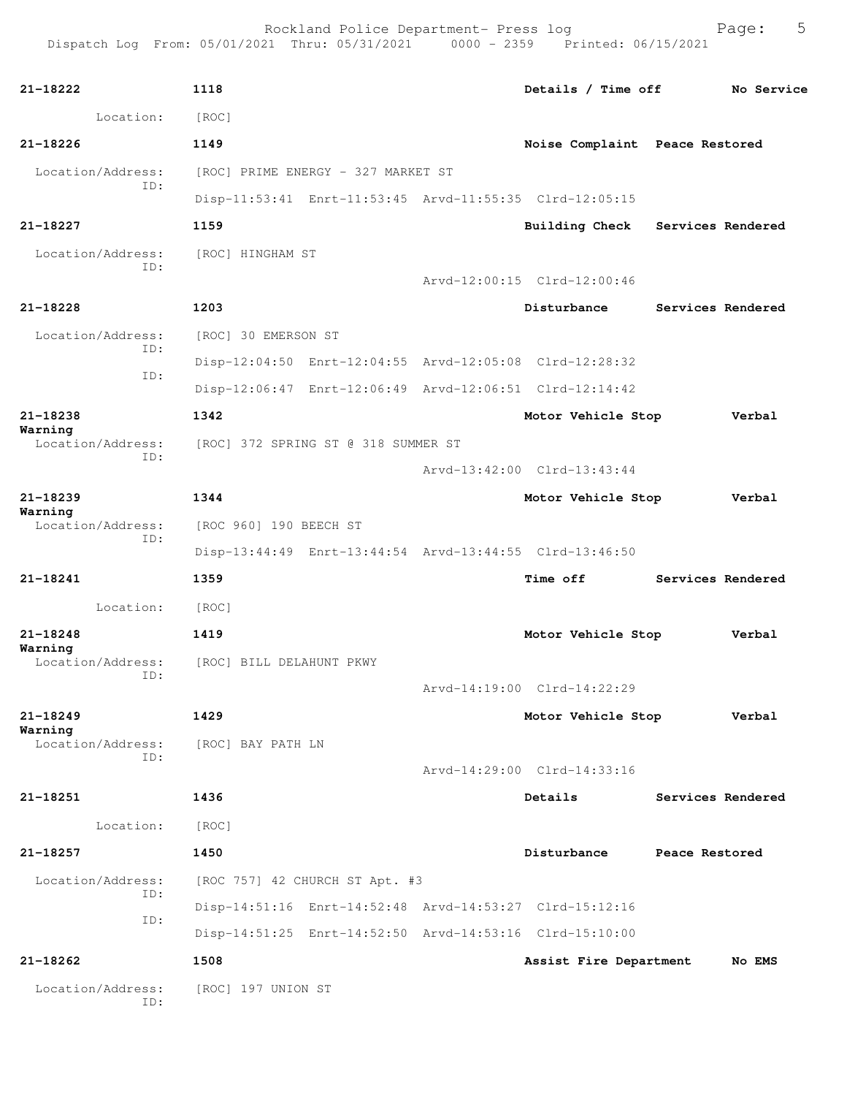| 21-18222                            | 1118                                |                                    | Details / Time off                                      |                   | No Service        |
|-------------------------------------|-------------------------------------|------------------------------------|---------------------------------------------------------|-------------------|-------------------|
| Location:                           | [ROC]                               |                                    |                                                         |                   |                   |
| $21 - 18226$                        | 1149                                |                                    | Noise Complaint Peace Restored                          |                   |                   |
| Location/Address:                   |                                     | [ROC] PRIME ENERGY - 327 MARKET ST |                                                         |                   |                   |
| ID:                                 |                                     |                                    | Disp-11:53:41 Enrt-11:53:45 Arvd-11:55:35 Clrd-12:05:15 |                   |                   |
| 21-18227                            | 1159                                |                                    | Building Check Services Rendered                        |                   |                   |
| Location/Address:                   | [ROC] HINGHAM ST                    |                                    |                                                         |                   |                   |
| ID:                                 |                                     |                                    | Arvd-12:00:15 Clrd-12:00:46                             |                   |                   |
| 21-18228                            | 1203                                |                                    | Disturbance                                             |                   | Services Rendered |
| Location/Address:                   | [ROC] 30 EMERSON ST                 |                                    |                                                         |                   |                   |
| ID:<br>ID:                          |                                     |                                    | Disp-12:04:50 Enrt-12:04:55 Arvd-12:05:08 Clrd-12:28:32 |                   |                   |
|                                     |                                     |                                    | Disp-12:06:47 Enrt-12:06:49 Arvd-12:06:51 Clrd-12:14:42 |                   |                   |
| 21-18238                            | 1342                                |                                    | Motor Vehicle Stop                                      |                   | Verbal            |
| Warning<br>Location/Address:<br>ID: | [ROC] 372 SPRING ST @ 318 SUMMER ST |                                    |                                                         |                   |                   |
|                                     |                                     |                                    | Arvd-13:42:00 Clrd-13:43:44                             |                   |                   |
| 21-18239                            | 1344                                |                                    | Motor Vehicle Stop                                      |                   | Verbal            |
| Warning<br>Location/Address:<br>ID: | [ROC 960] 190 BEECH ST              |                                    |                                                         |                   |                   |
|                                     |                                     |                                    | Disp-13:44:49 Enrt-13:44:54 Arvd-13:44:55 Clrd-13:46:50 |                   |                   |
| 21-18241                            | 1359                                |                                    | <b>Time off</b>                                         | Services Rendered |                   |
| Location:                           | [ROC]                               |                                    |                                                         |                   |                   |
| 21-18248                            | 1419                                |                                    | Motor Vehicle Stop                                      |                   | Verbal            |
| Warning<br>Location/Address:        | [ROC] BILL DELAHUNT PKWY            |                                    |                                                         |                   |                   |
| ID:                                 |                                     |                                    | Arvd-14:19:00 Clrd-14:22:29                             |                   |                   |
| $21 - 18249$                        | 1429                                |                                    | Motor Vehicle Stop                                      |                   | Verbal            |
| Warning<br>Location/Address:<br>ID: | [ROC] BAY PATH LN                   |                                    |                                                         |                   |                   |
|                                     |                                     |                                    | Arvd-14:29:00 Clrd-14:33:16                             |                   |                   |
| 21-18251                            | 1436                                |                                    | Details                                                 |                   | Services Rendered |
| Location:                           | [ROC]                               |                                    |                                                         |                   |                   |
| 21-18257                            | 1450                                |                                    | Disturbance                                             | Peace Restored    |                   |
| Location/Address:                   |                                     | [ROC 757] 42 CHURCH ST Apt. #3     |                                                         |                   |                   |
| ID:                                 |                                     |                                    | Disp-14:51:16 Enrt-14:52:48 Arvd-14:53:27 Clrd-15:12:16 |                   |                   |
| ID:                                 |                                     |                                    | Disp-14:51:25 Enrt-14:52:50 Arvd-14:53:16 Clrd-15:10:00 |                   |                   |
| 21-18262                            | 1508                                |                                    | Assist Fire Department                                  |                   | No EMS            |
| Location/Address:<br>ID:            | [ROC] 197 UNION ST                  |                                    |                                                         |                   |                   |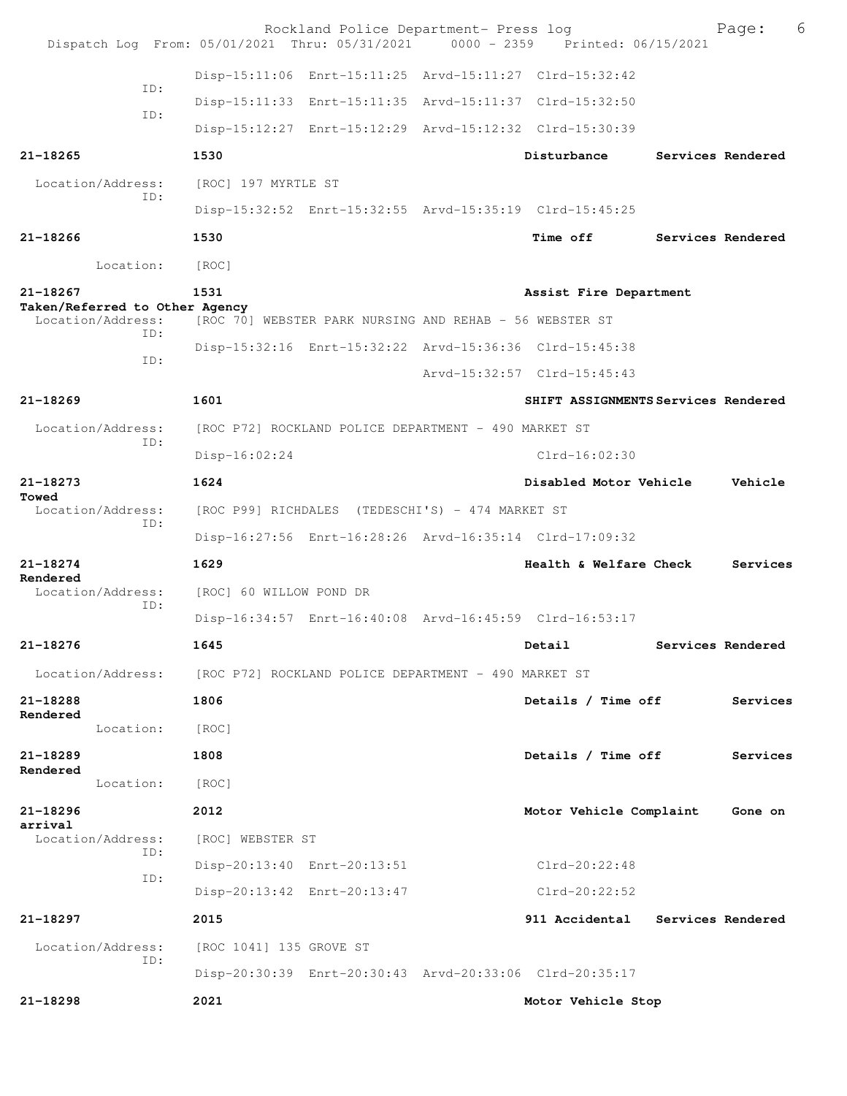|                                                | Rockland Police Department- Press log<br>Dispatch Log From: 05/01/2021 Thru: 05/31/2021 0000 - 2359 Printed: 06/15/2021 |                                     | Page:             | 6 |
|------------------------------------------------|-------------------------------------------------------------------------------------------------------------------------|-------------------------------------|-------------------|---|
|                                                | Disp-15:11:06 Enrt-15:11:25 Arvd-15:11:27 Clrd-15:32:42                                                                 |                                     |                   |   |
| TD:                                            | Disp-15:11:33 Enrt-15:11:35 Arvd-15:11:37 Clrd-15:32:50                                                                 |                                     |                   |   |
| ID:                                            | Disp-15:12:27 Enrt-15:12:29 Arvd-15:12:32 Clrd-15:30:39                                                                 |                                     |                   |   |
| 21-18265                                       | 1530                                                                                                                    | Disturbance                         | Services Rendered |   |
| Location/Address:<br>ID:                       | [ROC] 197 MYRTLE ST                                                                                                     |                                     |                   |   |
|                                                | Disp-15:32:52 Enrt-15:32:55 Arvd-15:35:19 Clrd-15:45:25                                                                 |                                     |                   |   |
| $21 - 18266$                                   | 1530                                                                                                                    | Time off                            | Services Rendered |   |
| Location:                                      | [ROC]                                                                                                                   |                                     |                   |   |
| $21 - 18267$<br>Taken/Referred to Other Agency | 1531                                                                                                                    | Assist Fire Department              |                   |   |
| Location/Address:<br>TD:                       | [ROC 70] WEBSTER PARK NURSING AND REHAB - 56 WEBSTER ST                                                                 |                                     |                   |   |
| TD:                                            | Disp-15:32:16 Enrt-15:32:22 Arvd-15:36:36 Clrd-15:45:38                                                                 |                                     |                   |   |
|                                                |                                                                                                                         | Arvd-15:32:57 Clrd-15:45:43         |                   |   |
| $21 - 18269$                                   | 1601                                                                                                                    | SHIFT ASSIGNMENTS Services Rendered |                   |   |
| Location/Address:<br>TD:                       | [ROC P72] ROCKLAND POLICE DEPARTMENT - 490 MARKET ST                                                                    |                                     |                   |   |
|                                                | Disp-16:02:24                                                                                                           | $Clrd-16:02:30$                     |                   |   |
| $21 - 18273$<br>Towed                          | 1624                                                                                                                    | Disabled Motor Vehicle              | Vehicle           |   |
| Location/Address:<br>ID:                       | [ROC P99] RICHDALES (TEDESCHI'S) - 474 MARKET ST                                                                        |                                     |                   |   |
|                                                | Disp-16:27:56 Enrt-16:28:26 Arvd-16:35:14 Clrd-17:09:32                                                                 |                                     |                   |   |
| 21-18274<br>Rendered                           | 1629                                                                                                                    | <b>Health &amp; Welfare Check</b>   | Services          |   |
| Location/Address:<br>TD:                       | [ROC] 60 WILLOW POND DR                                                                                                 |                                     |                   |   |
|                                                | Disp-16:34:57 Enrt-16:40:08 Arvd-16:45:59 Clrd-16:53:17                                                                 |                                     |                   |   |
| 21-18276                                       | 1645                                                                                                                    | Detail                              | Services Rendered |   |
| Location/Address:                              | [ROC P72] ROCKLAND POLICE DEPARTMENT - 490 MARKET ST                                                                    |                                     |                   |   |
| 21-18288<br>Rendered                           | 1806                                                                                                                    | Details / Time off                  | Services          |   |
| Location:                                      | [ROC]                                                                                                                   |                                     |                   |   |
| 21-18289<br>Rendered                           | 1808                                                                                                                    | Details / Time off                  | Services          |   |
| Location:                                      | [ROC]                                                                                                                   |                                     |                   |   |
| 21-18296<br>arrival                            | 2012                                                                                                                    | Motor Vehicle Complaint             | Gone on           |   |
| Location/Address:<br>ID:                       | [ROC] WEBSTER ST                                                                                                        |                                     |                   |   |
| ID:                                            | Disp-20:13:40 Enrt-20:13:51                                                                                             | Clrd-20:22:48                       |                   |   |
|                                                | Disp-20:13:42 Enrt-20:13:47                                                                                             | $Clrd-20:22:52$                     |                   |   |
| 21-18297                                       | 2015                                                                                                                    | 911 Accidental Services Rendered    |                   |   |
| Location/Address:<br>ID:                       | [ROC 1041] 135 GROVE ST                                                                                                 |                                     |                   |   |
|                                                | Disp-20:30:39 Enrt-20:30:43 Arvd-20:33:06 Clrd-20:35:17                                                                 |                                     |                   |   |
| 21-18298                                       | 2021                                                                                                                    | Motor Vehicle Stop                  |                   |   |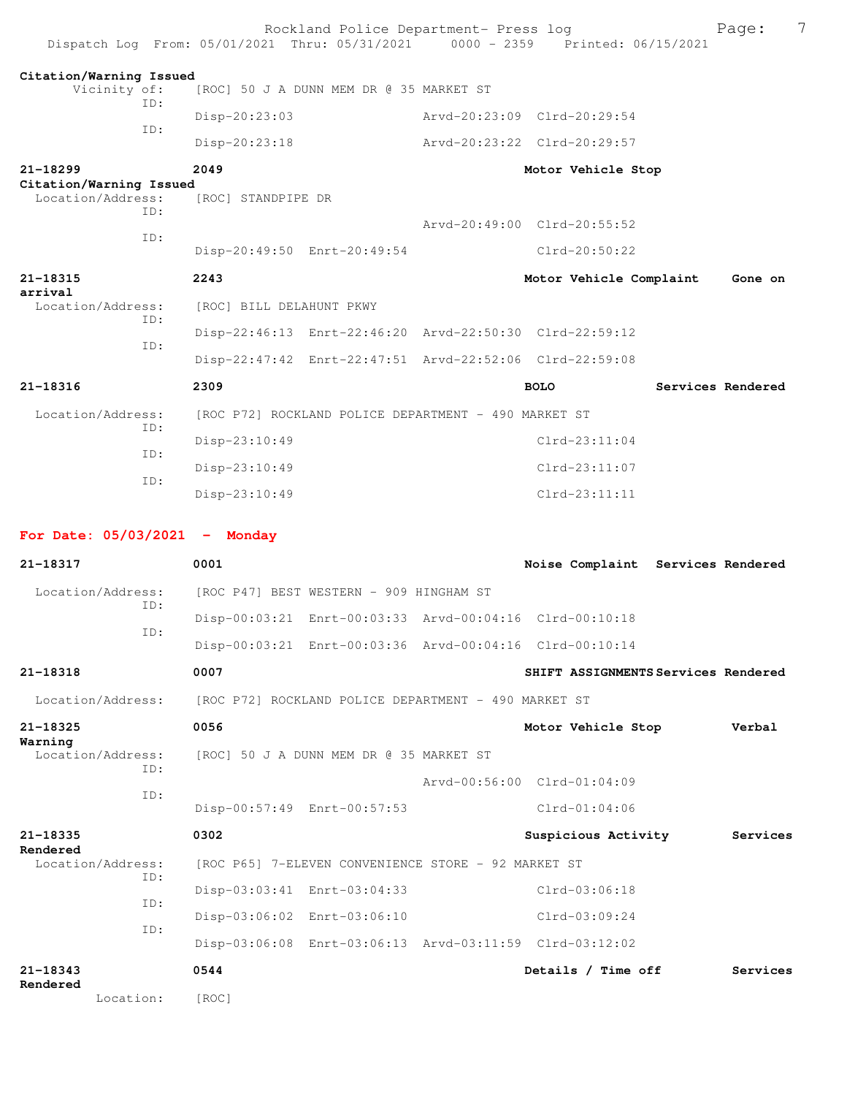| Dispatch Log From: 05/01/2021 Thru: 05/31/2021 0000 - 2359 Printed: 06/15/2021 |                                                      | Rockland Police Department- Press log                   |                                                         | 7<br>Page:        |
|--------------------------------------------------------------------------------|------------------------------------------------------|---------------------------------------------------------|---------------------------------------------------------|-------------------|
| Citation/Warning Issued<br>Vicinity of:                                        |                                                      | [ROC] 50 J A DUNN MEM DR @ 35 MARKET ST                 |                                                         |                   |
| TD:                                                                            | Disp-20:23:03                                        |                                                         | Arvd-20:23:09 Clrd-20:29:54                             |                   |
| ID:                                                                            | Disp-20:23:18                                        |                                                         | Arvd-20:23:22 Clrd-20:29:57                             |                   |
| $21 - 18299$<br>Citation/Warning Issued                                        | 2049                                                 |                                                         | Motor Vehicle Stop                                      |                   |
| Location/Address:<br>TD:                                                       | [ROC] STANDPIPE DR                                   |                                                         |                                                         |                   |
| ID:                                                                            |                                                      |                                                         | Arvd-20:49:00 Clrd-20:55:52                             |                   |
|                                                                                | Disp-20:49:50 Enrt-20:49:54                          |                                                         | $Clrd-20:50:22$                                         |                   |
| 21-18315<br>arrival                                                            | 2243                                                 |                                                         | Motor Vehicle Complaint                                 | Gone on           |
| Location/Address:<br>TD:                                                       | [ROC] BILL DELAHUNT PKWY                             |                                                         |                                                         |                   |
| ID:                                                                            |                                                      |                                                         | Disp-22:46:13 Enrt-22:46:20 Arvd-22:50:30 Clrd-22:59:12 |                   |
|                                                                                |                                                      | Disp-22:47:42 Enrt-22:47:51 Arvd-22:52:06 Clrd-22:59:08 |                                                         |                   |
| 21-18316                                                                       | 2309                                                 |                                                         | <b>BOLO</b>                                             | Services Rendered |
| Location/Address:<br>TD:                                                       |                                                      | [ROC P72] ROCKLAND POLICE DEPARTMENT - 490 MARKET ST    |                                                         |                   |
|                                                                                | Disp-23:10:49                                        |                                                         | $Clrd-23:11:04$                                         |                   |
| ID:                                                                            | Disp-23:10:49                                        |                                                         | $Clrd-23:11:07$                                         |                   |
| TD:                                                                            | Disp-23:10:49                                        |                                                         | $Clrd-23:11:11$                                         |                   |
|                                                                                |                                                      |                                                         |                                                         |                   |
| For Date: $05/03/2021$ - Monday                                                |                                                      |                                                         |                                                         |                   |
| 21-18317                                                                       | 0001                                                 |                                                         | Noise Complaint Services Rendered                       |                   |
| Location/Address:                                                              |                                                      | [ROC P47] BEST WESTERN - 909 HINGHAM ST                 |                                                         |                   |
| TD:                                                                            |                                                      | Disp-00:03:21 Enrt-00:03:33 Arvd-00:04:16 Clrd-00:10:18 |                                                         |                   |
| ID:                                                                            |                                                      |                                                         | Disp-00:03:21 Enrt-00:03:36 Arvd-00:04:16 Clrd-00:10:14 |                   |
| 21-18318                                                                       | 0007                                                 |                                                         | SHIFT ASSIGNMENTS Services Rendered                     |                   |
| Location/Address:                                                              | [ROC P72] ROCKLAND POLICE DEPARTMENT - 490 MARKET ST |                                                         |                                                         |                   |
| 21-18325                                                                       | 0056                                                 |                                                         | Motor Vehicle Stop                                      | Verbal            |
| Warning<br>Location/Address:                                                   |                                                      | [ROC] 50 J A DUNN MEM DR @ 35 MARKET ST                 |                                                         |                   |
| ID:                                                                            |                                                      |                                                         | Arvd-00:56:00 Clrd-01:04:09                             |                   |
| ID:                                                                            | Disp-00:57:49 Enrt-00:57:53                          |                                                         | $Clrd-01:04:06$                                         |                   |
| 21-18335                                                                       | 0302                                                 |                                                         | Suspicious Activity                                     | Services          |
| Rendered<br>Location/Address:                                                  |                                                      | [ROC P65] 7-ELEVEN CONVENIENCE STORE - 92 MARKET ST     |                                                         |                   |
| ID:                                                                            |                                                      | Disp-03:03:41 Enrt-03:04:33                             | $Clrd-03:06:18$                                         |                   |
| ID:                                                                            |                                                      | Disp-03:06:02 Enrt-03:06:10                             | $Clrd-03:09:24$                                         |                   |
| ID:                                                                            |                                                      |                                                         | Disp-03:06:08 Enrt-03:06:13 Arvd-03:11:59 Clrd-03:12:02 |                   |
| 21-18343                                                                       | 0544                                                 |                                                         | Details / Time off                                      | Services          |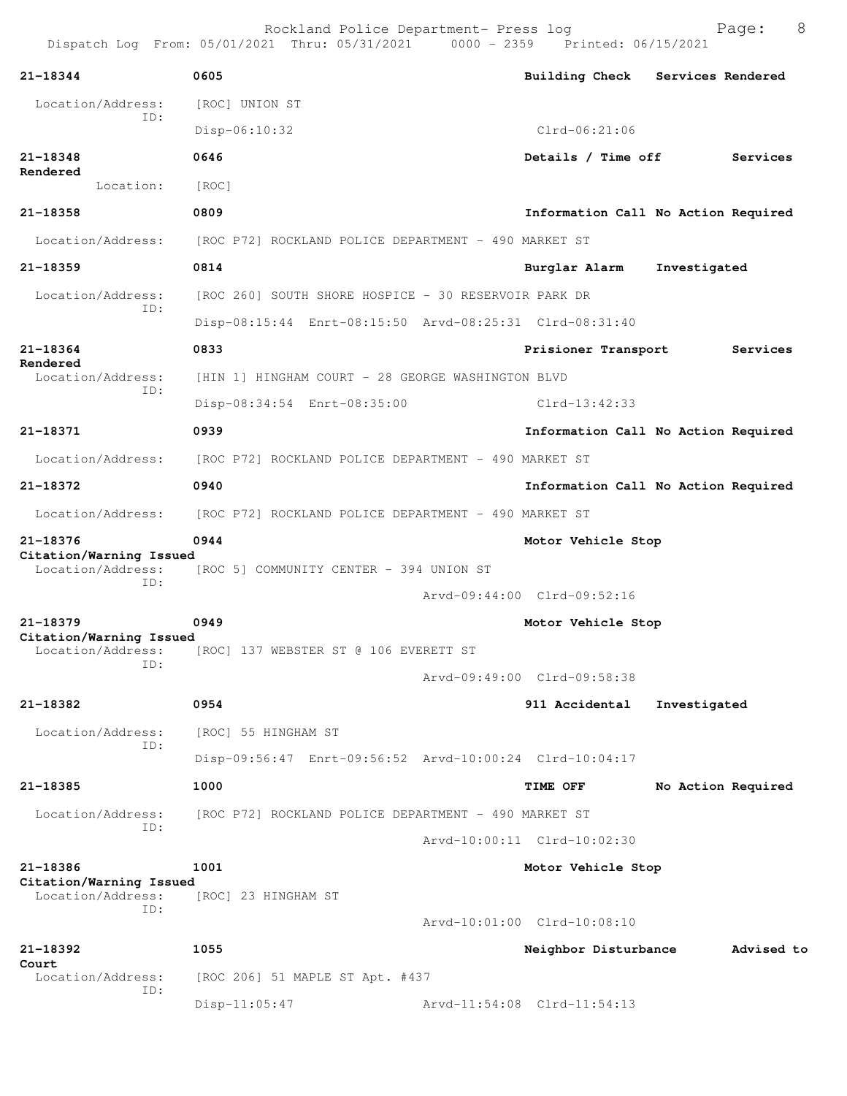| 21-18344                                     | 0605                                                      | Building Check Services Rendered    |              |                    |
|----------------------------------------------|-----------------------------------------------------------|-------------------------------------|--------------|--------------------|
| Location/Address:                            | [ROC] UNION ST                                            |                                     |              |                    |
| ID:                                          | Disp-06:10:32                                             | $C1rd-06:21:06$                     |              |                    |
| 21-18348                                     | 0646                                                      | Details / Time off                  |              | Services           |
| Rendered<br>Location:                        | [ROC]                                                     |                                     |              |                    |
| 21-18358                                     | 0809                                                      | Information Call No Action Required |              |                    |
| Location/Address:                            | [ROC P72] ROCKLAND POLICE DEPARTMENT - 490 MARKET ST      |                                     |              |                    |
| $21 - 18359$                                 | 0814                                                      | Burglar Alarm                       | Investigated |                    |
| Location/Address:                            | [ROC 260] SOUTH SHORE HOSPICE - 30 RESERVOIR PARK DR      |                                     |              |                    |
| ID:                                          | Disp-08:15:44 Enrt-08:15:50 Arvd-08:25:31 Clrd-08:31:40   |                                     |              |                    |
| 21-18364                                     | 0833                                                      | Prisioner Transport                 |              | Services           |
| Rendered<br>Location/Address:                | [HIN 1] HINGHAM COURT - 28 GEORGE WASHINGTON BLVD         |                                     |              |                    |
| ID:                                          | Disp-08:34:54 Enrt-08:35:00                               | $Clrd-13:42:33$                     |              |                    |
| 21-18371                                     | 0939                                                      | Information Call No Action Required |              |                    |
| Location/Address:                            | [ROC P72] ROCKLAND POLICE DEPARTMENT - 490 MARKET ST      |                                     |              |                    |
| 21-18372                                     | 0940                                                      | Information Call No Action Required |              |                    |
| Location/Address:                            | [ROC P72] ROCKLAND POLICE DEPARTMENT – 490 MARKET ST      |                                     |              |                    |
| 21-18376                                     | 0944                                                      | Motor Vehicle Stop                  |              |                    |
| Citation/Warning Issued                      | Location/Address: [ROC 5] COMMUNITY CENTER - 394 UNION ST |                                     |              |                    |
| ID:                                          |                                                           | Arvd-09:44:00 Clrd-09:52:16         |              |                    |
| 21-18379                                     | 0949                                                      | Motor Vehicle Stop                  |              |                    |
| Citation/Warning Issued<br>Location/Address: | [ROC] 137 WEBSTER ST @ 106 EVERETT ST                     |                                     |              |                    |
| ID:                                          |                                                           | Arvd-09:49:00 Clrd-09:58:38         |              |                    |
| 21-18382                                     | 0954                                                      | 911 Accidental                      | Investigated |                    |
| Location/Address:                            | [ROC] 55 HINGHAM ST                                       |                                     |              |                    |
| ID:                                          | Disp-09:56:47 Enrt-09:56:52 Arvd-10:00:24 Clrd-10:04:17   |                                     |              |                    |
| 21-18385                                     | 1000                                                      | TIME OFF                            |              | No Action Required |
|                                              |                                                           |                                     |              |                    |
| Location/Address:<br>ID:                     | [ROC P72] ROCKLAND POLICE DEPARTMENT - 490 MARKET ST      |                                     |              |                    |
|                                              |                                                           | Arvd-10:00:11 Clrd-10:02:30         |              |                    |
| 21-18386<br>Citation/Warning Issued          | 1001                                                      | Motor Vehicle Stop                  |              |                    |
| Location/Address:<br>ID:                     | [ROC] 23 HINGHAM ST                                       |                                     |              |                    |
|                                              |                                                           | Arvd-10:01:00 Clrd-10:08:10         |              |                    |
| 21-18392<br>Court                            | 1055                                                      | Neighbor Disturbance                |              | Advised to         |
| Location/Address:<br>ID:                     | [ROC 206] 51 MAPLE ST Apt. #437                           |                                     |              |                    |
|                                              | $Disp-11:05:47$                                           | Arvd-11:54:08 Clrd-11:54:13         |              |                    |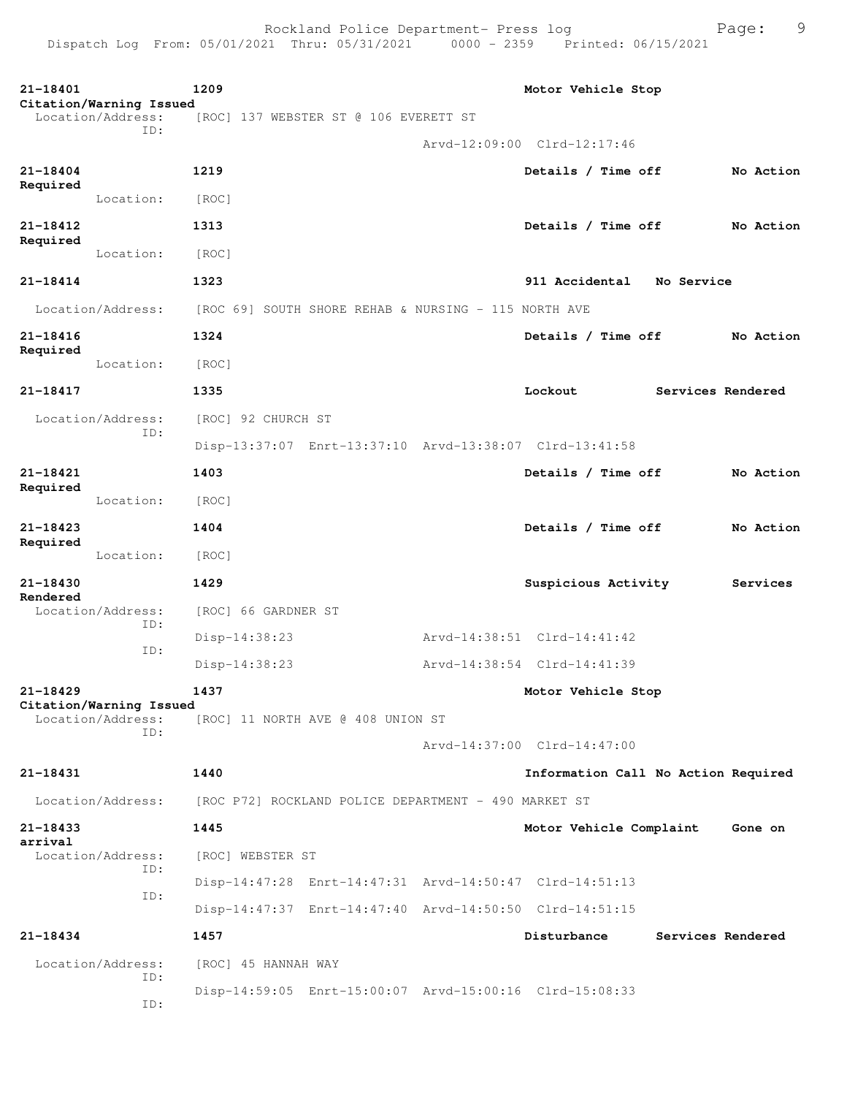| 21-18401                |                                              | 1209                                                    | Motor Vehicle Stop                  |                   |           |
|-------------------------|----------------------------------------------|---------------------------------------------------------|-------------------------------------|-------------------|-----------|
|                         | Citation/Warning Issued<br>Location/Address: | [ROC] 137 WEBSTER ST @ 106 EVERETT ST                   |                                     |                   |           |
|                         | TD:                                          |                                                         | Arvd-12:09:00 Clrd-12:17:46         |                   |           |
| 21-18404                |                                              | 1219                                                    | Details / Time off                  |                   | No Action |
| Required                | Location:                                    | [ROC]                                                   |                                     |                   |           |
| 21-18412                |                                              | 1313                                                    | Details / Time off                  |                   | No Action |
| Required                | Location:                                    | [ROC]                                                   |                                     |                   |           |
| 21-18414                |                                              | 1323                                                    | 911 Accidental No Service           |                   |           |
|                         | Location/Address:                            | [ROC 69] SOUTH SHORE REHAB & NURSING - 115 NORTH AVE    |                                     |                   |           |
| 21-18416                |                                              | 1324                                                    | Details / Time off                  |                   | No Action |
| Required                | Location:                                    | [ROC]                                                   |                                     |                   |           |
| 21-18417                |                                              | 1335                                                    | Lockout                             | Services Rendered |           |
|                         | Location/Address:                            | [ROC] 92 CHURCH ST                                      |                                     |                   |           |
|                         | ID:                                          | Disp-13:37:07 Enrt-13:37:10 Arvd-13:38:07 Clrd-13:41:58 |                                     |                   |           |
| $21 - 18421$            |                                              | 1403                                                    | Details / Time off                  |                   | No Action |
| Required                | Location:                                    | [ROC]                                                   |                                     |                   |           |
| 21-18423                |                                              | 1404                                                    | Details / Time off                  |                   | No Action |
| Required                | Location:                                    | [ROC]                                                   |                                     |                   |           |
| 21-18430                |                                              | 1429                                                    | Suspicious Activity                 |                   | Services  |
| Rendered                | Location/Address:                            | [ROC] 66 GARDNER ST                                     |                                     |                   |           |
|                         | ID:<br>ID:                                   | $Disp-14:38:23$                                         | Arvd-14:38:51 Clrd-14:41:42         |                   |           |
|                         |                                              | $Disp-14:38:23$                                         | Arvd-14:38:54 Clrd-14:41:39         |                   |           |
| $21 - 18429$            | Citation/Warning Issued                      | 1437                                                    | Motor Vehicle Stop                  |                   |           |
|                         | Location/Address:<br>TD:                     | [ROC] 11 NORTH AVE @ 408 UNION ST                       |                                     |                   |           |
|                         |                                              |                                                         | Arvd-14:37:00 Clrd-14:47:00         |                   |           |
| 21-18431                |                                              | 1440                                                    | Information Call No Action Required |                   |           |
|                         | Location/Address:                            | [ROC P72] ROCKLAND POLICE DEPARTMENT - 490 MARKET ST    |                                     |                   |           |
| $21 - 18433$<br>arrival |                                              | 1445                                                    | Motor Vehicle Complaint             |                   | Gone on   |
|                         | Location/Address:<br>ID:                     | [ROC] WEBSTER ST                                        |                                     |                   |           |
|                         | ID:                                          | Disp-14:47:28 Enrt-14:47:31 Arvd-14:50:47 Clrd-14:51:13 |                                     |                   |           |
|                         |                                              | Disp-14:47:37 Enrt-14:47:40 Arvd-14:50:50 Clrd-14:51:15 |                                     |                   |           |
| 21-18434                |                                              | 1457                                                    | Disturbance                         | Services Rendered |           |
|                         | Location/Address:<br>ID:                     | [ROC] 45 HANNAH WAY                                     |                                     |                   |           |
|                         | ID:                                          | Disp-14:59:05 Enrt-15:00:07 Arvd-15:00:16 Clrd-15:08:33 |                                     |                   |           |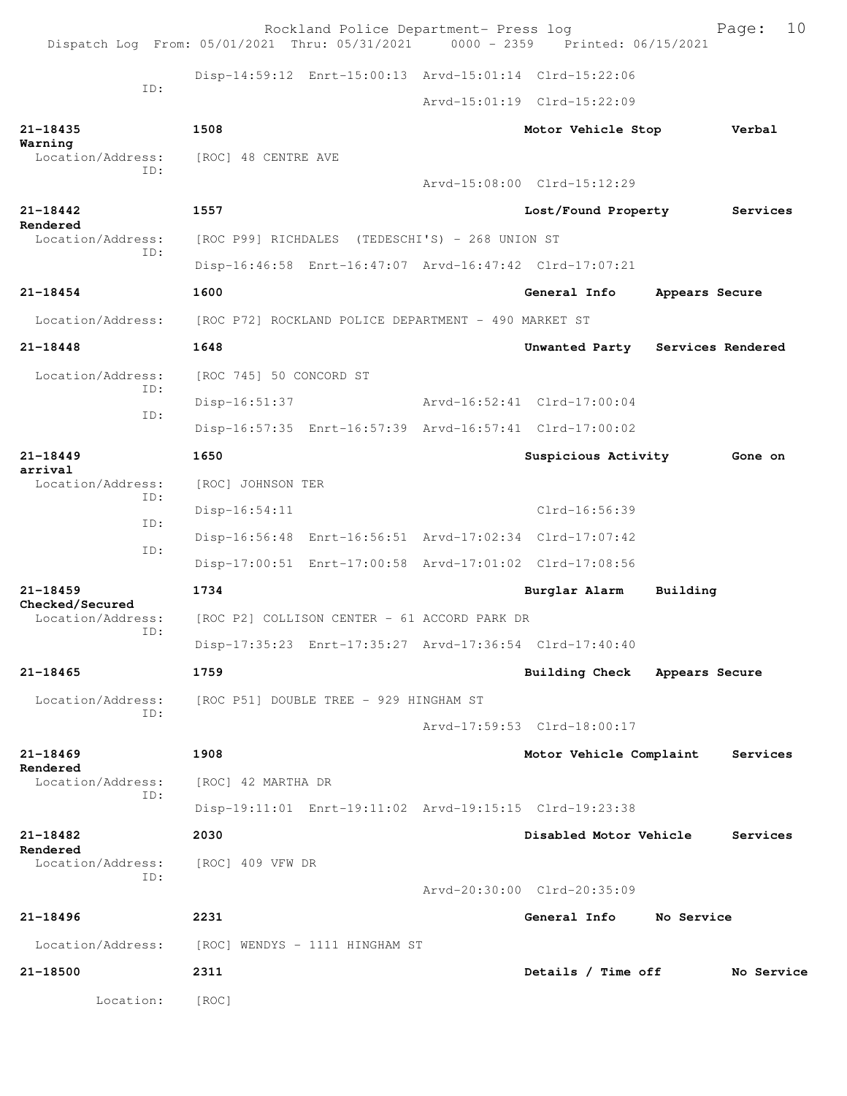|                                 | Dispatch Log From: 05/01/2021 Thru: 05/31/2021 0000 - 2359 Printed: 06/15/2021 | Rockland Police Department- Press log |                                  |                | 10<br>Page: |
|---------------------------------|--------------------------------------------------------------------------------|---------------------------------------|----------------------------------|----------------|-------------|
|                                 | Disp-14:59:12 Enrt-15:00:13 Arvd-15:01:14 Clrd-15:22:06                        |                                       |                                  |                |             |
| ID:                             |                                                                                |                                       | Arvd-15:01:19 Clrd-15:22:09      |                |             |
| 21-18435                        | 1508                                                                           |                                       | Motor Vehicle Stop               |                | Verbal      |
| Warning                         | Location/Address: [ROC] 48 CENTRE AVE                                          |                                       |                                  |                |             |
| ID:                             |                                                                                |                                       | Arvd-15:08:00 Clrd-15:12:29      |                |             |
| 21-18442                        | 1557                                                                           |                                       | Lost/Found Property              |                | Services    |
| Rendered<br>Location/Address:   | [ROC P99] RICHDALES (TEDESCHI'S) - 268 UNION ST                                |                                       |                                  |                |             |
| ID:                             | Disp-16:46:58 Enrt-16:47:07 Arvd-16:47:42 Clrd-17:07:21                        |                                       |                                  |                |             |
| 21-18454                        | 1600                                                                           |                                       | General Info                     | Appears Secure |             |
| Location/Address:               | [ROC P72] ROCKLAND POLICE DEPARTMENT - 490 MARKET ST                           |                                       |                                  |                |             |
| $21 - 18448$                    | 1648                                                                           |                                       | Unwanted Party Services Rendered |                |             |
| Location/Address:<br>ID:        | [ROC 745] 50 CONCORD ST                                                        |                                       |                                  |                |             |
| ID:                             | Disp-16:51:37                                                                  |                                       | Arvd-16:52:41 Clrd-17:00:04      |                |             |
|                                 | Disp-16:57:35 Enrt-16:57:39 Arvd-16:57:41 Clrd-17:00:02                        |                                       |                                  |                |             |
| $21 - 18449$<br>arrival         | 1650                                                                           |                                       | Suspicious Activity              |                | Gone on     |
| Location/Address:<br>ID:        | [ROC] JOHNSON TER                                                              |                                       |                                  |                |             |
| ID:                             | $Disp-16:54:11$                                                                |                                       | Clrd-16:56:39                    |                |             |
| ID:                             | Disp-16:56:48 Enrt-16:56:51 Arvd-17:02:34 Clrd-17:07:42                        |                                       |                                  |                |             |
|                                 | Disp-17:00:51 Enrt-17:00:58 Arvd-17:01:02 Clrd-17:08:56                        |                                       |                                  |                |             |
| $21 - 18459$<br>Checked/Secured | 1734                                                                           |                                       | Burglar Alarm                    | Building       |             |
| Location/Address:<br>ID:        | [ROC P2] COLLISON CENTER - 61 ACCORD PARK DR                                   |                                       |                                  |                |             |
|                                 | Disp-17:35:23 Enrt-17:35:27 Arvd-17:36:54 Clrd-17:40:40                        |                                       |                                  |                |             |
| 21-18465                        | 1759                                                                           |                                       | Building Check Appears Secure    |                |             |
| Location/Address:<br>ID:        | [ROC P51] DOUBLE TREE - 929 HINGHAM ST                                         |                                       |                                  |                |             |
|                                 |                                                                                |                                       | Arvd-17:59:53 Clrd-18:00:17      |                |             |
| $21 - 18469$<br>Rendered        | 1908                                                                           |                                       | Motor Vehicle Complaint          |                | Services    |
| Location/Address:<br>ID:        | [ROC] 42 MARTHA DR                                                             |                                       |                                  |                |             |
|                                 | Disp-19:11:01 Enrt-19:11:02 Arvd-19:15:15 Clrd-19:23:38                        |                                       |                                  |                |             |
| 21-18482<br>Rendered            | 2030                                                                           |                                       | Disabled Motor Vehicle           |                | Services    |
| Location/Address:<br>ID:        | [ROC] 409 VFW DR                                                               |                                       |                                  |                |             |
|                                 |                                                                                |                                       | Arvd-20:30:00 Clrd-20:35:09      |                |             |
| 21-18496                        | 2231                                                                           |                                       | General Info                     | No Service     |             |
| Location/Address:               | [ROC] WENDYS - 1111 HINGHAM ST                                                 |                                       |                                  |                |             |
| 21-18500                        | 2311                                                                           |                                       | Details / Time off               |                | No Service  |
| Location:                       | [ROC]                                                                          |                                       |                                  |                |             |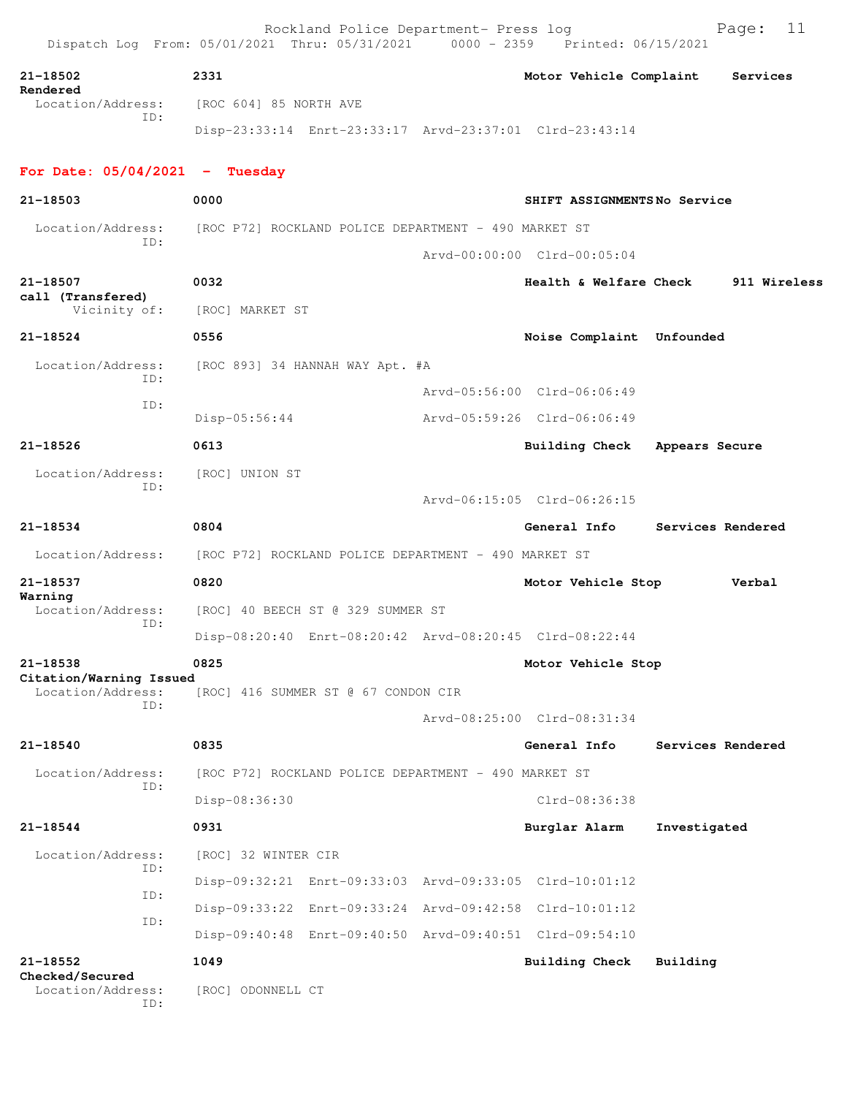Rockland Police Department- Press log entitled Page: 11 Dispatch Log From: 05/01/2021 Thru: 05/31/2021 0000 - 2359 Printed: 06/15/2021 **21-18502 2331 Motor Vehicle Complaint Services Rendered**  Location/Address: [ROC 604] 85 NORTH AVE ID: Disp-23:33:14 Enrt-23:33:17 Arvd-23:37:01 Clrd-23:43:14

## **For Date: 05/04/2021 - Tuesday**

| 21-18503                                     | 0000                                                    | SHIFT ASSIGNMENTSNo Service |                   |
|----------------------------------------------|---------------------------------------------------------|-----------------------------|-------------------|
| Location/Address:<br>ID:                     | [ROC P72] ROCKLAND POLICE DEPARTMENT - 490 MARKET ST    |                             |                   |
|                                              |                                                         | Arvd-00:00:00 Clrd-00:05:04 |                   |
| 21-18507                                     | 0032                                                    | Health & Welfare Check      | 911 Wireless      |
| call (Transfered)<br>Vicinity of:            | [ROC] MARKET ST                                         |                             |                   |
| 21-18524                                     | 0556                                                    | Noise Complaint Unfounded   |                   |
| Location/Address:                            | $[ROC 893]$ 34 HANNAH WAY Apt. #A                       |                             |                   |
| ID:                                          |                                                         | Arvd-05:56:00 Clrd-06:06:49 |                   |
| ID:                                          | $Disp-05:56:44$                                         | Arvd-05:59:26 Clrd-06:06:49 |                   |
| 21-18526                                     | 0613                                                    | <b>Building Check</b>       | Appears Secure    |
| Location/Address:                            | [ROC] UNION ST                                          |                             |                   |
| ID:                                          |                                                         | Arvd-06:15:05 Clrd-06:26:15 |                   |
| 21-18534                                     | 0804                                                    | General Info                | Services Rendered |
| Location/Address:                            | [ROC P72] ROCKLAND POLICE DEPARTMENT - 490 MARKET ST    |                             |                   |
| 21-18537                                     | 0820                                                    | Motor Vehicle Stop          | Verbal            |
| Warning<br>Location/Address:                 | [ROC] 40 BEECH ST @ 329 SUMMER ST                       |                             |                   |
| ID:                                          | Disp-08:20:40 Enrt-08:20:42 Arvd-08:20:45 Clrd-08:22:44 |                             |                   |
| 21-18538                                     | 0825                                                    | Motor Vehicle Stop          |                   |
| Citation/Warning Issued<br>Location/Address: | [ROC] 416 SUMMER ST @ 67 CONDON CIR                     |                             |                   |
| ID:                                          |                                                         | Arvd-08:25:00 Clrd-08:31:34 |                   |
| 21-18540                                     | 0835                                                    | General Info                | Services Rendered |
| Location/Address:                            | [ROC P72] ROCKLAND POLICE DEPARTMENT - 490 MARKET ST    |                             |                   |
| ID:                                          | Disp-08:36:30                                           | $Clrd-08:36:38$             |                   |
| 21-18544                                     | 0931                                                    | Burglar Alarm               | Investigated      |
| Location/Address:                            | [ROC] 32 WINTER CIR                                     |                             |                   |
| ID:                                          | Disp-09:32:21 Enrt-09:33:03 Arvd-09:33:05 Clrd-10:01:12 |                             |                   |
| ID:                                          | Disp-09:33:22 Enrt-09:33:24 Arvd-09:42:58 Clrd-10:01:12 |                             |                   |
| ID:                                          | Disp-09:40:48 Enrt-09:40:50 Arvd-09:40:51 Clrd-09:54:10 |                             |                   |
| 21-18552                                     | 1049                                                    | <b>Building Check</b>       | Building          |
| Checked/Secured<br>Location/Address:<br>ID:  | [ROC] ODONNELL CT                                       |                             |                   |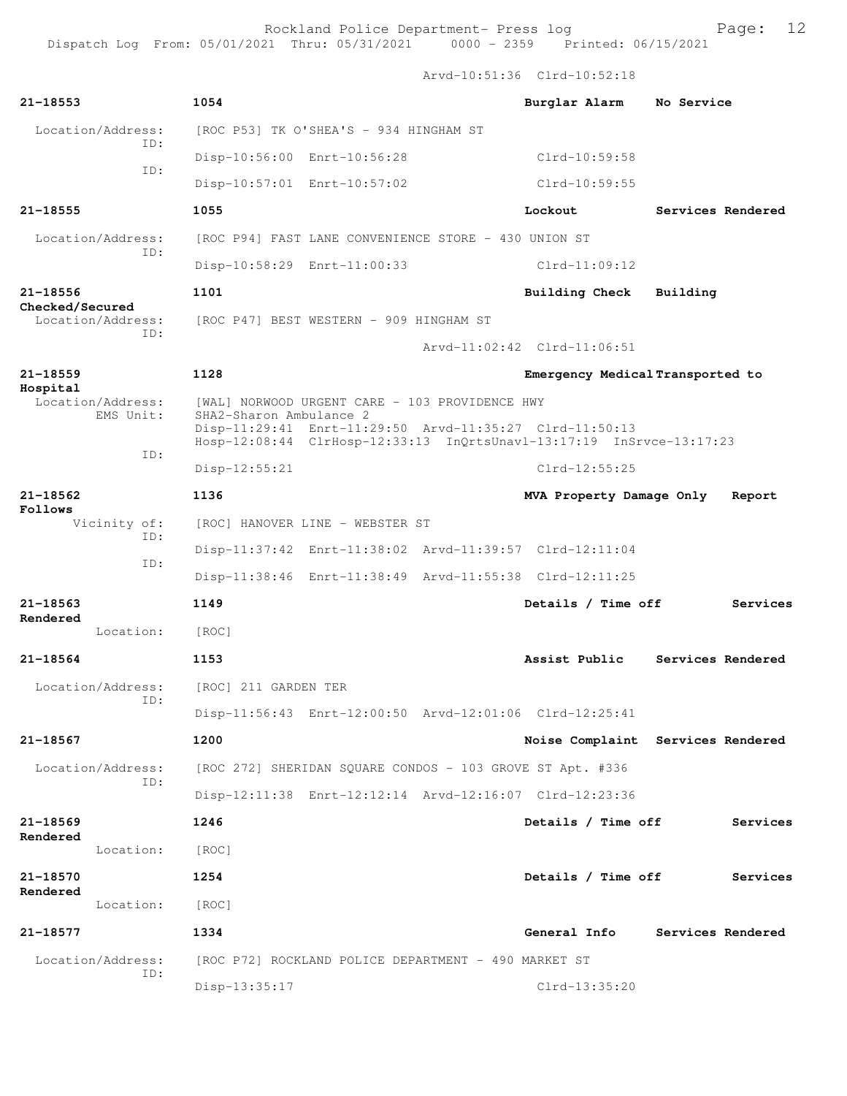**21-18553 1054 Burglar Alarm No Service** Location/Address: [ROC P53] TK O'SHEA'S - 934 HINGHAM ST ID: Disp-10:56:00 Enrt-10:56:28 Clrd-10:59:58 ID: Disp-10:57:01 Enrt-10:57:02 Clrd-10:59:55 **21-18555 1055 Lockout Services Rendered** Location/Address: [ROC P94] FAST LANE CONVENIENCE STORE - 430 UNION ST ID: Disp-10:58:29 Enrt-11:00:33 Clrd-11:09:12 **21-18556 1101 Building Check Building Checked/Secured**  Location/Address: [ROC P47] BEST WESTERN - 909 HINGHAM ST ID: Arvd-11:02:42 Clrd-11:06:51 **21-18559 1128 Emergency Medical Transported to Hospital**  [WAL] NORWOOD URGENT CARE - 103 PROVIDENCE HWY EMS Unit: SHA2-Sharon Ambulance 2 Disp-11:29:41 Enrt-11:29:50 Arvd-11:35:27 Clrd-11:50:13 Hosp-12:08:44 ClrHosp-12:33:13 InQrtsUnavl-13:17:19 InSrvce-13:17:23 ID: Disp-12:55:21 Clrd-12:55:25 **21-18562 1136 MVA Property Damage Only Report Follows**<br>Vicinity of: [ROC] HANOVER LINE - WEBSTER ST ID: Disp-11:37:42 Enrt-11:38:02 Arvd-11:39:57 Clrd-12:11:04 ID: Disp-11:38:46 Enrt-11:38:49 Arvd-11:55:38 Clrd-12:11:25 **21-18563 1149 Details / Time off Services Rendered**  Location: [ROC] **21-18564 1153 Assist Public Services Rendered** Location/Address: [ROC] 211 GARDEN TER ID: Disp-11:56:43 Enrt-12:00:50 Arvd-12:01:06 Clrd-12:25:41 **21-18567 1200 Noise Complaint Services Rendered** Location/Address: [ROC 272] SHERIDAN SQUARE CONDOS - 103 GROVE ST Apt. #336 ID: Disp-12:11:38 Enrt-12:12:14 Arvd-12:16:07 Clrd-12:23:36 **21-18569 1246 Details / Time off Services Rendered**  Location: [ROC] **21-18570 1254 Details / Time off Services Rendered**  Location: [ROC] **21-18577 1334 General Info Services Rendered** Location/Address: [ROC P72] ROCKLAND POLICE DEPARTMENT - 490 MARKET ST ID: Disp-13:35:17 Clrd-13:35:20

Arvd-10:51:36 Clrd-10:52:18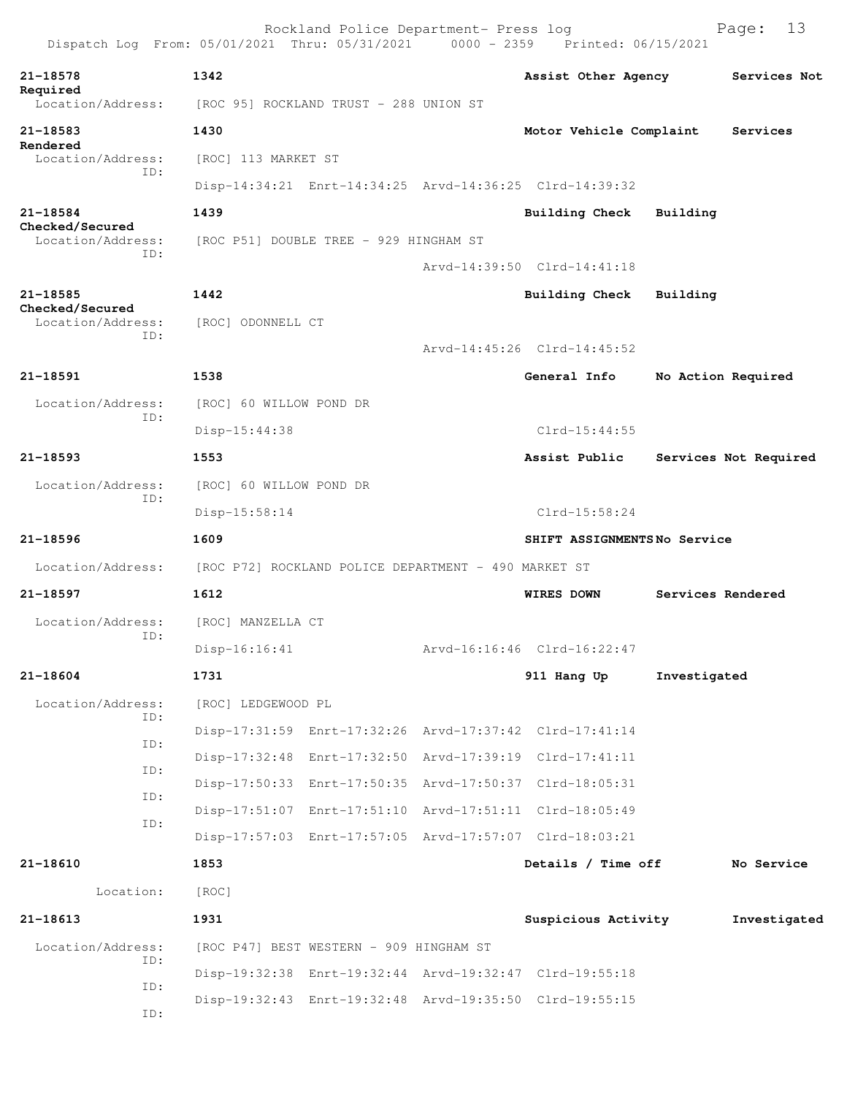| Dispatch Log From: 05/01/2021 Thru: 05/31/2021 |                                                      | Rockland Police Department- Press log   | 0000 - 2359 Printed: 06/15/2021                         | Page:                 | 13 |
|------------------------------------------------|------------------------------------------------------|-----------------------------------------|---------------------------------------------------------|-----------------------|----|
| 21-18578                                       | 1342                                                 |                                         | Assist Other Agency                                     | Services Not          |    |
| Required<br>Location/Address:                  | [ROC 95] ROCKLAND TRUST - 288 UNION ST               |                                         |                                                         |                       |    |
| 21-18583                                       | 1430                                                 |                                         | Motor Vehicle Complaint                                 | Services              |    |
| Rendered<br>Location/Address:                  | [ROC] 113 MARKET ST                                  |                                         |                                                         |                       |    |
| ID:                                            |                                                      |                                         | Disp-14:34:21 Enrt-14:34:25 Arvd-14:36:25 Clrd-14:39:32 |                       |    |
| 21-18584                                       | 1439                                                 |                                         | Building Check                                          | Building              |    |
| Checked/Secured<br>Location/Address:           |                                                      | [ROC P51] DOUBLE TREE - 929 HINGHAM ST  |                                                         |                       |    |
| ID:                                            |                                                      |                                         | Arvd-14:39:50 Clrd-14:41:18                             |                       |    |
| 21-18585                                       | 1442                                                 |                                         | <b>Building Check</b>                                   | Building              |    |
| Checked/Secured<br>Location/Address:           | [ROC] ODONNELL CT                                    |                                         |                                                         |                       |    |
| ID:                                            |                                                      |                                         | Arvd-14:45:26 Clrd-14:45:52                             |                       |    |
| 21-18591                                       | 1538                                                 |                                         | General Info                                            | No Action Required    |    |
| Location/Address:                              | [ROC] 60 WILLOW POND DR                              |                                         |                                                         |                       |    |
| ID:                                            | Disp-15:44:38                                        |                                         | $Clrd-15:44:55$                                         |                       |    |
| 21-18593                                       | 1553                                                 |                                         | Assist Public                                           | Services Not Required |    |
|                                                |                                                      |                                         |                                                         |                       |    |
| Location/Address:<br>ID:                       | [ROC] 60 WILLOW POND DR                              |                                         |                                                         |                       |    |
|                                                | Disp-15:58:14                                        |                                         | $Clrd-15:58:24$                                         |                       |    |
| 21-18596                                       | 1609                                                 |                                         | SHIFT ASSIGNMENTSNo Service                             |                       |    |
| Location/Address:                              | [ROC P72] ROCKLAND POLICE DEPARTMENT - 490 MARKET ST |                                         |                                                         |                       |    |
| 21-18597                                       | 1612                                                 |                                         | <b>WIRES DOWN</b>                                       | Services Rendered     |    |
| Location/Address:<br>ID:                       | [ROC] MANZELLA CT                                    |                                         |                                                         |                       |    |
|                                                | $Disp-16:16:41$                                      |                                         | Arvd-16:16:46 Clrd-16:22:47                             |                       |    |
| 21-18604                                       | 1731                                                 |                                         | 911 Hang Up                                             | Investigated          |    |
| Location/Address:<br>ID:                       | [ROC] LEDGEWOOD PL                                   |                                         |                                                         |                       |    |
| ID:                                            |                                                      |                                         | Disp-17:31:59 Enrt-17:32:26 Arvd-17:37:42 Clrd-17:41:14 |                       |    |
| ID:                                            |                                                      |                                         | Disp-17:32:48 Enrt-17:32:50 Arvd-17:39:19 Clrd-17:41:11 |                       |    |
| ID:                                            |                                                      |                                         | Disp-17:50:33 Enrt-17:50:35 Arvd-17:50:37 Clrd-18:05:31 |                       |    |
| ID:                                            |                                                      |                                         | Disp-17:51:07 Enrt-17:51:10 Arvd-17:51:11 Clrd-18:05:49 |                       |    |
|                                                |                                                      |                                         | Disp-17:57:03 Enrt-17:57:05 Arvd-17:57:07 Clrd-18:03:21 |                       |    |
| 21-18610                                       | 1853                                                 |                                         | Details / Time off                                      | No Service            |    |
| Location:                                      | [ROC]                                                |                                         |                                                         |                       |    |
| $21 - 18613$                                   | 1931                                                 |                                         | Suspicious Activity                                     | Investigated          |    |
| Location/Address:                              |                                                      | [ROC P47] BEST WESTERN - 909 HINGHAM ST |                                                         |                       |    |
| ID:                                            |                                                      |                                         | Disp-19:32:38 Enrt-19:32:44 Arvd-19:32:47 Clrd-19:55:18 |                       |    |
| ID:                                            |                                                      |                                         | Disp-19:32:43 Enrt-19:32:48 Arvd-19:35:50 Clrd-19:55:15 |                       |    |
| ID:                                            |                                                      |                                         |                                                         |                       |    |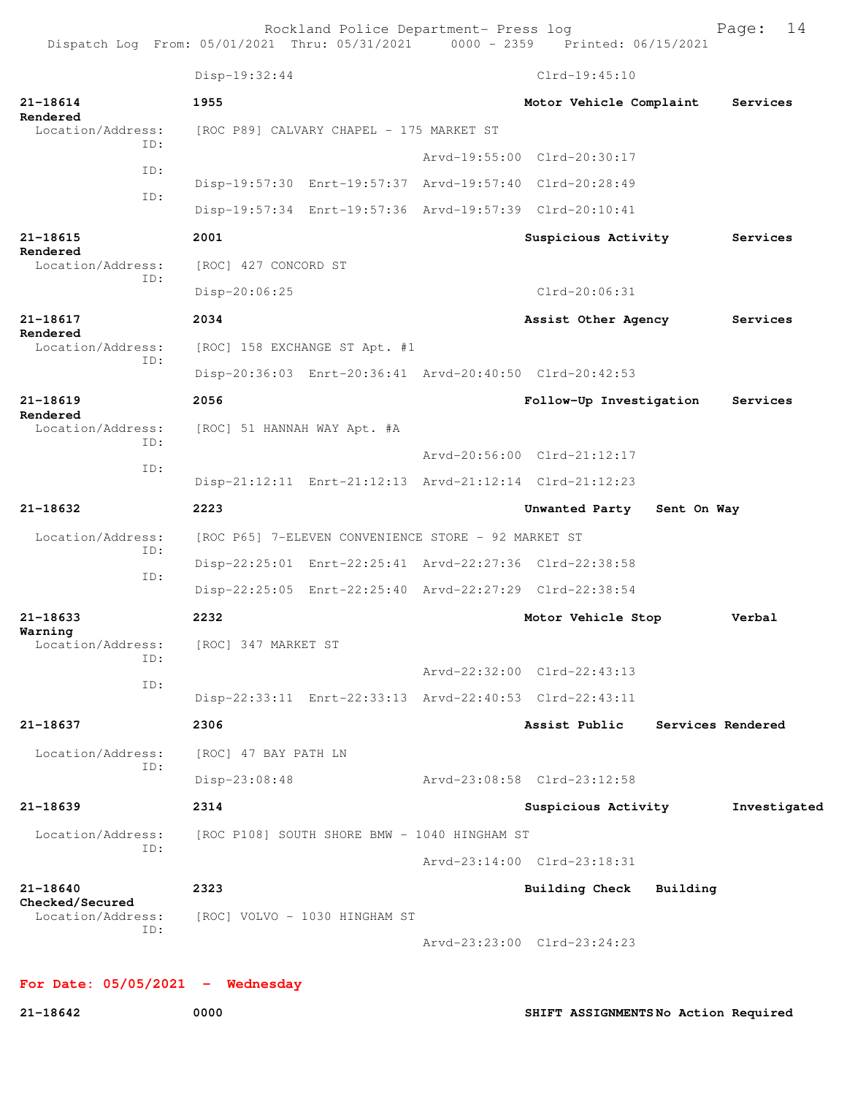Rockland Police Department- Press log Fage: 14

Disp-19:32:44 Clrd-19:45:10 **21-18614 1955 Motor Vehicle Complaint Services Rendered**  [ROC P89] CALVARY CHAPEL - 175 MARKET ST ID: Arvd-19:55:00 Clrd-20:30:17 ID: Disp-19:57:30 Enrt-19:57:37 Arvd-19:57:40 Clrd-20:28:49 ID: Disp-19:57:34 Enrt-19:57:36 Arvd-19:57:39 Clrd-20:10:41 **21-18615 2001 Suspicious Activity Services Rendered**  Location/Address: [ROC] 427 CONCORD ST ID: Disp-20:06:25 Clrd-20:06:31 **21-18617 2034 Assist Other Agency Services Rendered**  Location/Address: [ROC] 158 EXCHANGE ST Apt. #1 ID: Disp-20:36:03 Enrt-20:36:41 Arvd-20:40:50 Clrd-20:42:53 **21-18619 2056 Follow-Up Investigation Services Rendered**  Location/Address: [ROC] 51 HANNAH WAY Apt. #A ID: Arvd-20:56:00 Clrd-21:12:17 ID: Disp-21:12:11 Enrt-21:12:13 Arvd-21:12:14 Clrd-21:12:23 **21-18632 2223 Unwanted Party Sent On Way** Location/Address: [ROC P65] 7-ELEVEN CONVENIENCE STORE - 92 MARKET ST ID: Disp-22:25:01 Enrt-22:25:41 Arvd-22:27:36 Clrd-22:38:58 ID: Disp-22:25:05 Enrt-22:25:40 Arvd-22:27:29 Clrd-22:38:54 **21-18633 2232 Motor Vehicle Stop Verbal Warning**  Location/Address: [ROC] 347 MARKET ST ID: Arvd-22:32:00 Clrd-22:43:13 ID: Disp-22:33:11 Enrt-22:33:13 Arvd-22:40:53 Clrd-22:43:11 **21-18637 2306 Assist Public Services Rendered** Location/Address: [ROC] 47 BAY PATH LN ID: Disp-23:08:48 Arvd-23:08:58 Clrd-23:12:58 **21-18639 2314 Suspicious Activity Investigated** Location/Address: [ROC P108] SOUTH SHORE BMW - 1040 HINGHAM ST ID: Arvd-23:14:00 Clrd-23:18:31 **21-18640 2323 Building Check Building Checked/Secured**  Location/Address: [ROC] VOLVO - 1030 HINGHAM ST ID: Arvd-23:23:00 Clrd-23:24:23

**For Date: 05/05/2021 - Wednesday**

**21-18642 0000 SHIFT ASSIGNMENTS No Action Required**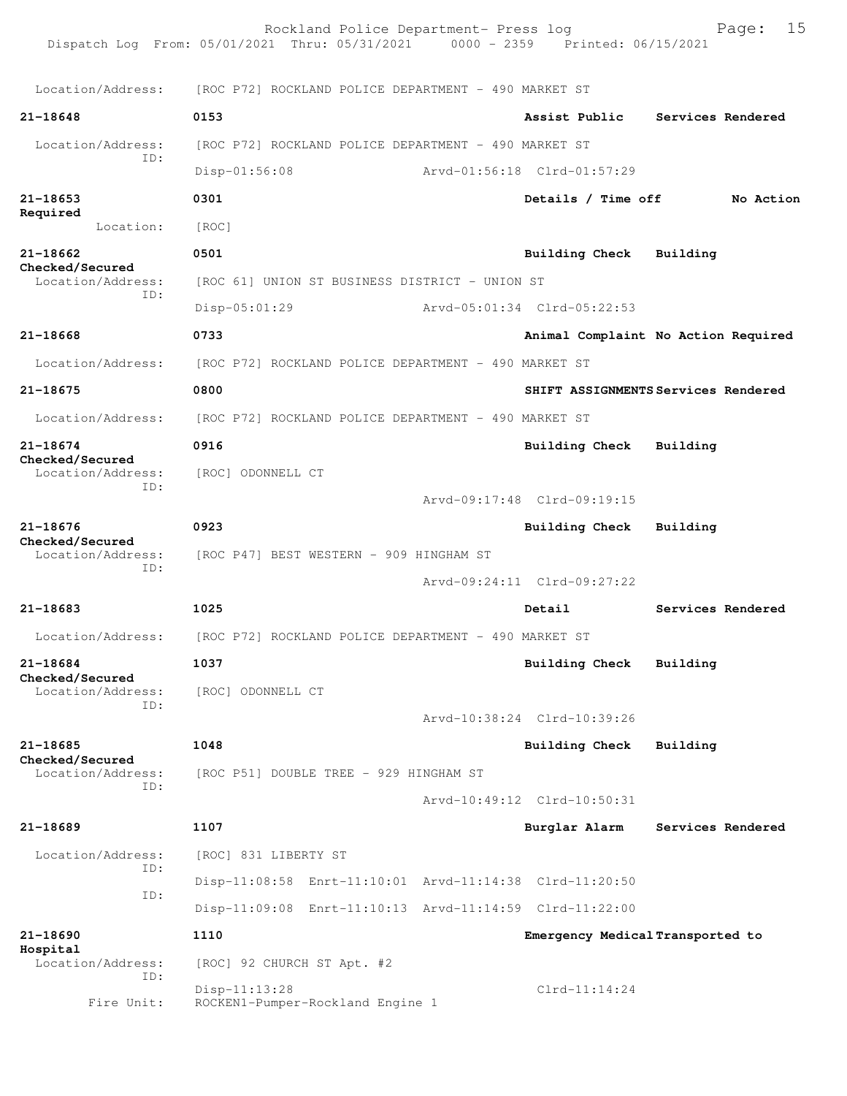Rockland Police Department- Press log Page: 15 Dispatch Log From: 05/01/2021 Thru: 05/31/2021 Location/Address: [ROC P72] ROCKLAND POLICE DEPARTMENT - 490 MARKET ST **21-18648 0153 Assist Public Services Rendered** Location/Address: [ROC P72] ROCKLAND POLICE DEPARTMENT - 490 MARKET ST ID: Disp-01:56:08 Arvd-01:56:18 Clrd-01:57:29 **21-18653 0301 Details / Time off No Action Required**  Location: [ROC] **21-18662 0501 Building Check Building Checked/Secured**  Location/Address: [ROC 61] UNION ST BUSINESS DISTRICT - UNION ST ID: Disp-05:01:29 Arvd-05:01:34 Clrd-05:22:53 **21-18668 0733 Animal Complaint No Action Required** Location/Address: [ROC P72] ROCKLAND POLICE DEPARTMENT - 490 MARKET ST **21-18675 0800 SHIFT ASSIGNMENTS Services Rendered** Location/Address: [ROC P72] ROCKLAND POLICE DEPARTMENT - 490 MARKET ST **21-18674 0916 Building Check Building Checked/Secured**  Location/Address: [ROC] ODONNELL CT ID: Arvd-09:17:48 Clrd-09:19:15 **21-18676 0923 Building Check Building Checked/Secured**  [ROC P47] BEST WESTERN - 909 HINGHAM ST ID: Arvd-09:24:11 Clrd-09:27:22 **21-18683 1025 Detail Services Rendered** Location/Address: [ROC P72] ROCKLAND POLICE DEPARTMENT - 490 MARKET ST **21-18684 1037 Building Check Building Checked/Secured**  Location/Address: [ROC] ODONNELL CT ID: Arvd-10:38:24 Clrd-10:39:26 **21-18685 1048 Building Check Building Checked/Secured**  Location/Address: [ROC P51] DOUBLE TREE - 929 HINGHAM ST ID: Arvd-10:49:12 Clrd-10:50:31 **21-18689 1107 Burglar Alarm Services Rendered** Location/Address: [ROC] 831 LIBERTY ST ID: Disp-11:08:58 Enrt-11:10:01 Arvd-11:14:38 Clrd-11:20:50 ID: Disp-11:09:08 Enrt-11:10:13 Arvd-11:14:59 Clrd-11:22:00 **21-18690 1110 Emergency Medical Transported to Hospital**  Location/Address: [ROC] 92 CHURCH ST Apt. #2 ID: Disp-11:13:28 Clrd-11:14:24 Fire Unit: ROCKEN1-Pumper-Rockland Engine 1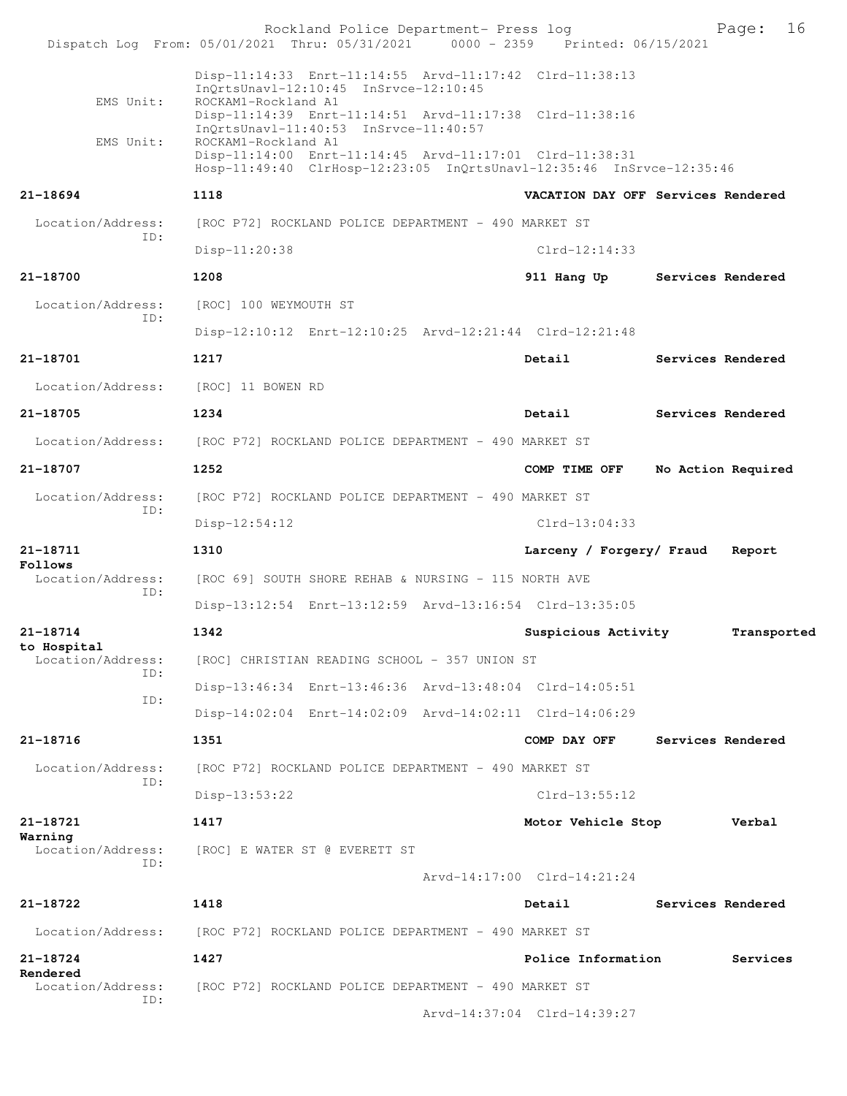Rockland Police Department- Press log Fage: 16<br>21 Thru: 05/31/2021 0000 - 2359 Printed: 06/15/2021 Dispatch Log From: 05/01/2021 Thru: 05/31/2021 Disp-11:14:33 Enrt-11:14:55 Arvd-11:17:42 Clrd-11:38:13 InQrtsUnavl-12:10:45 InSrvce-12:10:45 EMS Unit: ROCKAM1-Rockland A1 Disp-11:14:39 Enrt-11:14:51 Arvd-11:17:38 Clrd-11:38:16 InQrtsUnavl-11:40:53 InSrvce-11:40:57<br>EMS Unit: ROCKAM1-Rockland A1 ROCKAM1-Rockland A1 Disp-11:14:00 Enrt-11:14:45 Arvd-11:17:01 Clrd-11:38:31 Hosp-11:49:40 ClrHosp-12:23:05 InQrtsUnavl-12:35:46 InSrvce-12:35:46 **21-18694 1118 VACATION DAY OFF Services Rendered** Location/Address: [ROC P72] ROCKLAND POLICE DEPARTMENT - 490 MARKET ST ID: Disp-11:20:38 Clrd-12:14:33 **21-18700 1208 911 Hang Up Services Rendered** Location/Address: [ROC] 100 WEYMOUTH ST ID: Disp-12:10:12 Enrt-12:10:25 Arvd-12:21:44 Clrd-12:21:48 **21-18701 1217 Detail Services Rendered** Location/Address: [ROC] 11 BOWEN RD **21-18705 1234 Detail Services Rendered** Location/Address: [ROC P72] ROCKLAND POLICE DEPARTMENT - 490 MARKET ST **21-18707 1252 COMP TIME OFF No Action Required** Location/Address: [ROC P72] ROCKLAND POLICE DEPARTMENT - 490 MARKET ST ID: Disp-12:54:12 Clrd-13:04:33 **21-18711 1310 Larceny / Forgery/ Fraud Report Follows**  Location/Address: [ROC 69] SOUTH SHORE REHAB & NURSING - 115 NORTH AVE ID: Disp-13:12:54 Enrt-13:12:59 Arvd-13:16:54 Clrd-13:35:05 **21-18714 1342 Suspicious Activity Transported to Hospital**  Location/Address: [ROC] CHRISTIAN READING SCHOOL - 357 UNION ST ID: Disp-13:46:34 Enrt-13:46:36 Arvd-13:48:04 Clrd-14:05:51 ID: Disp-14:02:04 Enrt-14:02:09 Arvd-14:02:11 Clrd-14:06:29 **21-18716 1351 COMP DAY OFF Services Rendered** Location/Address: [ROC P72] ROCKLAND POLICE DEPARTMENT - 490 MARKET ST ID: Disp-13:53:22 Clrd-13:55:12 **21-18721 1417 Motor Vehicle Stop Verbal Warning**  Location/Address: [ROC] E WATER ST @ EVERETT ST ID: Arvd-14:17:00 Clrd-14:21:24 **21-18722 1418 Detail Services Rendered** Location/Address: [ROC P72] ROCKLAND POLICE DEPARTMENT - 490 MARKET ST **21-18724 1427 Police Information Services Rendered**  Location/Address: [ROC P72] ROCKLAND POLICE DEPARTMENT - 490 MARKET ST ID: Arvd-14:37:04 Clrd-14:39:27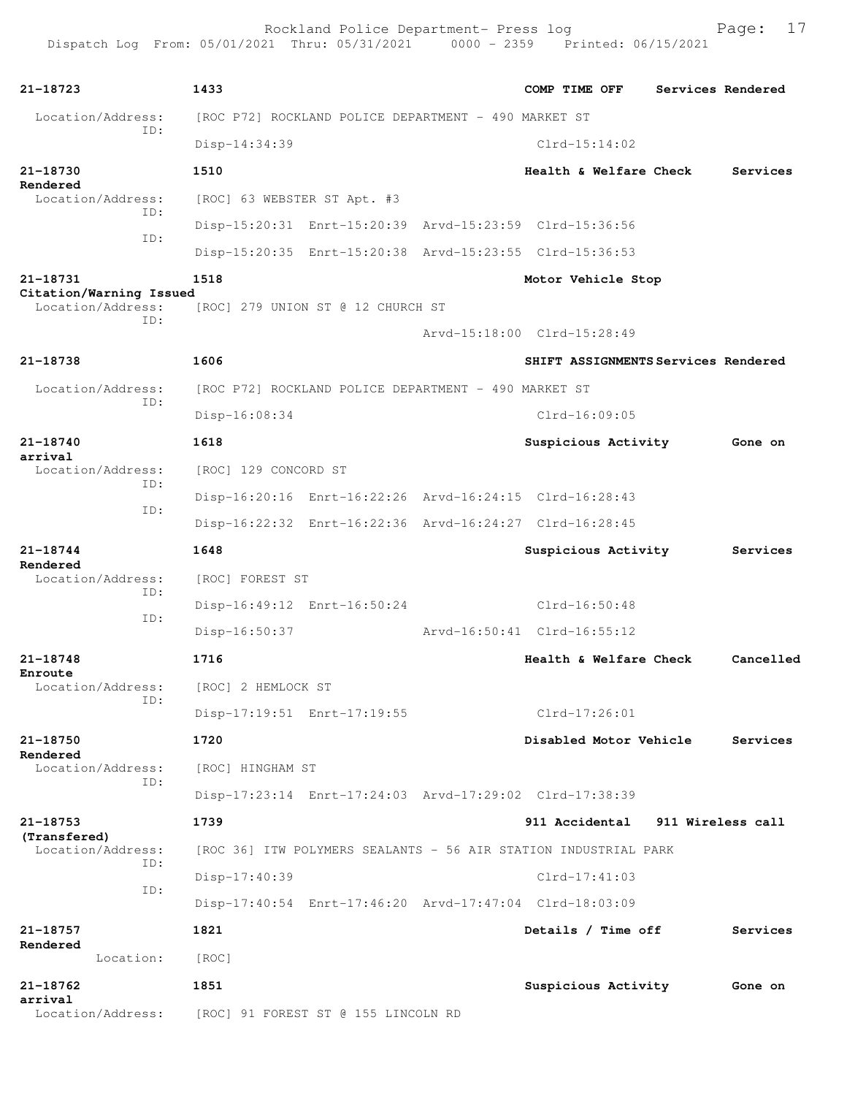| 21-18723                                     | 1433                                                            | COMP TIME OFF                       | Services Rendered |
|----------------------------------------------|-----------------------------------------------------------------|-------------------------------------|-------------------|
| Location/Address:                            | [ROC P72] ROCKLAND POLICE DEPARTMENT - 490 MARKET ST            |                                     |                   |
| ID:                                          | Disp-14:34:39                                                   | $Clrd-15:14:02$                     |                   |
| 21-18730                                     | 1510                                                            | Health & Welfare Check              | Services          |
| Rendered<br>Location/Address:                | [ROC] 63 WEBSTER ST Apt. #3                                     |                                     |                   |
| ID:                                          | Disp-15:20:31 Enrt-15:20:39 Arvd-15:23:59 Clrd-15:36:56         |                                     |                   |
| ID:                                          | Disp-15:20:35 Enrt-15:20:38 Arvd-15:23:55 Clrd-15:36:53         |                                     |                   |
| 21-18731                                     | 1518                                                            | Motor Vehicle Stop                  |                   |
| Citation/Warning Issued<br>Location/Address: | [ROC] 279 UNION ST @ 12 CHURCH ST                               |                                     |                   |
| ID:                                          |                                                                 | Arvd-15:18:00 Clrd-15:28:49         |                   |
| 21-18738                                     | 1606                                                            | SHIFT ASSIGNMENTS Services Rendered |                   |
| Location/Address:                            | [ROC P72] ROCKLAND POLICE DEPARTMENT - 490 MARKET ST            |                                     |                   |
| ID:                                          | $Disp-16:08:34$                                                 | $Clrd-16:09:05$                     |                   |
| 21-18740                                     | 1618                                                            | Suspicious Activity                 | Gone on           |
| arrival<br>Location/Address:                 | [ROC] 129 CONCORD ST                                            |                                     |                   |
| ID:                                          | Disp-16:20:16 Enrt-16:22:26 Arvd-16:24:15 Clrd-16:28:43         |                                     |                   |
| ID:                                          | Disp-16:22:32 Enrt-16:22:36 Arvd-16:24:27 Clrd-16:28:45         |                                     |                   |
| 21-18744                                     | 1648                                                            | Suspicious Activity                 | Services          |
| Rendered<br>Location/Address:                | [ROC] FOREST ST                                                 |                                     |                   |
| ID:                                          | Disp-16:49:12 Enrt-16:50:24                                     | $Clrd-16:50:48$                     |                   |
| ID:                                          | Disp-16:50:37                                                   | Arvd-16:50:41 Clrd-16:55:12         |                   |
| 21-18748                                     | 1716                                                            | Health & Welfare Check              | Cancelled         |
| Enroute<br>Location/Address:                 | [ROC] 2 HEMLOCK ST                                              |                                     |                   |
| ID:                                          | Disp-17:19:51 Enrt-17:19:55                                     | Clrd-17:26:01                       |                   |
| 21-18750                                     | 1720                                                            | Disabled Motor Vehicle              | Services          |
| Rendered<br>Location/Address:                | [ROC] HINGHAM ST                                                |                                     |                   |
| ID:                                          | Disp-17:23:14 Enrt-17:24:03 Arvd-17:29:02 Clrd-17:38:39         |                                     |                   |
| 21-18753                                     |                                                                 |                                     |                   |
| (Transfered)                                 | 1739                                                            | 911 Accidental                      | 911 Wireless call |
| Location/Address:<br>ID:                     | [ROC 36] ITW POLYMERS SEALANTS - 56 AIR STATION INDUSTRIAL PARK |                                     |                   |
| ID:                                          | Disp-17:40:39                                                   | $Clrd-17:41:03$                     |                   |
|                                              | Disp-17:40:54 Enrt-17:46:20 Arvd-17:47:04 Clrd-18:03:09         |                                     |                   |
| 21-18757<br>Rendered                         | 1821                                                            | Details / Time off                  | Services          |
| Location:                                    | [ROC]                                                           |                                     |                   |
| 21-18762<br>arrival                          | 1851                                                            | Suspicious Activity                 | Gone on           |
| Location/Address:                            | [ROC] 91 FOREST ST @ 155 LINCOLN RD                             |                                     |                   |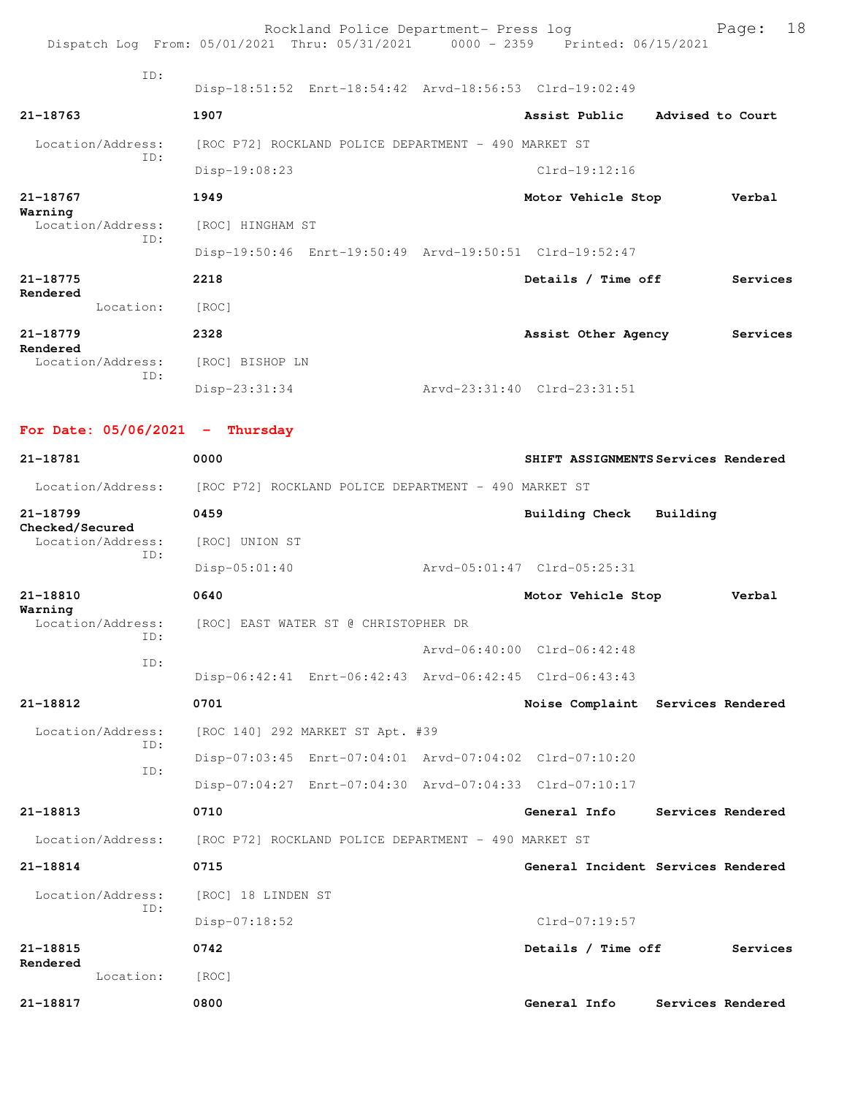|                                                  | Rockland Police Department- Press log<br>Dispatch Log From: 05/01/2021 Thru: 05/31/2021 0000 - 2359 Printed: 06/15/2021 |                                     |                  | Page:             | 18 |
|--------------------------------------------------|-------------------------------------------------------------------------------------------------------------------------|-------------------------------------|------------------|-------------------|----|
|                                                  |                                                                                                                         |                                     |                  |                   |    |
| TD:                                              | Disp-18:51:52 Enrt-18:54:42 Arvd-18:56:53 Clrd-19:02:49                                                                 |                                     |                  |                   |    |
| 21-18763                                         | 1907                                                                                                                    | Assist Public                       | Advised to Court |                   |    |
| Location/Address:                                | [ROC P72] ROCKLAND POLICE DEPARTMENT - 490 MARKET ST                                                                    |                                     |                  |                   |    |
| TD:                                              | Disp-19:08:23                                                                                                           | $Clrd-19:12:16$                     |                  |                   |    |
| 21-18767                                         | 1949                                                                                                                    | Motor Vehicle Stop                  |                  | Verbal            |    |
| Warning<br>Location/Address:                     | [ROC] HINGHAM ST                                                                                                        |                                     |                  |                   |    |
| ID:                                              | Disp-19:50:46 Enrt-19:50:49 Arvd-19:50:51 Clrd-19:52:47                                                                 |                                     |                  |                   |    |
| 21-18775                                         | 2218                                                                                                                    | Details / Time off                  |                  | Services          |    |
| Rendered<br>Location:                            | [ROC]                                                                                                                   |                                     |                  |                   |    |
| 21-18779                                         | 2328                                                                                                                    | Assist Other Agency                 |                  | Services          |    |
| Rendered<br>Location/Address:                    | [ROC] BISHOP LN                                                                                                         |                                     |                  |                   |    |
| ID:                                              | Disp-23:31:34                                                                                                           | Arvd-23:31:40 Clrd-23:31:51         |                  |                   |    |
| For Date: $05/06/2021$ - Thursday                |                                                                                                                         |                                     |                  |                   |    |
| 21-18781                                         | 0000                                                                                                                    | SHIFT ASSIGNMENTS Services Rendered |                  |                   |    |
| Location/Address:                                |                                                                                                                         |                                     |                  |                   |    |
|                                                  | [ROC P72] ROCKLAND POLICE DEPARTMENT - 490 MARKET ST<br>0459                                                            |                                     | Building         |                   |    |
| 21-18799<br>Checked/Secured<br>Location/Address: |                                                                                                                         | Building Check                      |                  |                   |    |
| ID:                                              | [ROC] UNION ST                                                                                                          |                                     |                  |                   |    |
|                                                  | $Disp-05:01:40$                                                                                                         | Arvd-05:01:47 Clrd-05:25:31         |                  |                   |    |
| 21-18810<br>Warning                              | 0640                                                                                                                    | Motor Vehicle Stop                  |                  | Verbal            |    |
| Location/Address:<br>ID:                         | [ROC] EAST WATER ST @ CHRISTOPHER DR                                                                                    |                                     |                  |                   |    |
| ID:                                              |                                                                                                                         | Arvd-06:40:00 Clrd-06:42:48         |                  |                   |    |
|                                                  | Disp-06:42:41 Enrt-06:42:43 Arvd-06:42:45 Clrd-06:43:43                                                                 |                                     |                  |                   |    |
| 21-18812                                         | 0701                                                                                                                    | Noise Complaint Services Rendered   |                  |                   |    |
| Location/Address:<br>ID:                         | [ROC 140] 292 MARKET ST Apt. #39                                                                                        |                                     |                  |                   |    |
| ID:                                              | Disp-07:03:45 Enrt-07:04:01 Arvd-07:04:02 Clrd-07:10:20                                                                 |                                     |                  |                   |    |
|                                                  | Disp-07:04:27 Enrt-07:04:30 Arvd-07:04:33 Clrd-07:10:17                                                                 |                                     |                  |                   |    |
| 21-18813                                         | 0710                                                                                                                    | General Info                        |                  | Services Rendered |    |
| Location/Address:                                | [ROC P72] ROCKLAND POLICE DEPARTMENT - 490 MARKET ST                                                                    |                                     |                  |                   |    |
| 21-18814                                         | 0715                                                                                                                    | General Incident Services Rendered  |                  |                   |    |
| Location/Address:<br>ID:                         | [ROC] 18 LINDEN ST                                                                                                      |                                     |                  |                   |    |
|                                                  | $Disp-07:18:52$                                                                                                         | Clrd-07:19:57                       |                  |                   |    |
| 21-18815<br>Rendered                             | 0742                                                                                                                    | Details / Time off                  |                  | Services          |    |
| Location:                                        | [ROC]                                                                                                                   |                                     |                  |                   |    |
| 21-18817                                         | 0800                                                                                                                    | General Info                        |                  | Services Rendered |    |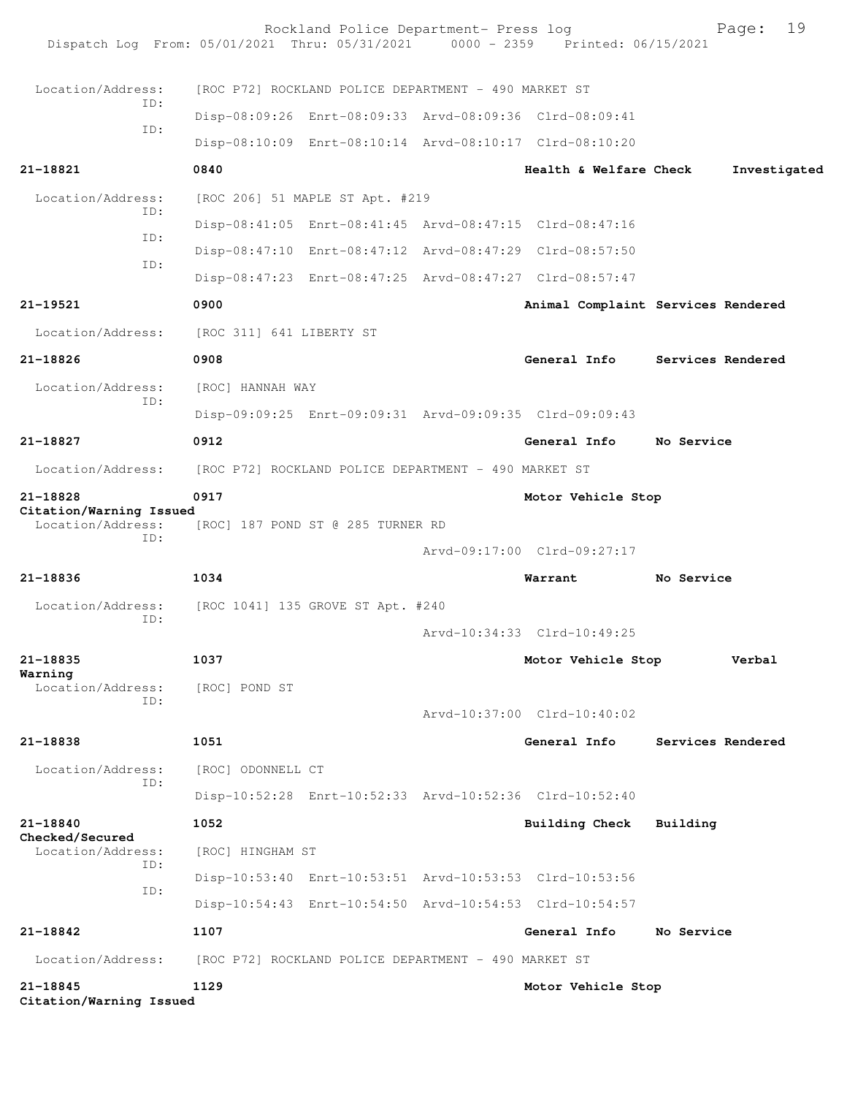| 21-18845<br>Citation/Warning Issued                                            | 1129                     |                                                         | Motor Vehicle Stop                                      |                                    |
|--------------------------------------------------------------------------------|--------------------------|---------------------------------------------------------|---------------------------------------------------------|------------------------------------|
| Location/Address:                                                              |                          | [ROC P72] ROCKLAND POLICE DEPARTMENT - 490 MARKET ST    |                                                         |                                    |
| 21-18842                                                                       | 1107                     |                                                         | General Info                                            | No Service                         |
|                                                                                |                          |                                                         | Disp-10:54:43 Enrt-10:54:50 Arvd-10:54:53 Clrd-10:54:57 |                                    |
| ID:                                                                            |                          | Disp-10:53:40 Enrt-10:53:51 Arvd-10:53:53 Clrd-10:53:56 |                                                         |                                    |
| Location/Address:<br>ID:                                                       | [ROC] HINGHAM ST         |                                                         |                                                         |                                    |
| 21-18840<br>Checked/Secured                                                    | 1052                     |                                                         | Building Check                                          | Building                           |
|                                                                                |                          |                                                         | Disp-10:52:28 Enrt-10:52:33 Arvd-10:52:36 Clrd-10:52:40 |                                    |
| Location/Address:<br>ID:                                                       | [ROC] ODONNELL CT        |                                                         |                                                         |                                    |
| 21-18838                                                                       | 1051                     |                                                         | General Info                                            | Services Rendered                  |
|                                                                                |                          |                                                         | Arvd-10:37:00 Clrd-10:40:02                             |                                    |
| Location/Address:<br>ID:                                                       | [ROC] POND ST            |                                                         |                                                         |                                    |
| 21-18835<br>Warning                                                            | 1037                     |                                                         | Motor Vehicle Stop                                      | Verbal                             |
|                                                                                |                          |                                                         | Arvd-10:34:33 Clrd-10:49:25                             |                                    |
| Location/Address:<br>ID:                                                       |                          | [ROC 1041] 135 GROVE ST Apt. #240                       |                                                         |                                    |
| 21-18836                                                                       | 1034                     |                                                         | Warrant                                                 | No Service                         |
|                                                                                |                          |                                                         | Arvd-09:17:00 Clrd-09:27:17                             |                                    |
| Location/Address:<br>ID:                                                       |                          | [ROC] 187 POND ST @ 285 TURNER RD                       |                                                         |                                    |
| 21-18828<br>Citation/Warning Issued                                            | 0917                     |                                                         | Motor Vehicle Stop                                      |                                    |
| Location/Address:                                                              |                          | [ROC P72] ROCKLAND POLICE DEPARTMENT - 490 MARKET ST    |                                                         |                                    |
| 21-18827                                                                       | 0912                     |                                                         | General Info                                            | No Service                         |
|                                                                                |                          |                                                         | Disp-09:09:25 Enrt-09:09:31 Arvd-09:09:35 Clrd-09:09:43 |                                    |
| Location/Address:<br>ID:                                                       | [ROC] HANNAH WAY         |                                                         |                                                         |                                    |
| $21 - 18826$                                                                   | 0908                     |                                                         | General Info                                            | Services Rendered                  |
| Location/Address:                                                              | [ROC 311] 641 LIBERTY ST |                                                         |                                                         |                                    |
| 21-19521                                                                       | 0900                     |                                                         |                                                         | Animal Complaint Services Rendered |
| ID:                                                                            |                          |                                                         | Disp-08:47:23 Enrt-08:47:25 Arvd-08:47:27 Clrd-08:57:47 |                                    |
| ID:                                                                            |                          |                                                         | Disp-08:47:10 Enrt-08:47:12 Arvd-08:47:29 Clrd-08:57:50 |                                    |
| ID:                                                                            |                          | Disp-08:41:05 Enrt-08:41:45 Arvd-08:47:15 Clrd-08:47:16 |                                                         |                                    |
| Location/Address:                                                              |                          | [ROC 206] 51 MAPLE ST Apt. #219                         |                                                         |                                    |
| $21 - 18821$                                                                   | 0840                     |                                                         | Health & Welfare Check                                  | Investigated                       |
| ID:                                                                            |                          |                                                         | Disp-08:10:09 Enrt-08:10:14 Arvd-08:10:17 Clrd-08:10:20 |                                    |
| ID:                                                                            |                          |                                                         | Disp-08:09:26 Enrt-08:09:33 Arvd-08:09:36 Clrd-08:09:41 |                                    |
| Location/Address:                                                              |                          | [ROC P72] ROCKLAND POLICE DEPARTMENT - 490 MARKET ST    |                                                         |                                    |
| Dispatch Log From: 05/01/2021 Thru: 05/31/2021 0000 - 2359 Printed: 06/15/2021 |                          |                                                         |                                                         |                                    |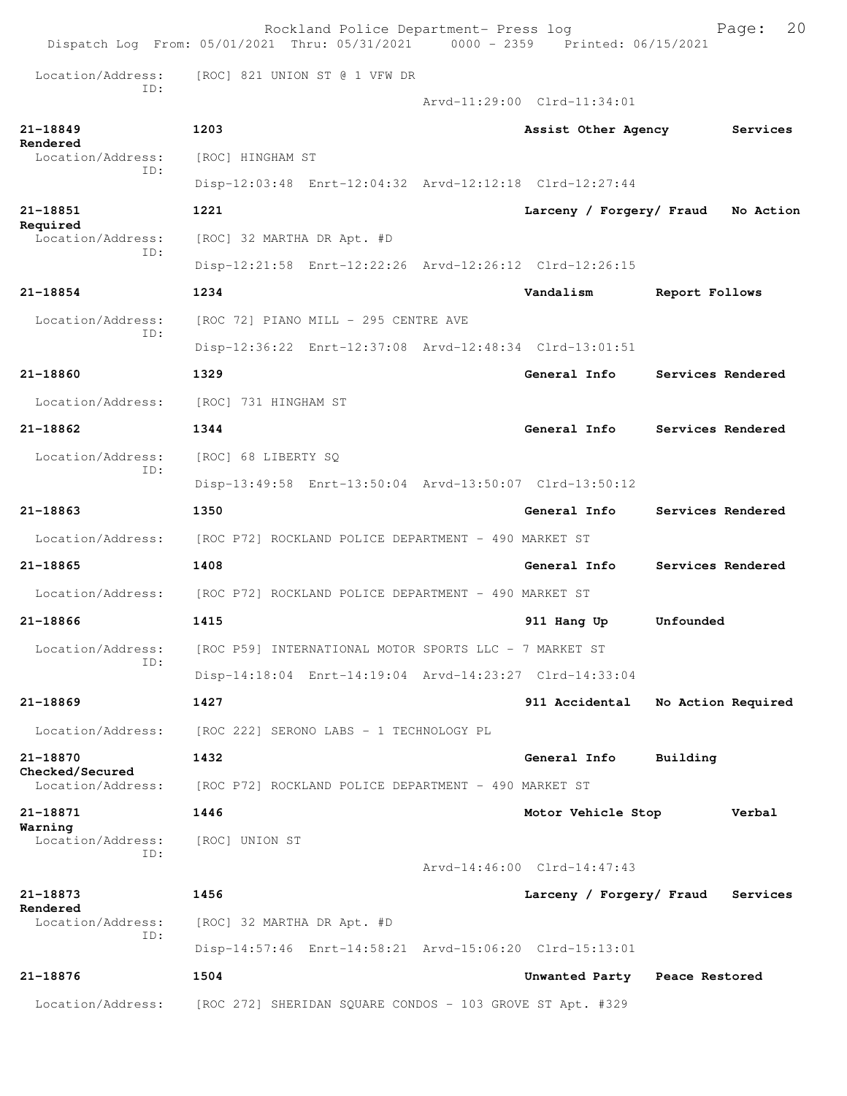|                                      | Rockland Police Department- Press log<br>Dispatch Log From: 05/01/2021 Thru: 05/31/2021 0000 - 2359 Printed: 06/15/2021 |                               | 20<br>Page:        |
|--------------------------------------|-------------------------------------------------------------------------------------------------------------------------|-------------------------------|--------------------|
| Location/Address:                    | [ROC] 821 UNION ST @ 1 VFW DR                                                                                           |                               |                    |
| TD:                                  |                                                                                                                         | Arvd-11:29:00 Clrd-11:34:01   |                    |
| 21-18849                             | 1203                                                                                                                    | Assist Other Agency           | Services           |
| Rendered<br>Location/Address:        | [ROC] HINGHAM ST                                                                                                        |                               |                    |
| ID:                                  | Disp-12:03:48 Enrt-12:04:32 Arvd-12:12:18 Clrd-12:27:44                                                                 |                               |                    |
| 21-18851                             | 1221                                                                                                                    | Larceny / Forgery/ Fraud      | No Action          |
| Required<br>Location/Address:        | [ROC] 32 MARTHA DR Apt. #D                                                                                              |                               |                    |
| TD:                                  | Disp-12:21:58 Enrt-12:22:26 Arvd-12:26:12 Clrd-12:26:15                                                                 |                               |                    |
| 21-18854                             | 1234                                                                                                                    | Vandalism                     | Report Follows     |
| Location/Address:                    | [ROC 72] PIANO MILL - 295 CENTRE AVE                                                                                    |                               |                    |
| TD:                                  | Disp-12:36:22 Enrt-12:37:08 Arvd-12:48:34 Clrd-13:01:51                                                                 |                               |                    |
| 21-18860                             | 1329                                                                                                                    | General Info                  | Services Rendered  |
| Location/Address:                    | [ROC] 731 HINGHAM ST                                                                                                    |                               |                    |
| 21-18862                             | 1344                                                                                                                    | General Info                  | Services Rendered  |
| Location/Address:                    | [ROC] 68 LIBERTY SQ                                                                                                     |                               |                    |
| TD:                                  | Disp-13:49:58 Enrt-13:50:04 Arvd-13:50:07 Clrd-13:50:12                                                                 |                               |                    |
| 21-18863                             | 1350                                                                                                                    | General Info                  | Services Rendered  |
| Location/Address:                    | [ROC P72] ROCKLAND POLICE DEPARTMENT - 490 MARKET ST                                                                    |                               |                    |
| 21-18865                             | 1408                                                                                                                    | General Info                  | Services Rendered  |
| Location/Address:                    | [ROC P72] ROCKLAND POLICE DEPARTMENT - 490 MARKET ST                                                                    |                               |                    |
| $21 - 18866$                         | 1415                                                                                                                    | 911 Hang Up                   | Unfounded          |
| Location/Address:                    | [ROC P59] INTERNATIONAL MOTOR SPORTS LLC - 7 MARKET ST                                                                  |                               |                    |
| ID:                                  | Disp-14:18:04 Enrt-14:19:04 Arvd-14:23:27 Clrd-14:33:04                                                                 |                               |                    |
| $21 - 18869$                         | 1427                                                                                                                    | 911 Accidental                | No Action Required |
| Location/Address:                    | [ROC 222] SERONO LABS - 1 TECHNOLOGY PL                                                                                 |                               |                    |
| 21-18870                             | 1432                                                                                                                    | General Info                  | Building           |
| Checked/Secured<br>Location/Address: | [ROC P72] ROCKLAND POLICE DEPARTMENT - 490 MARKET ST                                                                    |                               |                    |
| 21-18871                             | 1446                                                                                                                    | Motor Vehicle Stop            | Verbal             |
| Warning<br>Location/Address:         | [ROC] UNION ST                                                                                                          |                               |                    |
| ID:                                  |                                                                                                                         | Arvd-14:46:00 Clrd-14:47:43   |                    |
| 21-18873                             | 1456                                                                                                                    | Larceny / Forgery/ Fraud      | Services           |
| Rendered<br>Location/Address:        | [ROC] 32 MARTHA DR Apt. #D                                                                                              |                               |                    |
| ID:                                  | Disp-14:57:46 Enrt-14:58:21 Arvd-15:06:20 Clrd-15:13:01                                                                 |                               |                    |
| 21-18876                             | 1504                                                                                                                    | Unwanted Party Peace Restored |                    |
| Location/Address:                    | [ROC 272] SHERIDAN SQUARE CONDOS - 103 GROVE ST Apt. #329                                                               |                               |                    |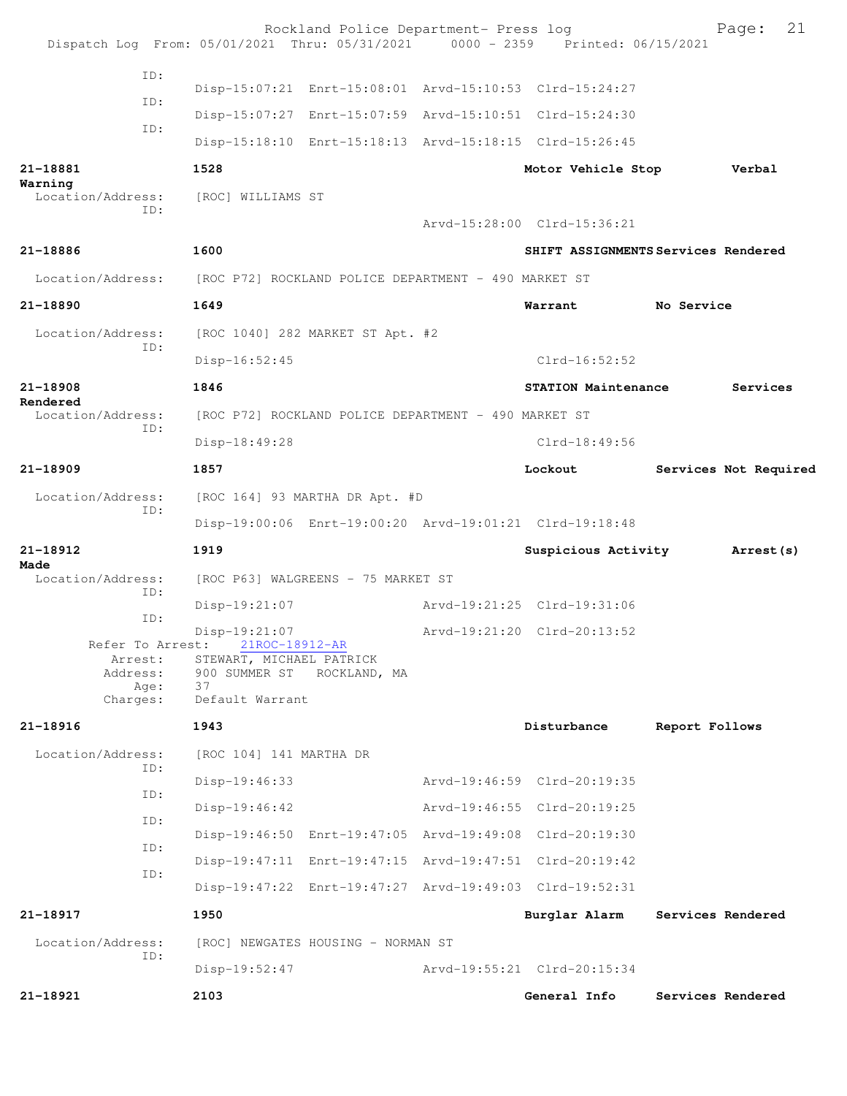|                                         | Rockland Police Department- Press log<br>Dispatch Log From: 05/01/2021 Thru: 05/31/2021 0000 - 2359 Printed: 06/15/2021 |                             | 21<br>Page:                         |
|-----------------------------------------|-------------------------------------------------------------------------------------------------------------------------|-----------------------------|-------------------------------------|
| ID:                                     | Disp-15:07:21 Enrt-15:08:01 Arvd-15:10:53 Clrd-15:24:27                                                                 |                             |                                     |
| ID:                                     | Disp-15:07:27 Enrt-15:07:59 Arvd-15:10:51 Clrd-15:24:30                                                                 |                             |                                     |
| ID:                                     | Disp-15:18:10 Enrt-15:18:13 Arvd-15:18:15 Clrd-15:26:45                                                                 |                             |                                     |
| 21-18881                                | 1528                                                                                                                    | Motor Vehicle Stop          | Verbal                              |
| Warning<br>Location/Address:<br>ID:     | [ROC] WILLIAMS ST                                                                                                       |                             |                                     |
|                                         |                                                                                                                         | Arvd-15:28:00 Clrd-15:36:21 |                                     |
| 21-18886                                | 1600                                                                                                                    |                             | SHIFT ASSIGNMENTS Services Rendered |
| Location/Address:                       | [ROC P72] ROCKLAND POLICE DEPARTMENT - 490 MARKET ST                                                                    |                             |                                     |
| 21-18890                                | 1649                                                                                                                    | Warrant                     | No Service                          |
| Location/Address:<br>ID:                | [ROC 1040] 282 MARKET ST Apt. #2                                                                                        |                             |                                     |
|                                         | Disp-16:52:45                                                                                                           | $Clrd-16:52:52$             |                                     |
| 21-18908<br>Rendered                    | 1846                                                                                                                    | <b>STATION Maintenance</b>  | Services                            |
| Location/Address:<br>ID:                | [ROC P72] ROCKLAND POLICE DEPARTMENT - 490 MARKET ST                                                                    |                             |                                     |
|                                         | Disp-18:49:28                                                                                                           | $Clrd-18:49:56$             |                                     |
| 21-18909                                | 1857                                                                                                                    | Lockout                     | Services Not Required               |
| Location/Address:<br>ID:                | [ROC 164] 93 MARTHA DR Apt. #D                                                                                          |                             |                                     |
|                                         | Disp-19:00:06 Enrt-19:00:20 Arvd-19:01:21 Clrd-19:18:48                                                                 |                             |                                     |
| 21-18912<br>Made                        | 1919                                                                                                                    | Suspicious Activity         | Arrest (s)                          |
| Location/Address:<br>ID:                | [ROC P63] WALGREENS - 75 MARKET ST                                                                                      |                             |                                     |
| ID:                                     | Disp-19:21:07                                                                                                           | Arvd-19:21:25 Clrd-19:31:06 |                                     |
| Refer To Arrest:                        | Disp-19:21:07<br>21ROC-18912-AR                                                                                         | Arvd-19:21:20 Clrd-20:13:52 |                                     |
| Arrest:<br>Address:<br>Age:<br>Charges: | STEWART, MICHAEL PATRICK<br>900 SUMMER ST ROCKLAND, MA<br>37<br>Default Warrant                                         |                             |                                     |
| 21-18916                                | 1943                                                                                                                    | Disturbance                 | Report Follows                      |
| Location/Address:                       | [ROC 104] 141 MARTHA DR                                                                                                 |                             |                                     |
| ID:                                     | Disp-19:46:33                                                                                                           | Arvd-19:46:59 Clrd-20:19:35 |                                     |
| ID:                                     | Disp-19:46:42                                                                                                           | Arvd-19:46:55 Clrd-20:19:25 |                                     |
| ID:                                     | Disp-19:46:50 Enrt-19:47:05 Arvd-19:49:08 Clrd-20:19:30                                                                 |                             |                                     |
| ID:                                     | Disp-19:47:11 Enrt-19:47:15 Arvd-19:47:51 Clrd-20:19:42                                                                 |                             |                                     |
| ID:                                     | Disp-19:47:22 Enrt-19:47:27 Arvd-19:49:03 Clrd-19:52:31                                                                 |                             |                                     |
| 21-18917                                | 1950                                                                                                                    | Burglar Alarm               | Services Rendered                   |
| Location/Address:                       | [ROC] NEWGATES HOUSING - NORMAN ST                                                                                      |                             |                                     |
| ID:                                     | Disp-19:52:47                                                                                                           | Arvd-19:55:21 Clrd-20:15:34 |                                     |
| 21-18921                                | 2103                                                                                                                    | General Info                | Services Rendered                   |
|                                         |                                                                                                                         |                             |                                     |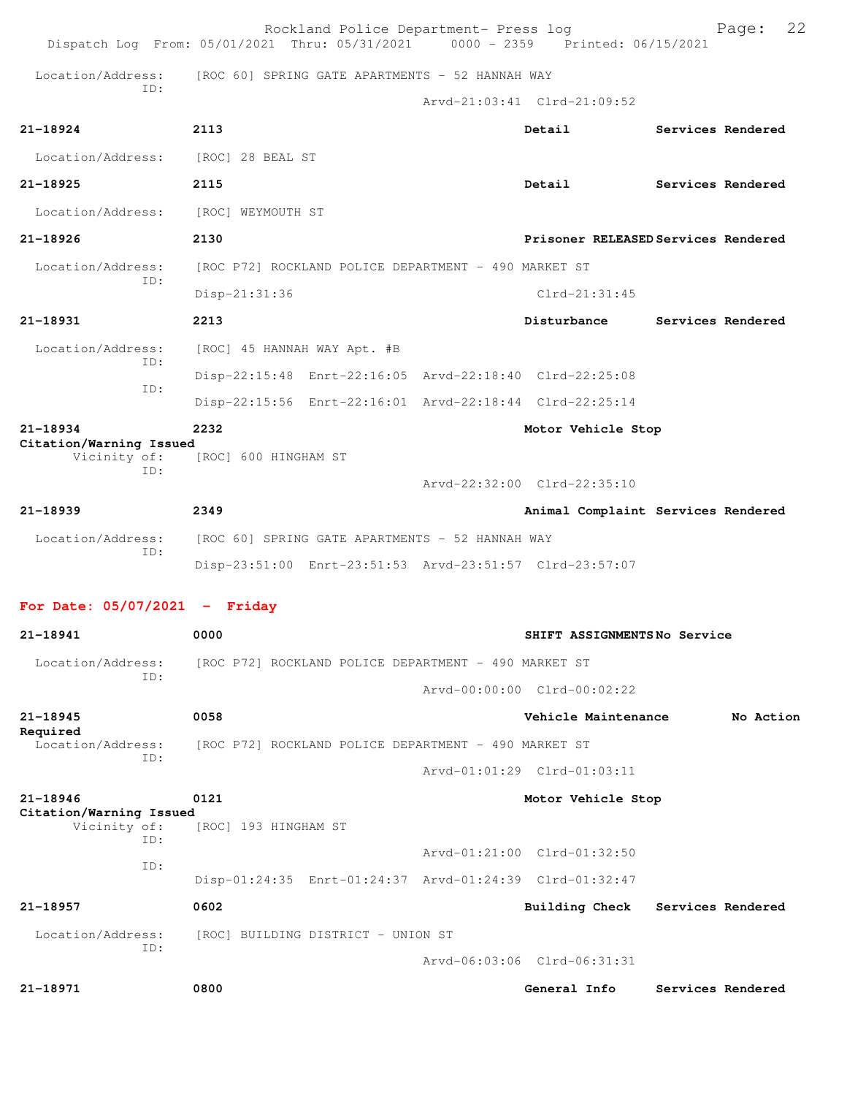|                                         | Rockland Police Department- Press log<br>Dispatch Log From: 05/01/2021 Thru: 05/31/2021 0000 - 2359 Printed: 06/15/2021 |                                     |                   | Page:     | 22 |
|-----------------------------------------|-------------------------------------------------------------------------------------------------------------------------|-------------------------------------|-------------------|-----------|----|
| Location/Address:                       | [ROC 60] SPRING GATE APARTMENTS - 52 HANNAH WAY                                                                         |                                     |                   |           |    |
| TD:                                     |                                                                                                                         | Arvd-21:03:41 Clrd-21:09:52         |                   |           |    |
| $21 - 18924$                            | 2113                                                                                                                    | Detail                              | Services Rendered |           |    |
| Location/Address:                       | [ROC] 28 BEAL ST                                                                                                        |                                     |                   |           |    |
| $21 - 18925$                            | 2115                                                                                                                    | Detail                              | Services Rendered |           |    |
| Location/Address:                       | [ROC] WEYMOUTH ST                                                                                                       |                                     |                   |           |    |
| 21-18926                                | 2130                                                                                                                    | Prisoner RELEASED Services Rendered |                   |           |    |
| Location/Address:                       | [ROC P72] ROCKLAND POLICE DEPARTMENT - 490 MARKET ST                                                                    |                                     |                   |           |    |
| TD:                                     | Disp-21:31:36                                                                                                           | $Clrd-21:31:45$                     |                   |           |    |
| 21-18931                                | 2213                                                                                                                    | Disturbance                         | Services Rendered |           |    |
| Location/Address:                       | [ROC] 45 HANNAH WAY Apt. #B                                                                                             |                                     |                   |           |    |
| ID:                                     | Disp-22:15:48 Enrt-22:16:05 Arvd-22:18:40 Clrd-22:25:08                                                                 |                                     |                   |           |    |
| ID:                                     | Disp-22:15:56 Enrt-22:16:01 Arvd-22:18:44 Clrd-22:25:14                                                                 |                                     |                   |           |    |
| 21-18934<br>Citation/Warning Issued     | 2232                                                                                                                    | Motor Vehicle Stop                  |                   |           |    |
| Vicinity of:<br>ID:                     | [ROC] 600 HINGHAM ST                                                                                                    |                                     |                   |           |    |
|                                         |                                                                                                                         | Arvd-22:32:00 Clrd-22:35:10         |                   |           |    |
| 21-18939                                | 2349                                                                                                                    | Animal Complaint Services Rendered  |                   |           |    |
| Location/Address:<br>TD:                | [ROC 60] SPRING GATE APARTMENTS - 52 HANNAH WAY                                                                         |                                     |                   |           |    |
|                                         | Disp-23:51:00 Enrt-23:51:53 Arvd-23:51:57 Clrd-23:57:07                                                                 |                                     |                   |           |    |
| For Date: $05/07/2021$ - Friday         |                                                                                                                         |                                     |                   |           |    |
| 21-18941                                | 0000                                                                                                                    | SHIFT ASSIGNMENTSNo Service         |                   |           |    |
| Location/Address:                       | [ROC P72] ROCKLAND POLICE DEPARTMENT - 490 MARKET ST                                                                    |                                     |                   |           |    |
| TD:                                     |                                                                                                                         | Arvd-00:00:00 Clrd-00:02:22         |                   |           |    |
| $21 - 18945$                            | 0058                                                                                                                    | Vehicle Maintenance                 |                   | No Action |    |
| Required<br>Location/Address:           | [ROC P72] ROCKLAND POLICE DEPARTMENT - 490 MARKET ST                                                                    |                                     |                   |           |    |
| TD:                                     |                                                                                                                         | Arvd-01:01:29 Clrd-01:03:11         |                   |           |    |
| 21-18946                                | 0121                                                                                                                    | Motor Vehicle Stop                  |                   |           |    |
| Citation/Warning Issued<br>Vicinity of: | [ROC] 193 HINGHAM ST                                                                                                    |                                     |                   |           |    |
| ID:                                     |                                                                                                                         | Arvd-01:21:00 Clrd-01:32:50         |                   |           |    |
| ID:                                     | Disp-01:24:35 Enrt-01:24:37 Arvd-01:24:39 Clrd-01:32:47                                                                 |                                     |                   |           |    |
| 21-18957                                | 0602                                                                                                                    | <b>Building Check</b>               | Services Rendered |           |    |
| Location/Address:<br>ID:                | [ROC] BUILDING DISTRICT - UNION ST                                                                                      |                                     |                   |           |    |
|                                         |                                                                                                                         | Arvd-06:03:06 Clrd-06:31:31         |                   |           |    |
| 21-18971                                | 0800                                                                                                                    | General Info                        | Services Rendered |           |    |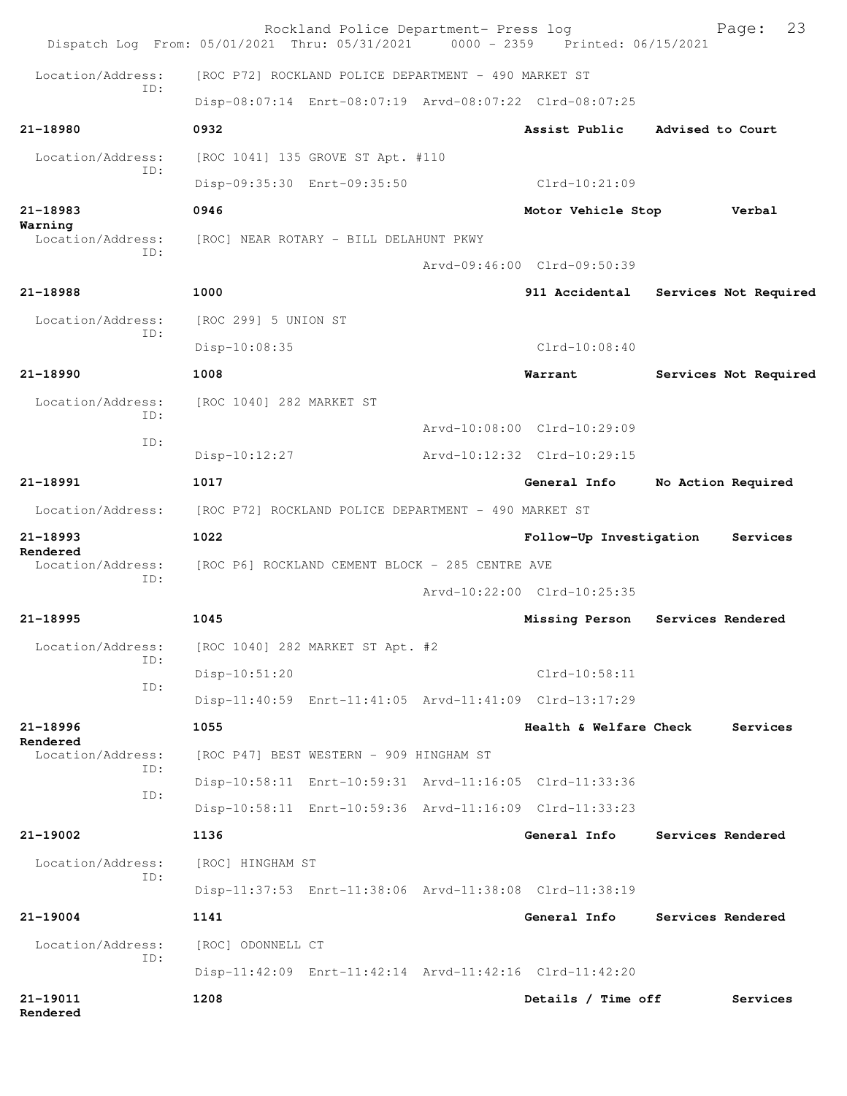| Dispatch Log From: 05/01/2021 Thru: 05/31/2021 0000 - 2359 Printed: 06/15/2021 |                                                         | Rockland Police Department- Press log |                             |                   | 23<br>Page:           |
|--------------------------------------------------------------------------------|---------------------------------------------------------|---------------------------------------|-----------------------------|-------------------|-----------------------|
| Location/Address:<br>TD:                                                       | [ROC P72] ROCKLAND POLICE DEPARTMENT - 490 MARKET ST    |                                       |                             |                   |                       |
|                                                                                | Disp-08:07:14 Enrt-08:07:19 Arvd-08:07:22 Clrd-08:07:25 |                                       |                             |                   |                       |
| 21-18980                                                                       | 0932                                                    |                                       | Assist Public               | Advised to Court  |                       |
| Location/Address:<br>ID:                                                       | [ROC 1041] 135 GROVE ST Apt. #110                       |                                       |                             |                   |                       |
|                                                                                | Disp-09:35:30 Enrt-09:35:50                             |                                       | Clrd-10:21:09               |                   |                       |
| $21 - 18983$                                                                   | 0946                                                    |                                       | Motor Vehicle Stop          |                   | Verbal                |
| Warning<br>Location/Address:<br>TD:                                            | [ROC] NEAR ROTARY - BILL DELAHUNT PKWY                  |                                       |                             |                   |                       |
|                                                                                |                                                         |                                       | Arvd-09:46:00 Clrd-09:50:39 |                   |                       |
| 21-18988                                                                       | 1000                                                    |                                       | 911 Accidental              |                   | Services Not Required |
| Location/Address:                                                              | [ROC 299] 5 UNION ST                                    |                                       |                             |                   |                       |
| ID:                                                                            | Disp-10:08:35                                           |                                       | $Clrd-10:08:40$             |                   |                       |
| $21 - 18990$                                                                   | 1008                                                    |                                       | Warrant                     |                   | Services Not Required |
| Location/Address:                                                              | [ROC 1040] 282 MARKET ST                                |                                       |                             |                   |                       |
| ID:                                                                            |                                                         |                                       | Arvd-10:08:00 Clrd-10:29:09 |                   |                       |
| ID:                                                                            | Disp-10:12:27                                           |                                       | Arvd-10:12:32 Clrd-10:29:15 |                   |                       |
| 21-18991                                                                       | 1017                                                    |                                       | General Info                |                   | No Action Required    |
| Location/Address:                                                              | [ROC P72] ROCKLAND POLICE DEPARTMENT - 490 MARKET ST    |                                       |                             |                   |                       |
| 21-18993                                                                       | 1022                                                    |                                       | Follow-Up Investigation     |                   | Services              |
| Rendered<br>Location/Address:                                                  | [ROC P6] ROCKLAND CEMENT BLOCK - 285 CENTRE AVE         |                                       |                             |                   |                       |
| TD:                                                                            |                                                         |                                       | Arvd-10:22:00 Clrd-10:25:35 |                   |                       |
| $21 - 18995$                                                                   | 1045                                                    |                                       | Missing Person              | Services Rendered |                       |
| Location/Address:                                                              | [ROC 1040] 282 MARKET ST Apt. #2                        |                                       |                             |                   |                       |
| ID:                                                                            | Disp-10:51:20                                           |                                       | Clrd-10:58:11               |                   |                       |
| ID:                                                                            | Disp-11:40:59 Enrt-11:41:05 Arvd-11:41:09 Clrd-13:17:29 |                                       |                             |                   |                       |
| $21 - 18996$                                                                   | 1055                                                    |                                       | Health & Welfare Check      |                   | Services              |
| Rendered<br>Location/Address:                                                  | [ROC P47] BEST WESTERN - 909 HINGHAM ST                 |                                       |                             |                   |                       |
| ID:                                                                            | Disp-10:58:11 Enrt-10:59:31 Arvd-11:16:05 Clrd-11:33:36 |                                       |                             |                   |                       |
| ID:                                                                            | Disp-10:58:11 Enrt-10:59:36 Arvd-11:16:09 Clrd-11:33:23 |                                       |                             |                   |                       |
| 21-19002                                                                       | 1136                                                    |                                       | General Info                |                   | Services Rendered     |
| Location/Address:                                                              | [ROC] HINGHAM ST                                        |                                       |                             |                   |                       |
| ID:                                                                            | Disp-11:37:53 Enrt-11:38:06 Arvd-11:38:08 Clrd-11:38:19 |                                       |                             |                   |                       |
| 21-19004                                                                       | 1141                                                    |                                       | General Info                |                   | Services Rendered     |
| Location/Address:                                                              | [ROC] ODONNELL CT                                       |                                       |                             |                   |                       |
| ID:                                                                            | Disp-11:42:09 Enrt-11:42:14 Arvd-11:42:16 Clrd-11:42:20 |                                       |                             |                   |                       |
| 21-19011<br>Rendered                                                           | 1208                                                    |                                       | Details / Time off          |                   | Services              |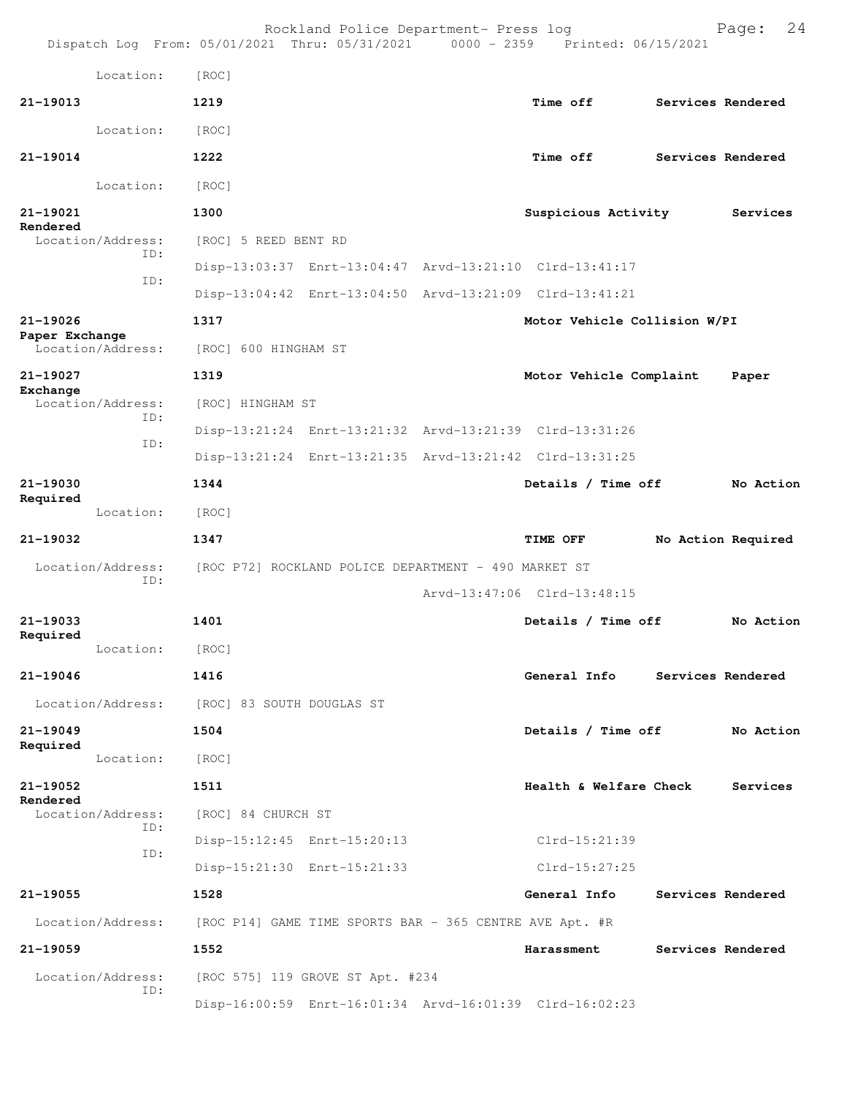|                          |                          |                                                         | Rockland Police Department- Press log                | Dispatch Log From: 05/01/2021 Thru: 05/31/2021 0000 - 2359 Printed: 06/15/2021 | 24<br>Page:        |
|--------------------------|--------------------------|---------------------------------------------------------|------------------------------------------------------|--------------------------------------------------------------------------------|--------------------|
|                          | Location:                | [ROC]                                                   |                                                      |                                                                                |                    |
| $21 - 19013$             |                          | 1219                                                    |                                                      | Time off                                                                       | Services Rendered  |
|                          | Location:                | [ROC]                                                   |                                                      |                                                                                |                    |
| $21 - 19014$             |                          | 1222                                                    |                                                      | Time off                                                                       | Services Rendered  |
|                          | Location:                | [ROC]                                                   |                                                      |                                                                                |                    |
| 21-19021                 |                          | 1300                                                    |                                                      | Suspicious Activity                                                            | Services           |
| Rendered                 | Location/Address:        | [ROC] 5 REED BENT RD                                    |                                                      |                                                                                |                    |
|                          | ID:                      |                                                         |                                                      | Disp-13:03:37 Enrt-13:04:47 Arvd-13:21:10 Clrd-13:41:17                        |                    |
|                          | ID:                      |                                                         |                                                      | Disp-13:04:42 Enrt-13:04:50 Arvd-13:21:09 Clrd-13:41:21                        |                    |
| 21-19026                 |                          | 1317                                                    |                                                      | Motor Vehicle Collision W/PI                                                   |                    |
| Paper Exchange           | Location/Address:        | [ROC] 600 HINGHAM ST                                    |                                                      |                                                                                |                    |
| 21-19027                 |                          | 1319                                                    |                                                      | Motor Vehicle Complaint                                                        | Paper              |
| Exchange                 | Location/Address:<br>ID: | [ROC] HINGHAM ST                                        |                                                      |                                                                                |                    |
|                          | ID:                      |                                                         |                                                      | Disp-13:21:24 Enrt-13:21:32 Arvd-13:21:39 Clrd-13:31:26                        |                    |
|                          |                          |                                                         |                                                      | Disp-13:21:24 Enrt-13:21:35 Arvd-13:21:42 Clrd-13:31:25                        |                    |
| 21-19030<br>Required     |                          | 1344                                                    |                                                      | Details / Time off                                                             | No Action          |
|                          | Location:                | [ROC]                                                   |                                                      |                                                                                |                    |
| 21-19032                 |                          | 1347                                                    |                                                      | TIME OFF                                                                       | No Action Required |
|                          | Location/Address:<br>ID: |                                                         | [ROC P72] ROCKLAND POLICE DEPARTMENT - 490 MARKET ST |                                                                                |                    |
|                          |                          |                                                         |                                                      | Arvd-13:47:06 Clrd-13:48:15                                                    |                    |
| 21-19033<br>Required     |                          | 1401                                                    |                                                      | Details / Time off                                                             | No Action          |
|                          | Location:                | [ROC]                                                   |                                                      |                                                                                |                    |
| $21 - 19046$             |                          | 1416                                                    |                                                      | General Info                                                                   | Services Rendered  |
|                          | Location/Address:        | [ROC] 83 SOUTH DOUGLAS ST                               |                                                      |                                                                                |                    |
| $21 - 19049$<br>Required |                          | 1504                                                    |                                                      | Details / Time off                                                             | No Action          |
|                          | Location:                | [ROC]                                                   |                                                      |                                                                                |                    |
| 21-19052<br>Rendered     |                          | 1511                                                    |                                                      | Health & Welfare Check                                                         | Services           |
|                          | Location/Address:<br>ID: | [ROC] 84 CHURCH ST                                      |                                                      |                                                                                |                    |
|                          | ID:                      |                                                         | Disp-15:12:45 Enrt-15:20:13                          | Clrd-15:21:39                                                                  |                    |
|                          |                          |                                                         | Disp-15:21:30 Enrt-15:21:33                          | Clrd-15:27:25                                                                  |                    |
| 21-19055                 |                          | 1528                                                    |                                                      | General Info                                                                   | Services Rendered  |
|                          | Location/Address:        | [ROC P14] GAME TIME SPORTS BAR - 365 CENTRE AVE Apt. #R |                                                      |                                                                                |                    |
| 21-19059                 |                          | 1552                                                    |                                                      | Harassment                                                                     | Services Rendered  |
|                          | Location/Address:<br>ID: |                                                         | [ROC 575] 119 GROVE ST Apt. #234                     |                                                                                |                    |
|                          |                          |                                                         |                                                      | Disp-16:00:59 Enrt-16:01:34 Arvd-16:01:39 Clrd-16:02:23                        |                    |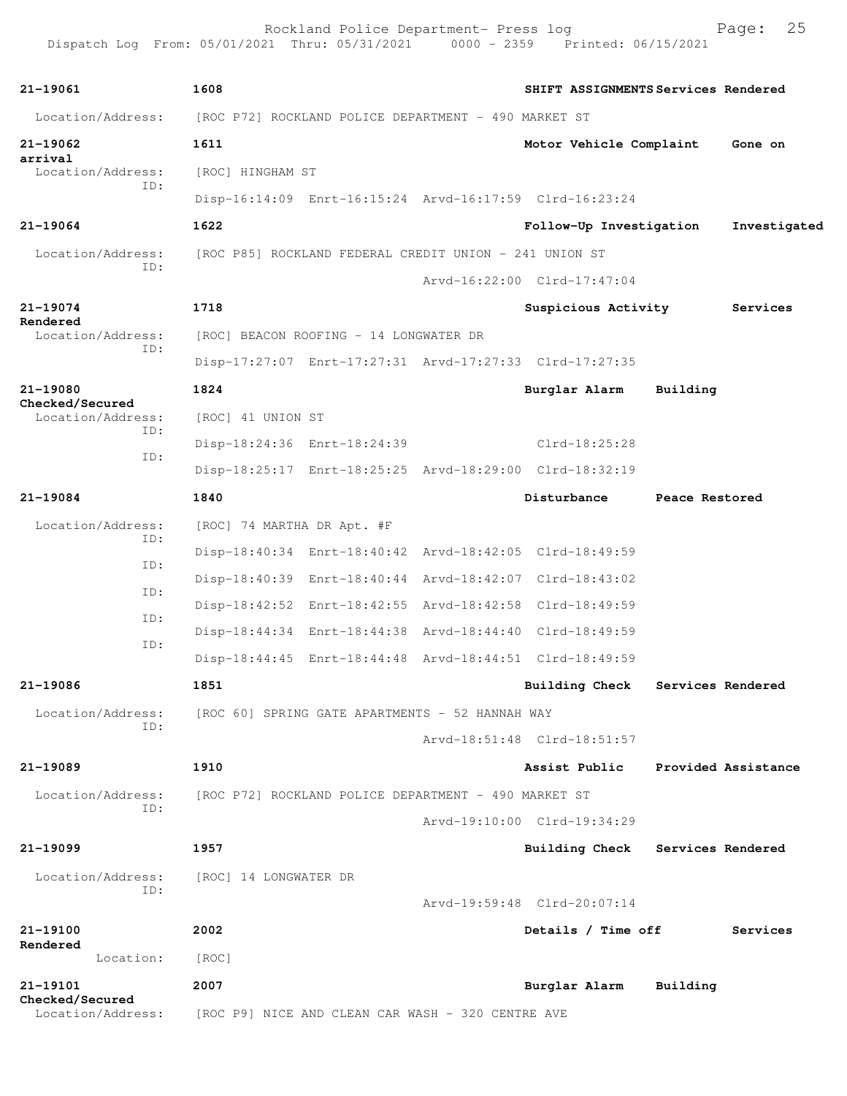| 21-19061                             |     | 1608                       |                                                         | SHIFT ASSIGNMENTS Services Rendered |                   |                     |
|--------------------------------------|-----|----------------------------|---------------------------------------------------------|-------------------------------------|-------------------|---------------------|
| Location/Address:                    |     |                            | [ROC P72] ROCKLAND POLICE DEPARTMENT - 490 MARKET ST    |                                     |                   |                     |
| 21-19062                             |     | 1611                       |                                                         | Motor Vehicle Complaint             |                   | Gone on             |
| arrival<br>Location/Address:         |     | [ROC] HINGHAM ST           |                                                         |                                     |                   |                     |
|                                      | TD: |                            | Disp-16:14:09 Enrt-16:15:24 Arvd-16:17:59 Clrd-16:23:24 |                                     |                   |                     |
| 21-19064                             |     | 1622                       |                                                         | Follow-Up Investigation             |                   | Investigated        |
| Location/Address:<br>ID:             |     |                            | [ROC P85] ROCKLAND FEDERAL CREDIT UNION - 241 UNION ST  |                                     |                   |                     |
|                                      |     |                            |                                                         | Arvd-16:22:00 Clrd-17:47:04         |                   |                     |
| 21-19074                             |     | 1718                       |                                                         | Suspicious Activity                 |                   | Services            |
| Rendered<br>Location/Address:        |     |                            | [ROC] BEACON ROOFING - 14 LONGWATER DR                  |                                     |                   |                     |
|                                      | ID: |                            | Disp-17:27:07 Enrt-17:27:31 Arvd-17:27:33 Clrd-17:27:35 |                                     |                   |                     |
| 21-19080                             |     | 1824                       |                                                         | Burglar Alarm                       | Building          |                     |
| Checked/Secured<br>Location/Address: |     | [ROC] 41 UNION ST          |                                                         |                                     |                   |                     |
| ID:<br>ID:                           |     |                            | Disp-18:24:36 Enrt-18:24:39                             | Clrd-18:25:28                       |                   |                     |
|                                      |     |                            | Disp-18:25:17 Enrt-18:25:25 Arvd-18:29:00 Clrd-18:32:19 |                                     |                   |                     |
| 21-19084                             |     | 1840                       |                                                         | Disturbance                         | Peace Restored    |                     |
| Location/Address:                    |     | [ROC] 74 MARTHA DR Apt. #F |                                                         |                                     |                   |                     |
|                                      | ID: |                            | Disp-18:40:34 Enrt-18:40:42 Arvd-18:42:05 Clrd-18:49:59 |                                     |                   |                     |
|                                      | ID: |                            | Disp-18:40:39 Enrt-18:40:44 Arvd-18:42:07 Clrd-18:43:02 |                                     |                   |                     |
|                                      | ID: |                            | Disp-18:42:52 Enrt-18:42:55 Arvd-18:42:58 Clrd-18:49:59 |                                     |                   |                     |
|                                      | ID: |                            | Disp-18:44:34 Enrt-18:44:38 Arvd-18:44:40 Clrd-18:49:59 |                                     |                   |                     |
|                                      | ID: |                            | Disp-18:44:45 Enrt-18:44:48 Arvd-18:44:51 Clrd-18:49:59 |                                     |                   |                     |
| 21-19086                             |     | 1851                       |                                                         | Building Check                      |                   | Services Rendered   |
| Location/Address:                    |     |                            | [ROC 60] SPRING GATE APARTMENTS - 52 HANNAH WAY         |                                     |                   |                     |
|                                      | ID: |                            |                                                         | Arvd-18:51:48 Clrd-18:51:57         |                   |                     |
| 21-19089                             |     | 1910                       |                                                         | Assist Public                       |                   | Provided Assistance |
| Location/Address:                    |     |                            | [ROC P72] ROCKLAND POLICE DEPARTMENT - 490 MARKET ST    |                                     |                   |                     |
|                                      | ID: |                            |                                                         | Arvd-19:10:00 Clrd-19:34:29         |                   |                     |
| $21 - 19099$                         |     | 1957                       |                                                         | <b>Building Check</b>               | Services Rendered |                     |
| Location/Address:                    |     | [ROC] 14 LONGWATER DR      |                                                         |                                     |                   |                     |
|                                      | ID: |                            |                                                         | Arvd-19:59:48 Clrd-20:07:14         |                   |                     |
| 21-19100                             |     | 2002                       |                                                         | Details / Time off                  |                   | Services            |
| Rendered<br>Location:                |     | [ROC]                      |                                                         |                                     |                   |                     |
| 21-19101                             |     | 2007                       |                                                         | Burglar Alarm                       | Building          |                     |
| Checked/Secured<br>Location/Address: |     |                            | [ROC P9] NICE AND CLEAN CAR WASH - 320 CENTRE AVE       |                                     |                   |                     |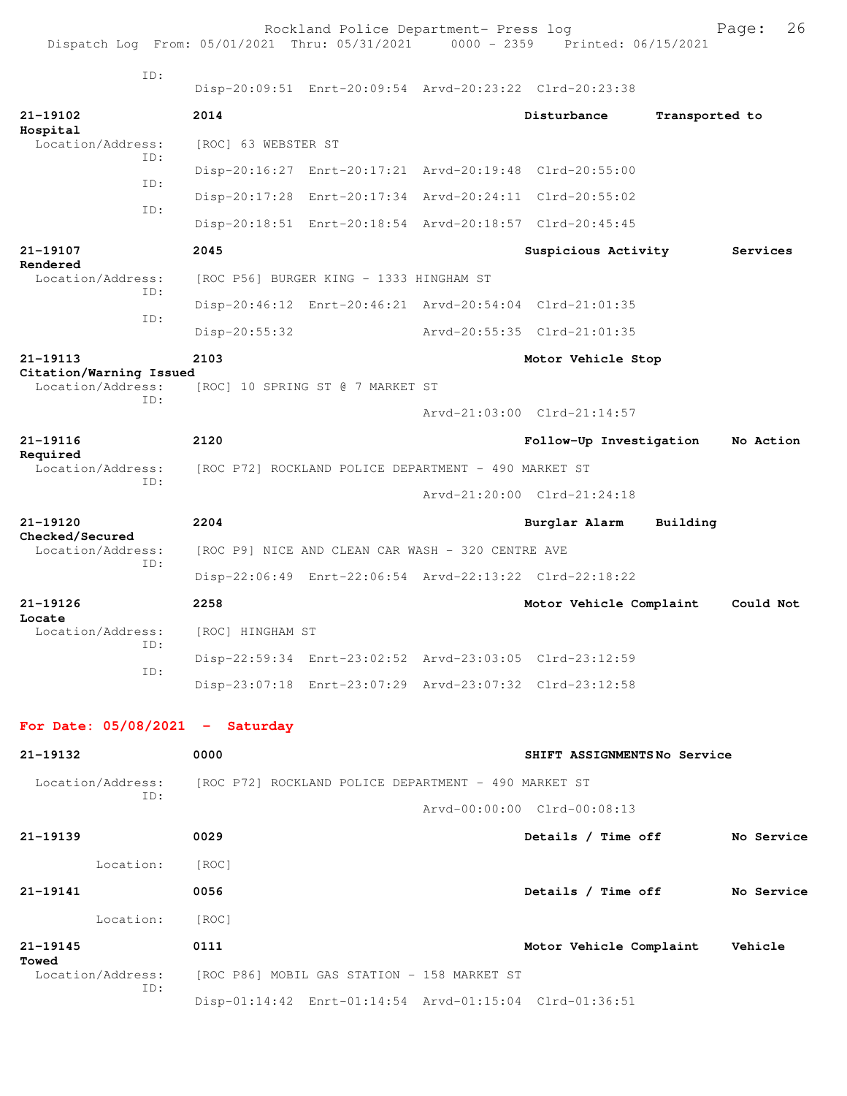| Dispatch Log From: 05/01/2021 Thru: 05/31/2021 0000 - 2359 Printed: 06/15/2021 |                     | Rockland Police Department- Press log                   |                             |                | 26<br>Page: |
|--------------------------------------------------------------------------------|---------------------|---------------------------------------------------------|-----------------------------|----------------|-------------|
| TD:                                                                            |                     |                                                         |                             |                |             |
|                                                                                |                     | Disp-20:09:51 Enrt-20:09:54 Arvd-20:23:22 Clrd-20:23:38 |                             |                |             |
| 21-19102<br>Hospital                                                           | 2014                |                                                         | Disturbance                 | Transported to |             |
| Location/Address:<br>TD:                                                       | [ROC] 63 WEBSTER ST |                                                         |                             |                |             |
| ID:                                                                            |                     | Disp-20:16:27 Enrt-20:17:21 Arvd-20:19:48 Clrd-20:55:00 |                             |                |             |
| ID:                                                                            |                     | Disp-20:17:28 Enrt-20:17:34 Arvd-20:24:11 Clrd-20:55:02 |                             |                |             |
|                                                                                |                     | Disp-20:18:51 Enrt-20:18:54 Arvd-20:18:57 Clrd-20:45:45 |                             |                |             |
| 21-19107<br>Rendered                                                           | 2045                |                                                         | Suspicious Activity         |                | Services    |
| Location/Address:<br>TD:                                                       |                     | [ROC P56] BURGER KING - 1333 HINGHAM ST                 |                             |                |             |
| TD:                                                                            |                     | Disp-20:46:12 Enrt-20:46:21 Arvd-20:54:04 Clrd-21:01:35 |                             |                |             |
|                                                                                | $Disp-20:55:32$     |                                                         | Arvd-20:55:35 Clrd-21:01:35 |                |             |
| 21-19113<br>Citation/Warning Issued                                            | 2103                |                                                         | Motor Vehicle Stop          |                |             |
| Location/Address:<br>TD:                                                       |                     | [ROC] 10 SPRING ST @ 7 MARKET ST                        |                             |                |             |
|                                                                                |                     |                                                         | Arvd-21:03:00 Clrd-21:14:57 |                |             |
| 21-19116                                                                       | 2120                |                                                         | Follow-Up Investigation     |                | No Action   |
| Required<br>Location/Address:                                                  |                     | [ROC P72] ROCKLAND POLICE DEPARTMENT - 490 MARKET ST    |                             |                |             |
| ID:                                                                            |                     |                                                         | Arvd-21:20:00 Clrd-21:24:18 |                |             |
| 21-19120                                                                       | 2204                |                                                         | Burglar Alarm               | Building       |             |
| Checked/Secured<br>Location/Address:                                           |                     | [ROC P9] NICE AND CLEAN CAR WASH - 320 CENTRE AVE       |                             |                |             |
| ID:                                                                            |                     | Disp-22:06:49 Enrt-22:06:54 Arvd-22:13:22 Clrd-22:18:22 |                             |                |             |
| 21-19126                                                                       | 2258                |                                                         | Motor Vehicle Complaint     |                | Could Not   |
| Locate<br>Location/Address:                                                    | [ROC] HINGHAM ST    |                                                         |                             |                |             |
| ID:                                                                            |                     | Disp-22:59:34 Enrt-23:02:52 Arvd-23:03:05 Clrd-23:12:59 |                             |                |             |
| ID:                                                                            |                     | Disp-23:07:18 Enrt-23:07:29 Arvd-23:07:32 Clrd-23:12:58 |                             |                |             |
|                                                                                |                     |                                                         |                             |                |             |
| For Date: $05/08/2021$ - Saturday                                              |                     |                                                         |                             |                |             |
| 21-19132                                                                       | 0000                |                                                         | SHIFT ASSIGNMENTSNo Service |                |             |
| Location/Address: [ROC P72] ROCKLAND POLICE DEPARTMENT - 490 MARKET ST<br>TD:  |                     |                                                         |                             |                |             |
|                                                                                |                     |                                                         | Arvd-00:00:00 Clrd-00:08:13 |                |             |
| 21-19139                                                                       | 0029                |                                                         | Details / Time off          |                | No Service  |
| Location:                                                                      | [ROC]               |                                                         |                             |                |             |
| 21-19141                                                                       | 0056                |                                                         | Details / Time off          |                | No Service  |
| Location:                                                                      | [ROC]               |                                                         |                             |                |             |
| 21-19145<br>Towed                                                              | 0111                |                                                         | Motor Vehicle Complaint     |                | Vehicle     |
| Location/Address:<br>ID:                                                       |                     | [ROC P86] MOBIL GAS STATION - 158 MARKET ST             |                             |                |             |
|                                                                                |                     | Disp-01:14:42 Enrt-01:14:54 Arvd-01:15:04 Clrd-01:36:51 |                             |                |             |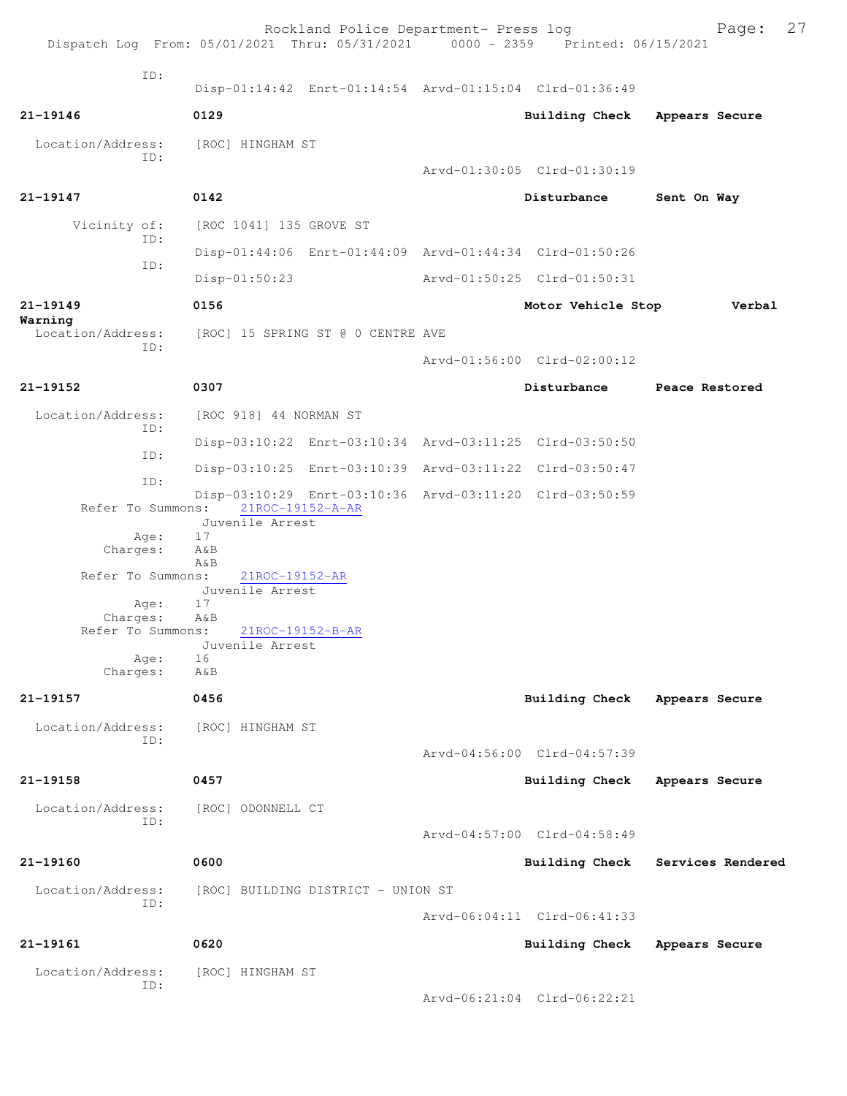|                          | Rockland Police Department- Press log<br>Dispatch Log From: 05/01/2021 Thru: 05/31/2021 0000 - 2359 Printed: 06/15/2021 |                             | 27<br>Page:       |
|--------------------------|-------------------------------------------------------------------------------------------------------------------------|-----------------------------|-------------------|
|                          |                                                                                                                         |                             |                   |
| TD:                      | Disp-01:14:42 Enrt-01:14:54 Arvd-01:15:04 Clrd-01:36:49                                                                 |                             |                   |
| 21-19146                 | 0129                                                                                                                    | <b>Building Check</b>       | Appears Secure    |
| Location/Address:<br>TD: | [ROC] HINGHAM ST                                                                                                        | Arvd-01:30:05 Clrd-01:30:19 |                   |
| 21-19147                 | 0142                                                                                                                    | Disturbance                 | Sent On Way       |
|                          |                                                                                                                         |                             |                   |
| Vicinity of:<br>ID:      | [ROC 1041] 135 GROVE ST                                                                                                 |                             |                   |
| ID:                      | Disp-01:44:06 Enrt-01:44:09 Arvd-01:44:34 Clrd-01:50:26                                                                 |                             |                   |
|                          | $Disp-01:50:23$                                                                                                         | Arvd-01:50:25 Clrd-01:50:31 |                   |
| 21-19149<br>Warning      | 0156                                                                                                                    | Motor Vehicle Stop          | Verbal            |
| Location/Address:<br>ID: | [ROC] 15 SPRING ST @ 0 CENTRE AVE                                                                                       |                             |                   |
|                          |                                                                                                                         | Arvd-01:56:00 Clrd-02:00:12 |                   |
| $21 - 19152$             | 0307                                                                                                                    | Disturbance                 | Peace Restored    |
| Location/Address:        | [ROC 918] 44 NORMAN ST                                                                                                  |                             |                   |
| ID:                      | Disp-03:10:22 Enrt-03:10:34 Arvd-03:11:25 Clrd-03:50:50                                                                 |                             |                   |
| ID:                      | Disp-03:10:25 Enrt-03:10:39 Arvd-03:11:22 Clrd-03:50:47                                                                 |                             |                   |
| ID:                      | Disp-03:10:29 Enrt-03:10:36 Arvd-03:11:20 Clrd-03:50:59                                                                 |                             |                   |
| Refer To Summons:        | 21ROC-19152-A-AR<br>Juvenile Arrest                                                                                     |                             |                   |
| Age:<br>Charges:         | 17<br>A&B                                                                                                               |                             |                   |
| Refer To Summons:        | $A\&B$<br>21ROC-19152-AR                                                                                                |                             |                   |
|                          | Juvenile Arrest                                                                                                         |                             |                   |
| Age:<br>Charges:         | 17<br>AδB                                                                                                               |                             |                   |
| Refer To Summons:        | $21$ ROC-19152-B-AR<br>Juvenile Arrest                                                                                  |                             |                   |
| Age:<br>Charges:         | 16<br>A&B                                                                                                               |                             |                   |
| 21-19157                 | 0456                                                                                                                    |                             |                   |
|                          |                                                                                                                         | Building Check              | Appears Secure    |
| Location/Address:<br>ID: | [ROC] HINGHAM ST                                                                                                        |                             |                   |
|                          |                                                                                                                         | Arvd-04:56:00 Clrd-04:57:39 |                   |
| 21-19158                 | 0457                                                                                                                    | <b>Building Check</b>       | Appears Secure    |
| Location/Address:<br>ID: | [ROC] ODONNELL CT                                                                                                       |                             |                   |
|                          |                                                                                                                         | Arvd-04:57:00 Clrd-04:58:49 |                   |
| 21-19160                 | 0600                                                                                                                    | <b>Building Check</b>       | Services Rendered |
| Location/Address:        | [ROC] BUILDING DISTRICT - UNION ST                                                                                      |                             |                   |
| ID:                      |                                                                                                                         | Arvd-06:04:11 Clrd-06:41:33 |                   |
| 21-19161                 | 0620                                                                                                                    | Building Check              | Appears Secure    |
| Location/Address:        | [ROC] HINGHAM ST                                                                                                        |                             |                   |
| ID:                      |                                                                                                                         | Arvd-06:21:04 Clrd-06:22:21 |                   |
|                          |                                                                                                                         |                             |                   |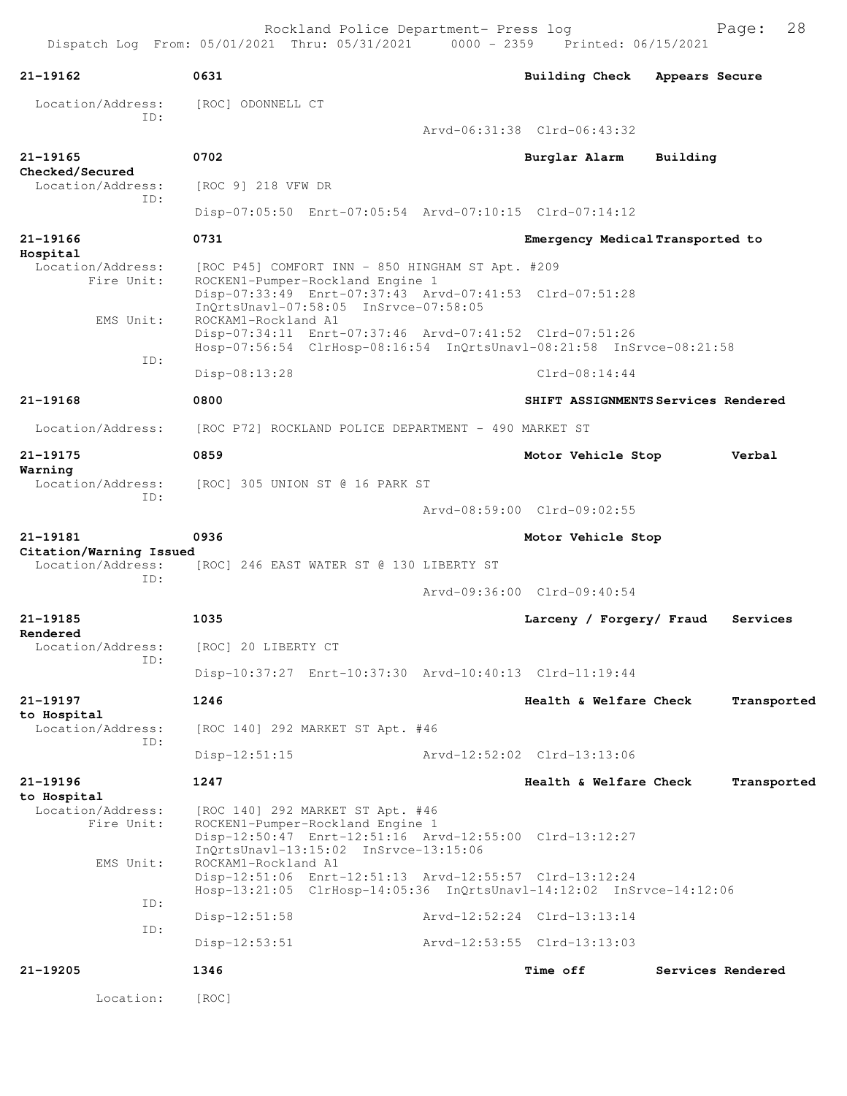| $21 - 19162$                                 | 0631                                                                                                                                                                                              | Building Check                      | Appears Secure |                   |
|----------------------------------------------|---------------------------------------------------------------------------------------------------------------------------------------------------------------------------------------------------|-------------------------------------|----------------|-------------------|
| Location/Address:                            | [ROC] ODONNELL CT                                                                                                                                                                                 |                                     |                |                   |
| TD:                                          |                                                                                                                                                                                                   | Arvd-06:31:38 Clrd-06:43:32         |                |                   |
| 21-19165                                     | 0702                                                                                                                                                                                              | Burglar Alarm                       | Building       |                   |
| Checked/Secured<br>Location/Address:         | [ROC 9] 218 VFW DR                                                                                                                                                                                |                                     |                |                   |
| TD:                                          | Disp-07:05:50 Enrt-07:05:54 Arvd-07:10:15 Clrd-07:14:12                                                                                                                                           |                                     |                |                   |
| 21-19166                                     | 0731                                                                                                                                                                                              | Emergency Medical Transported to    |                |                   |
| Hospital<br>Location/Address:<br>Fire Unit:  | [ROC P45] COMFORT INN - 850 HINGHAM ST Apt. #209<br>ROCKEN1-Pumper-Rockland Engine 1<br>Disp-07:33:49 Enrt-07:37:43 Arvd-07:41:53 Clrd-07:51:28                                                   |                                     |                |                   |
| EMS Unit:                                    | InQrtsUnavl-07:58:05 InSrvce-07:58:05<br>ROCKAM1-Rockland A1<br>Disp-07:34:11 Enrt-07:37:46 Arvd-07:41:52 Clrd-07:51:26                                                                           |                                     |                |                   |
| ID:                                          | Hosp-07:56:54 ClrHosp-08:16:54 InQrtsUnavl-08:21:58 InSrvce-08:21:58<br>Disp-08:13:28                                                                                                             | $Clrd-08:14:44$                     |                |                   |
| $21 - 19168$                                 | 0800                                                                                                                                                                                              | SHIFT ASSIGNMENTS Services Rendered |                |                   |
| Location/Address:                            | [ROC P72] ROCKLAND POLICE DEPARTMENT - 490 MARKET ST                                                                                                                                              |                                     |                |                   |
| 21-19175                                     | 0859                                                                                                                                                                                              | Motor Vehicle Stop                  |                | Verbal            |
| Warning<br>Location/Address:                 | [ROC] 305 UNION ST @ 16 PARK ST                                                                                                                                                                   |                                     |                |                   |
| ID:                                          |                                                                                                                                                                                                   | Arvd-08:59:00 Clrd-09:02:55         |                |                   |
| 21-19181                                     | 0936                                                                                                                                                                                              | Motor Vehicle Stop                  |                |                   |
| Citation/Warning Issued<br>Location/Address: | [ROC] 246 EAST WATER ST @ 130 LIBERTY ST                                                                                                                                                          |                                     |                |                   |
| ID:                                          |                                                                                                                                                                                                   | Arvd-09:36:00 Clrd-09:40:54         |                |                   |
| 21-19185                                     | 1035                                                                                                                                                                                              | Larceny / Forgery/ Fraud            |                | Services          |
| Rendered<br>Location/Address:                | [ROC] 20 LIBERTY CT                                                                                                                                                                               |                                     |                |                   |
| ID:                                          | Disp-10:37:27 Enrt-10:37:30 Arvd-10:40:13 Clrd-11:19:44                                                                                                                                           |                                     |                |                   |
| 21-19197                                     | 1246                                                                                                                                                                                              | Health & Welfare Check              |                | Transported       |
| to Hospital<br>Location/Address:<br>ID:      | [ROC 140] 292 MARKET ST Apt. #46                                                                                                                                                                  |                                     |                |                   |
|                                              | $Disp-12:51:15$                                                                                                                                                                                   | Arvd-12:52:02 Clrd-13:13:06         |                |                   |
| 21-19196<br>to Hospital                      | 1247                                                                                                                                                                                              | Health & Welfare Check              |                | Transported       |
| Location/Address:<br>Fire Unit:<br>EMS Unit: | [ROC 140] 292 MARKET ST Apt. #46<br>ROCKEN1-Pumper-Rockland Engine 1<br>Disp-12:50:47 Enrt-12:51:16 Arvd-12:55:00 Clrd-13:12:27<br>$InQrtsUnav1-13:15:02 InSrvce-13:15:06$<br>ROCKAM1-Rockland A1 |                                     |                |                   |
|                                              | Disp-12:51:06 Enrt-12:51:13 Arvd-12:55:57 Clrd-13:12:24<br>Hosp-13:21:05 ClrHosp-14:05:36 InQrtsUnavl-14:12:02 InSrvce-14:12:06                                                                   |                                     |                |                   |
| ID:                                          | $Disp-12:51:58$                                                                                                                                                                                   | Arvd-12:52:24 Clrd-13:13:14         |                |                   |
| ID:                                          | $Disp-12:53:51$                                                                                                                                                                                   | Arvd-12:53:55 Clrd-13:13:03         |                |                   |
| 21-19205                                     | 1346                                                                                                                                                                                              | <b>Time off</b>                     |                | Services Rendered |
| Location:                                    | [ROC]                                                                                                                                                                                             |                                     |                |                   |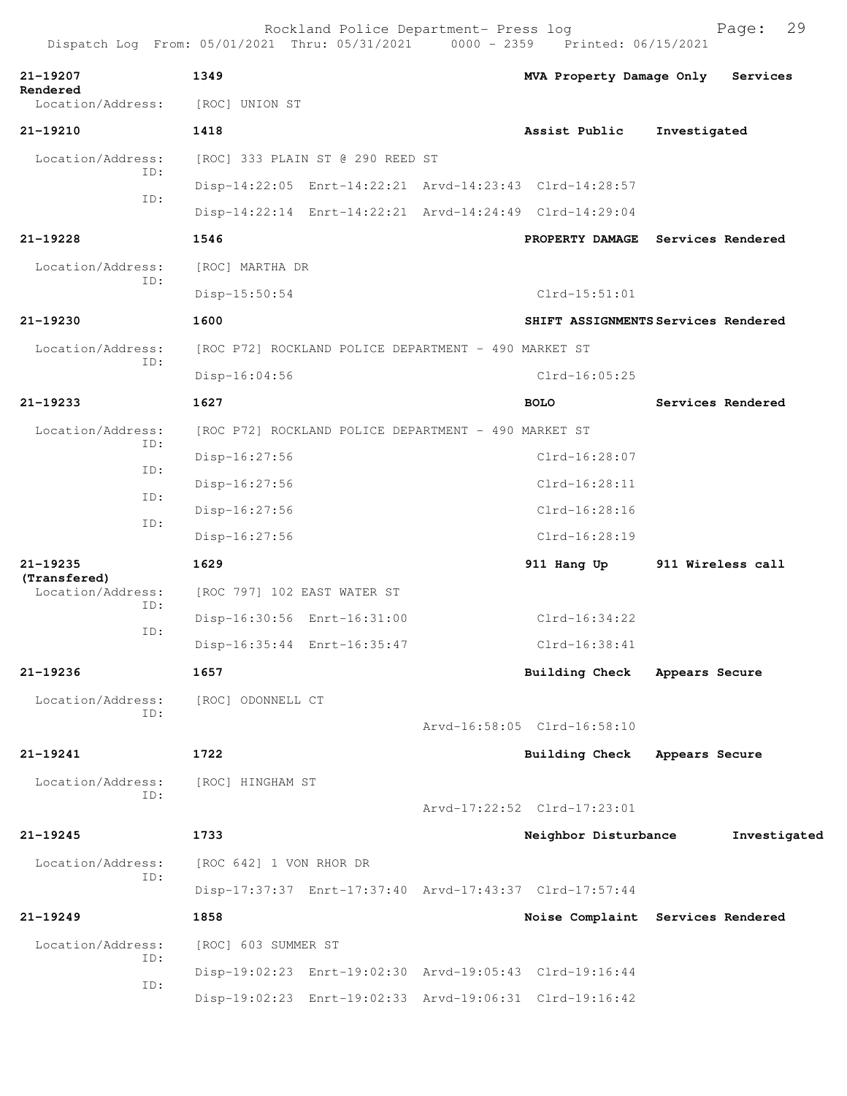|                                   |     |                             | Rockland Police Department- Press log                | Dispatch Log From: 05/01/2021 Thru: 05/31/2021 0000 - 2359 Printed: 06/15/2021 |                | 29<br>Page:       |
|-----------------------------------|-----|-----------------------------|------------------------------------------------------|--------------------------------------------------------------------------------|----------------|-------------------|
| 21-19207                          |     | 1349                        |                                                      | MVA Property Damage Only                                                       |                | Services          |
| Rendered<br>Location/Address:     |     | [ROC] UNION ST              |                                                      |                                                                                |                |                   |
| 21-19210                          |     | 1418                        |                                                      | Assist Public                                                                  | Investigated   |                   |
| Location/Address:                 |     |                             | [ROC] 333 PLAIN ST @ 290 REED ST                     |                                                                                |                |                   |
|                                   | ID: |                             |                                                      | Disp-14:22:05 Enrt-14:22:21 Arvd-14:23:43 Clrd-14:28:57                        |                |                   |
|                                   | ID: |                             |                                                      | Disp-14:22:14 Enrt-14:22:21 Arvd-14:24:49 Clrd-14:29:04                        |                |                   |
| $21 - 19228$                      |     | 1546                        |                                                      | PROPERTY DAMAGE Services Rendered                                              |                |                   |
| Location/Address:                 |     | [ROC] MARTHA DR             |                                                      |                                                                                |                |                   |
|                                   | ID: | Disp-15:50:54               |                                                      | $Clrd-15:51:01$                                                                |                |                   |
| 21-19230                          |     | 1600                        |                                                      | SHIFT ASSIGNMENTS Services Rendered                                            |                |                   |
| Location/Address:                 |     |                             | [ROC P72] ROCKLAND POLICE DEPARTMENT - 490 MARKET ST |                                                                                |                |                   |
|                                   | ID: | Disp-16:04:56               |                                                      | $Clrd-16:05:25$                                                                |                |                   |
| $21 - 19233$                      |     | 1627                        |                                                      | <b>BOLO</b>                                                                    |                | Services Rendered |
| Location/Address:                 |     |                             | [ROC P72] ROCKLAND POLICE DEPARTMENT - 490 MARKET ST |                                                                                |                |                   |
|                                   | ID: | Disp-16:27:56               |                                                      | $Clrd-16:28:07$                                                                |                |                   |
|                                   | ID: | Disp-16:27:56               |                                                      | $Clrd-16:28:11$                                                                |                |                   |
|                                   | ID: | Disp-16:27:56               |                                                      | $Clrd-16:28:16$                                                                |                |                   |
|                                   | ID: | Disp-16:27:56               |                                                      | Clrd-16:28:19                                                                  |                |                   |
| 21-19235                          |     | 1629                        |                                                      | 911 Hang Up                                                                    |                | 911 Wireless call |
| (Transfered)<br>Location/Address: |     | [ROC 797] 102 EAST WATER ST |                                                      |                                                                                |                |                   |
|                                   | ID: |                             | Disp-16:30:56 Enrt-16:31:00                          | $C1rd-16:34:22$                                                                |                |                   |
|                                   | ID: |                             | Disp-16:35:44 Enrt-16:35:47                          | Clrd-16:38:41                                                                  |                |                   |
| 21-19236                          |     | 1657                        |                                                      | <b>Building Check</b>                                                          | Appears Secure |                   |
| Location/Address:                 |     | [ROC] ODONNELL CT           |                                                      |                                                                                |                |                   |
|                                   | ID: |                             |                                                      | Arvd-16:58:05 Clrd-16:58:10                                                    |                |                   |
| 21-19241                          |     | 1722                        |                                                      | <b>Building Check</b>                                                          | Appears Secure |                   |
| Location/Address:                 |     | [ROC] HINGHAM ST            |                                                      |                                                                                |                |                   |
|                                   | ID: |                             |                                                      | Arvd-17:22:52 Clrd-17:23:01                                                    |                |                   |
| 21-19245                          |     | 1733                        |                                                      | Neighbor Disturbance                                                           |                | Investigated      |
| Location/Address:                 |     | [ROC 642] 1 VON RHOR DR     |                                                      |                                                                                |                |                   |
|                                   | ID: |                             |                                                      | Disp-17:37:37 Enrt-17:37:40 Arvd-17:43:37 Clrd-17:57:44                        |                |                   |
| $21 - 19249$                      |     | 1858                        |                                                      | Noise Complaint Services Rendered                                              |                |                   |
| Location/Address:                 |     | [ROC] 603 SUMMER ST         |                                                      |                                                                                |                |                   |
|                                   | ID: |                             |                                                      | Disp-19:02:23 Enrt-19:02:30 Arvd-19:05:43 Clrd-19:16:44                        |                |                   |
|                                   | ID: |                             |                                                      | Disp-19:02:23 Enrt-19:02:33 Arvd-19:06:31 Clrd-19:16:42                        |                |                   |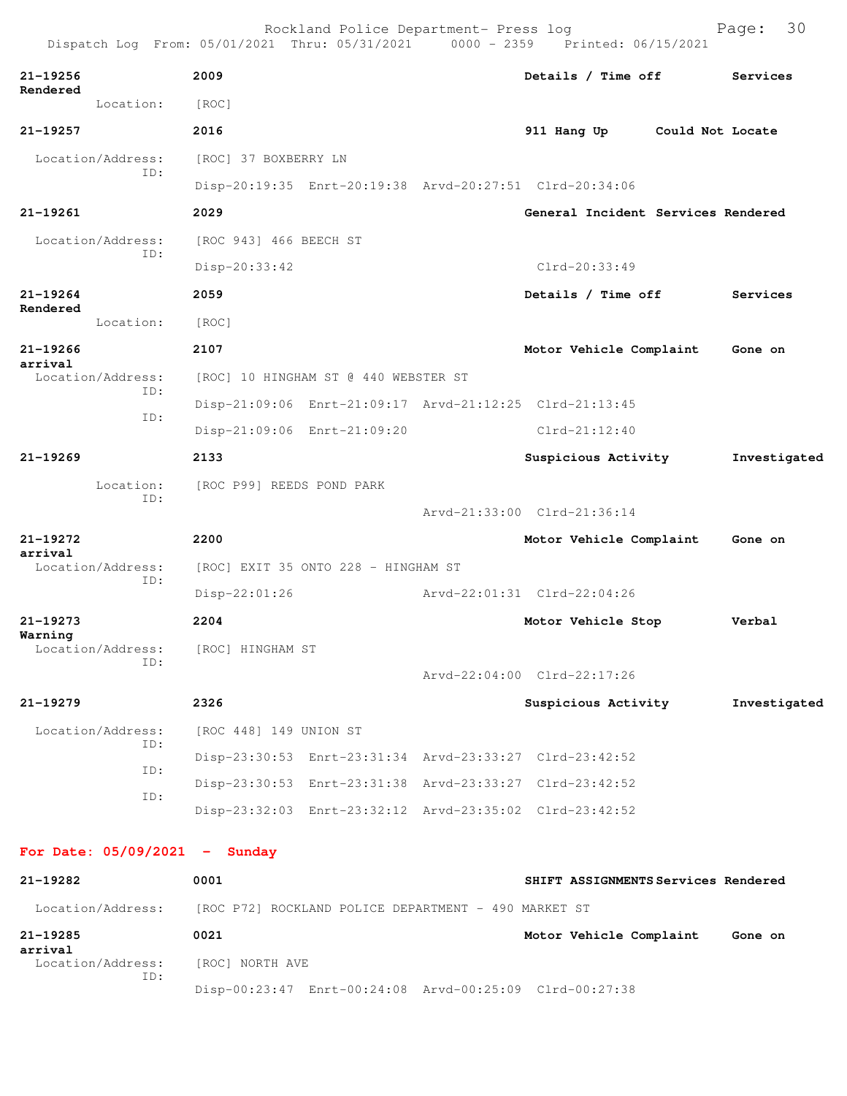|                          |                          |                                     | Rockland Police Department- Press log                |  | Dispatch Log From: 05/01/2021 Thru: 05/31/2021 0000 - 2359 Printed: 06/15/2021 | 30<br>Page:      |  |
|--------------------------|--------------------------|-------------------------------------|------------------------------------------------------|--|--------------------------------------------------------------------------------|------------------|--|
| 21-19256<br>Rendered     |                          | 2009                                |                                                      |  | Details / Time off                                                             | Services         |  |
|                          | Location:                | [ROC]                               |                                                      |  |                                                                                |                  |  |
| 21-19257                 |                          | 2016                                |                                                      |  | 911 Hang Up                                                                    | Could Not Locate |  |
|                          | Location/Address:<br>ID: | [ROC] 37 BOXBERRY LN                |                                                      |  |                                                                                |                  |  |
|                          |                          |                                     |                                                      |  | Disp-20:19:35 Enrt-20:19:38 Arvd-20:27:51 Clrd-20:34:06                        |                  |  |
| 21-19261                 |                          | 2029                                |                                                      |  | General Incident Services Rendered                                             |                  |  |
|                          | Location/Address:<br>ID: | [ROC 943] 466 BEECH ST              |                                                      |  |                                                                                |                  |  |
|                          |                          | Disp-20:33:42                       |                                                      |  | Clrd-20:33:49                                                                  |                  |  |
| $21 - 19264$<br>Rendered |                          | 2059                                |                                                      |  | Details / Time off                                                             | Services         |  |
|                          | Location:                | [ROC]                               |                                                      |  |                                                                                |                  |  |
| 21-19266<br>arrival      |                          | 2107                                |                                                      |  | Motor Vehicle Complaint                                                        | Gone on          |  |
|                          | Location/Address:        |                                     | [ROC] 10 HINGHAM ST @ 440 WEBSTER ST                 |  |                                                                                |                  |  |
|                          | ID:                      |                                     |                                                      |  | Disp-21:09:06 Enrt-21:09:17 Arvd-21:12:25 Clrd-21:13:45                        |                  |  |
|                          | ID:                      |                                     | Disp-21:09:06 Enrt-21:09:20                          |  | $Clrd-21:12:40$                                                                |                  |  |
| $21 - 19269$             |                          | 2133                                |                                                      |  | Suspicious Activity                                                            | Investigated     |  |
|                          | Location:                | [ROC P99] REEDS POND PARK           |                                                      |  |                                                                                |                  |  |
|                          | ID:                      |                                     |                                                      |  | Arvd-21:33:00 Clrd-21:36:14                                                    |                  |  |
| 21-19272<br>arrival      |                          | 2200                                |                                                      |  | Motor Vehicle Complaint                                                        | Gone on          |  |
|                          | Location/Address:<br>ID: | [ROC] EXIT 35 ONTO 228 - HINGHAM ST |                                                      |  |                                                                                |                  |  |
|                          |                          | Disp-22:01:26                       |                                                      |  | Arvd-22:01:31 Clrd-22:04:26                                                    |                  |  |
| $21 - 19273$             |                          | 2204                                |                                                      |  | Motor Vehicle Stop                                                             | Verbal           |  |
| Warning                  | Location/Address:<br>TD: | [ROC] HINGHAM ST                    |                                                      |  |                                                                                |                  |  |
|                          |                          |                                     |                                                      |  | Arvd-22:04:00 Clrd-22:17:26                                                    |                  |  |
| 21-19279                 |                          | 2326                                |                                                      |  | Suspicious Activity                                                            | Investigated     |  |
|                          | Location/Address:        | [ROC 448] 149 UNION ST              |                                                      |  |                                                                                |                  |  |
|                          | ID:                      |                                     |                                                      |  | Disp-23:30:53 Enrt-23:31:34 Arvd-23:33:27 Clrd-23:42:52                        |                  |  |
|                          | ID:<br>ID:               |                                     |                                                      |  | Disp-23:30:53 Enrt-23:31:38 Arvd-23:33:27 Clrd-23:42:52                        |                  |  |
|                          |                          |                                     |                                                      |  | Disp-23:32:03 Enrt-23:32:12 Arvd-23:35:02 Clrd-23:42:52                        |                  |  |
|                          |                          | For Date: $05/09/2021$ - Sunday     |                                                      |  |                                                                                |                  |  |
| 21-19282                 |                          | 0001                                |                                                      |  | SHIFT ASSIGNMENTS Services Rendered                                            |                  |  |
|                          | Location/Address:        |                                     | [ROC P72] ROCKLAND POLICE DEPARTMENT - 490 MARKET ST |  |                                                                                |                  |  |
| 21-19285<br>arrival      |                          | 0021                                |                                                      |  | Motor Vehicle Complaint                                                        | Gone on          |  |

 Location/Address: [ROC] NORTH AVE ID:

Disp-00:23:47 Enrt-00:24:08 Arvd-00:25:09 Clrd-00:27:38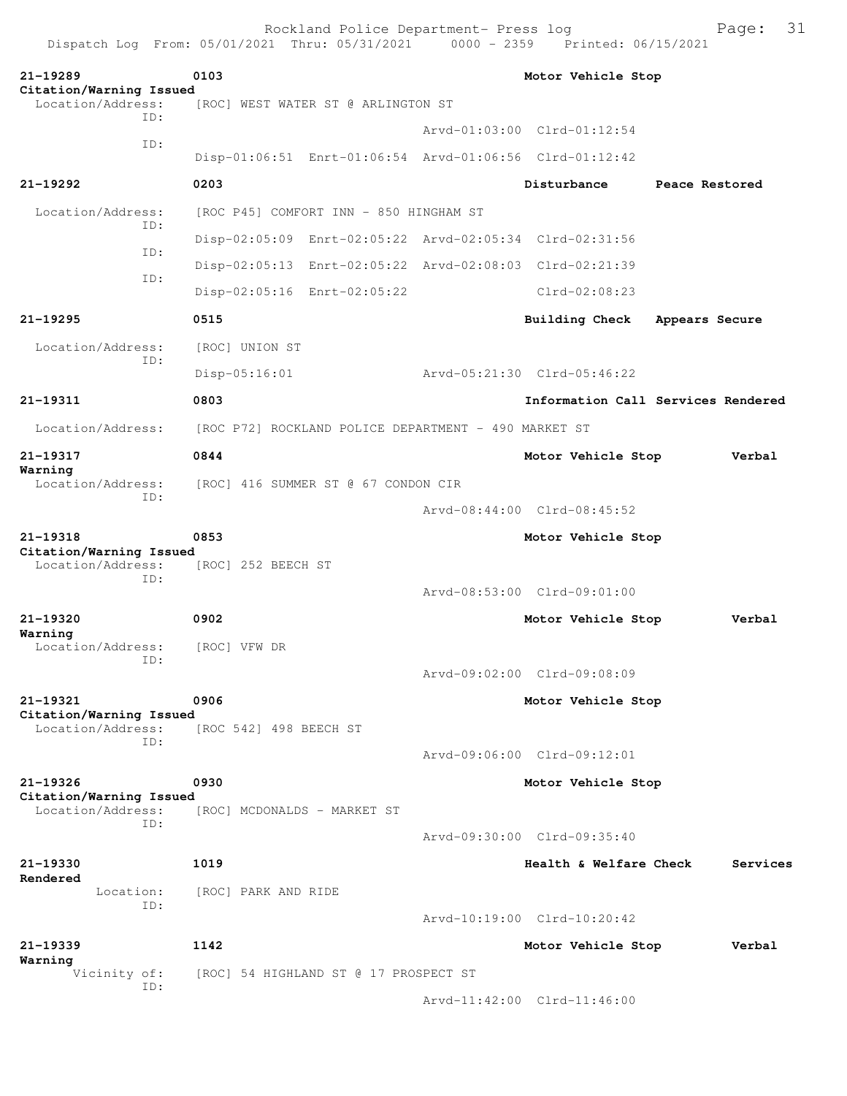| Dispatch Log From: 05/01/2021 Thru: 05/31/2021 |                        | Rockland Police Department- Press log                |                    | 0000 - 2359 Printed: 06/15/2021                         |                | Page:    | 31 |  |
|------------------------------------------------|------------------------|------------------------------------------------------|--------------------|---------------------------------------------------------|----------------|----------|----|--|
| 21-19289                                       | 0103                   |                                                      | Motor Vehicle Stop |                                                         |                |          |    |  |
| Citation/Warning Issued<br>Location/Address:   |                        | [ROC] WEST WATER ST @ ARLINGTON ST                   |                    |                                                         |                |          |    |  |
| TD:                                            |                        |                                                      |                    | Arvd-01:03:00 Clrd-01:12:54                             |                |          |    |  |
| ID:                                            |                        |                                                      |                    | Disp-01:06:51 Enrt-01:06:54 Arvd-01:06:56 Clrd-01:12:42 |                |          |    |  |
| 21-19292                                       | 0203                   |                                                      |                    | Disturbance                                             | Peace Restored |          |    |  |
| Location/Address:                              |                        | [ROC P45] COMFORT INN - 850 HINGHAM ST               |                    |                                                         |                |          |    |  |
| ID:                                            |                        |                                                      |                    | Disp-02:05:09 Enrt-02:05:22 Arvd-02:05:34 Clrd-02:31:56 |                |          |    |  |
| ID:                                            |                        |                                                      |                    | Disp-02:05:13 Enrt-02:05:22 Arvd-02:08:03 Clrd-02:21:39 |                |          |    |  |
| ID:                                            |                        | Disp-02:05:16 Enrt-02:05:22                          |                    | $Clrd-02:08:23$                                         |                |          |    |  |
| 21-19295                                       | 0515                   |                                                      |                    | <b>Building Check</b>                                   | Appears Secure |          |    |  |
| Location/Address:                              | [ROC] UNION ST         |                                                      |                    |                                                         |                |          |    |  |
| ID:                                            | Disp-05:16:01          |                                                      |                    | Aryd-05:21:30 Clrd-05:46:22                             |                |          |    |  |
| 21-19311                                       | 0803                   |                                                      |                    | Information Call Services Rendered                      |                |          |    |  |
| Location/Address:                              |                        | [ROC P72] ROCKLAND POLICE DEPARTMENT - 490 MARKET ST |                    |                                                         |                |          |    |  |
| 21-19317                                       | 0844                   |                                                      |                    | Motor Vehicle Stop                                      |                | Verbal   |    |  |
| Warning<br>Location/Address:                   |                        | [ROC] 416 SUMMER ST @ 67 CONDON CIR                  |                    |                                                         |                |          |    |  |
| ID:                                            |                        |                                                      |                    | Arvd-08:44:00 Clrd-08:45:52                             |                |          |    |  |
| 21-19318                                       | 0853                   |                                                      |                    | Motor Vehicle Stop                                      |                |          |    |  |
| Citation/Warning Issued<br>Location/Address:   | [ROC] 252 BEECH ST     |                                                      |                    |                                                         |                |          |    |  |
| ID:                                            |                        |                                                      |                    | Arvd-08:53:00 Clrd-09:01:00                             |                |          |    |  |
| 21-19320                                       | 0902                   |                                                      |                    | Motor Vehicle Stop                                      |                | Verbal   |    |  |
| Warning<br>Location/Address:                   | [ROC] VFW DR           |                                                      |                    |                                                         |                |          |    |  |
| ID:                                            |                        |                                                      |                    | Arvd-09:02:00 Clrd-09:08:09                             |                |          |    |  |
| 21-19321                                       | 0906                   |                                                      |                    | Motor Vehicle Stop                                      |                |          |    |  |
| Citation/Warning Issued<br>Location/Address:   | [ROC 542] 498 BEECH ST |                                                      |                    |                                                         |                |          |    |  |
| ID:                                            |                        |                                                      |                    | Arvd-09:06:00 Clrd-09:12:01                             |                |          |    |  |
| 21-19326                                       | 0930                   |                                                      |                    | Motor Vehicle Stop                                      |                |          |    |  |
| Citation/Warning Issued<br>Location/Address:   |                        | [ROC] MCDONALDS - MARKET ST                          |                    |                                                         |                |          |    |  |
| ID:                                            |                        |                                                      |                    | Arvd-09:30:00 Clrd-09:35:40                             |                |          |    |  |
| 21-19330                                       | 1019                   |                                                      |                    | Health & Welfare Check                                  |                | Services |    |  |
| Rendered<br>Location:                          | [ROC] PARK AND RIDE    |                                                      |                    |                                                         |                |          |    |  |
| ID:                                            |                        |                                                      |                    | Arvd-10:19:00 Clrd-10:20:42                             |                |          |    |  |
| 21-19339                                       | 1142                   |                                                      |                    | Motor Vehicle Stop                                      |                | Verbal   |    |  |
| Warning<br>Vicinity of:                        |                        | [ROC] 54 HIGHLAND ST @ 17 PROSPECT ST                |                    |                                                         |                |          |    |  |
| ID:                                            |                        |                                                      |                    | Arvd-11:42:00 Clrd-11:46:00                             |                |          |    |  |
|                                                |                        |                                                      |                    |                                                         |                |          |    |  |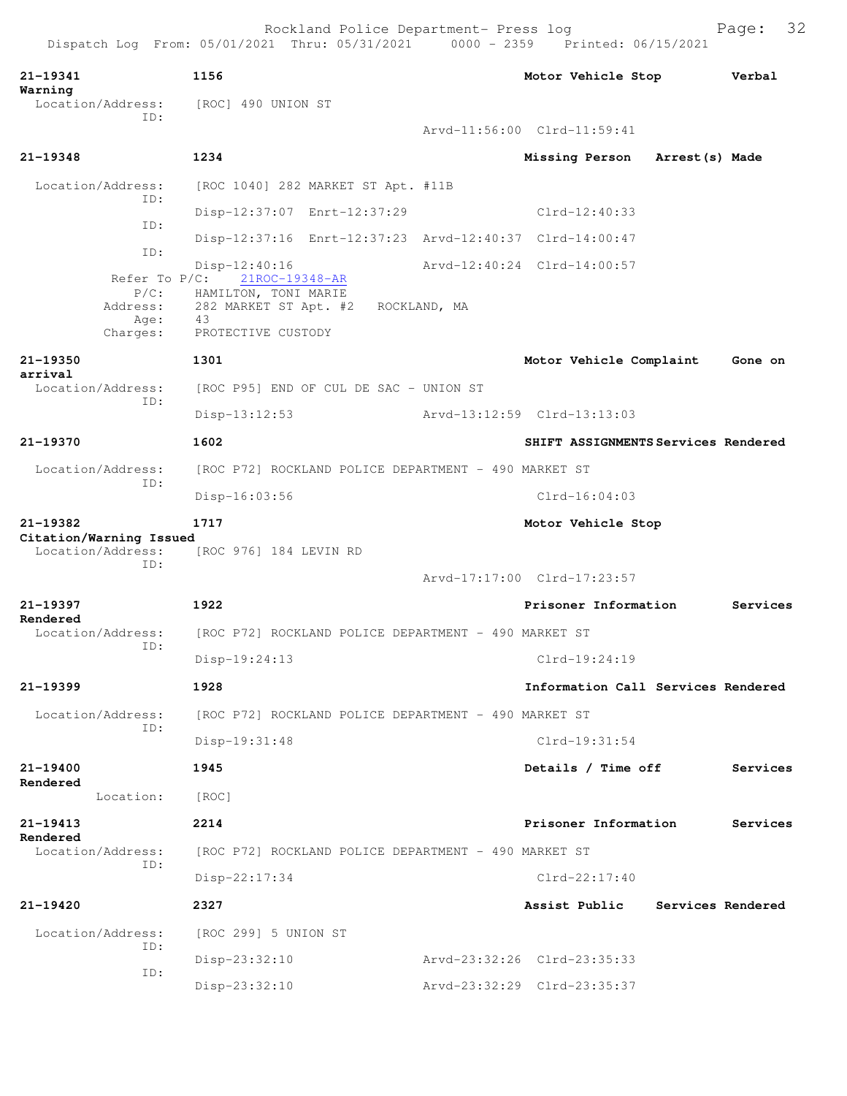| 21-19341                                     | 1156                                                       | Motor Vehicle Stop                  | Verbal            |
|----------------------------------------------|------------------------------------------------------------|-------------------------------------|-------------------|
| Warning<br>ID:                               | Location/Address: [ROC] 490 UNION ST                       |                                     |                   |
|                                              |                                                            | Arvd-11:56:00 Clrd-11:59:41         |                   |
| 21-19348                                     | 1234                                                       | Missing Person<br>Arrest(s) Made    |                   |
| Location/Address:<br>ID:                     | [ROC 1040] 282 MARKET ST Apt. #11B                         |                                     |                   |
| ID:                                          | Disp-12:37:07 Enrt-12:37:29                                | $Clrd-12:40:33$                     |                   |
| ID:                                          | Disp-12:37:16 Enrt-12:37:23 Arvd-12:40:37 Clrd-14:00:47    |                                     |                   |
| Refer To $P/C$ :                             | $Disp-12:40:16$<br>21ROC-19348-AR                          | Arvd-12:40:24 Clrd-14:00:57         |                   |
| $P/C$ :<br>Address:                          | HAMILTON, TONI MARIE<br>282 MARKET ST Apt. #2 ROCKLAND, MA |                                     |                   |
| Age:<br>Charges:                             | 43<br>PROTECTIVE CUSTODY                                   |                                     |                   |
| 21-19350<br>arrival                          | 1301                                                       | Motor Vehicle Complaint             | Gone on           |
| Location/Address:<br>ID:                     | [ROC P95] END OF CUL DE SAC - UNION ST                     |                                     |                   |
|                                              | $Disp-13:12:53$                                            | Arvd-13:12:59 Clrd-13:13:03         |                   |
| 21-19370                                     | 1602                                                       | SHIFT ASSIGNMENTS Services Rendered |                   |
| Location/Address:<br>ID:                     | [ROC P72] ROCKLAND POLICE DEPARTMENT - 490 MARKET ST       |                                     |                   |
|                                              | $Disp-16:03:56$                                            | $Clrd-16:04:03$                     |                   |
| 21-19382                                     | 1717                                                       | Motor Vehicle Stop                  |                   |
| Citation/Warning Issued<br>Location/Address: | [ROC 976] 184 LEVIN RD                                     |                                     |                   |
| ID:                                          |                                                            | Arvd-17:17:00 Clrd-17:23:57         |                   |
| 21-19397                                     | 1922                                                       | Prisoner Information                | Services          |
| Rendered<br>Location/Address:                | [ROC P72] ROCKLAND POLICE DEPARTMENT - 490 MARKET ST       |                                     |                   |
| ID:                                          | Disp-19:24:13                                              | $Clrd-19:24:19$                     |                   |
| 21-19399                                     | 1928                                                       | Information Call Services Rendered  |                   |
| Location/Address:                            | [ROC P72] ROCKLAND POLICE DEPARTMENT - 490 MARKET ST       |                                     |                   |
| ID:                                          | Disp-19:31:48                                              | Clrd-19:31:54                       |                   |
| $21 - 19400$                                 | 1945                                                       | Details / Time off                  | Services          |
| Rendered<br>Location:                        | [ROC]                                                      |                                     |                   |
| 21-19413                                     | 2214                                                       | Prisoner Information                | Services          |
| Rendered<br>Location/Address:                | [ROC P72] ROCKLAND POLICE DEPARTMENT - 490 MARKET ST       |                                     |                   |
| ID:                                          | $Disp-22:17:34$                                            | $Clrd-22:17:40$                     |                   |
| 21-19420                                     | 2327                                                       | Assist Public                       | Services Rendered |
| Location/Address:                            | [ROC 299] 5 UNION ST                                       |                                     |                   |
| ID:                                          | Disp-23:32:10                                              | Arvd-23:32:26 Clrd-23:35:33         |                   |
| ID:                                          | Disp-23:32:10                                              | Arvd-23:32:29 Clrd-23:35:37         |                   |
|                                              |                                                            |                                     |                   |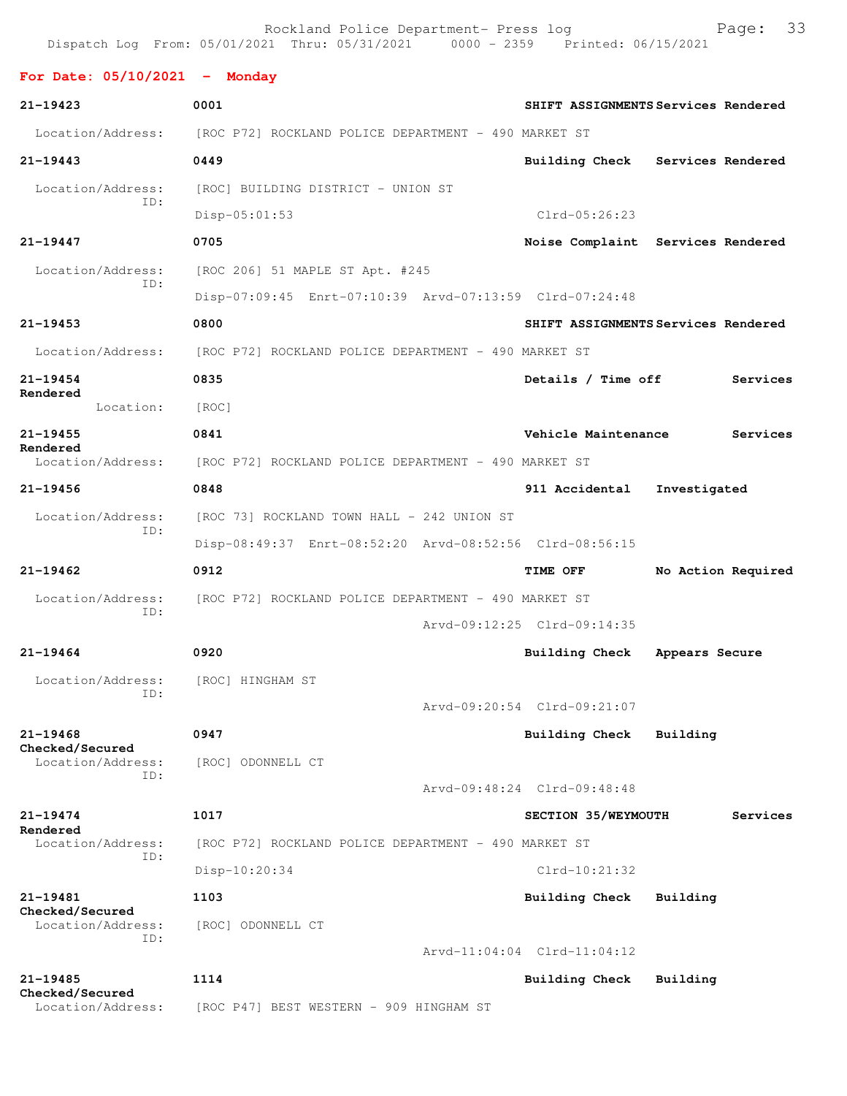|                                             | Rockland Police Department- Press log<br>Dispatch Log From: 05/01/2021 Thru: 05/31/2021 0000 - 2359 Printed: 06/15/2021 |                                                         |                                     |                    | Page:    | 33 |  |  |
|---------------------------------------------|-------------------------------------------------------------------------------------------------------------------------|---------------------------------------------------------|-------------------------------------|--------------------|----------|----|--|--|
| For Date: $05/10/2021$ - Monday             |                                                                                                                         |                                                         |                                     |                    |          |    |  |  |
| $21 - 19423$                                | 0001                                                                                                                    |                                                         | SHIFT ASSIGNMENTS Services Rendered |                    |          |    |  |  |
|                                             | Location/Address: [ROC P72] ROCKLAND POLICE DEPARTMENT - 490 MARKET ST                                                  |                                                         |                                     |                    |          |    |  |  |
| $21 - 19443$                                | 0449                                                                                                                    |                                                         | Building Check Services Rendered    |                    |          |    |  |  |
| Location/Address:                           | [ROC] BUILDING DISTRICT - UNION ST                                                                                      |                                                         |                                     |                    |          |    |  |  |
| ID:                                         | $Disp-05:01:53$                                                                                                         |                                                         | $Clrd-05:26:23$                     |                    |          |    |  |  |
| 21-19447                                    | 0705                                                                                                                    |                                                         | Noise Complaint Services Rendered   |                    |          |    |  |  |
| Location/Address:                           | [ROC 206] 51 MAPLE ST Apt. #245                                                                                         |                                                         |                                     |                    |          |    |  |  |
| ID:                                         |                                                                                                                         | Disp-07:09:45 Enrt-07:10:39 Arvd-07:13:59 Clrd-07:24:48 |                                     |                    |          |    |  |  |
| $21 - 19453$                                | 0800                                                                                                                    |                                                         | SHIFT ASSIGNMENTS Services Rendered |                    |          |    |  |  |
| Location/Address:                           | [ROC P72] ROCKLAND POLICE DEPARTMENT - 490 MARKET ST                                                                    |                                                         |                                     |                    |          |    |  |  |
| $21 - 19454$                                | 0835                                                                                                                    |                                                         | Details / Time off                  |                    | Services |    |  |  |
| Rendered<br>Location:                       | [ROC]                                                                                                                   |                                                         |                                     |                    |          |    |  |  |
| $21 - 19455$                                | 0841                                                                                                                    |                                                         | Vehicle Maintenance                 |                    | Services |    |  |  |
| Rendered<br>Location/Address:               | [ROC P72] ROCKLAND POLICE DEPARTMENT - 490 MARKET ST                                                                    |                                                         |                                     |                    |          |    |  |  |
| $21 - 19456$                                | 0848                                                                                                                    |                                                         | 911 Accidental                      | Investigated       |          |    |  |  |
| Location/Address:                           | [ROC 73] ROCKLAND TOWN HALL - 242 UNION ST                                                                              |                                                         |                                     |                    |          |    |  |  |
| ID:                                         | Disp-08:49:37 Enrt-08:52:20 Arvd-08:52:56 Clrd-08:56:15                                                                 |                                                         |                                     |                    |          |    |  |  |
| $21 - 19462$                                | 0912                                                                                                                    |                                                         | TIME OFF                            | No Action Required |          |    |  |  |
| Location/Address:                           | [ROC P72] ROCKLAND POLICE DEPARTMENT - 490 MARKET ST                                                                    |                                                         |                                     |                    |          |    |  |  |
| ID:                                         |                                                                                                                         |                                                         | Arvd-09:12:25 Clrd-09:14:35         |                    |          |    |  |  |
| $21 - 19464$                                | 0920                                                                                                                    |                                                         | <b>Building Check</b>               | Appears Secure     |          |    |  |  |
| Location/Address:                           | [ROC] HINGHAM ST                                                                                                        |                                                         |                                     |                    |          |    |  |  |
| ID:                                         |                                                                                                                         |                                                         | Arvd-09:20:54 Clrd-09:21:07         |                    |          |    |  |  |
| $21 - 19468$                                | 0947                                                                                                                    |                                                         | Building Check                      | Building           |          |    |  |  |
| Checked/Secured<br>Location/Address:<br>ID: | [ROC] ODONNELL CT                                                                                                       |                                                         |                                     |                    |          |    |  |  |
|                                             |                                                                                                                         |                                                         | Arvd-09:48:24 Clrd-09:48:48         |                    |          |    |  |  |
| $21 - 19474$<br>Rendered                    | 1017                                                                                                                    |                                                         | SECTION 35/WEYMOUTH                 |                    | Services |    |  |  |
| Location/Address:                           | [ROC P72] ROCKLAND POLICE DEPARTMENT - 490 MARKET ST                                                                    |                                                         |                                     |                    |          |    |  |  |
| ID:                                         | Disp-10:20:34                                                                                                           |                                                         | $Clrd-10:21:32$                     |                    |          |    |  |  |
| 21-19481<br>Checked/Secured                 | 1103                                                                                                                    |                                                         | Building Check                      | Building           |          |    |  |  |
| Location/Address:<br>ID:                    | [ROC] ODONNELL CT                                                                                                       |                                                         |                                     |                    |          |    |  |  |
|                                             |                                                                                                                         |                                                         | Arvd-11:04:04 Clrd-11:04:12         |                    |          |    |  |  |
| 21-19485                                    | 1114                                                                                                                    |                                                         | Building Check                      | Building           |          |    |  |  |
| Checked/Secured<br>Location/Address:        | [ROC P47] BEST WESTERN - 909 HINGHAM ST                                                                                 |                                                         |                                     |                    |          |    |  |  |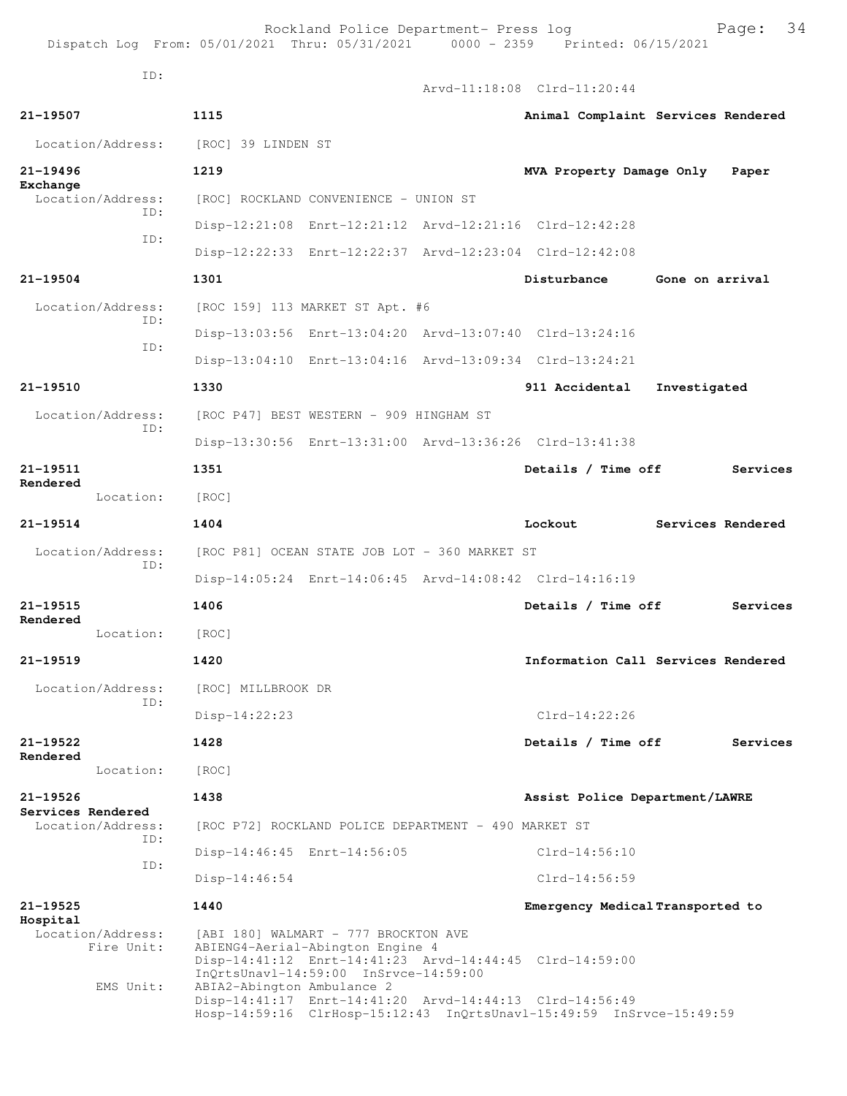Rockland Police Department- Press log Fage: 34<br>21 Thru: 05/31/2021 0000 - 2359 Printed: 06/15/2021 Dispatch Log From:  $05/01/2021$  Thru:  $05/31/2021$  0000 - 2359 ID:

Arvd-11:18:08 Clrd-11:20:44

**21-19507 1115 Animal Complaint Services Rendered** Location/Address: [ROC] 39 LINDEN ST **21-19496 1219 MVA Property Damage Only Paper Exchange**  Location/Address: [ROC] ROCKLAND CONVENIENCE - UNION ST ID: Disp-12:21:08 Enrt-12:21:12 Arvd-12:21:16 Clrd-12:42:28 ID: Disp-12:22:33 Enrt-12:22:37 Arvd-12:23:04 Clrd-12:42:08 **21-19504 1301 Disturbance Gone on arrival** Location/Address: [ROC 159] 113 MARKET ST Apt. #6 ID: Disp-13:03:56 Enrt-13:04:20 Arvd-13:07:40 Clrd-13:24:16 ID: Disp-13:04:10 Enrt-13:04:16 Arvd-13:09:34 Clrd-13:24:21 **21-19510 1330 911 Accidental Investigated** Location/Address: [ROC P47] BEST WESTERN - 909 HINGHAM ST ID: Disp-13:30:56 Enrt-13:31:00 Arvd-13:36:26 Clrd-13:41:38 **21-19511 1351 Details / Time off Services Rendered**  Location: [ROC] **21-19514 1404 Lockout Services Rendered** Location/Address: [ROC P81] OCEAN STATE JOB LOT - 360 MARKET ST ID: Disp-14:05:24 Enrt-14:06:45 Arvd-14:08:42 Clrd-14:16:19 **21-19515 1406 Details / Time off Services Rendered**  Location: [ROC] **21-19519 1420 Information Call Services Rendered** Location/Address: [ROC] MILLBROOK DR ID: Disp-14:22:23 Clrd-14:22:26 **21-19522 1428 Details / Time off Services Rendered**  Location: [ROC] **21-19526 1438 Assist Police Department/LAWRE Services Rendered**  Location/Address: [ROC P72] ROCKLAND POLICE DEPARTMENT - 490 MARKET ST ID: Disp-14:46:45 Enrt-14:56:05 Clrd-14:56:10 ID: Disp-14:46:54 Clrd-14:56:59 **21-19525 1440 Emergency Medical Transported to Hospital**  Location/Address: [ABI 180] WALMART - 777 BROCKTON AVE Fire Unit: ABIENG4-Aerial-Abington Engine 4 Disp-14:41:12 Enrt-14:41:23 Arvd-14:44:45 Clrd-14:59:00 InQrtsUnavl-14:59:00 InSrvce-14:59:00<br>EMS Unit: ABIA2-Abington Ambulance 2 ABIA2-Abington Ambulance 2 Disp-14:41:17 Enrt-14:41:20 Arvd-14:44:13 Clrd-14:56:49 Hosp-14:59:16 ClrHosp-15:12:43 InQrtsUnavl-15:49:59 InSrvce-15:49:59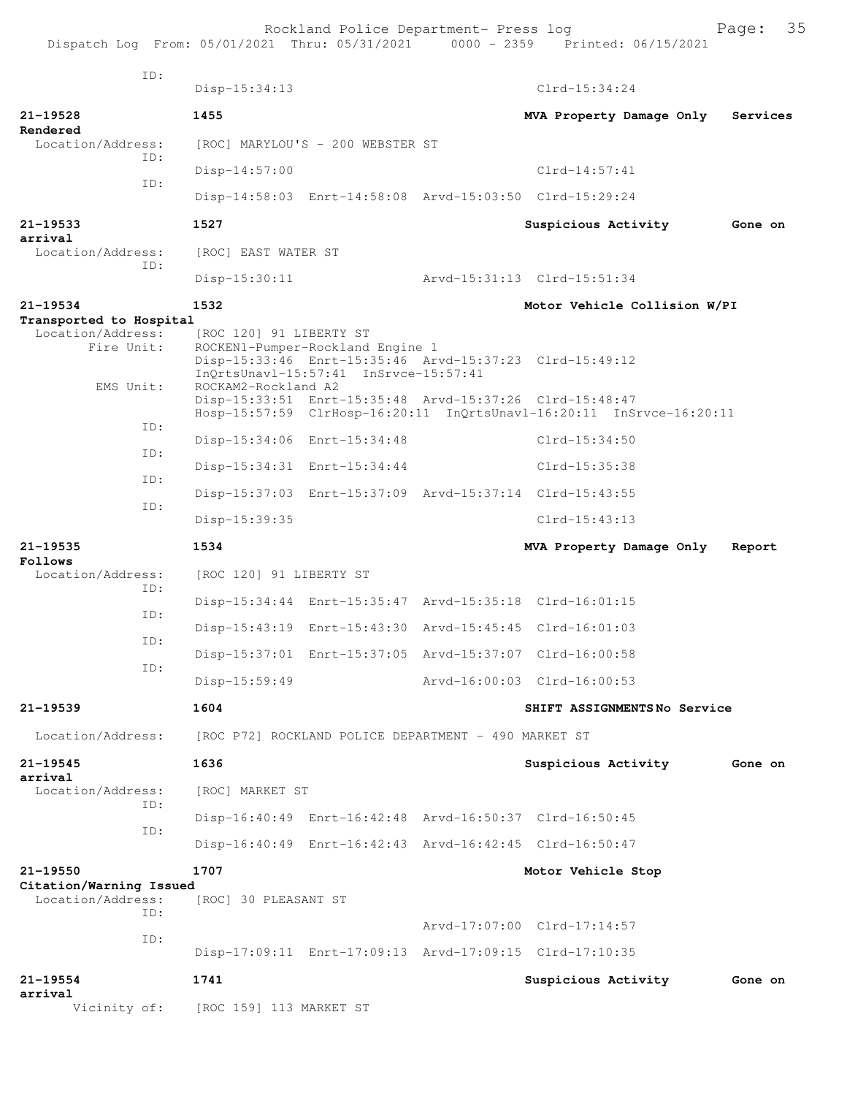|                                                            |                         | Rockland Police Department- Press log                                     | Dispatch Log From: 05/01/2021 Thru: 05/31/2021 0000 - 2359 Printed: 06/15/2021 | 35<br>Page: |
|------------------------------------------------------------|-------------------------|---------------------------------------------------------------------------|--------------------------------------------------------------------------------|-------------|
| TD:                                                        | $Disp-15:34:13$         |                                                                           | $Clrd-15:34:24$                                                                |             |
| $21 - 19528$                                               | 1455                    |                                                                           | MVA Property Damage Only                                                       | Services    |
| Rendered<br>Location/Address:                              |                         | [ROC] MARYLOU'S - 200 WEBSTER ST                                          |                                                                                |             |
| ID:                                                        | $Disp-14:57:00$         |                                                                           | $Clrd-14:57:41$                                                                |             |
| ID:                                                        |                         |                                                                           | Disp-14:58:03 Enrt-14:58:08 Arvd-15:03:50 Clrd-15:29:24                        |             |
| 21-19533<br>arrival                                        | 1527                    |                                                                           | Suspicious Activity                                                            | Gone on     |
| Location/Address:<br>ID:                                   | [ROC] EAST WATER ST     |                                                                           |                                                                                |             |
|                                                            | $Disp-15:30:11$         |                                                                           | Arvd-15:31:13 Clrd-15:51:34                                                    |             |
| $21 - 19534$                                               | 1532                    |                                                                           | Motor Vehicle Collision W/PI                                                   |             |
| Transported to Hospital<br>Location/Address:<br>Fire Unit: | [ROC 120] 91 LIBERTY ST | ROCKEN1-Pumper-Rockland Engine 1<br>InQrtsUnavl-15:57:41 InSrvce-15:57:41 | Disp-15:33:46 Enrt-15:35:46 Arvd-15:37:23 Clrd-15:49:12                        |             |
| EMS Unit:                                                  | ROCKAM2-Rockland A2     | Disp-15:33:51 Enrt-15:35:48 Arvd-15:37:26 Clrd-15:48:47                   | Hosp-15:57:59 ClrHosp-16:20:11 InQrtsUnavl-16:20:11 InSrvce-16:20:11           |             |
| ID:                                                        |                         | Disp-15:34:06 Enrt-15:34:48                                               | Clrd-15:34:50                                                                  |             |
| ID:                                                        |                         | Disp-15:34:31 Enrt-15:34:44                                               | Clrd-15:35:38                                                                  |             |
| ID:                                                        |                         | Disp-15:37:03 Enrt-15:37:09 Arvd-15:37:14 Clrd-15:43:55                   |                                                                                |             |
| ID:                                                        | Disp-15:39:35           |                                                                           | $Clrd-15:43:13$                                                                |             |
| $21 - 19535$<br>Follows                                    | 1534                    |                                                                           | MVA Property Damage Only                                                       | Report      |
| Location/Address:                                          | [ROC 120] 91 LIBERTY ST |                                                                           |                                                                                |             |
| ID:                                                        |                         | Disp-15:34:44 Enrt-15:35:47 Arvd-15:35:18 Clrd-16:01:15                   |                                                                                |             |
| ID:                                                        |                         | Disp-15:43:19 Enrt-15:43:30 Arvd-15:45:45 Clrd-16:01:03                   |                                                                                |             |
| ID:                                                        |                         | Disp-15:37:01 Enrt-15:37:05 Arvd-15:37:07 Clrd-16:00:58                   |                                                                                |             |
| ID:                                                        | $Disp-15:59:49$         |                                                                           | Arvd-16:00:03 Clrd-16:00:53                                                    |             |
| $21 - 19539$                                               | 1604                    |                                                                           | SHIFT ASSIGNMENTSNo Service                                                    |             |
| Location/Address:                                          |                         | [ROC P72] ROCKLAND POLICE DEPARTMENT - 490 MARKET ST                      |                                                                                |             |
| 21-19545                                                   | 1636                    |                                                                           | Suspicious Activity                                                            | Gone on     |
| arrival<br>Location/Address:<br>ID:                        | [ROC] MARKET ST         |                                                                           |                                                                                |             |
| ID:                                                        |                         |                                                                           | Disp-16:40:49 Enrt-16:42:48 Arvd-16:50:37 Clrd-16:50:45                        |             |
|                                                            |                         | Disp-16:40:49 Enrt-16:42:43 Arvd-16:42:45 Clrd-16:50:47                   |                                                                                |             |
| 21-19550<br>Citation/Warning Issued                        | 1707                    |                                                                           | Motor Vehicle Stop                                                             |             |
| Location/Address:<br>TD:                                   | [ROC] 30 PLEASANT ST    |                                                                           |                                                                                |             |
| ID:                                                        |                         |                                                                           | Arvd-17:07:00 Clrd-17:14:57                                                    |             |
|                                                            |                         | Disp-17:09:11 Enrt-17:09:13 Arvd-17:09:15 Clrd-17:10:35                   |                                                                                |             |
| $21 - 19554$<br>arrival                                    | 1741                    |                                                                           | Suspicious Activity                                                            | Gone on     |
| Vicinity of:                                               | [ROC 159] 113 MARKET ST |                                                                           |                                                                                |             |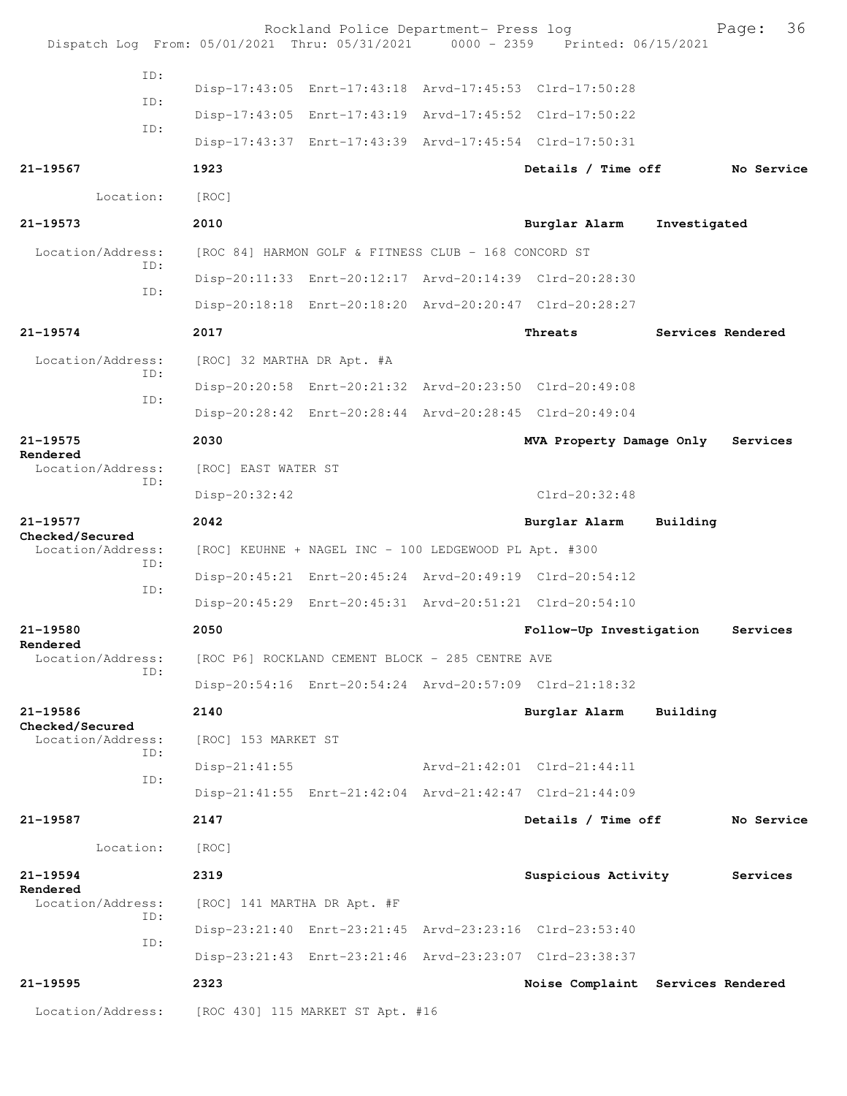| Dispatch Log From: 05/01/2021 Thru: 05/31/2021 0000 - 2359 Printed: 06/15/2021 |                             | Rockland Police Department- Press log                 |  |                                                         |              | 36<br>Page:       |  |  |
|--------------------------------------------------------------------------------|-----------------------------|-------------------------------------------------------|--|---------------------------------------------------------|--------------|-------------------|--|--|
| ID:                                                                            |                             |                                                       |  |                                                         |              |                   |  |  |
| ID:                                                                            |                             |                                                       |  | Disp-17:43:05 Enrt-17:43:18 Arvd-17:45:53 Clrd-17:50:28 |              |                   |  |  |
| ID:                                                                            |                             |                                                       |  | Disp-17:43:05 Enrt-17:43:19 Arvd-17:45:52 Clrd-17:50:22 |              |                   |  |  |
|                                                                                |                             |                                                       |  | Disp-17:43:37 Enrt-17:43:39 Arvd-17:45:54 Clrd-17:50:31 |              |                   |  |  |
| 21-19567                                                                       | 1923                        |                                                       |  | Details / Time off                                      |              | No Service        |  |  |
| Location:                                                                      | [ROC]                       |                                                       |  |                                                         |              |                   |  |  |
| 21-19573                                                                       | 2010                        |                                                       |  | Burglar Alarm                                           | Investigated |                   |  |  |
| Location/Address:<br>ID:                                                       |                             | [ROC 84] HARMON GOLF & FITNESS CLUB - 168 CONCORD ST  |  |                                                         |              |                   |  |  |
| ID:                                                                            |                             |                                                       |  | Disp-20:11:33 Enrt-20:12:17 Arvd-20:14:39 Clrd-20:28:30 |              |                   |  |  |
|                                                                                |                             |                                                       |  | Disp-20:18:18 Enrt-20:18:20 Arvd-20:20:47 Clrd-20:28:27 |              |                   |  |  |
| $21 - 19574$                                                                   | 2017                        |                                                       |  | Threats                                                 |              | Services Rendered |  |  |
| Location/Address:                                                              | [ROC] 32 MARTHA DR Apt. #A  |                                                       |  |                                                         |              |                   |  |  |
| ID:                                                                            |                             |                                                       |  | Disp-20:20:58 Enrt-20:21:32 Arvd-20:23:50 Clrd-20:49:08 |              |                   |  |  |
| ID:                                                                            |                             |                                                       |  | Disp-20:28:42 Enrt-20:28:44 Arvd-20:28:45 Clrd-20:49:04 |              |                   |  |  |
| 21-19575                                                                       | 2030                        |                                                       |  | MVA Property Damage Only                                |              | Services          |  |  |
| Rendered<br>Location/Address:                                                  | [ROC] EAST WATER ST         |                                                       |  |                                                         |              |                   |  |  |
| ID:                                                                            | Disp-20:32:42               |                                                       |  | Clrd-20:32:48                                           |              |                   |  |  |
| 21-19577                                                                       | 2042                        |                                                       |  | Burglar Alarm                                           | Building     |                   |  |  |
| Checked/Secured<br>Location/Address:                                           |                             | [ROC] KEUHNE + NAGEL INC - 100 LEDGEWOOD PL Apt. #300 |  |                                                         |              |                   |  |  |
| ID:                                                                            |                             |                                                       |  | Disp-20:45:21 Enrt-20:45:24 Arvd-20:49:19 Clrd-20:54:12 |              |                   |  |  |
| ID:                                                                            |                             |                                                       |  | Disp-20:45:29 Enrt-20:45:31 Arvd-20:51:21 Clrd-20:54:10 |              |                   |  |  |
| 21-19580                                                                       | 2050                        |                                                       |  | Follow-Up Investigation                                 |              | Services          |  |  |
| Rendered<br>Location/Address:                                                  |                             | [ROC P6] ROCKLAND CEMENT BLOCK - 285 CENTRE AVE       |  |                                                         |              |                   |  |  |
| ID:                                                                            |                             |                                                       |  | Disp-20:54:16 Enrt-20:54:24 Arvd-20:57:09 Clrd-21:18:32 |              |                   |  |  |
| 21-19586                                                                       | 2140                        |                                                       |  | Burglar Alarm                                           | Building     |                   |  |  |
| Checked/Secured<br>Location/Address:                                           | [ROC] 153 MARKET ST         |                                                       |  |                                                         |              |                   |  |  |
| ID:                                                                            | $Disp-21:41:55$             |                                                       |  | Arvd-21:42:01 Clrd-21:44:11                             |              |                   |  |  |
| ID:                                                                            |                             |                                                       |  | Disp-21:41:55 Enrt-21:42:04 Arvd-21:42:47 Clrd-21:44:09 |              |                   |  |  |
| 21-19587                                                                       | 2147                        |                                                       |  | Details / Time off                                      |              | No Service        |  |  |
| Location:                                                                      | [ROC]                       |                                                       |  |                                                         |              |                   |  |  |
| 21-19594                                                                       | 2319                        |                                                       |  | Suspicious Activity                                     |              | Services          |  |  |
| Rendered<br>Location/Address:                                                  | [ROC] 141 MARTHA DR Apt. #F |                                                       |  |                                                         |              |                   |  |  |
| ID:                                                                            |                             |                                                       |  | Disp-23:21:40 Enrt-23:21:45 Arvd-23:23:16 Clrd-23:53:40 |              |                   |  |  |
| ID:                                                                            |                             |                                                       |  | Disp-23:21:43 Enrt-23:21:46 Arvd-23:23:07 Clrd-23:38:37 |              |                   |  |  |
| 21-19595                                                                       | 2323                        |                                                       |  | Noise Complaint Services Rendered                       |              |                   |  |  |
| Location/Address:                                                              |                             | [ROC 430] 115 MARKET ST Apt. #16                      |  |                                                         |              |                   |  |  |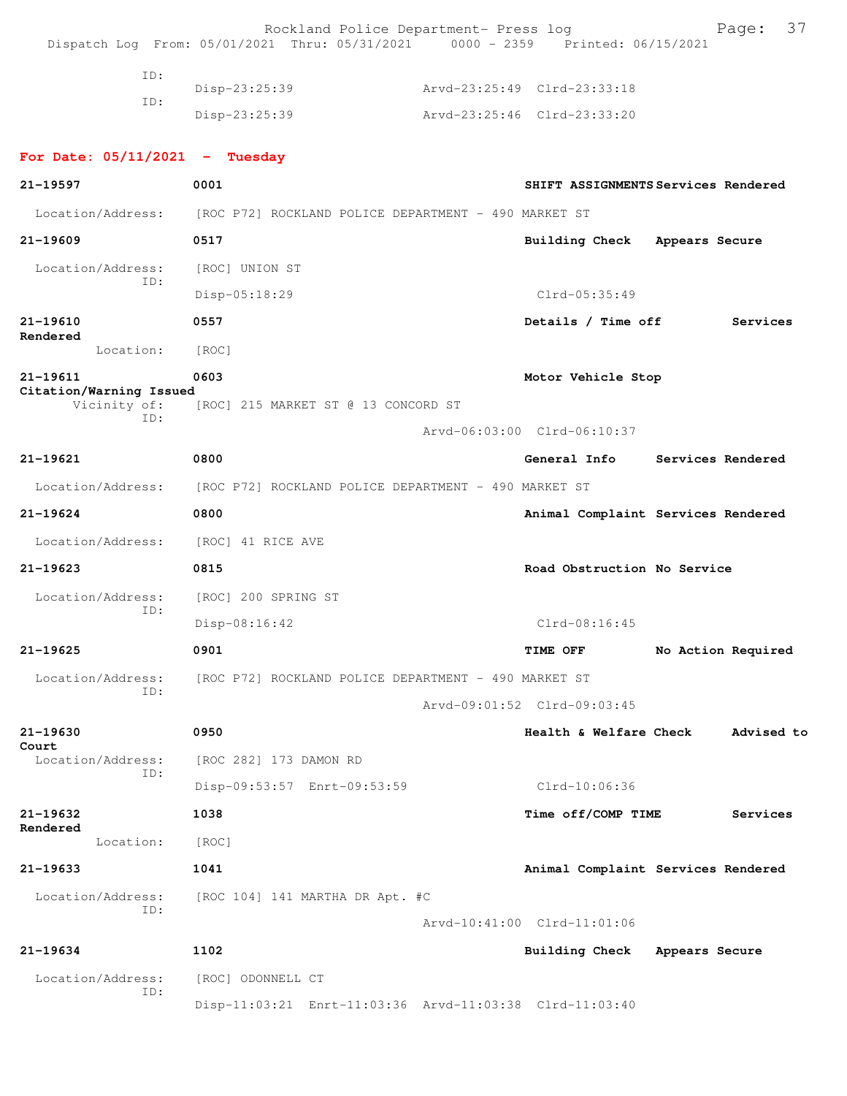|                                         | Rockland Police Department- Press log<br>Dispatch Log From: 05/01/2021 Thru: 05/31/2021 0000 - 2359 Printed: 06/15/2021 |                             | 37<br>Page:                         |
|-----------------------------------------|-------------------------------------------------------------------------------------------------------------------------|-----------------------------|-------------------------------------|
| ID:                                     |                                                                                                                         |                             |                                     |
| ID:                                     | Disp-23:25:39                                                                                                           | Arvd-23:25:49 Clrd-23:33:18 |                                     |
|                                         | $Disp-23:25:39$                                                                                                         | Arvd-23:25:46 Clrd-23:33:20 |                                     |
| For Date: $05/11/2021$ - Tuesday        |                                                                                                                         |                             |                                     |
| 21-19597                                | 0001                                                                                                                    |                             | SHIFT ASSIGNMENTS Services Rendered |
| Location/Address:                       | [ROC P72] ROCKLAND POLICE DEPARTMENT - 490 MARKET ST                                                                    |                             |                                     |
| $21 - 19609$                            | 0517                                                                                                                    | Building Check              | Appears Secure                      |
| Location/Address:                       | [ROC] UNION ST                                                                                                          |                             |                                     |
| ID:                                     | Disp-05:18:29                                                                                                           | Clrd-05:35:49               |                                     |
| $21 - 19610$                            | 0557                                                                                                                    | Details / Time off          | Services                            |
| Rendered<br>Location:                   | [ROC]                                                                                                                   |                             |                                     |
| 21-19611                                | 0603                                                                                                                    | Motor Vehicle Stop          |                                     |
| Citation/Warning Issued<br>Vicinity of: | [ROC] 215 MARKET ST @ 13 CONCORD ST                                                                                     |                             |                                     |
| ID:                                     |                                                                                                                         | Arvd-06:03:00 Clrd-06:10:37 |                                     |
| 21-19621                                | 0800                                                                                                                    | General Info                | Services Rendered                   |
| Location/Address:                       | [ROC P72] ROCKLAND POLICE DEPARTMENT - 490 MARKET ST                                                                    |                             |                                     |
| 21-19624                                | 0800                                                                                                                    |                             | Animal Complaint Services Rendered  |
| Location/Address:                       | [ROC] 41 RICE AVE                                                                                                       |                             |                                     |
| $21 - 19623$                            | 0815                                                                                                                    | Road Obstruction No Service |                                     |
| Location/Address:                       | [ROC] 200 SPRING ST                                                                                                     |                             |                                     |
| ID:                                     | $Disp-08:16:42$                                                                                                         | $Clrd-08:16:45$             |                                     |
| 21-19625                                | 0901                                                                                                                    | TIME OFF                    | No Action Required                  |
| Location/Address:                       | [ROC P72] ROCKLAND POLICE DEPARTMENT - 490 MARKET ST                                                                    |                             |                                     |
| ID:                                     |                                                                                                                         | Arvd-09:01:52 Clrd-09:03:45 |                                     |
| 21-19630                                | 0950                                                                                                                    | Health & Welfare Check      | Advised to                          |
| Court<br>Location/Address:              | [ROC 282] 173 DAMON RD                                                                                                  |                             |                                     |
| ID:                                     | Disp-09:53:57 Enrt-09:53:59                                                                                             | Clrd-10:06:36               |                                     |
| 21-19632                                | 1038                                                                                                                    | Time off/COMP TIME          | Services                            |
| Rendered<br>Location:                   | [ROC]                                                                                                                   |                             |                                     |
| 21-19633                                | 1041                                                                                                                    |                             | Animal Complaint Services Rendered  |
| Location/Address:                       | [ROC 104] 141 MARTHA DR Apt. #C                                                                                         |                             |                                     |
| ID:                                     |                                                                                                                         | Arvd-10:41:00 Clrd-11:01:06 |                                     |
| 21-19634                                | 1102                                                                                                                    | Building Check              | Appears Secure                      |
| Location/Address:                       | [ROC] ODONNELL CT                                                                                                       |                             |                                     |
| ID:                                     |                                                                                                                         |                             |                                     |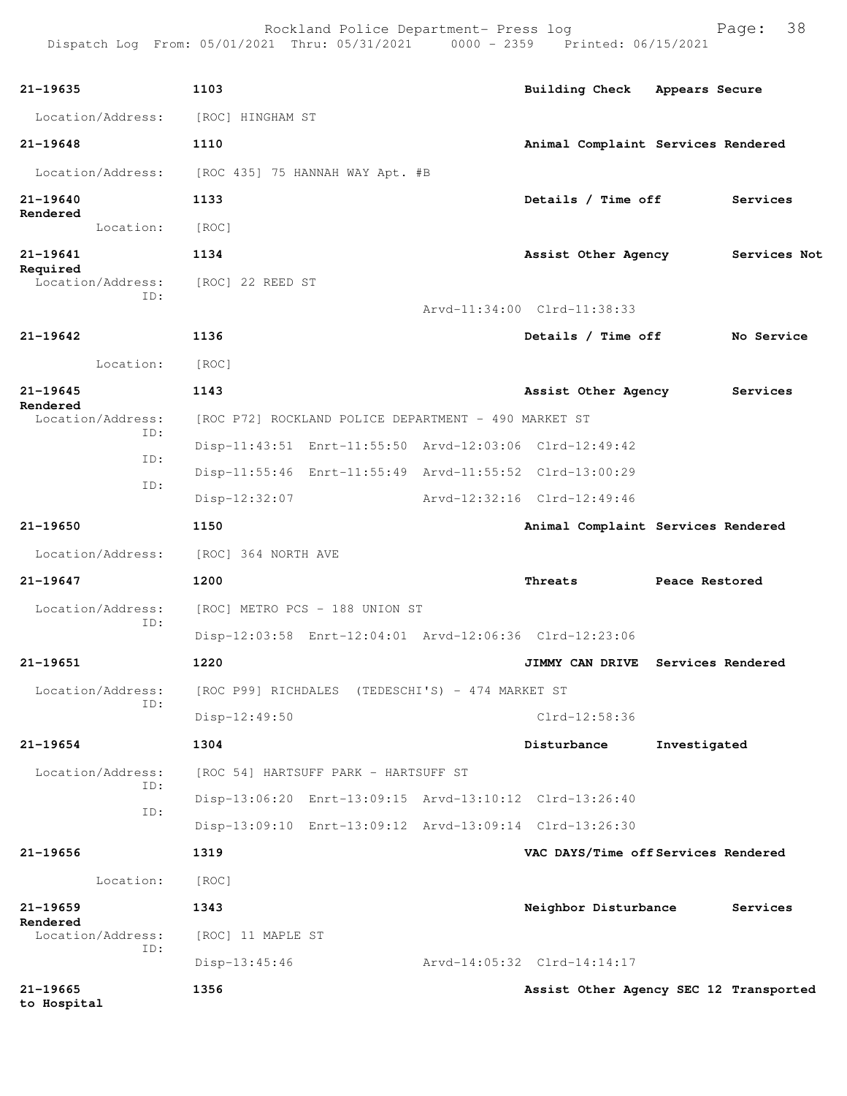| 21-19635                           |                                                                    |                                        |                |              |
|------------------------------------|--------------------------------------------------------------------|----------------------------------------|----------------|--------------|
|                                    | 1103                                                               | Building Check Appears Secure          |                |              |
| Location/Address: [ROC] HINGHAM ST |                                                                    |                                        |                |              |
| 21-19648                           | 1110                                                               | Animal Complaint Services Rendered     |                |              |
| Location/Address:                  | [ROC 435] 75 HANNAH WAY Apt. #B                                    |                                        |                |              |
| 21-19640<br>Rendered               | 1133                                                               | Details / Time off                     |                | Services     |
| Location:                          | [ROC]                                                              |                                        |                |              |
| 21-19641<br>Required               | 1134                                                               | Assist Other Agency                    |                | Services Not |
| Location/Address:<br>ID:           | [ROC] 22 REED ST                                                   |                                        |                |              |
|                                    |                                                                    | Arvd-11:34:00 Clrd-11:38:33            |                |              |
| 21-19642                           | 1136                                                               | Details / Time off                     |                | No Service   |
| Location:                          | [ROC]                                                              |                                        |                |              |
| 21-19645<br>Rendered               | 1143                                                               | Assist Other Agency                    |                | Services     |
| Location/Address:<br>ID:           | [ROC P72] ROCKLAND POLICE DEPARTMENT - 490 MARKET ST               |                                        |                |              |
| ID:                                | Disp-11:43:51 Enrt-11:55:50 Arvd-12:03:06 Clrd-12:49:42            |                                        |                |              |
| ID:                                | Disp-11:55:46 Enrt-11:55:49 Arvd-11:55:52 Clrd-13:00:29            |                                        |                |              |
|                                    | Disp-12:32:07                                                      | Arvd-12:32:16 Clrd-12:49:46            |                |              |
| 21-19650                           | 1150                                                               | Animal Complaint Services Rendered     |                |              |
| Location/Address:                  | [ROC] 364 NORTH AVE                                                |                                        |                |              |
| 21-19647                           | 1200                                                               | Threats                                | Peace Restored |              |
| Location/Address:                  | [ROC] METRO PCS - 188 UNION ST                                     |                                        |                |              |
| ID:                                | Disp-12:03:58 Enrt-12:04:01 Arvd-12:06:36 Clrd-12:23:06            |                                        |                |              |
| 21-19651                           | 1220                                                               | JIMMY CAN DRIVE Services Rendered      |                |              |
|                                    | Location/Address: [ROC P99] RICHDALES (TEDESCHI'S) - 474 MARKET ST |                                        |                |              |
| ID:                                | Disp-12:49:50                                                      | Clrd-12:58:36                          |                |              |
| 21-19654                           | 1304                                                               | Disturbance                            | Investigated   |              |
| Location/Address:                  | [ROC 54] HARTSUFF PARK - HARTSUFF ST                               |                                        |                |              |
| ID:                                | Disp-13:06:20 Enrt-13:09:15 Arvd-13:10:12 Clrd-13:26:40            |                                        |                |              |
| ID:                                | Disp-13:09:10 Enrt-13:09:12 Arvd-13:09:14 Clrd-13:26:30            |                                        |                |              |
| 21-19656                           | 1319                                                               | VAC DAYS/Time off Services Rendered    |                |              |
| Location:                          | [ROC]                                                              |                                        |                |              |
| 21-19659                           | 1343                                                               | Neighbor Disturbance                   |                | Services     |
| Rendered<br>Location/Address:      | [ROC] 11 MAPLE ST                                                  |                                        |                |              |
| ID:                                | $Disp-13:45:46$                                                    | Arvd-14:05:32 Clrd-14:14:17            |                |              |
| 21-19665<br>to Hospital            | 1356                                                               | Assist Other Agency SEC 12 Transported |                |              |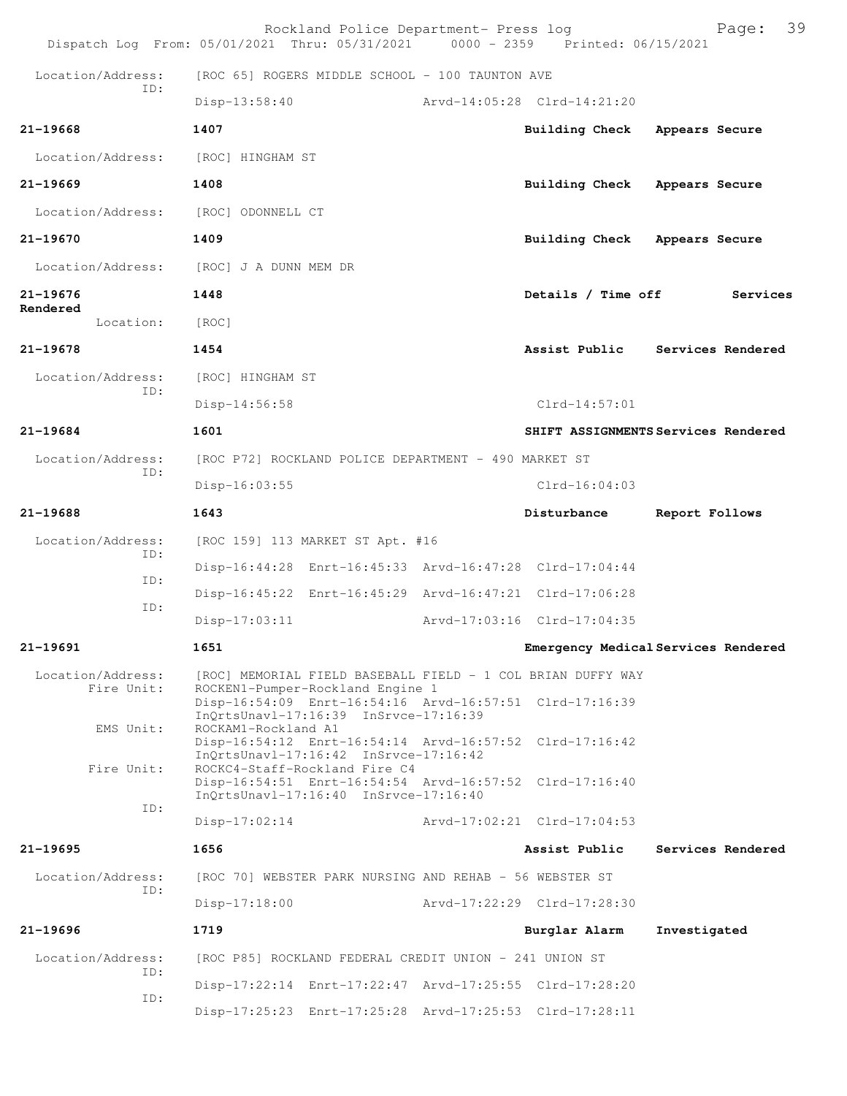|                                 | Rockland Police Department- Press log<br>Dispatch Log From: 05/01/2021 Thru: 05/31/2021 0000 - 2359 Printed: 06/15/2021           |                             | 39<br>Page:                         |
|---------------------------------|-----------------------------------------------------------------------------------------------------------------------------------|-----------------------------|-------------------------------------|
| Location/Address:<br>ID:        | [ROC 65] ROGERS MIDDLE SCHOOL - 100 TAUNTON AVE                                                                                   |                             |                                     |
|                                 | Disp-13:58:40                                                                                                                     | Arvd-14:05:28 Clrd-14:21:20 |                                     |
| $21 - 19668$                    | 1407                                                                                                                              | <b>Building Check</b>       | Appears Secure                      |
| Location/Address:               | [ROC] HINGHAM ST                                                                                                                  |                             |                                     |
| $21 - 19669$                    | 1408                                                                                                                              | <b>Building Check</b>       | Appears Secure                      |
| Location/Address:               | [ROC] ODONNELL CT                                                                                                                 |                             |                                     |
| $21 - 19670$                    | 1409                                                                                                                              | Building Check              | Appears Secure                      |
| Location/Address:               | [ROC] J A DUNN MEM DR                                                                                                             |                             |                                     |
| 21-19676                        | 1448                                                                                                                              | Details / Time off          | Services                            |
| Rendered<br>Location:           | [ROC]                                                                                                                             |                             |                                     |
| $21 - 19678$                    | 1454                                                                                                                              |                             | Assist Public Services Rendered     |
| Location/Address:<br>ID:        | [ROC] HINGHAM ST                                                                                                                  |                             |                                     |
|                                 | Disp-14:56:58                                                                                                                     | $Clrd-14:57:01$             |                                     |
| 21-19684                        | 1601                                                                                                                              |                             | SHIFT ASSIGNMENTS Services Rendered |
| Location/Address:<br>ID:        | [ROC P72] ROCKLAND POLICE DEPARTMENT - 490 MARKET ST                                                                              |                             |                                     |
|                                 | $Disp-16:03:55$                                                                                                                   | $Clrd-16:04:03$             |                                     |
| 21-19688                        | 1643                                                                                                                              | Disturbance                 | Report Follows                      |
| Location/Address:<br>ID:        | [ROC 159] 113 MARKET ST Apt. #16                                                                                                  |                             |                                     |
| ID:                             | Disp-16:44:28 Enrt-16:45:33 Arvd-16:47:28 Clrd-17:04:44                                                                           |                             |                                     |
| ID:                             | Disp-16:45:22 Enrt-16:45:29 Arvd-16:47:21 Clrd-17:06:28                                                                           |                             |                                     |
|                                 | $Disp-17:03:11$                                                                                                                   | Arvd-17:03:16 Clrd-17:04:35 |                                     |
| 21-19691                        | 1651                                                                                                                              |                             | Emergency Medical Services Rendered |
| Location/Address:<br>Fire Unit: | [ROC] MEMORIAL FIELD BASEBALL FIELD - 1 COL BRIAN DUFFY WAY<br>ROCKEN1-Pumper-Rockland Engine 1                                   |                             |                                     |
| EMS Unit:                       | Disp-16:54:09 Enrt-16:54:16 Arvd-16:57:51 Clrd-17:16:39<br>InQrtsUnavl-17:16:39 InSrvce-17:16:39<br>ROCKAM1-Rockland A1           |                             |                                     |
|                                 | Disp-16:54:12 Enrt-16:54:14 Arvd-16:57:52 Clrd-17:16:42<br>InQrtsUnavl-17:16:42 InSrvce-17:16:42                                  |                             |                                     |
| Fire Unit:                      | ROCKC4-Staff-Rockland Fire C4<br>Disp-16:54:51 Enrt-16:54:54 Arvd-16:57:52 Clrd-17:16:40<br>InOrtsUnav1-17:16:40 InSrvce-17:16:40 |                             |                                     |
| ID:                             | $Disp-17:02:14$                                                                                                                   | Arvd-17:02:21 Clrd-17:04:53 |                                     |
| $21 - 19695$                    | 1656                                                                                                                              | Assist Public               | Services Rendered                   |
| Location/Address:               | [ROC 70] WEBSTER PARK NURSING AND REHAB - 56 WEBSTER ST                                                                           |                             |                                     |
| ID:                             | Disp-17:18:00                                                                                                                     | Arvd-17:22:29 Clrd-17:28:30 |                                     |
| $21 - 19696$                    | 1719                                                                                                                              | Burglar Alarm               | Investigated                        |
| Location/Address:               | [ROC P85] ROCKLAND FEDERAL CREDIT UNION - 241 UNION ST                                                                            |                             |                                     |
| ID:                             | Disp-17:22:14 Enrt-17:22:47 Arvd-17:25:55 Clrd-17:28:20                                                                           |                             |                                     |
| ID:                             | Disp-17:25:23 Enrt-17:25:28 Arvd-17:25:53 Clrd-17:28:11                                                                           |                             |                                     |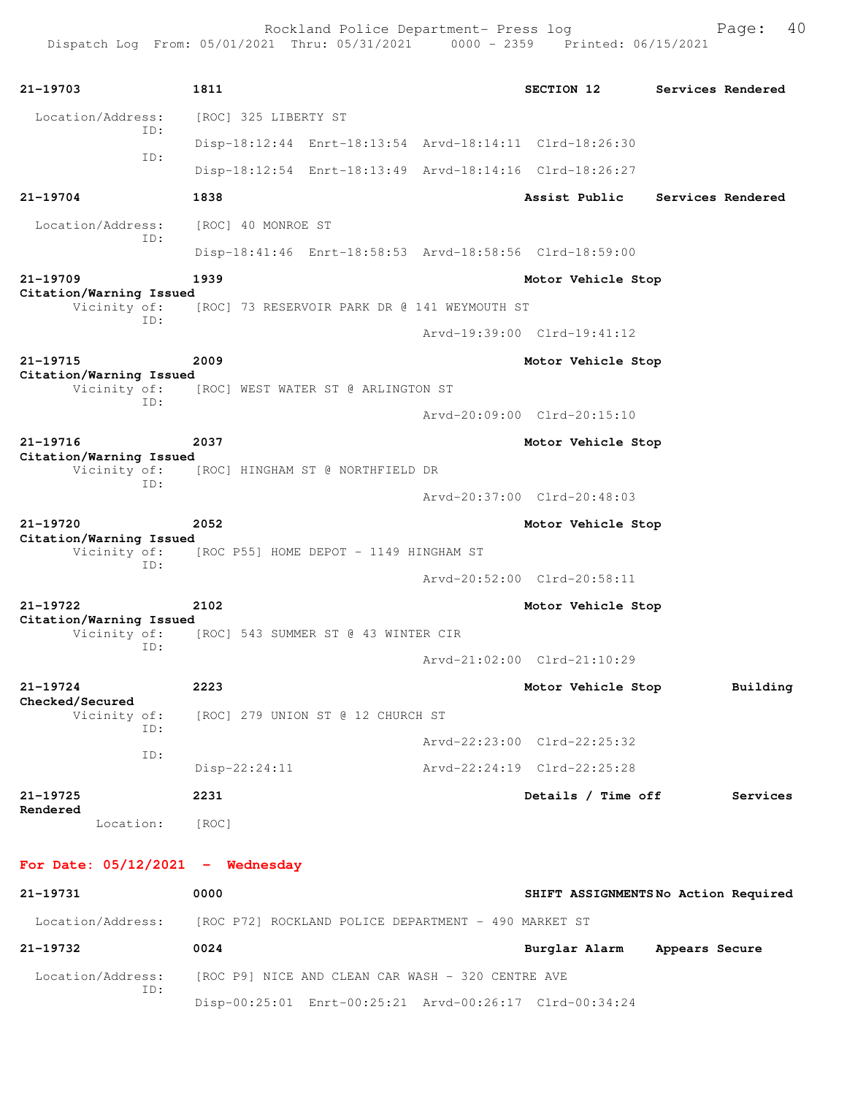| 21-19703                                | 1811                                   |                                              | SECTION 12                                              | Services Rendered |          |
|-----------------------------------------|----------------------------------------|----------------------------------------------|---------------------------------------------------------|-------------------|----------|
| Location/Address:                       | [ROC] 325 LIBERTY ST                   |                                              |                                                         |                   |          |
| ID:                                     |                                        |                                              | Disp-18:12:44 Enrt-18:13:54 Arvd-18:14:11 Clrd-18:26:30 |                   |          |
| ID:                                     |                                        |                                              | Disp-18:12:54 Enrt-18:13:49 Arvd-18:14:16 Clrd-18:26:27 |                   |          |
| 21-19704                                | 1838                                   |                                              | Assist Public                                           | Services Rendered |          |
| Location/Address:<br>ID:                | [ROC] 40 MONROE ST                     |                                              |                                                         |                   |          |
|                                         |                                        |                                              | Disp-18:41:46 Enrt-18:58:53 Arvd-18:58:56 Clrd-18:59:00 |                   |          |
| 21-19709                                | 1939                                   |                                              | Motor Vehicle Stop                                      |                   |          |
| Citation/Warning Issued<br>Vicinity of: |                                        | [ROC] 73 RESERVOIR PARK DR @ 141 WEYMOUTH ST |                                                         |                   |          |
| ID:                                     |                                        |                                              | Arvd-19:39:00 Clrd-19:41:12                             |                   |          |
| 21-19715                                | 2009                                   |                                              | Motor Vehicle Stop                                      |                   |          |
| Citation/Warning Issued<br>Vicinity of: | [ROC] WEST WATER ST @ ARLINGTON ST     |                                              |                                                         |                   |          |
| ID:                                     |                                        |                                              | Arvd-20:09:00 Clrd-20:15:10                             |                   |          |
| 21-19716                                | 2037                                   |                                              | Motor Vehicle Stop                                      |                   |          |
| Citation/Warning Issued<br>Vicinity of: | [ROC] HINGHAM ST @ NORTHFIELD DR       |                                              |                                                         |                   |          |
| ID:                                     |                                        |                                              | Arvd-20:37:00 Clrd-20:48:03                             |                   |          |
| 21-19720                                | 2052                                   |                                              | Motor Vehicle Stop                                      |                   |          |
| Citation/Warning Issued<br>Vicinity of: | [ROC P55] HOME DEPOT - 1149 HINGHAM ST |                                              |                                                         |                   |          |
| ID:                                     |                                        |                                              | Arvd-20:52:00 Clrd-20:58:11                             |                   |          |
| 21-19722                                | 2102                                   |                                              | Motor Vehicle Stop                                      |                   |          |
| Citation/Warning Issued<br>Vicinity of: | [ROC] 543 SUMMER ST @ 43 WINTER CIR    |                                              |                                                         |                   |          |
| ID:                                     |                                        |                                              | Arvd-21:02:00 Clrd-21:10:29                             |                   |          |
| $21 - 19724$                            | 2223                                   |                                              | Motor Vehicle Stop                                      |                   | Building |
| Checked/Secured<br>Vicinity of:         | [ROC] 279 UNION ST @ 12 CHURCH ST      |                                              |                                                         |                   |          |
| ID:                                     |                                        |                                              | Arvd-22:23:00 Clrd-22:25:32                             |                   |          |
| ID:                                     | $Disp-22:24:11$                        |                                              | Arvd-22:24:19 Clrd-22:25:28                             |                   |          |
| 21-19725                                | 2231                                   |                                              | Details / Time off                                      |                   | Services |
| Rendered<br>Location:                   | [ROC]                                  |                                              |                                                         |                   |          |
|                                         |                                        |                                              |                                                         |                   |          |
| For Date: $05/12/2021$ - Wednesday      |                                        |                                              |                                                         |                   |          |
| 21-19731                                | 0000                                   |                                              | SHIFT ASSIGNMENTSNo Action Required                     |                   |          |

 Location/Address: [ROC P72] ROCKLAND POLICE DEPARTMENT - 490 MARKET ST **21-19732 0024 Burglar Alarm Appears Secure** Location/Address: [ROC P9] NICE AND CLEAN CAR WASH - 320 CENTRE AVE ID: Disp-00:25:01 Enrt-00:25:21 Arvd-00:26:17 Clrd-00:34:24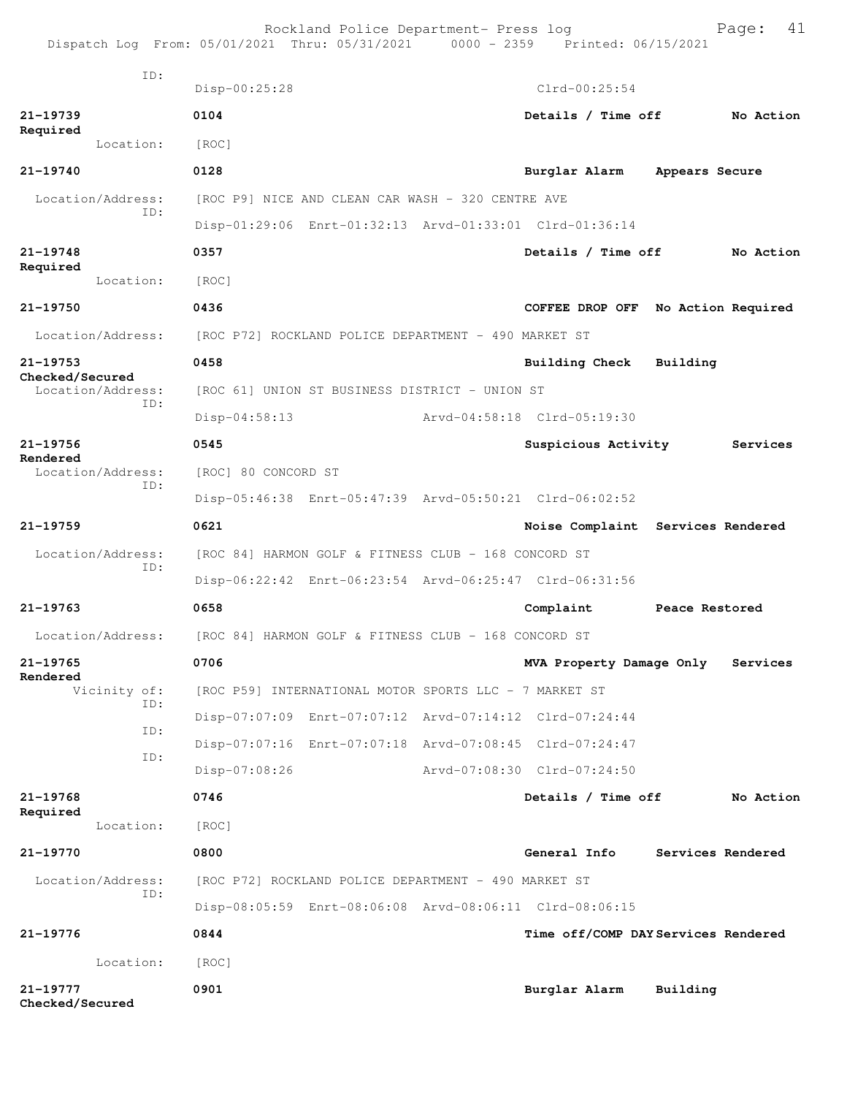|                                      | Rockland Police Department- Press log<br>Dispatch Log From: 05/01/2021 Thru: 05/31/2021 0000 - 2359 Printed: 06/15/2021 |                              | 41<br>Page:                         |
|--------------------------------------|-------------------------------------------------------------------------------------------------------------------------|------------------------------|-------------------------------------|
| ID:                                  | Disp-00:25:28                                                                                                           | $Clrd-00:25:54$              |                                     |
| 21-19739                             | 0104                                                                                                                    | Details / Time off           | No Action                           |
| Required<br>Location:                | [ROC]                                                                                                                   |                              |                                     |
| $21 - 19740$                         | 0128                                                                                                                    | Burglar Alarm Appears Secure |                                     |
| Location/Address:                    | [ROC P9] NICE AND CLEAN CAR WASH - 320 CENTRE AVE                                                                       |                              |                                     |
| ID:                                  | Disp-01:29:06 Enrt-01:32:13 Arvd-01:33:01 Clrd-01:36:14                                                                 |                              |                                     |
| $21 - 19748$                         | 0357                                                                                                                    | Details / Time off           | No Action                           |
| Required<br>Location:                | [ROC]                                                                                                                   |                              |                                     |
| 21-19750                             | 0436                                                                                                                    | COFFEE DROP OFF              | No Action Required                  |
| Location/Address:                    | [ROC P72] ROCKLAND POLICE DEPARTMENT - 490 MARKET ST                                                                    |                              |                                     |
| 21-19753                             | 0458                                                                                                                    | <b>Building Check</b>        | Building                            |
| Checked/Secured<br>Location/Address: | [ROC 61] UNION ST BUSINESS DISTRICT - UNION ST                                                                          |                              |                                     |
| TD:                                  | Arvd-04:58:18 Clrd-05:19:30<br>$Disp-04:58:13$                                                                          |                              |                                     |
| 21-19756                             | 0545                                                                                                                    | Suspicious Activity          | Services                            |
| Rendered<br>Location/Address:        | [ROC] 80 CONCORD ST                                                                                                     |                              |                                     |
| ID:                                  | Disp-05:46:38 Enrt-05:47:39 Arvd-05:50:21 Clrd-06:02:52                                                                 |                              |                                     |
| $21 - 19759$                         | 0621                                                                                                                    |                              | Noise Complaint Services Rendered   |
| Location/Address:<br>ID:             | [ROC 84] HARMON GOLF & FITNESS CLUB - 168 CONCORD ST                                                                    |                              |                                     |
|                                      | Disp-06:22:42 Enrt-06:23:54 Arvd-06:25:47 Clrd-06:31:56                                                                 |                              |                                     |
| 21-19763                             | 0658                                                                                                                    | Complaint                    | Peace Restored                      |
|                                      | Location/Address: [ROC 84] HARMON GOLF & FITNESS CLUB - 168 CONCORD ST                                                  |                              |                                     |
| 21-19765<br>Rendered                 | 0706                                                                                                                    | MVA Property Damage Only     | Services                            |
| Vicinity of:<br>ID:                  | [ROC P59] INTERNATIONAL MOTOR SPORTS LLC - 7 MARKET ST                                                                  |                              |                                     |
| ID:                                  | Disp-07:07:09 Enrt-07:07:12 Arvd-07:14:12 Clrd-07:24:44                                                                 |                              |                                     |
| ID:                                  | Disp-07:07:16 Enrt-07:07:18 Arvd-07:08:45 Clrd-07:24:47                                                                 |                              |                                     |
|                                      | Disp-07:08:26                                                                                                           | Arvd-07:08:30 Clrd-07:24:50  |                                     |
| 21-19768<br>Required                 | 0746                                                                                                                    | Details / Time off           | No Action                           |
| Location:                            | [ROC]                                                                                                                   |                              |                                     |
| 21-19770                             | 0800                                                                                                                    | General Info                 | Services Rendered                   |
| Location/Address:<br>ID:             | [ROC P72] ROCKLAND POLICE DEPARTMENT - 490 MARKET ST                                                                    |                              |                                     |
|                                      | Disp-08:05:59 Enrt-08:06:08 Arvd-08:06:11 Clrd-08:06:15                                                                 |                              |                                     |
| 21-19776                             | 0844                                                                                                                    |                              | Time off/COMP DAY Services Rendered |
| Location:                            | [ROC]                                                                                                                   |                              |                                     |
| 21-19777<br>Checked/Secured          | 0901                                                                                                                    | Burglar Alarm                | Building                            |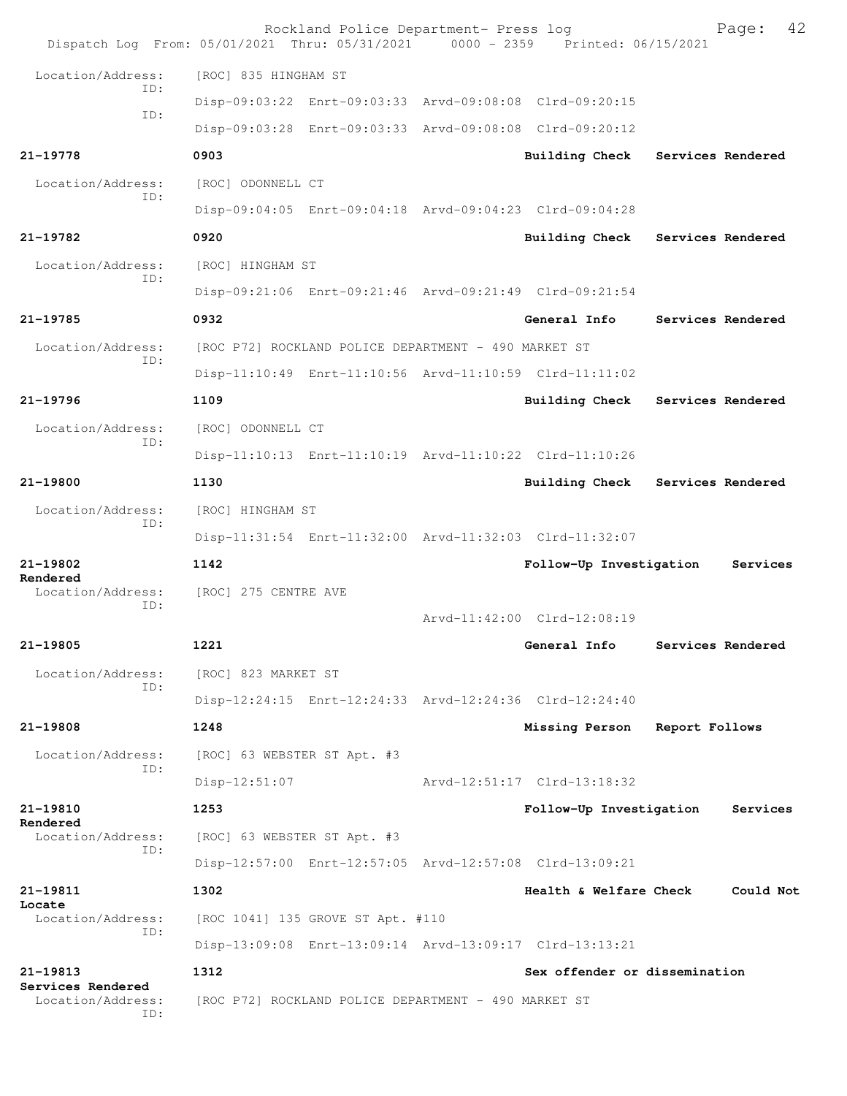| Dispatch Log From: 05/01/2021 Thru: 05/31/2021 0000 - 2359 Printed: 06/15/2021 |                             | Rockland Police Department- Press log                |                                                         |                   | Page:             | 42 |
|--------------------------------------------------------------------------------|-----------------------------|------------------------------------------------------|---------------------------------------------------------|-------------------|-------------------|----|
| Location/Address:                                                              | [ROC] 835 HINGHAM ST        |                                                      |                                                         |                   |                   |    |
| ID:                                                                            |                             |                                                      | Disp-09:03:22 Enrt-09:03:33 Arvd-09:08:08 Clrd-09:20:15 |                   |                   |    |
| ID:                                                                            |                             |                                                      | Disp-09:03:28 Enrt-09:03:33 Arvd-09:08:08 Clrd-09:20:12 |                   |                   |    |
| 21-19778                                                                       | 0903                        |                                                      | <b>Building Check</b>                                   | Services Rendered |                   |    |
| Location/Address:                                                              | [ROC] ODONNELL CT           |                                                      |                                                         |                   |                   |    |
| ID:                                                                            |                             |                                                      | Disp-09:04:05 Enrt-09:04:18 Arvd-09:04:23 Clrd-09:04:28 |                   |                   |    |
| 21-19782                                                                       | 0920                        |                                                      | <b>Building Check</b>                                   | Services Rendered |                   |    |
| Location/Address:<br>ID:                                                       | [ROC] HINGHAM ST            |                                                      |                                                         |                   |                   |    |
|                                                                                |                             |                                                      | Disp-09:21:06 Enrt-09:21:46 Arvd-09:21:49 Clrd-09:21:54 |                   |                   |    |
| 21-19785                                                                       | 0932                        |                                                      | General Info                                            |                   | Services Rendered |    |
| Location/Address:<br>ID:                                                       |                             | [ROC P72] ROCKLAND POLICE DEPARTMENT - 490 MARKET ST |                                                         |                   |                   |    |
|                                                                                |                             |                                                      | Disp-11:10:49 Enrt-11:10:56 Arvd-11:10:59 Clrd-11:11:02 |                   |                   |    |
| 21-19796                                                                       | 1109                        |                                                      | Building Check Services Rendered                        |                   |                   |    |
| Location/Address:<br>ID:                                                       | [ROC] ODONNELL CT           |                                                      |                                                         |                   |                   |    |
|                                                                                |                             |                                                      | Disp-11:10:13 Enrt-11:10:19 Arvd-11:10:22 Clrd-11:10:26 |                   |                   |    |
| 21-19800                                                                       | 1130                        |                                                      | Building Check Services Rendered                        |                   |                   |    |
| Location/Address:<br>ID:                                                       | [ROC] HINGHAM ST            |                                                      |                                                         |                   |                   |    |
|                                                                                |                             |                                                      | Disp-11:31:54 Enrt-11:32:00 Arvd-11:32:03 Clrd-11:32:07 |                   |                   |    |
| 21-19802<br>Rendered                                                           | 1142                        |                                                      | Follow-Up Investigation                                 |                   | Services          |    |
| Location/Address:<br>ID:                                                       | [ROC] 275 CENTRE AVE        |                                                      |                                                         |                   |                   |    |
|                                                                                |                             |                                                      | Arvd-11:42:00 Clrd-12:08:19                             |                   |                   |    |
| 21-19805                                                                       | 1221                        |                                                      | General Info                                            |                   | Services Rendered |    |
| Location/Address:<br>ID:                                                       | [ROC] 823 MARKET ST         |                                                      |                                                         |                   |                   |    |
|                                                                                |                             |                                                      | Disp-12:24:15 Enrt-12:24:33 Arvd-12:24:36 Clrd-12:24:40 |                   |                   |    |
| 21-19808                                                                       | 1248                        |                                                      | Missing Person                                          | Report Follows    |                   |    |
| Location/Address:<br>ID:                                                       | [ROC] 63 WEBSTER ST Apt. #3 |                                                      |                                                         |                   |                   |    |
|                                                                                | Disp-12:51:07               |                                                      | Arvd-12:51:17 Clrd-13:18:32                             |                   |                   |    |
| 21-19810<br>Rendered                                                           | 1253                        |                                                      | Follow-Up Investigation                                 |                   | Services          |    |
| Location/Address:<br>ID:                                                       | [ROC] 63 WEBSTER ST Apt. #3 |                                                      |                                                         |                   |                   |    |
|                                                                                |                             |                                                      | Disp-12:57:00 Enrt-12:57:05 Arvd-12:57:08 Clrd-13:09:21 |                   |                   |    |
| 21-19811<br>Locate                                                             | 1302                        |                                                      | Health & Welfare Check                                  |                   | Could Not         |    |
| Location/Address:<br>ID:                                                       |                             | [ROC 1041] 135 GROVE ST Apt. #110                    |                                                         |                   |                   |    |
|                                                                                |                             |                                                      | Disp-13:09:08 Enrt-13:09:14 Arvd-13:09:17 Clrd-13:13:21 |                   |                   |    |
| 21-19813<br>Services Rendered                                                  | 1312                        |                                                      | Sex offender or dissemination                           |                   |                   |    |
| Location/Address:<br>ID:                                                       |                             | [ROC P72] ROCKLAND POLICE DEPARTMENT - 490 MARKET ST |                                                         |                   |                   |    |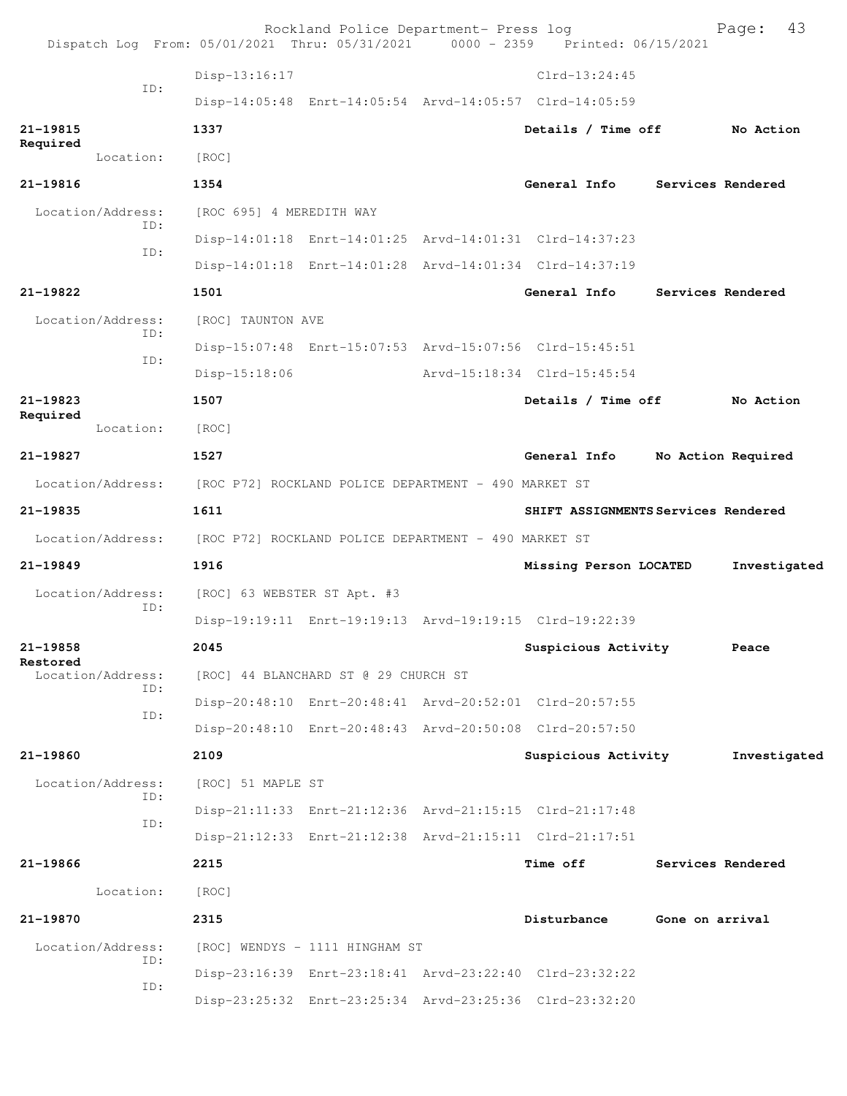| Dispatch Log From: 05/01/2021 Thru: 05/31/2021 0000 - 2359 Printed: 06/15/2021 |                                                      | Rockland Police Department- Press log |                                                         |                 | 43<br>Page:        |
|--------------------------------------------------------------------------------|------------------------------------------------------|---------------------------------------|---------------------------------------------------------|-----------------|--------------------|
|                                                                                | Disp-13:16:17                                        |                                       | $Clrd-13:24:45$                                         |                 |                    |
| ID:                                                                            |                                                      |                                       | Disp-14:05:48 Enrt-14:05:54 Arvd-14:05:57 Clrd-14:05:59 |                 |                    |
| 21-19815                                                                       | 1337                                                 |                                       | Details / Time off                                      |                 | No Action          |
| Required<br>Location:                                                          | [ROC]                                                |                                       |                                                         |                 |                    |
| 21-19816                                                                       | 1354                                                 |                                       | General Info                                            |                 | Services Rendered  |
| Location/Address:                                                              | [ROC 695] 4 MEREDITH WAY                             |                                       |                                                         |                 |                    |
| ID:                                                                            |                                                      |                                       | Disp-14:01:18 Enrt-14:01:25 Arvd-14:01:31 Clrd-14:37:23 |                 |                    |
| ID:                                                                            |                                                      |                                       | Disp-14:01:18 Enrt-14:01:28 Arvd-14:01:34 Clrd-14:37:19 |                 |                    |
| 21-19822                                                                       | 1501                                                 |                                       | General Info                                            |                 | Services Rendered  |
| Location/Address:                                                              | [ROC] TAUNTON AVE                                    |                                       |                                                         |                 |                    |
| ID:                                                                            |                                                      |                                       | Disp-15:07:48 Enrt-15:07:53 Arvd-15:07:56 Clrd-15:45:51 |                 |                    |
| ID:                                                                            | $Disp-15:18:06$                                      |                                       | Arvd-15:18:34 Clrd-15:45:54                             |                 |                    |
| $21 - 19823$                                                                   | 1507                                                 |                                       | Details / Time off                                      |                 | No Action          |
| Required<br>Location:                                                          | [ROC]                                                |                                       |                                                         |                 |                    |
| 21-19827                                                                       | 1527                                                 |                                       | General Info                                            |                 | No Action Required |
| Location/Address: [ROC P72] ROCKLAND POLICE DEPARTMENT - 490 MARKET ST         |                                                      |                                       |                                                         |                 |                    |
| 21-19835                                                                       | 1611                                                 |                                       | SHIFT ASSIGNMENTS Services Rendered                     |                 |                    |
| Location/Address:                                                              | [ROC P72] ROCKLAND POLICE DEPARTMENT - 490 MARKET ST |                                       |                                                         |                 |                    |
| $21 - 19849$                                                                   | 1916                                                 |                                       | Missing Person LOCATED                                  |                 | Investigated       |
| Location/Address:                                                              | [ROC] 63 WEBSTER ST Apt. #3                          |                                       |                                                         |                 |                    |
| ID:                                                                            |                                                      |                                       | Disp-19:19:11 Enrt-19:19:13 Arvd-19:19:15 Clrd-19:22:39 |                 |                    |
| 21-19858                                                                       | 2045                                                 |                                       | Suspicious Activity                                     |                 | Peace              |
| Restored<br>Location/Address:                                                  |                                                      | [ROC] 44 BLANCHARD ST @ 29 CHURCH ST  |                                                         |                 |                    |
| ID:                                                                            |                                                      |                                       | Disp-20:48:10 Enrt-20:48:41 Arvd-20:52:01 Clrd-20:57:55 |                 |                    |
| ID:                                                                            |                                                      |                                       | Disp-20:48:10 Enrt-20:48:43 Arvd-20:50:08 Clrd-20:57:50 |                 |                    |
| $21 - 19860$                                                                   | 2109                                                 |                                       | Suspicious Activity                                     |                 | Investigated       |
| Location/Address:                                                              | [ROC] 51 MAPLE ST                                    |                                       |                                                         |                 |                    |
| ID:                                                                            |                                                      |                                       | Disp-21:11:33 Enrt-21:12:36 Arvd-21:15:15 Clrd-21:17:48 |                 |                    |
| ID:                                                                            |                                                      |                                       | Disp-21:12:33 Enrt-21:12:38 Arvd-21:15:11 Clrd-21:17:51 |                 |                    |
| 21-19866                                                                       | 2215                                                 |                                       | <b>Time off</b>                                         |                 | Services Rendered  |
| Location:                                                                      | [ROC]                                                |                                       |                                                         |                 |                    |
| 21-19870                                                                       | 2315                                                 |                                       | Disturbance                                             | Gone on arrival |                    |
| Location/Address:                                                              |                                                      | [ROC] WENDYS - 1111 HINGHAM ST        |                                                         |                 |                    |
| ID:                                                                            |                                                      |                                       | Disp-23:16:39 Enrt-23:18:41 Arvd-23:22:40 Clrd-23:32:22 |                 |                    |
| ID:                                                                            |                                                      |                                       | Disp-23:25:32 Enrt-23:25:34 Arvd-23:25:36 Clrd-23:32:20 |                 |                    |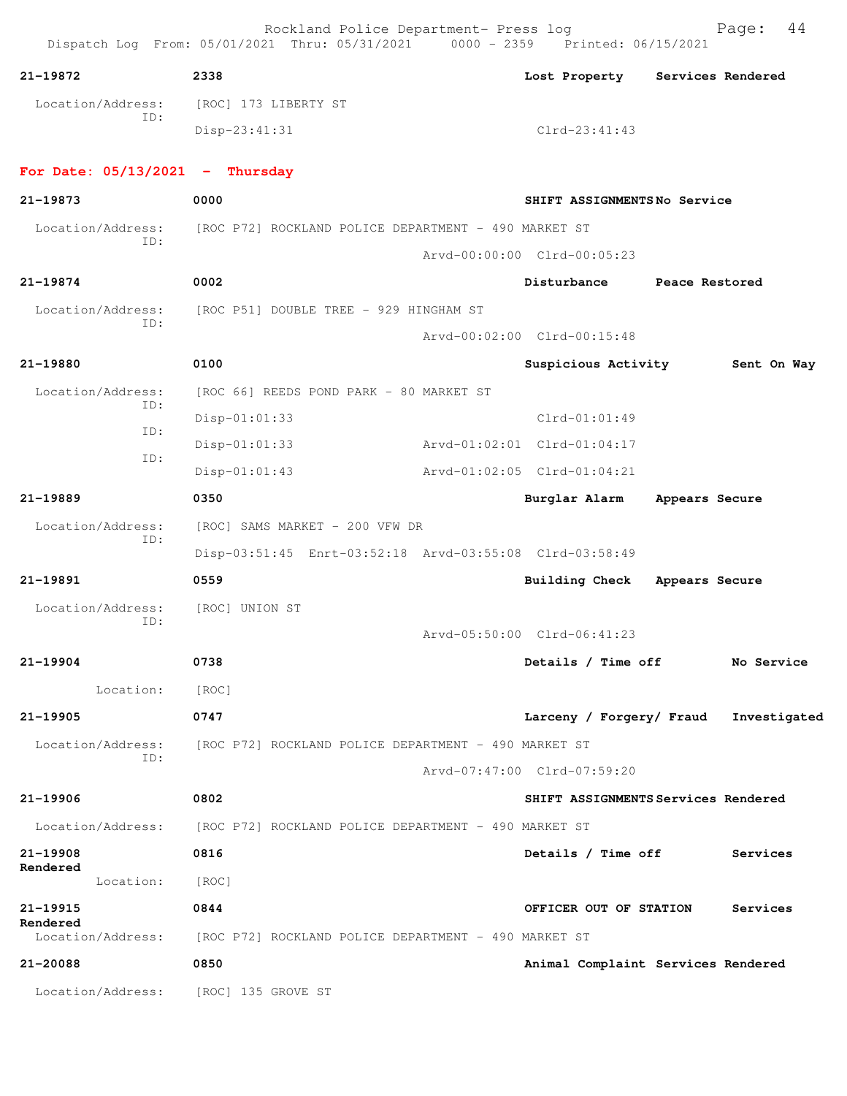Dispatch Log From: 05/01/2021 Thru: 05/31/2021 0000 - 2359 Printed: 06/15/2021 **21-19872 2338 Lost Property Services Rendered** Location/Address: [ROC] 173 LIBERTY ST ID: Disp-23:41:31 Clrd-23:41:43 **For Date: 05/13/2021 - Thursday 21-19873 0000 SHIFT ASSIGNMENTS No Service** Location/Address: [ROC P72] ROCKLAND POLICE DEPARTMENT - 490 MARKET ST ID: Arvd-00:00:00 Clrd-00:05:23 **21-19874 0002 Disturbance Peace Restored** Location/Address: [ROC P51] DOUBLE TREE - 929 HINGHAM ST ID: Arvd-00:02:00 Clrd-00:15:48 **21-19880 0100 Suspicious Activity Sent On Way** Location/Address: [ROC 66] REEDS POND PARK - 80 MARKET ST ID: Disp-01:01:33 Clrd-01:01:49 ID: Disp-01:01:33 Arvd-01:02:01 Clrd-01:04:17 ID: Disp-01:01:43 Arvd-01:02:05 Clrd-01:04:21 **21-19889 0350 Burglar Alarm Appears Secure** Location/Address: [ROC] SAMS MARKET - 200 VFW DR ID: Disp-03:51:45 Enrt-03:52:18 Arvd-03:55:08 Clrd-03:58:49 **21-19891 0559 Building Check Appears Secure** Location/Address: [ROC] UNION ST ID: Arvd-05:50:00 Clrd-06:41:23 **21-19904 0738 Details / Time off No Service** Location: [ROC] **21-19905 0747 Larceny / Forgery/ Fraud Investigated** Location/Address: [ROC P72] ROCKLAND POLICE DEPARTMENT - 490 MARKET ST ID: Arvd-07:47:00 Clrd-07:59:20 **21-19906 0802 SHIFT ASSIGNMENTS Services Rendered** Location/Address: [ROC P72] ROCKLAND POLICE DEPARTMENT - 490 MARKET ST **21-19908 0816 Details / Time off Services Rendered**  Location: [ROC] **21-19915 0844 OFFICER OUT OF STATION Services Rendered**  Location/Address: [ROC P72] ROCKLAND POLICE DEPARTMENT - 490 MARKET ST **21-20088 0850 Animal Complaint Services Rendered** Location/Address: [ROC] 135 GROVE ST

Rockland Police Department- Press log Page: 44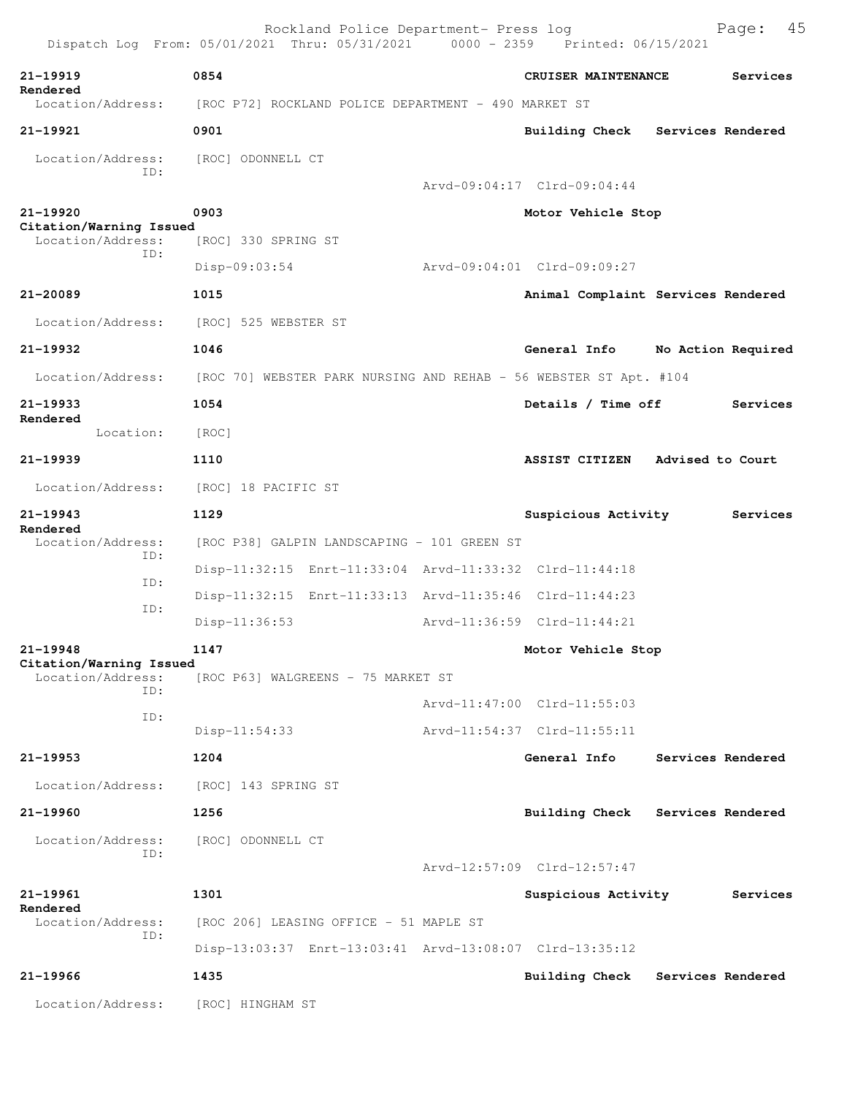|                                              | Rockland Police Department- Press log<br>Dispatch Log From: 05/01/2021 Thru: 05/31/2021 0000 - 2359 Printed: 06/15/2021 |                                    | 45<br>Page:        |
|----------------------------------------------|-------------------------------------------------------------------------------------------------------------------------|------------------------------------|--------------------|
| 21-19919                                     | 0854                                                                                                                    | CRUISER MAINTENANCE                | Services           |
| Rendered<br>Location/Address:                | [ROC P72] ROCKLAND POLICE DEPARTMENT - 490 MARKET ST                                                                    |                                    |                    |
| 21-19921                                     | 0901                                                                                                                    | Building Check Services Rendered   |                    |
| Location/Address:                            | [ROC] ODONNELL CT                                                                                                       |                                    |                    |
| ID:                                          |                                                                                                                         | Arvd-09:04:17 Clrd-09:04:44        |                    |
| 21-19920                                     | 0903                                                                                                                    | Motor Vehicle Stop                 |                    |
| Citation/Warning Issued<br>Location/Address: | [ROC] 330 SPRING ST                                                                                                     |                                    |                    |
| TD:                                          | $Disp-09:03:54$                                                                                                         | Arvd-09:04:01 Clrd-09:09:27        |                    |
| 21-20089                                     | 1015                                                                                                                    | Animal Complaint Services Rendered |                    |
| Location/Address:                            | [ROC] 525 WEBSTER ST                                                                                                    |                                    |                    |
| 21-19932                                     | 1046                                                                                                                    | General Info                       | No Action Required |
| Location/Address:                            | [ROC 70] WEBSTER PARK NURSING AND REHAB - 56 WEBSTER ST Apt. #104                                                       |                                    |                    |
| 21-19933                                     | 1054                                                                                                                    | Details / Time off                 | Services           |
| Rendered<br>Location:                        | [ROC]                                                                                                                   |                                    |                    |
| 21-19939                                     | 1110                                                                                                                    | ASSIST CITIZEN Advised to Court    |                    |
| Location/Address:                            | [ROC] 18 PACIFIC ST                                                                                                     |                                    |                    |
| 21-19943                                     | 1129                                                                                                                    | Suspicious Activity                | Services           |
| Rendered<br>Location/Address:                | [ROC P38] GALPIN LANDSCAPING - 101 GREEN ST                                                                             |                                    |                    |
| ID:                                          | Disp-11:32:15 Enrt-11:33:04 Arvd-11:33:32 Clrd-11:44:18                                                                 |                                    |                    |
| ID:                                          | Disp-11:32:15 Enrt-11:33:13 Arvd-11:35:46 Clrd-11:44:23                                                                 |                                    |                    |
| ID:                                          | $Disp-11:36:53$                                                                                                         | Arvd-11:36:59 Clrd-11:44:21        |                    |
| 21-19948                                     | 1147                                                                                                                    | Motor Vehicle Stop                 |                    |
| Citation/Warning Issued<br>Location/Address: | [ROC P63] WALGREENS - 75 MARKET ST                                                                                      |                                    |                    |
| TD:                                          |                                                                                                                         | Arvd-11:47:00 Clrd-11:55:03        |                    |
| ID:                                          | $Disp-11:54:33$                                                                                                         | Arvd-11:54:37 Clrd-11:55:11        |                    |
| 21-19953                                     | 1204                                                                                                                    | General Info                       | Services Rendered  |
| Location/Address:                            | [ROC] 143 SPRING ST                                                                                                     |                                    |                    |
| 21-19960                                     | 1256                                                                                                                    | Building Check                     | Services Rendered  |
| Location/Address:                            | [ROC] ODONNELL CT                                                                                                       |                                    |                    |
| ID:                                          |                                                                                                                         | Arvd-12:57:09 Clrd-12:57:47        |                    |
| 21-19961                                     | 1301                                                                                                                    | Suspicious Activity                | Services           |
| Rendered<br>Location/Address:                | [ROC 206] LEASING OFFICE - 51 MAPLE ST                                                                                  |                                    |                    |
| ID:                                          | Disp-13:03:37 Enrt-13:03:41 Arvd-13:08:07 Clrd-13:35:12                                                                 |                                    |                    |
| 21-19966                                     | 1435                                                                                                                    | Building Check                     | Services Rendered  |
| Location/Address:                            | [ROC] HINGHAM ST                                                                                                        |                                    |                    |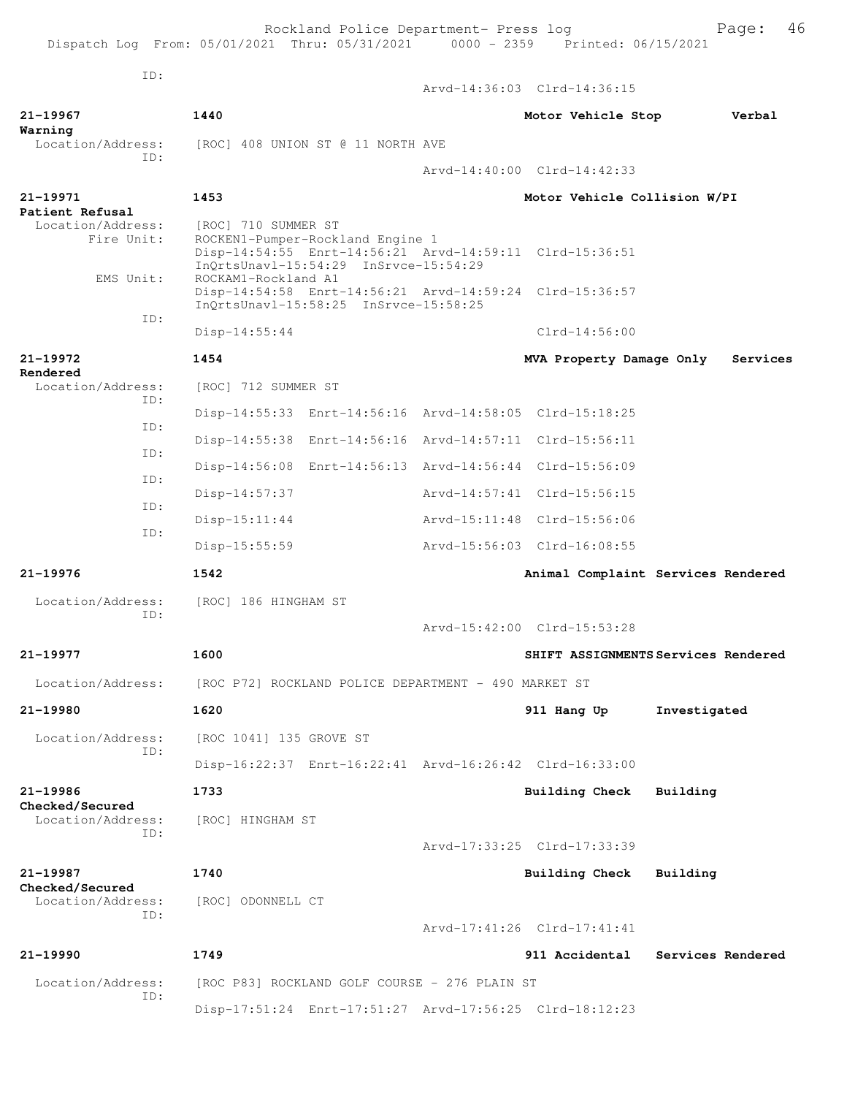Rockland Police Department- Press log Fage: 46 Dispatch Log From: 05/01/2021 Thru: 05/31/2021 0000 - 2359 Printed: 06/15/2021 ID: Arvd-14:36:03 Clrd-14:36:15 **21-19967 1440 Motor Vehicle Stop Verbal Warning**  Location/Address: [ROC] 408 UNION ST @ 11 NORTH AVE ID: Arvd-14:40:00 Clrd-14:42:33 **21-19971 1453 Motor Vehicle Collision W/PI Patient Refusal**  Location/Address: [ROC] 710 SUMMER ST<br>Fire Unit: ROCKEN1-Pumper-Rock ROCKEN1-Pumper-Rockland Engine 1 Disp-14:54:55 Enrt-14:56:21 Arvd-14:59:11 Clrd-15:36:51 InQrtsUnavl-15:54:29 InSrvce-15:54:29 EMS Unit: ROCKAM1-Rockland A1 Disp-14:54:58 Enrt-14:56:21 Arvd-14:59:24 Clrd-15:36:57 InQrtsUnavl-15:58:25 InSrvce-15:58:25 ID: Disp-14:55:44 Clrd-14:56:00 **21-19972 1454 MVA Property Damage Only Services Rendered**  Location/Address: [ROC] 712 SUMMER ST ID: Disp-14:55:33 Enrt-14:56:16 Arvd-14:58:05 Clrd-15:18:25 ID: Disp-14:55:38 Enrt-14:56:16 Arvd-14:57:11 Clrd-15:56:11 ID: Disp-14:56:08 Enrt-14:56:13 Arvd-14:56:44 Clrd-15:56:09 ID: Disp-14:57:37 Arvd-14:57:41 Clrd-15:56:15 ID: Disp-15:11:44 Arvd-15:11:48 Clrd-15:56:06 ID: Disp-15:55:59 Arvd-15:56:03 Clrd-16:08:55 **21-19976 1542 Animal Complaint Services Rendered** Location/Address: [ROC] 186 HINGHAM ST ID: Arvd-15:42:00 Clrd-15:53:28 **21-19977 1600 SHIFT ASSIGNMENTS Services Rendered** Location/Address: [ROC P72] ROCKLAND POLICE DEPARTMENT - 490 MARKET ST **21-19980 1620 911 Hang Up Investigated** Location/Address: [ROC 1041] 135 GROVE ST ID: Disp-16:22:37 Enrt-16:22:41 Arvd-16:26:42 Clrd-16:33:00 **21-19986 1733 Building Check Building Checked/Secured**  Location/Address: [ROC] HINGHAM ST ID: Arvd-17:33:25 Clrd-17:33:39 **21-19987 1740 Building Check Building Checked/Secured**  Location/Address: [ROC] ODONNELL CT ID: Arvd-17:41:26 Clrd-17:41:41 **21-19990 1749 911 Accidental Services Rendered** Location/Address: [ROC P83] ROCKLAND GOLF COURSE - 276 PLAIN ST ID: Disp-17:51:24 Enrt-17:51:27 Arvd-17:56:25 Clrd-18:12:23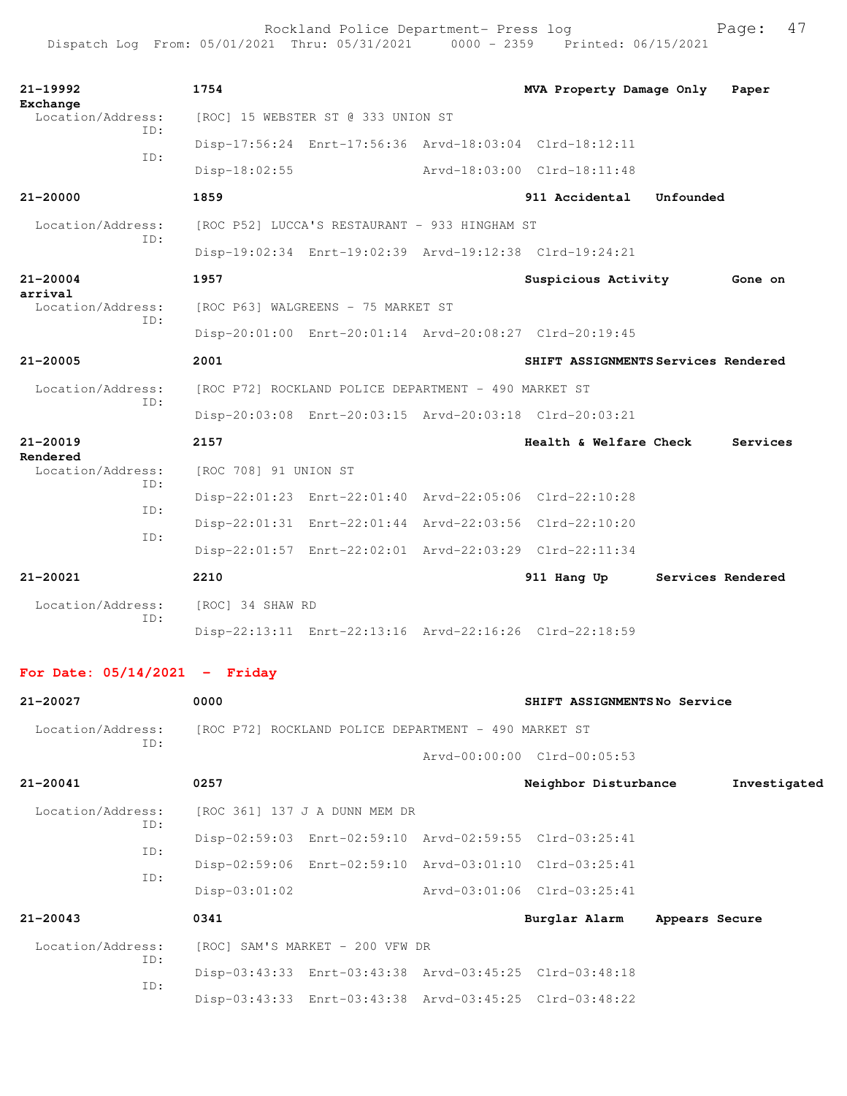| $21 - 19992$<br>Exchange      | 1754                  |                                                      | MVA Property Damage Only                                |                   | Paper    |
|-------------------------------|-----------------------|------------------------------------------------------|---------------------------------------------------------|-------------------|----------|
| Location/Address:<br>TD:      |                       | [ROC] 15 WEBSTER ST @ 333 UNION ST                   |                                                         |                   |          |
| TD:                           |                       |                                                      | Disp-17:56:24 Enrt-17:56:36 Arvd-18:03:04 Clrd-18:12:11 |                   |          |
|                               | $Disp-18:02:55$       |                                                      | Arvd-18:03:00 Clrd-18:11:48                             |                   |          |
| $21 - 20000$                  | 1859                  |                                                      | 911 Accidental                                          | Unfounded         |          |
| Location/Address:             |                       | [ROC P52] LUCCA'S RESTAURANT - 933 HINGHAM ST        |                                                         |                   |          |
| TD:                           |                       |                                                      | Disp-19:02:34 Enrt-19:02:39 Arvd-19:12:38 Clrd-19:24:21 |                   |          |
| $21 - 20004$<br>arrival       | 1957                  |                                                      | Suspicious Activity                                     |                   | Gone on  |
| Location/Address:             |                       | [ROC P63] WALGREENS - 75 MARKET ST                   |                                                         |                   |          |
| TD:                           |                       |                                                      | Disp-20:01:00 Enrt-20:01:14 Arvd-20:08:27 Clrd-20:19:45 |                   |          |
| $21 - 20005$                  | 2001                  |                                                      | SHIFT ASSIGNMENTS Services Rendered                     |                   |          |
| Location/Address:             |                       | [ROC P72] ROCKLAND POLICE DEPARTMENT - 490 MARKET ST |                                                         |                   |          |
| TD:                           |                       |                                                      | Disp-20:03:08 Enrt-20:03:15 Arvd-20:03:18 Clrd-20:03:21 |                   |          |
| $21 - 20019$                  | 2157                  |                                                      | Health & Welfare Check                                  |                   | Services |
| Rendered<br>Location/Address: | [ROC 708] 91 UNION ST |                                                      |                                                         |                   |          |
| TD:                           |                       |                                                      | Disp-22:01:23 Enrt-22:01:40 Arvd-22:05:06 Clrd-22:10:28 |                   |          |
| TD:<br>TD:                    |                       |                                                      | Disp-22:01:31 Enrt-22:01:44 Arvd-22:03:56 Clrd-22:10:20 |                   |          |
|                               |                       |                                                      | Disp-22:01:57 Enrt-22:02:01 Arvd-22:03:29 Clrd-22:11:34 |                   |          |
| $21 - 20021$                  | 2210                  |                                                      | 911 Hang Up                                             | Services Rendered |          |
| Location/Address:<br>TD:      | [ROC] 34 SHAW RD      |                                                      |                                                         |                   |          |
|                               |                       |                                                      | Disp-22:13:11 Enrt-22:13:16 Arvd-22:16:26 Clrd-22:18:59 |                   |          |

## **For Date: 05/14/2021 - Friday**

| 21-20027                 | 0000                                                 |                                                         | SHIFT ASSIGNMENTSNo Service |                |              |
|--------------------------|------------------------------------------------------|---------------------------------------------------------|-----------------------------|----------------|--------------|
| Location/Address:        | [ROC P72] ROCKLAND POLICE DEPARTMENT - 490 MARKET ST |                                                         |                             |                |              |
| ID:                      |                                                      |                                                         | Arvd-00:00:00 Clrd-00:05:53 |                |              |
| 21-20041                 | 0257                                                 |                                                         | Neighbor Disturbance        |                | Investigated |
| Location/Address:<br>ID: | [ROC 361] 137 J A DUNN MEM DR                        |                                                         |                             |                |              |
|                          |                                                      | Disp-02:59:03 Enrt-02:59:10 Arvd-02:59:55 Clrd-03:25:41 |                             |                |              |
| ID:                      |                                                      | Disp-02:59:06 Enrt-02:59:10 Arvd-03:01:10 Clrd-03:25:41 |                             |                |              |
| ID:                      | $Disp-03:01:02$                                      |                                                         | Arvd-03:01:06 Clrd-03:25:41 |                |              |
| $21 - 20043$             | 0341                                                 |                                                         | Burglar Alarm               | Appears Secure |              |
| Location/Address:<br>ID: |                                                      | [ROC] SAM'S MARKET - 200 VFW DR                         |                             |                |              |
| ID:                      |                                                      | Disp-03:43:33 Enrt-03:43:38 Arvd-03:45:25 Clrd-03:48:18 |                             |                |              |
|                          |                                                      | Disp-03:43:33 Enrt-03:43:38 Arvd-03:45:25 Clrd-03:48:22 |                             |                |              |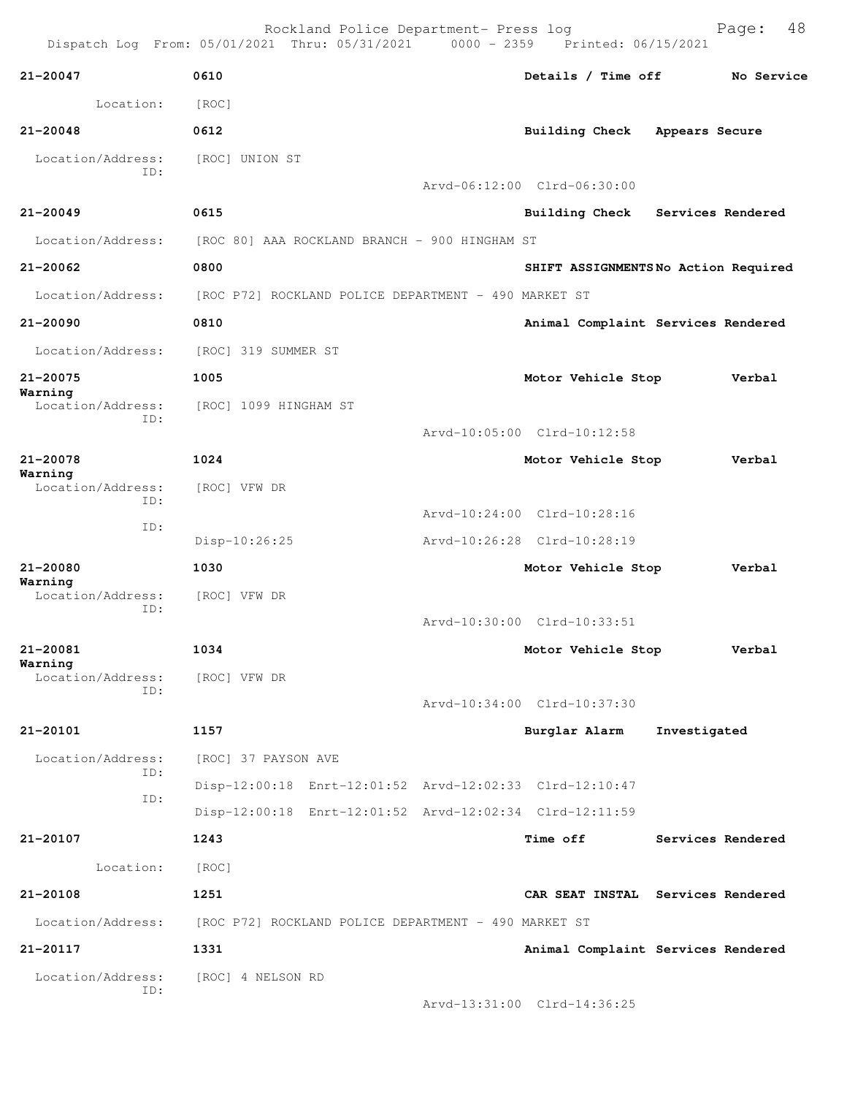|                                     | Dispatch Log From: 05/01/2021 Thru: 05/31/2021 0000 - 2359 Printed: 06/15/2021 | Rockland Police Department- Press log |                                     |                   | 48<br>Page: |
|-------------------------------------|--------------------------------------------------------------------------------|---------------------------------------|-------------------------------------|-------------------|-------------|
| 21-20047                            | 0610                                                                           |                                       | Details / Time off                  |                   | No Service  |
| Location:                           | [ROC]                                                                          |                                       |                                     |                   |             |
| $21 - 20048$                        | 0612                                                                           |                                       | <b>Building Check</b>               | Appears Secure    |             |
| Location/Address:<br>TD:            | [ROC] UNION ST                                                                 |                                       | Arvd-06:12:00 Clrd-06:30:00         |                   |             |
| $21 - 20049$                        | 0615                                                                           |                                       | Building Check Services Rendered    |                   |             |
| Location/Address:                   | [ROC 80] AAA ROCKLAND BRANCH - 900 HINGHAM ST                                  |                                       |                                     |                   |             |
| 21-20062                            | 0800                                                                           |                                       | SHIFT ASSIGNMENTSNo Action Required |                   |             |
| Location/Address:                   | [ROC P72] ROCKLAND POLICE DEPARTMENT - 490 MARKET ST                           |                                       |                                     |                   |             |
| $21 - 20090$                        | 0810                                                                           |                                       | Animal Complaint Services Rendered  |                   |             |
| Location/Address:                   | [ROC] 319 SUMMER ST                                                            |                                       |                                     |                   |             |
| 21-20075                            | 1005                                                                           |                                       | Motor Vehicle Stop                  |                   | Verbal      |
| Warning<br>Location/Address:<br>ID: | [ROC] 1099 HINGHAM ST                                                          |                                       | Arvd-10:05:00 Clrd-10:12:58         |                   |             |
| 21-20078                            | 1024                                                                           |                                       | Motor Vehicle Stop                  |                   | Verbal      |
| Warning<br>Location/Address:<br>ID: | [ROC] VFW DR                                                                   |                                       |                                     |                   |             |
| ID:                                 |                                                                                |                                       | Arvd-10:24:00 Clrd-10:28:16         |                   |             |
|                                     | Disp-10:26:25                                                                  |                                       | Arvd-10:26:28 Clrd-10:28:19         |                   |             |
| 21-20080<br>Warning                 | 1030                                                                           |                                       | Motor Vehicle Stop                  |                   | Verbal      |
| Location/Address:<br>ID:            | [ROC] VFW DR                                                                   |                                       | Arvd-10:30:00 Clrd-10:33:51         |                   |             |
| 21-20081                            | 1034                                                                           |                                       | Motor Vehicle Stop                  |                   | Verbal      |
| Warning<br>Location/Address:<br>ID: | [ROC] VFW DR                                                                   |                                       | Arvd-10:34:00 Clrd-10:37:30         |                   |             |
| 21-20101                            | 1157                                                                           |                                       | Burglar Alarm                       | Investigated      |             |
| Location/Address:                   | [ROC] 37 PAYSON AVE                                                            |                                       |                                     |                   |             |
| ID:                                 | Disp-12:00:18 Enrt-12:01:52 Arvd-12:02:33 Clrd-12:10:47                        |                                       |                                     |                   |             |
| ID:                                 | Disp-12:00:18 Enrt-12:01:52 Arvd-12:02:34 Clrd-12:11:59                        |                                       |                                     |                   |             |
| 21-20107                            | 1243                                                                           |                                       | <b>Time off</b>                     | Services Rendered |             |
| Location:                           | [ROC]                                                                          |                                       |                                     |                   |             |
| 21-20108                            | 1251                                                                           |                                       | CAR SEAT INSTAL Services Rendered   |                   |             |
| Location/Address:                   | [ROC P72] ROCKLAND POLICE DEPARTMENT - 490 MARKET ST                           |                                       |                                     |                   |             |
| 21-20117                            | 1331                                                                           |                                       | Animal Complaint Services Rendered  |                   |             |
| Location/Address:                   | [ROC] 4 NELSON RD                                                              |                                       |                                     |                   |             |
| ID:                                 |                                                                                |                                       | Arvd-13:31:00 Clrd-14:36:25         |                   |             |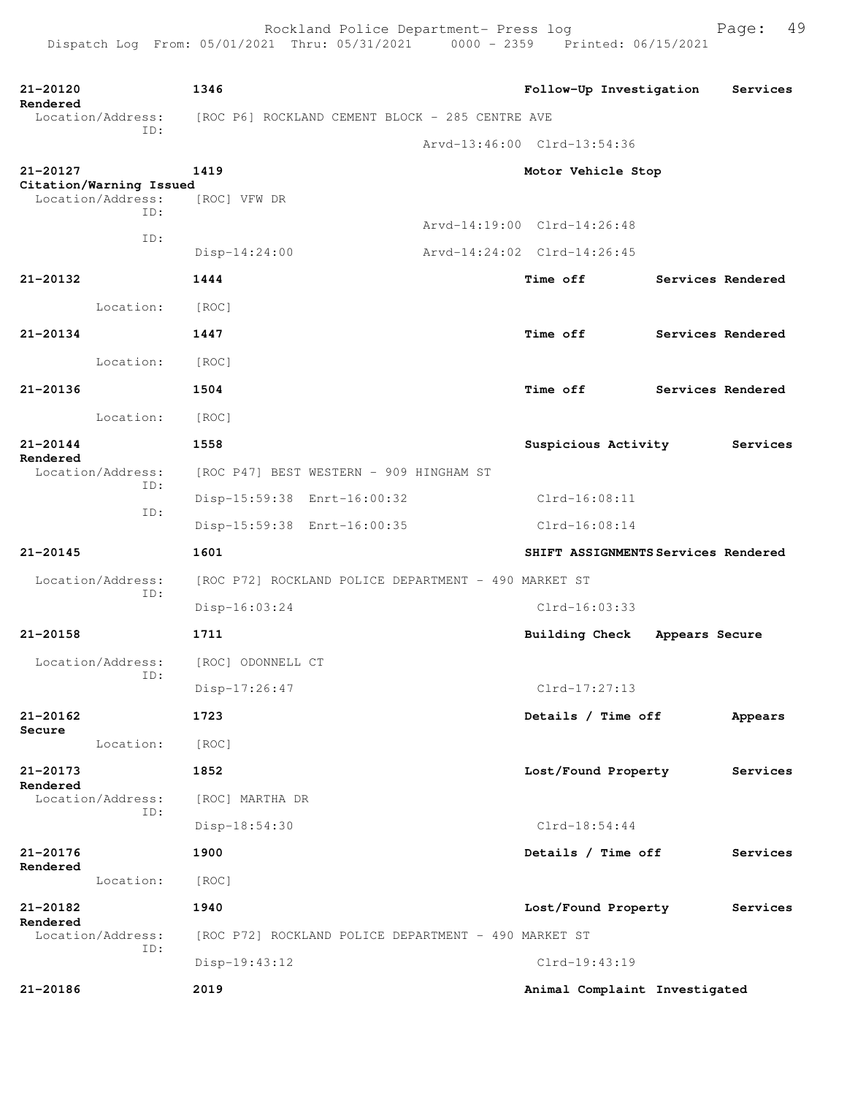| 21-20120<br>Rendered                | 1346                                                 | Follow-Up Investigation             |                | Services          |
|-------------------------------------|------------------------------------------------------|-------------------------------------|----------------|-------------------|
| Location/Address:<br>ID:            | [ROC P6] ROCKLAND CEMENT BLOCK - 285 CENTRE AVE      |                                     |                |                   |
|                                     |                                                      | Arvd-13:46:00 Clrd-13:54:36         |                |                   |
| 21-20127<br>Citation/Warning Issued | 1419                                                 | Motor Vehicle Stop                  |                |                   |
| Location/Address:<br>ID:            | [ROC] VFW DR                                         |                                     |                |                   |
| ID:                                 |                                                      | Arvd-14:19:00 Clrd-14:26:48         |                |                   |
|                                     | $Disp-14:24:00$                                      | Arvd-14:24:02 Clrd-14:26:45         |                |                   |
| 21-20132                            | 1444                                                 | <b>Time off</b>                     |                | Services Rendered |
| Location:                           | [ROC]                                                |                                     |                |                   |
| 21-20134                            | 1447                                                 | <b>Time off</b>                     |                | Services Rendered |
| Location:                           | [ROC]                                                |                                     |                |                   |
| 21-20136                            | 1504                                                 | <b>Time off</b>                     |                | Services Rendered |
| Location:                           | [ROC]                                                |                                     |                |                   |
| $21 - 20144$                        | 1558                                                 | Suspicious Activity                 |                | Services          |
| Rendered<br>Location/Address:       | [ROC P47] BEST WESTERN - 909 HINGHAM ST              |                                     |                |                   |
| ID:                                 | Disp-15:59:38 Enrt-16:00:32                          | $Clrd-16:08:11$                     |                |                   |
| ID:                                 | Disp-15:59:38 Enrt-16:00:35                          | $Clrd-16:08:14$                     |                |                   |
| 21-20145                            | 1601                                                 | SHIFT ASSIGNMENTS Services Rendered |                |                   |
| Location/Address:                   | [ROC P72] ROCKLAND POLICE DEPARTMENT - 490 MARKET ST |                                     |                |                   |
| ID:                                 | Disp-16:03:24                                        | Clrd-16:03:33                       |                |                   |
| 21-20158                            | 1711                                                 | <b>Building Check</b>               | Appears Secure |                   |
| Location/Address:                   | [ROC] ODONNELL CT                                    |                                     |                |                   |
| ID:                                 | Disp-17:26:47                                        | $Clrd-17:27:13$                     |                |                   |
| $21 - 20162$                        | 1723                                                 | Details / Time off                  |                | Appears           |
| Secure<br>Location:                 | [ROC]                                                |                                     |                |                   |
| 21-20173                            | 1852                                                 | Lost/Found Property                 |                | Services          |
| Rendered<br>Location/Address:       | [ROC] MARTHA DR                                      |                                     |                |                   |
| ID:                                 | Disp-18:54:30                                        | $Clrd-18:54:44$                     |                |                   |
| 21-20176                            | 1900                                                 | Details / Time off                  |                | Services          |
| Rendered<br>Location:               | [ROC]                                                |                                     |                |                   |
| 21-20182                            | 1940                                                 | Lost/Found Property                 |                | Services          |
| Rendered<br>Location/Address:       | [ROC P72] ROCKLAND POLICE DEPARTMENT - 490 MARKET ST |                                     |                |                   |
| ID:                                 | Disp-19:43:12                                        | Clrd-19:43:19                       |                |                   |
| 21-20186                            | 2019                                                 | Animal Complaint Investigated       |                |                   |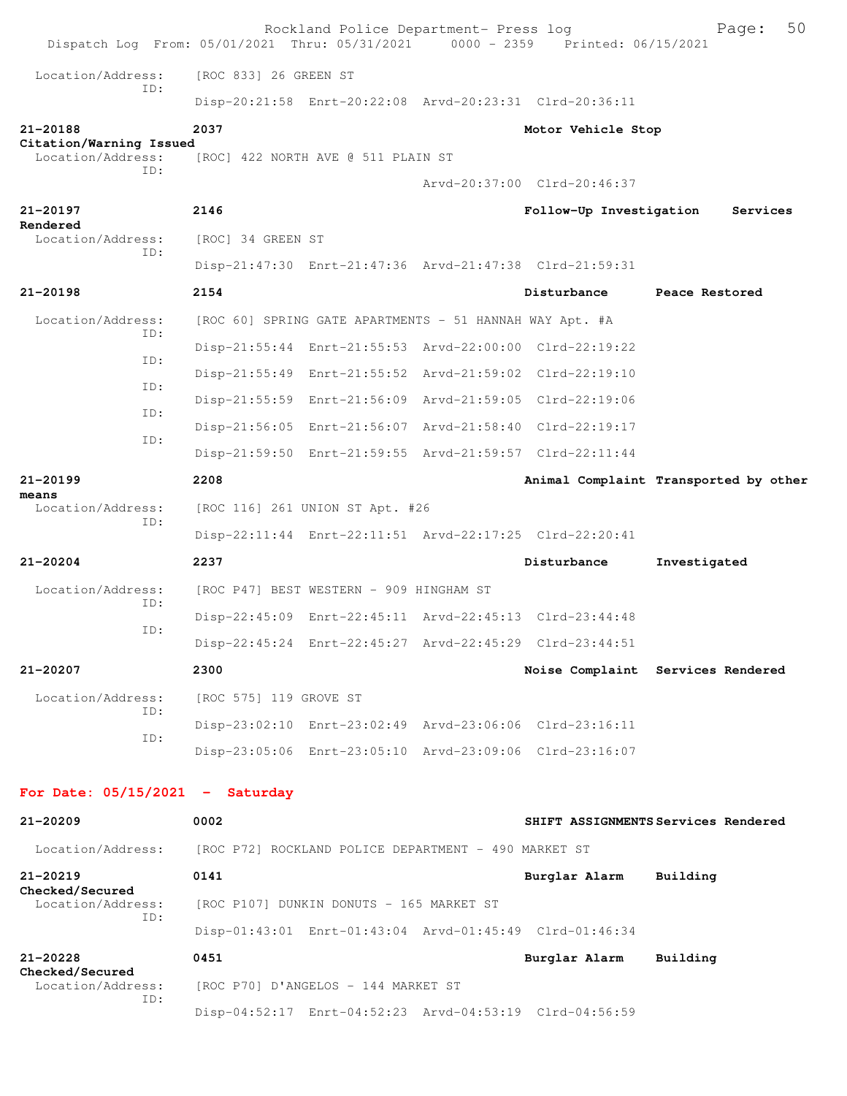|                                              |     |                        | Rockland Police Department- Press log                   | Dispatch Log From: 05/01/2021 Thru: 05/31/2021 0000 - 2359 Printed: 06/15/2021 | 50<br>Page:                           |
|----------------------------------------------|-----|------------------------|---------------------------------------------------------|--------------------------------------------------------------------------------|---------------------------------------|
| Location/Address:                            |     | [ROC 833] 26 GREEN ST  |                                                         |                                                                                |                                       |
|                                              | TD: |                        |                                                         | Disp-20:21:58 Enrt-20:22:08 Arvd-20:23:31 Clrd-20:36:11                        |                                       |
| 21-20188                                     |     | 2037                   |                                                         | Motor Vehicle Stop                                                             |                                       |
| Citation/Warning Issued<br>Location/Address: |     |                        | [ROC] 422 NORTH AVE @ 511 PLAIN ST                      |                                                                                |                                       |
|                                              | TD: |                        |                                                         | Arvd-20:37:00 Clrd-20:46:37                                                    |                                       |
| 21-20197                                     |     | 2146                   |                                                         | Follow-Up Investigation                                                        | Services                              |
| Rendered<br>Location/Address:                |     | [ROC] 34 GREEN ST      |                                                         |                                                                                |                                       |
|                                              | ID: |                        |                                                         | Disp-21:47:30 Enrt-21:47:36 Arvd-21:47:38 Clrd-21:59:31                        |                                       |
| $21 - 20198$                                 |     | 2154                   |                                                         | Disturbance                                                                    | Peace Restored                        |
| Location/Address:                            |     |                        | [ROC 60] SPRING GATE APARTMENTS - 51 HANNAH WAY Apt. #A |                                                                                |                                       |
|                                              | ID: |                        |                                                         | Disp-21:55:44 Enrt-21:55:53 Arvd-22:00:00 Clrd-22:19:22                        |                                       |
|                                              | ID: |                        |                                                         | Disp-21:55:49 Enrt-21:55:52 Arvd-21:59:02 Clrd-22:19:10                        |                                       |
|                                              | ID: |                        |                                                         | Disp-21:55:59 Enrt-21:56:09 Arvd-21:59:05 Clrd-22:19:06                        |                                       |
|                                              | ID: |                        |                                                         | Disp-21:56:05 Enrt-21:56:07 Arvd-21:58:40 Clrd-22:19:17                        |                                       |
|                                              | ID: |                        |                                                         | Disp-21:59:50 Enrt-21:59:55 Arvd-21:59:57 Clrd-22:11:44                        |                                       |
| $21 - 20199$                                 |     | 2208                   |                                                         |                                                                                | Animal Complaint Transported by other |
| means<br>Location/Address:                   |     |                        | [ROC 116] 261 UNION ST Apt. #26                         |                                                                                |                                       |
|                                              | ID: |                        |                                                         | Disp-22:11:44 Enrt-22:11:51 Arvd-22:17:25 Clrd-22:20:41                        |                                       |
| 21-20204                                     |     | 2237                   |                                                         | Disturbance                                                                    | Investigated                          |
| Location/Address:                            |     |                        | [ROC P47] BEST WESTERN - 909 HINGHAM ST                 |                                                                                |                                       |
|                                              | ID: |                        |                                                         | Disp-22:45:09 Enrt-22:45:11 Arvd-22:45:13 Clrd-23:44:48                        |                                       |
|                                              | ID: |                        |                                                         | Disp-22:45:24 Enrt-22:45:27 Arvd-22:45:29 Clrd-23:44:51                        |                                       |
| 21-20207                                     |     | 2300                   |                                                         |                                                                                | Noise Complaint Services Rendered     |
| Location/Address:                            |     | [ROC 575] 119 GROVE ST |                                                         |                                                                                |                                       |
|                                              | TD: |                        |                                                         | Disp-23:02:10 Enrt-23:02:49 Arvd-23:06:06 Clrd-23:16:11                        |                                       |
|                                              | ID: |                        |                                                         | Disp-23:05:06 Enrt-23:05:10 Arvd-23:09:06 Clrd-23:16:07                        |                                       |
| For Date: $05/15/2021$ - Saturday            |     |                        |                                                         |                                                                                |                                       |
| $21 - 20209$                                 |     | 0002                   |                                                         |                                                                                | SHIFT ASSIGNMENTS Services Rendered   |
| Location/Address:                            |     |                        | [ROC P72] ROCKLAND POLICE DEPARTMENT - 490 MARKET ST    |                                                                                |                                       |
| $21 - 20219$                                 |     | 0141                   |                                                         | Burglar Alarm                                                                  | Building                              |
| Checked/Secured<br>Location/Address:         |     |                        | [ROC P107] DUNKIN DONUTS - 165 MARKET ST                |                                                                                |                                       |
|                                              | ID: |                        |                                                         | Disp-01:43:01 Enrt-01:43:04 Arvd-01:45:49 Clrd-01:46:34                        |                                       |
| $21 - 20228$                                 |     | 0451                   |                                                         | Burglar Alarm                                                                  | Building                              |
| Checked/Secured<br>Location/Address:         |     |                        | [ROC P70] D'ANGELOS - 144 MARKET ST                     |                                                                                |                                       |
|                                              | ID: |                        |                                                         | Disp-04:52:17 Enrt-04:52:23 Arvd-04:53:19 Clrd-04:56:59                        |                                       |
|                                              |     |                        |                                                         |                                                                                |                                       |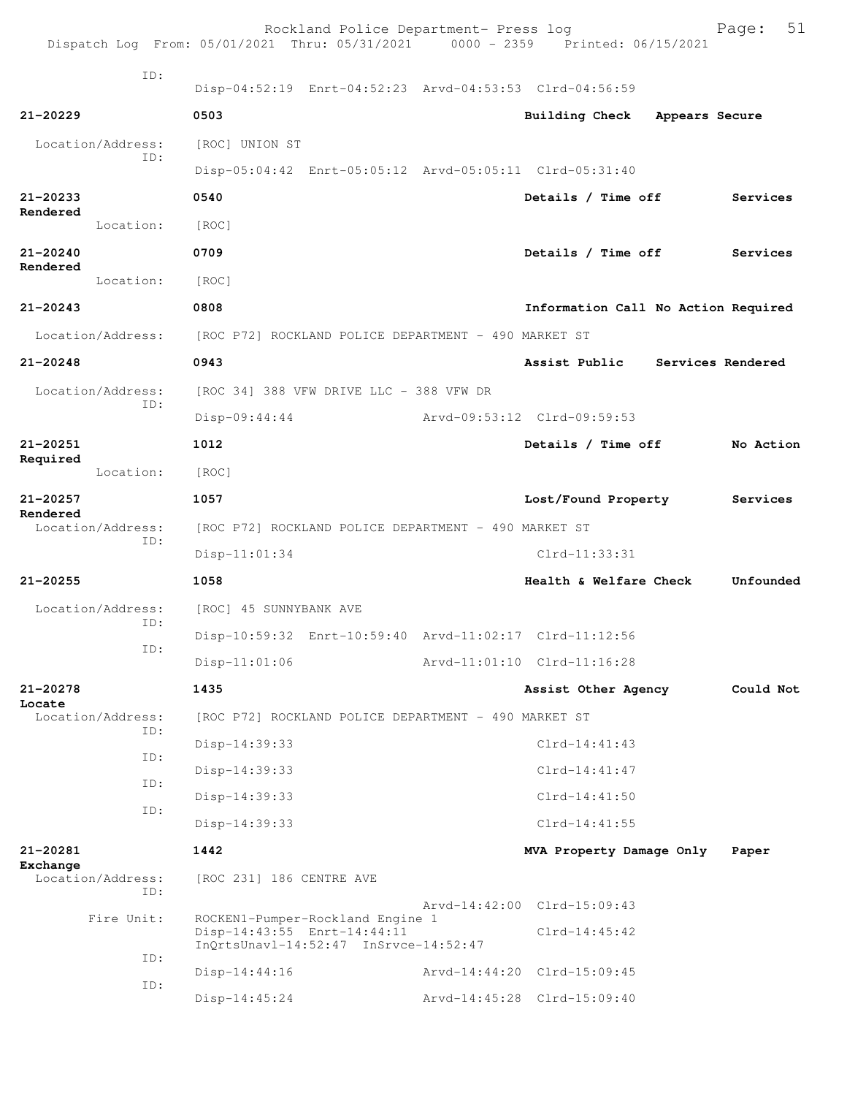|              |                          |                                                      | Rockland Police Department- Press log                | Dispatch Log From: 05/01/2021 Thru: 05/31/2021 0000 - 2359 Printed: 06/15/2021 |                | 51<br>Page: |
|--------------|--------------------------|------------------------------------------------------|------------------------------------------------------|--------------------------------------------------------------------------------|----------------|-------------|
|              | TD:                      |                                                      |                                                      | Disp-04:52:19 Enrt-04:52:23 Arvd-04:53:53 Clrd-04:56:59                        |                |             |
| 21-20229     |                          | 0503                                                 |                                                      | <b>Building Check</b>                                                          | Appears Secure |             |
|              | Location/Address:        | [ROC] UNION ST                                       |                                                      |                                                                                |                |             |
|              | ID:                      |                                                      |                                                      | Disp-05:04:42 Enrt-05:05:12 Arvd-05:05:11 Clrd-05:31:40                        |                |             |
| $21 - 20233$ |                          | 0540                                                 |                                                      | Details / Time off                                                             |                | Services    |
| Rendered     | Location:                | [ROC]                                                |                                                      |                                                                                |                |             |
| 21-20240     |                          | 0709                                                 |                                                      | Details / Time off                                                             |                | Services    |
| Rendered     | Location:                | [ROC]                                                |                                                      |                                                                                |                |             |
| $21 - 20243$ |                          | 0808                                                 |                                                      | Information Call No Action Required                                            |                |             |
|              | Location/Address:        | [ROC P72] ROCKLAND POLICE DEPARTMENT - 490 MARKET ST |                                                      |                                                                                |                |             |
| $21 - 20248$ |                          | 0943                                                 |                                                      | Assist Public Services Rendered                                                |                |             |
|              | Location/Address:        |                                                      | [ROC 34] 388 VFW DRIVE LLC - 388 VFW DR              |                                                                                |                |             |
|              | ID:                      | $Disp-09:44:44$                                      |                                                      | Arvd-09:53:12 Clrd-09:59:53                                                    |                |             |
| 21-20251     |                          | 1012                                                 |                                                      | Details / Time off                                                             |                | No Action   |
| Required     | Location:                | [ROC]                                                |                                                      |                                                                                |                |             |
| $21 - 20257$ |                          | 1057                                                 |                                                      | Lost/Found Property                                                            |                | Services    |
| Rendered     | Location/Address:        |                                                      | [ROC P72] ROCKLAND POLICE DEPARTMENT - 490 MARKET ST |                                                                                |                |             |
|              | ID:                      | $Disp-11:01:34$                                      |                                                      | Clrd-11:33:31                                                                  |                |             |
| $21 - 20255$ |                          | 1058                                                 |                                                      | Health & Welfare Check                                                         |                | Unfounded   |
|              | Location/Address:        | [ROC] 45 SUNNYBANK AVE                               |                                                      |                                                                                |                |             |
|              | ID:                      |                                                      |                                                      | Disp-10:59:32 Enrt-10:59:40 Arvd-11:02:17 Clrd-11:12:56                        |                |             |
|              | ID:                      | Disp-11:01:06                                        |                                                      | Arvd-11:01:10 Clrd-11:16:28                                                    |                |             |
| 21-20278     |                          | 1435                                                 |                                                      | Assist Other Agency                                                            |                | Could Not   |
| Locate       | Location/Address:        |                                                      | [ROC P72] ROCKLAND POLICE DEPARTMENT - 490 MARKET ST |                                                                                |                |             |
|              | ID:                      | Disp-14:39:33                                        |                                                      | $Clrd-14:41:43$                                                                |                |             |
|              | ID:                      | Disp-14:39:33                                        |                                                      | $Clrd-14:41:47$                                                                |                |             |
|              | ID:                      | Disp-14:39:33                                        |                                                      | $C1rd-14:41:50$                                                                |                |             |
|              | ID:                      | Disp-14:39:33                                        |                                                      | $Clrd-14:41:55$                                                                |                |             |
| 21-20281     |                          | 1442                                                 |                                                      | MVA Property Damage Only                                                       |                | Paper       |
| Exchange     | Location/Address:<br>ID: | [ROC 231] 186 CENTRE AVE                             |                                                      |                                                                                |                |             |
|              | Fire Unit:               |                                                      | ROCKEN1-Pumper-Rockland Engine 1                     | Arvd-14:42:00 Clrd-15:09:43                                                    |                |             |
|              |                          | Disp-14:43:55 Enrt-14:44:11                          | $InQrtsUnav1-14:52:47$ $InSrvce-14:52:47$            | $Clrd-14:45:42$                                                                |                |             |
|              | ID:                      | Disp-14:44:16                                        |                                                      | Arvd-14:44:20 Clrd-15:09:45                                                    |                |             |
|              | ID:                      | Disp-14:45:24                                        |                                                      | Arvd-14:45:28 Clrd-15:09:40                                                    |                |             |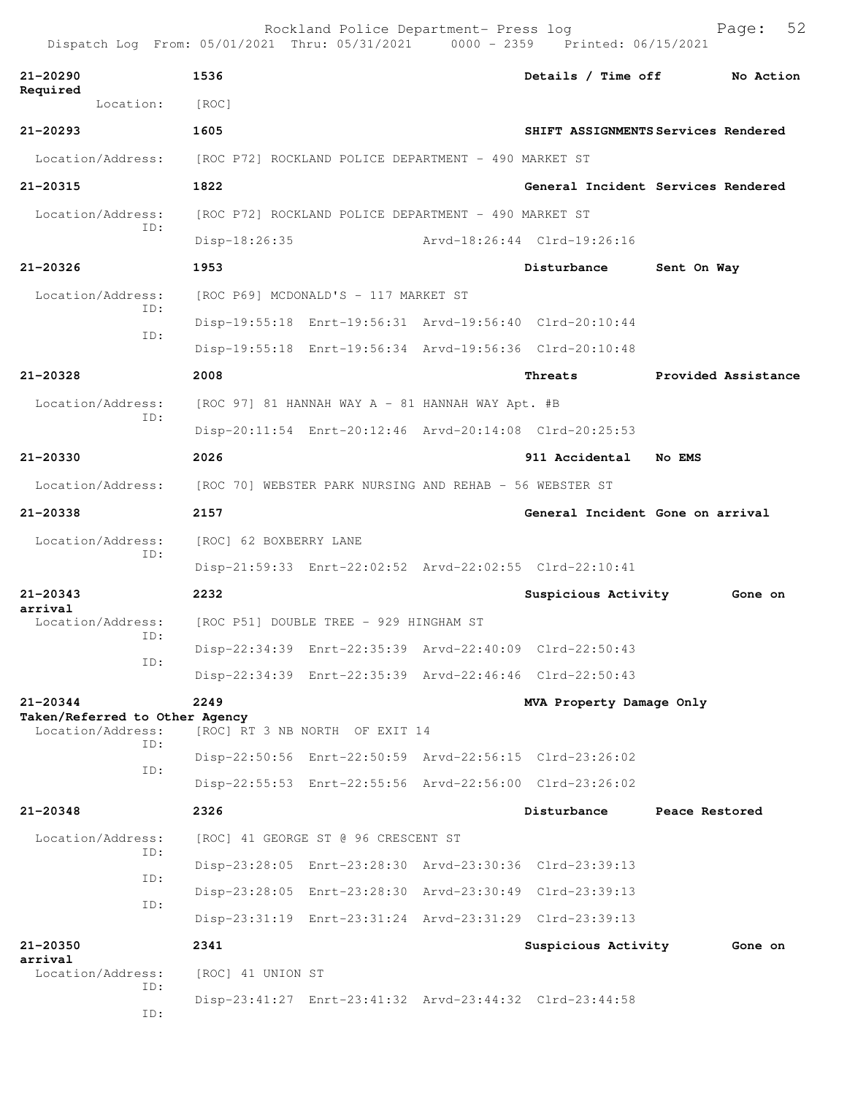|                                                                     | Dispatch Log From: 05/01/2021 Thru: 05/31/2021 0000 - 2359 Printed: 06/15/2021 | Rockland Police Department- Press log                   |                             | Page:                               | 52 |
|---------------------------------------------------------------------|--------------------------------------------------------------------------------|---------------------------------------------------------|-----------------------------|-------------------------------------|----|
| 21-20290                                                            | 1536                                                                           |                                                         | Details / Time off          | No Action                           |    |
| Required<br>Location:                                               | [ROC]                                                                          |                                                         |                             |                                     |    |
| $21 - 20293$                                                        | 1605                                                                           |                                                         |                             | SHIFT ASSIGNMENTS Services Rendered |    |
| Location/Address:                                                   |                                                                                | [ROC P72] ROCKLAND POLICE DEPARTMENT - 490 MARKET ST    |                             |                                     |    |
| 21-20315                                                            | 1822                                                                           |                                                         |                             | General Incident Services Rendered  |    |
| Location/Address:                                                   |                                                                                | [ROC P72] ROCKLAND POLICE DEPARTMENT - 490 MARKET ST    |                             |                                     |    |
| ID:                                                                 | Disp-18:26:35                                                                  |                                                         | Arvd-18:26:44 Clrd-19:26:16 |                                     |    |
| 21-20326                                                            | 1953                                                                           |                                                         | Disturbance                 | Sent On Way                         |    |
| Location/Address:                                                   |                                                                                | [ROC P69] MCDONALD'S - 117 MARKET ST                    |                             |                                     |    |
| ID:                                                                 |                                                                                | Disp-19:55:18 Enrt-19:56:31 Arvd-19:56:40 Clrd-20:10:44 |                             |                                     |    |
| ID:                                                                 |                                                                                | Disp-19:55:18 Enrt-19:56:34 Arvd-19:56:36 Clrd-20:10:48 |                             |                                     |    |
| 21-20328                                                            | 2008                                                                           |                                                         | Threats                     | Provided Assistance                 |    |
| Location/Address:                                                   |                                                                                | [ROC 97] 81 HANNAH WAY A - 81 HANNAH WAY Apt. #B        |                             |                                     |    |
| ID:                                                                 |                                                                                | Disp-20:11:54 Enrt-20:12:46 Arvd-20:14:08 Clrd-20:25:53 |                             |                                     |    |
| 21-20330                                                            | 2026                                                                           |                                                         | 911 Accidental No EMS       |                                     |    |
| Location/Address:                                                   | [ROC 70] WEBSTER PARK NURSING AND REHAB - 56 WEBSTER ST                        |                                                         |                             |                                     |    |
| 21-20338                                                            | 2157                                                                           |                                                         |                             | General Incident Gone on arrival    |    |
| Location/Address:                                                   | [ROC] 62 BOXBERRY LANE                                                         |                                                         |                             |                                     |    |
| ID:                                                                 |                                                                                | Disp-21:59:33 Enrt-22:02:52 Arvd-22:02:55 Clrd-22:10:41 |                             |                                     |    |
| $21 - 20343$                                                        | 2232                                                                           |                                                         | Suspicious Activity         | Gone on                             |    |
| arrival<br>Location/Address: [ROC P51] DOUBLE TREE - 929 HINGHAM ST |                                                                                |                                                         |                             |                                     |    |
| ID:                                                                 |                                                                                | Disp-22:34:39 Enrt-22:35:39 Arvd-22:40:09 Clrd-22:50:43 |                             |                                     |    |
| ID:                                                                 |                                                                                | Disp-22:34:39 Enrt-22:35:39 Arvd-22:46:46 Clrd-22:50:43 |                             |                                     |    |
| 21-20344                                                            | 2249                                                                           |                                                         | MVA Property Damage Only    |                                     |    |
| Taken/Referred to Other Agency<br>Location/Address:                 |                                                                                | [ROC] RT 3 NB NORTH OF EXIT 14                          |                             |                                     |    |
| TD:                                                                 |                                                                                | Disp-22:50:56 Enrt-22:50:59 Arvd-22:56:15 Clrd-23:26:02 |                             |                                     |    |
| ID:                                                                 |                                                                                | Disp-22:55:53 Enrt-22:55:56 Arvd-22:56:00 Clrd-23:26:02 |                             |                                     |    |
| 21-20348                                                            | 2326                                                                           |                                                         | Disturbance                 | Peace Restored                      |    |
| Location/Address:                                                   |                                                                                | [ROC] 41 GEORGE ST @ 96 CRESCENT ST                     |                             |                                     |    |
| ID:                                                                 |                                                                                | Disp-23:28:05 Enrt-23:28:30 Arvd-23:30:36 Clrd-23:39:13 |                             |                                     |    |
| ID:                                                                 |                                                                                | Disp-23:28:05 Enrt-23:28:30 Arvd-23:30:49 Clrd-23:39:13 |                             |                                     |    |
| ID:                                                                 |                                                                                | Disp-23:31:19 Enrt-23:31:24 Arvd-23:31:29 Clrd-23:39:13 |                             |                                     |    |
| 21-20350<br>arrival                                                 | 2341                                                                           |                                                         | Suspicious Activity         | Gone on                             |    |
| Location/Address:                                                   | [ROC] 41 UNION ST                                                              |                                                         |                             |                                     |    |
| ID:<br>ID:                                                          |                                                                                | Disp-23:41:27 Enrt-23:41:32 Arvd-23:44:32 Clrd-23:44:58 |                             |                                     |    |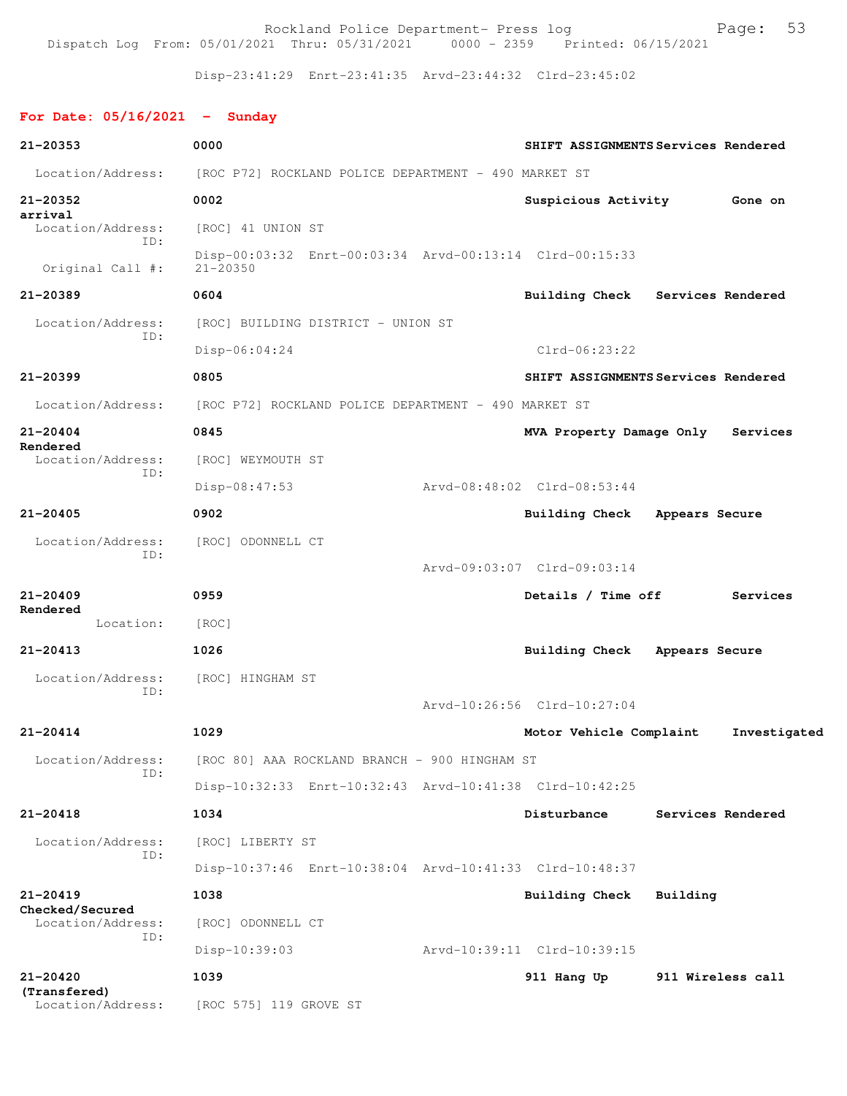Rockland Police Department- Press log entitled and Page: 53 Dispatch Log From: 05/01/2021 Thru: 05/31/2021 0000 - 2359 Printed: 06/15/2021

Disp-23:41:29 Enrt-23:41:35 Arvd-23:44:32 Clrd-23:45:02

## **For Date: 05/16/2021 - Sunday**

| 21-20353                             | 0000                                                                    | SHIFT ASSIGNMENTS Services Rendered |                   |                   |
|--------------------------------------|-------------------------------------------------------------------------|-------------------------------------|-------------------|-------------------|
| Location/Address:                    | [ROC P72] ROCKLAND POLICE DEPARTMENT - 490 MARKET ST                    |                                     |                   |                   |
| 21-20352                             | 0002                                                                    | Suspicious Activity                 |                   | Gone on           |
| arrival<br>Location/Address:         | [ROC] 41 UNION ST                                                       |                                     |                   |                   |
| TD:<br>Original Call #:              | Disp-00:03:32 Enrt-00:03:34 Arvd-00:13:14 Clrd-00:15:33<br>$21 - 20350$ |                                     |                   |                   |
| $21 - 20389$                         | 0604                                                                    | Building Check Services Rendered    |                   |                   |
| Location/Address:                    | [ROC] BUILDING DISTRICT - UNION ST                                      |                                     |                   |                   |
| ID:                                  | Disp-06:04:24                                                           | $Clrd-06:23:22$                     |                   |                   |
| $21 - 20399$                         | 0805                                                                    | SHIFT ASSIGNMENTS Services Rendered |                   |                   |
| Location/Address:                    | [ROC P72] ROCKLAND POLICE DEPARTMENT - 490 MARKET ST                    |                                     |                   |                   |
| $21 - 20404$                         | 0845                                                                    | MVA Property Damage Only            |                   | Services          |
| Rendered<br>Location/Address:        | [ROC] WEYMOUTH ST                                                       |                                     |                   |                   |
| ID:                                  | Disp-08:47:53                                                           | Arvd-08:48:02 Clrd-08:53:44         |                   |                   |
| $21 - 20405$                         | 0902                                                                    | <b>Building Check</b>               | Appears Secure    |                   |
| Location/Address:                    | [ROC] ODONNELL CT                                                       |                                     |                   |                   |
| ID:                                  |                                                                         | Arvd-09:03:07 Clrd-09:03:14         |                   |                   |
| $21 - 20409$<br>Rendered             | 0959                                                                    | Details / Time off                  |                   | Services          |
| Location:                            | [ROC]                                                                   |                                     |                   |                   |
| $21 - 20413$                         | 1026                                                                    | <b>Building Check</b>               | Appears Secure    |                   |
| Location/Address:                    | [ROC] HINGHAM ST                                                        |                                     |                   |                   |
| ID:                                  |                                                                         | Arvd-10:26:56 Clrd-10:27:04         |                   |                   |
| $21 - 20414$                         | 1029                                                                    | Motor Vehicle Complaint             |                   | Investigated      |
| Location/Address:                    | [ROC 80] AAA ROCKLAND BRANCH - 900 HINGHAM ST                           |                                     |                   |                   |
| ID:                                  | Disp-10:32:33 Enrt-10:32:43 Arvd-10:41:38 Clrd-10:42:25                 |                                     |                   |                   |
| $21 - 20418$                         | 1034                                                                    | Disturbance                         |                   | Services Rendered |
| Location/Address:                    | [ROC] LIBERTY ST                                                        |                                     |                   |                   |
| ID:                                  | Disp-10:37:46 Enrt-10:38:04 Arvd-10:41:33 Clrd-10:48:37                 |                                     |                   |                   |
| $21 - 20419$                         | 1038                                                                    | Building Check                      | Building          |                   |
| Checked/Secured<br>Location/Address: | [ROC] ODONNELL CT                                                       |                                     |                   |                   |
| ID:                                  | Disp-10:39:03                                                           | Arvd-10:39:11 Clrd-10:39:15         |                   |                   |
| 21-20420                             | 1039                                                                    | 911 Hang Up                         | 911 Wireless call |                   |
| (Transfered)<br>Location/Address:    | [ROC 575] 119 GROVE ST                                                  |                                     |                   |                   |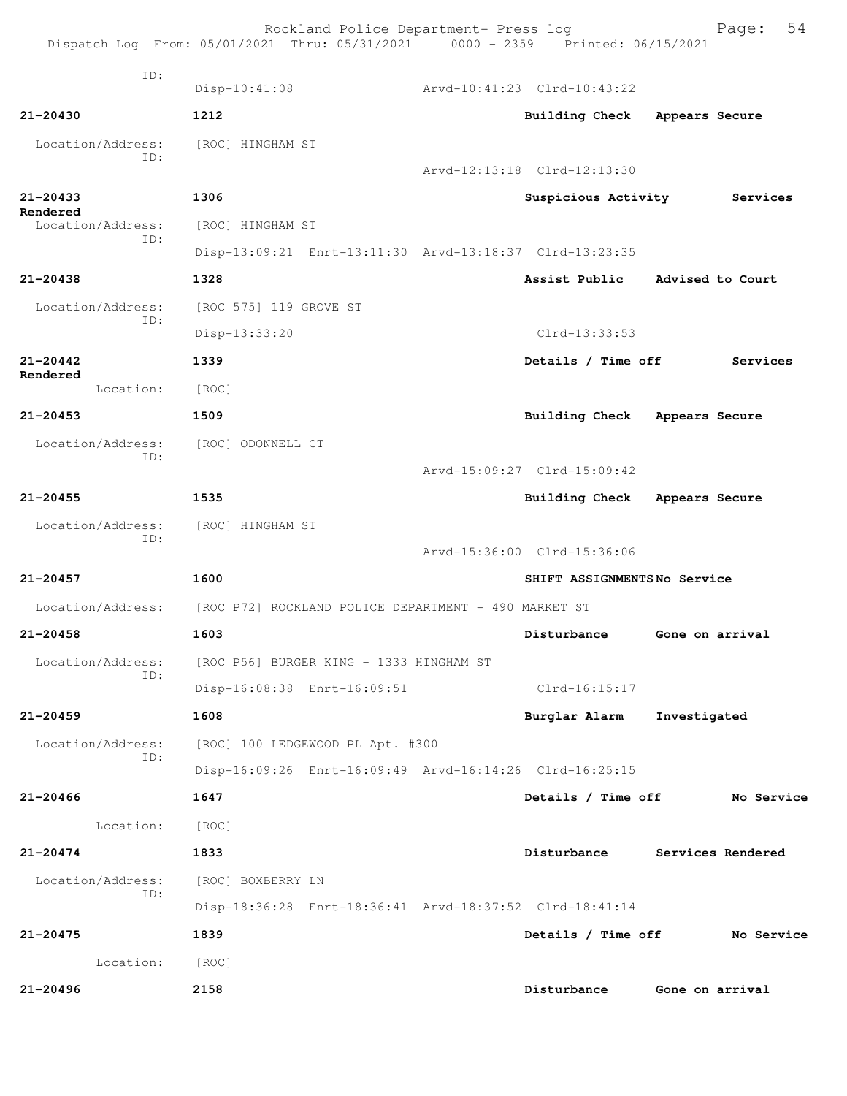|                          | Rockland Police Department- Press log<br>Dispatch Log From: 05/01/2021 Thru: 05/31/2021 0000 - 2359 Printed: 06/15/2021 |                             |                 | 54<br>Page:       |
|--------------------------|-------------------------------------------------------------------------------------------------------------------------|-----------------------------|-----------------|-------------------|
| TD:                      |                                                                                                                         |                             |                 |                   |
|                          | $Disp-10:41:08$                                                                                                         | Arvd-10:41:23 Clrd-10:43:22 |                 |                   |
| $21 - 20430$             | 1212                                                                                                                    | Building Check              | Appears Secure  |                   |
| Location/Address:<br>ID: | [ROC] HINGHAM ST                                                                                                        |                             |                 |                   |
|                          |                                                                                                                         | Arvd-12:13:18 Clrd-12:13:30 |                 |                   |
| $21 - 20433$<br>Rendered | 1306                                                                                                                    | Suspicious Activity         |                 | Services          |
| Location/Address:<br>ID: | [ROC] HINGHAM ST                                                                                                        |                             |                 |                   |
|                          | Disp-13:09:21 Enrt-13:11:30 Arvd-13:18:37 Clrd-13:23:35                                                                 |                             |                 |                   |
| $21 - 20438$             | 1328                                                                                                                    | Assist Public               |                 | Advised to Court  |
| Location/Address:<br>ID: | [ROC 575] 119 GROVE ST                                                                                                  |                             |                 |                   |
|                          | Disp-13:33:20                                                                                                           | $Clrd-13:33:53$             |                 |                   |
| $21 - 20442$             | 1339                                                                                                                    | Details / Time off          |                 | Services          |
| Rendered<br>Location:    | [ROC]                                                                                                                   |                             |                 |                   |
| $21 - 20453$             | 1509                                                                                                                    | <b>Building Check</b>       | Appears Secure  |                   |
| Location/Address:        | [ROC] ODONNELL CT                                                                                                       |                             |                 |                   |
| ID:                      |                                                                                                                         | Arvd-15:09:27 Clrd-15:09:42 |                 |                   |
| $21 - 20455$             | 1535                                                                                                                    | Building Check              | Appears Secure  |                   |
| Location/Address:        | [ROC] HINGHAM ST                                                                                                        |                             |                 |                   |
| TD:                      |                                                                                                                         | Arvd-15:36:00 Clrd-15:36:06 |                 |                   |
| $21 - 20457$             | 1600                                                                                                                    | SHIFT ASSIGNMENTSNo Service |                 |                   |
| Location/Address:        | [ROC P72] ROCKLAND POLICE DEPARTMENT - 490 MARKET ST                                                                    |                             |                 |                   |
| $21 - 20458$             | 1603                                                                                                                    | Disturbance                 | Gone on arrival |                   |
| Location/Address:        | [ROC P56] BURGER KING - 1333 HINGHAM ST                                                                                 |                             |                 |                   |
| ID:                      | Disp-16:08:38 Enrt-16:09:51                                                                                             | $Clrd-16:15:17$             |                 |                   |
| 21-20459                 | 1608                                                                                                                    | Burglar Alarm               | Investigated    |                   |
| Location/Address:        | [ROC] 100 LEDGEWOOD PL Apt. #300                                                                                        |                             |                 |                   |
| ID:                      | Disp-16:09:26 Enrt-16:09:49 Arvd-16:14:26 Clrd-16:25:15                                                                 |                             |                 |                   |
| $21 - 20466$             | 1647                                                                                                                    | Details / Time off          |                 | No Service        |
| Location:                | [ROC]                                                                                                                   |                             |                 |                   |
| $21 - 20474$             | 1833                                                                                                                    | Disturbance                 |                 | Services Rendered |
| Location/Address:        | [ROC] BOXBERRY LN                                                                                                       |                             |                 |                   |
| ID:                      | Disp-18:36:28 Enrt-18:36:41 Arvd-18:37:52 Clrd-18:41:14                                                                 |                             |                 |                   |
| $21 - 20475$             | 1839                                                                                                                    | Details / Time off          |                 | No Service        |
| Location:                | [ROC]                                                                                                                   |                             |                 |                   |
| 21-20496                 | 2158                                                                                                                    | Disturbance                 |                 | Gone on arrival   |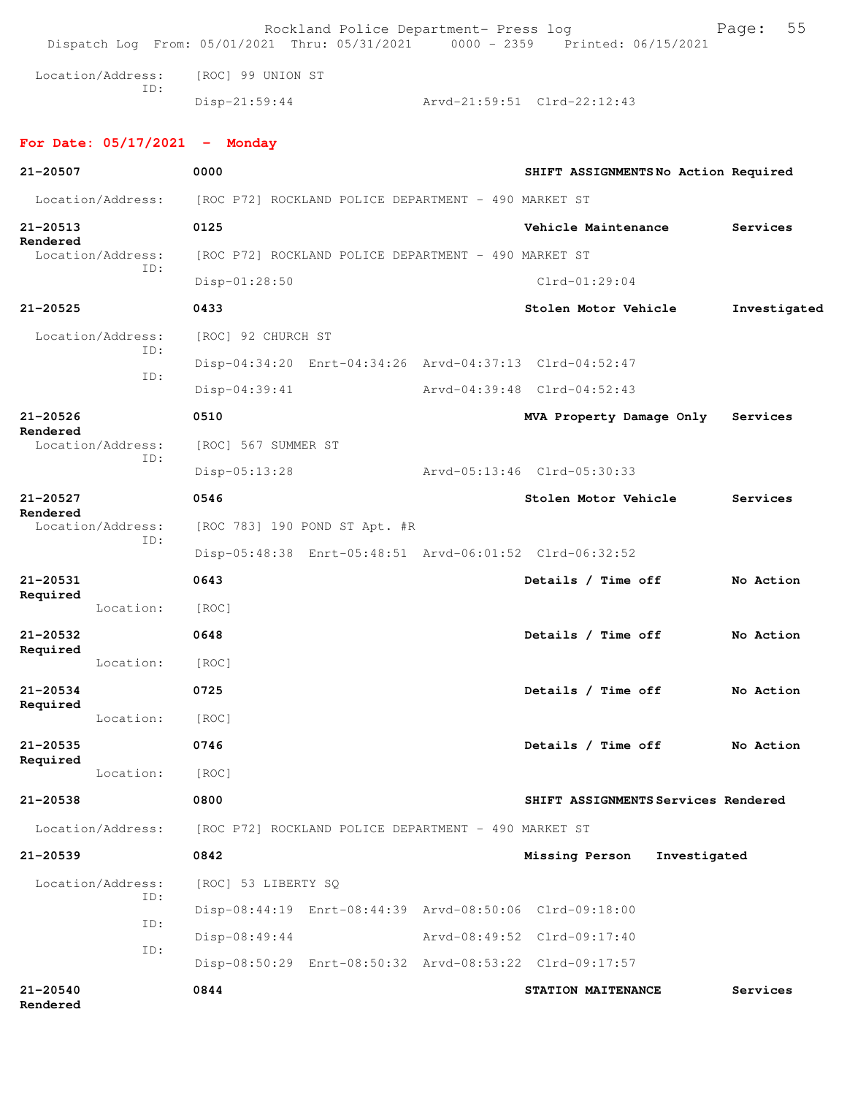|                          |                          |                                                                        | Rockland Police Department- Press log                   | Dispatch Log From: 05/01/2021 Thru: 05/31/2021 0000 - 2359 Printed: 06/15/2021 | 55<br>Page:  |
|--------------------------|--------------------------|------------------------------------------------------------------------|---------------------------------------------------------|--------------------------------------------------------------------------------|--------------|
|                          | Location/Address:        | [ROC] 99 UNION ST                                                      |                                                         |                                                                                |              |
|                          | ID:                      | $Disp-21:59:44$                                                        |                                                         | Arvd-21:59:51 Clrd-22:12:43                                                    |              |
|                          |                          | For Date: $05/17/2021$ - Monday                                        |                                                         |                                                                                |              |
| 21-20507                 |                          | 0000                                                                   |                                                         | SHIFT ASSIGNMENTSNo Action Required                                            |              |
|                          |                          | Location/Address: [ROC P72] ROCKLAND POLICE DEPARTMENT - 490 MARKET ST |                                                         |                                                                                |              |
| 21-20513                 |                          | 0125                                                                   |                                                         | Vehicle Maintenance                                                            | Services     |
| Rendered                 | Location/Address:        |                                                                        | [ROC P72] ROCKLAND POLICE DEPARTMENT - 490 MARKET ST    |                                                                                |              |
|                          | ID:                      | Disp-01:28:50                                                          |                                                         | $Clrd-01:29:04$                                                                |              |
| $21 - 20525$             |                          | 0433                                                                   |                                                         | Stolen Motor Vehicle                                                           | Investigated |
|                          | Location/Address:        | [ROC] 92 CHURCH ST                                                     |                                                         |                                                                                |              |
|                          | ID:<br>ID:               |                                                                        |                                                         | Disp-04:34:20 Enrt-04:34:26 Arvd-04:37:13 Clrd-04:52:47                        |              |
|                          |                          | Disp-04:39:41                                                          |                                                         | Arvd-04:39:48 Clrd-04:52:43                                                    |              |
| $21 - 20526$<br>Rendered |                          | 0510                                                                   |                                                         | MVA Property Damage Only                                                       | Services     |
|                          | Location/Address:<br>ID: | [ROC] 567 SUMMER ST                                                    |                                                         |                                                                                |              |
|                          |                          | $Disp-05:13:28$                                                        |                                                         | Arvd-05:13:46 Clrd-05:30:33                                                    |              |
| 21-20527<br>Rendered     |                          | 0546                                                                   |                                                         | Stolen Motor Vehicle                                                           | Services     |
|                          | Location/Address:        |                                                                        | [ROC 783] 190 POND ST Apt. #R                           |                                                                                |              |
|                          | ID:                      |                                                                        |                                                         | Disp-05:48:38 Enrt-05:48:51 Arvd-06:01:52 Clrd-06:32:52                        |              |
| 21-20531                 |                          | 0643                                                                   |                                                         | Details / Time off                                                             | No Action    |
| Required                 | Location:                | [ROC]                                                                  |                                                         |                                                                                |              |
| $21 - 20532$             |                          | 0648                                                                   |                                                         | Details / Time off                                                             | No Action    |
| Required                 | Location:                | [ROC]                                                                  |                                                         |                                                                                |              |
| 21-20534                 |                          | 0725                                                                   |                                                         | Details / Time off                                                             | No Action    |
| Required                 | Location:                | [ROC]                                                                  |                                                         |                                                                                |              |
| $21 - 20535$             |                          | 0746                                                                   |                                                         | Details / Time off                                                             | No Action    |
| Required                 | Location:                | [ROC]                                                                  |                                                         |                                                                                |              |
| 21-20538                 |                          | 0800                                                                   |                                                         | SHIFT ASSIGNMENTS Services Rendered                                            |              |
|                          | Location/Address:        |                                                                        | [ROC P72] ROCKLAND POLICE DEPARTMENT - 490 MARKET ST    |                                                                                |              |
| $21 - 20539$             |                          | 0842                                                                   |                                                         | Missing Person<br>Investigated                                                 |              |
|                          | Location/Address:        | [ROC] 53 LIBERTY SQ                                                    |                                                         |                                                                                |              |
|                          | ID:                      |                                                                        | Disp-08:44:19 Enrt-08:44:39 Arvd-08:50:06 Clrd-09:18:00 |                                                                                |              |
|                          | ID:                      | $Disp-08:49:44$                                                        |                                                         | Arvd-08:49:52 Clrd-09:17:40                                                    |              |
|                          | ID:                      |                                                                        |                                                         | Disp-08:50:29 Enrt-08:50:32 Arvd-08:53:22 Clrd-09:17:57                        |              |
| $21 - 20540$<br>Rendered |                          | 0844                                                                   |                                                         | STATION MAITENANCE                                                             | Services     |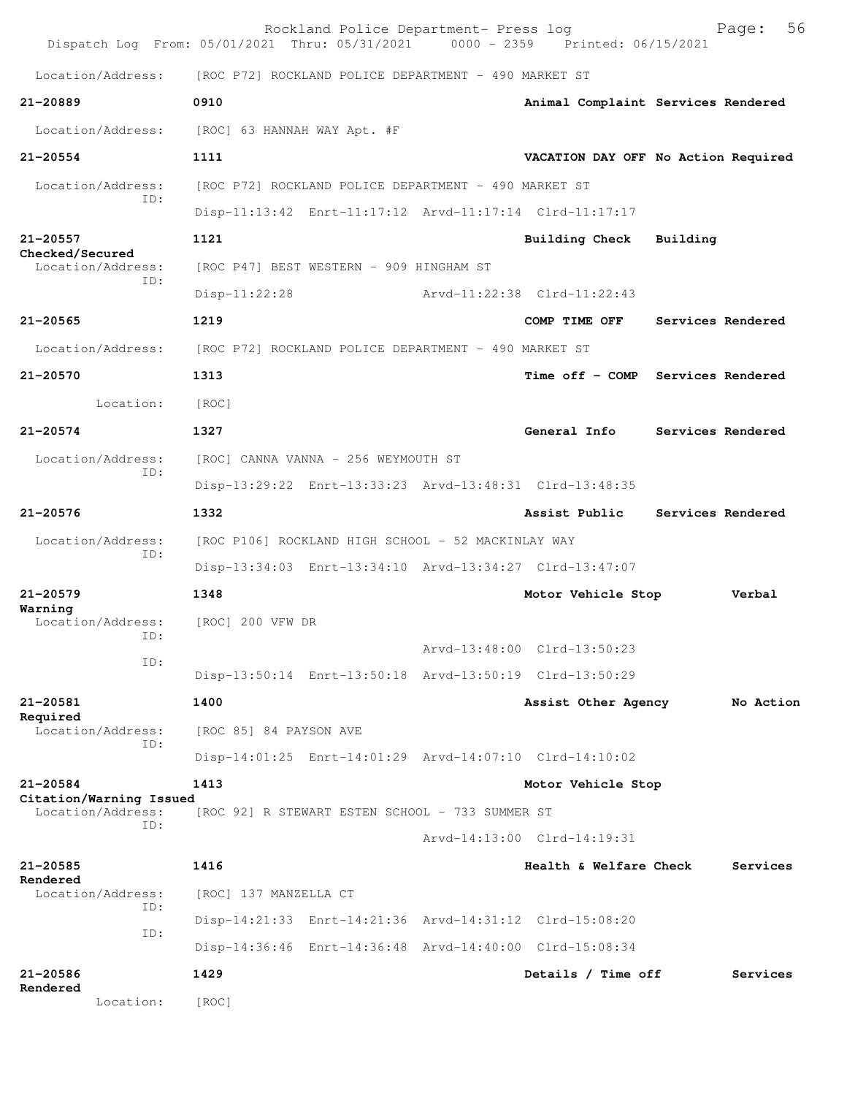| Dispatch Log From: 05/01/2021 Thru: 05/31/2021 0000 - 2359 Printed: 06/15/2021 |                                                                                                                    | Rockland Police Department- Press log |                                     |                   | 56<br>Page:       |
|--------------------------------------------------------------------------------|--------------------------------------------------------------------------------------------------------------------|---------------------------------------|-------------------------------------|-------------------|-------------------|
| Location/Address:                                                              | [ROC P72] ROCKLAND POLICE DEPARTMENT - 490 MARKET ST                                                               |                                       |                                     |                   |                   |
| $21 - 20889$                                                                   | 0910                                                                                                               |                                       | Animal Complaint Services Rendered  |                   |                   |
| Location/Address:                                                              | [ROC] 63 HANNAH WAY Apt. #F                                                                                        |                                       |                                     |                   |                   |
| $21 - 20554$                                                                   | 1111                                                                                                               |                                       | VACATION DAY OFF No Action Required |                   |                   |
| Location/Address:                                                              | [ROC P72] ROCKLAND POLICE DEPARTMENT - 490 MARKET ST                                                               |                                       |                                     |                   |                   |
| ID:                                                                            | Disp-11:13:42 Enrt-11:17:12 Arvd-11:17:14 Clrd-11:17:17                                                            |                                       |                                     |                   |                   |
| 21-20557                                                                       | 1121                                                                                                               |                                       | Building Check                      | Building          |                   |
| Checked/Secured<br>Location/Address:                                           | [ROC P47] BEST WESTERN - 909 HINGHAM ST                                                                            |                                       |                                     |                   |                   |
| ID:                                                                            | $Disp-11:22:28$                                                                                                    |                                       | Arvd-11:22:38 Clrd-11:22:43         |                   |                   |
| $21 - 20565$                                                                   | 1219                                                                                                               |                                       | COMP TIME OFF                       |                   | Services Rendered |
| Location/Address:                                                              | [ROC P72] ROCKLAND POLICE DEPARTMENT - 490 MARKET ST                                                               |                                       |                                     |                   |                   |
| 21-20570                                                                       | 1313                                                                                                               |                                       | Time off - COMP Services Rendered   |                   |                   |
| Location:                                                                      | [ROC]                                                                                                              |                                       |                                     |                   |                   |
| $21 - 20574$                                                                   | 1327                                                                                                               |                                       | General Info                        |                   | Services Rendered |
| Location/Address:                                                              | [ROC] CANNA VANNA - 256 WEYMOUTH ST                                                                                |                                       |                                     |                   |                   |
| TD:                                                                            | Disp-13:29:22 Enrt-13:33:23 Arvd-13:48:31 Clrd-13:48:35                                                            |                                       |                                     |                   |                   |
| 21-20576                                                                       | 1332                                                                                                               |                                       | Assist Public                       | Services Rendered |                   |
| Location/Address:<br>ID:                                                       | [ROC P106] ROCKLAND HIGH SCHOOL - 52 MACKINLAY WAY                                                                 |                                       |                                     |                   |                   |
|                                                                                | Disp-13:34:03 Enrt-13:34:10 Arvd-13:34:27 Clrd-13:47:07                                                            |                                       |                                     |                   |                   |
| $21 - 20579$<br>Warning                                                        | 1348                                                                                                               |                                       | Motor Vehicle Stop                  |                   | Verbal            |
| Location/Address:<br>ID:                                                       | [ROC] 200 VFW DR                                                                                                   |                                       |                                     |                   |                   |
| ID:                                                                            |                                                                                                                    |                                       | Arvd-13:48:00 Clrd-13:50:23         |                   |                   |
| 21-20581                                                                       | Disp-13:50:14 Enrt-13:50:18 Arvd-13:50:19 Clrd-13:50:29<br>1400                                                    |                                       | Assist Other Agency                 |                   |                   |
| Required                                                                       |                                                                                                                    |                                       |                                     |                   | No Action         |
| Location/Address:<br>TD:                                                       | [ROC 85] 84 PAYSON AVE                                                                                             |                                       |                                     |                   |                   |
| $21 - 20584$                                                                   | Disp-14:01:25 Enrt-14:01:29 Arvd-14:07:10 Clrd-14:10:02<br>1413                                                    |                                       |                                     |                   |                   |
| Citation/Warning Issued                                                        |                                                                                                                    |                                       | Motor Vehicle Stop                  |                   |                   |
| Location/Address:<br>ID:                                                       | [ROC 92] R STEWART ESTEN SCHOOL - 733 SUMMER ST                                                                    |                                       |                                     |                   |                   |
|                                                                                |                                                                                                                    |                                       | Arvd-14:13:00 Clrd-14:19:31         |                   |                   |
| 21-20585<br>Rendered                                                           | 1416                                                                                                               |                                       | Health & Welfare Check              |                   | Services          |
| Location/Address:<br>ID:                                                       | [ROC] 137 MANZELLA CT                                                                                              |                                       |                                     |                   |                   |
| ID:                                                                            | Disp-14:21:33 Enrt-14:21:36 Arvd-14:31:12 Clrd-15:08:20<br>Disp-14:36:46 Enrt-14:36:48 Arvd-14:40:00 Clrd-15:08:34 |                                       |                                     |                   |                   |
| 21-20586                                                                       | 1429                                                                                                               |                                       |                                     |                   | Services          |
| Rendered                                                                       |                                                                                                                    |                                       | Details / Time off                  |                   |                   |
| Location:                                                                      | [ROC]                                                                                                              |                                       |                                     |                   |                   |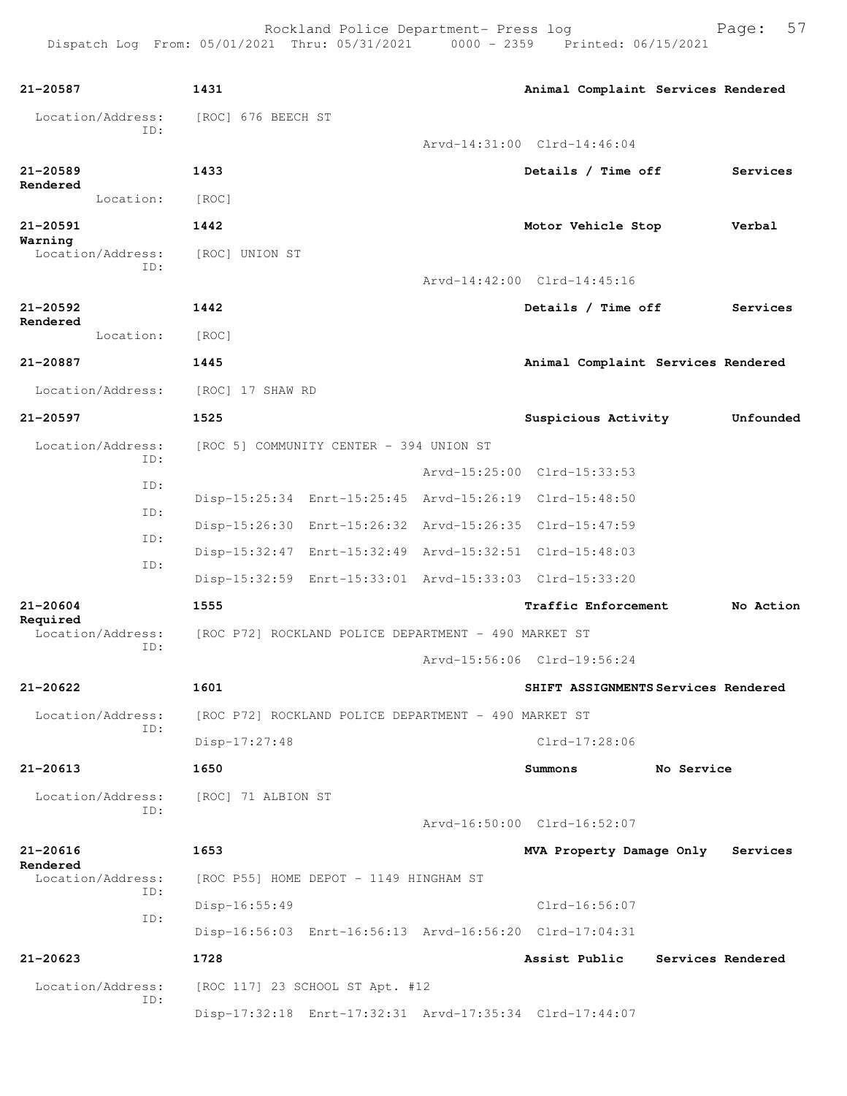| 21-20587                      | 1431                                                    | Animal Complaint Services Rendered        |            |                   |
|-------------------------------|---------------------------------------------------------|-------------------------------------------|------------|-------------------|
| Location/Address:             | [ROC] 676 BEECH ST                                      |                                           |            |                   |
| TD:                           |                                                         | Arvd-14:31:00 Clrd-14:46:04               |            |                   |
| $21 - 20589$<br>Rendered      | 1433                                                    | Details / Time off                        |            | Services          |
| Location:                     | [ROC]                                                   |                                           |            |                   |
| 21-20591                      | 1442                                                    | Motor Vehicle Stop                        |            | Verbal            |
| Warning<br>Location/Address:  | [ROC] UNION ST                                          |                                           |            |                   |
| ID:                           |                                                         | Arvd-14:42:00 Clrd-14:45:16               |            |                   |
| $21 - 20592$                  | 1442                                                    | Details / Time off                        |            | Services          |
| Rendered<br>Location:         | [ROC]                                                   |                                           |            |                   |
| 21-20887                      | 1445                                                    | Animal Complaint Services Rendered        |            |                   |
| Location/Address:             | [ROC] 17 SHAW RD                                        |                                           |            |                   |
| $21 - 20597$                  | 1525                                                    | Suspicious Activity                       |            | Unfounded         |
| Location/Address:             | [ROC 5] COMMUNITY CENTER - 394 UNION ST                 |                                           |            |                   |
| TD:                           |                                                         | Arvd-15:25:00 Clrd-15:33:53               |            |                   |
| ID:                           | Disp-15:25:34 Enrt-15:25:45 Arvd-15:26:19 Clrd-15:48:50 |                                           |            |                   |
| ID:                           | Disp-15:26:30                                           | Enrt-15:26:32 Arvd-15:26:35 Clrd-15:47:59 |            |                   |
| ID:                           | Disp-15:32:47                                           | Enrt-15:32:49 Arvd-15:32:51 Clrd-15:48:03 |            |                   |
| ID:                           | Disp-15:32:59 Enrt-15:33:01 Arvd-15:33:03 Clrd-15:33:20 |                                           |            |                   |
| 21-20604                      | 1555                                                    | Traffic Enforcement                       |            | No Action         |
| Required<br>Location/Address: | [ROC P72] ROCKLAND POLICE DEPARTMENT - 490 MARKET ST    |                                           |            |                   |
| ID:                           |                                                         | Arvd-15:56:06 Clrd-19:56:24               |            |                   |
| 21-20622                      | 1601                                                    | SHIFT ASSIGNMENTS Services Rendered       |            |                   |
| Location/Address:             | [ROC P72] ROCKLAND POLICE DEPARTMENT - 490 MARKET ST    |                                           |            |                   |
| TD:                           | $Disp-17:27:48$                                         | Clrd-17:28:06                             |            |                   |
| 21-20613                      | 1650                                                    | Summons                                   | No Service |                   |
| Location/Address:             | [ROC] 71 ALBION ST                                      |                                           |            |                   |
| ID:                           |                                                         | Arvd-16:50:00 Clrd-16:52:07               |            |                   |
| $21 - 20616$                  | 1653                                                    | MVA Property Damage Only                  |            | Services          |
| Rendered<br>Location/Address: | [ROC P55] HOME DEPOT - 1149 HINGHAM ST                  |                                           |            |                   |
| ID:                           | Disp-16:55:49                                           | $Clrd-16:56:07$                           |            |                   |
| ID:                           | Disp-16:56:03 Enrt-16:56:13 Arvd-16:56:20 Clrd-17:04:31 |                                           |            |                   |
| $21 - 20623$                  | 1728                                                    | Assist Public                             |            | Services Rendered |
| Location/Address:<br>ID:      | [ROC 117] 23 SCHOOL ST Apt. #12                         |                                           |            |                   |
|                               | Disp-17:32:18 Enrt-17:32:31 Arvd-17:35:34 Clrd-17:44:07 |                                           |            |                   |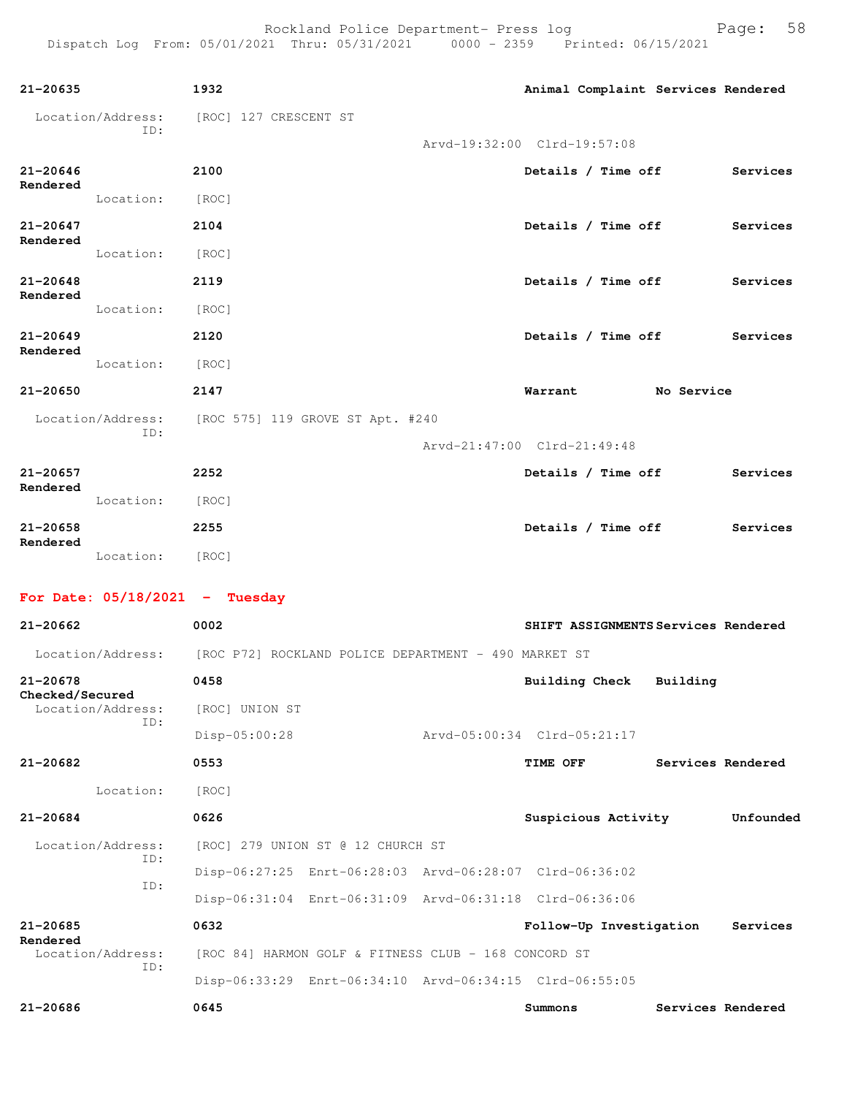| $21 - 20635$             |                   | 1932                                                                   |                                                      | Animal Complaint Services Rendered                      |                   |                   |
|--------------------------|-------------------|------------------------------------------------------------------------|------------------------------------------------------|---------------------------------------------------------|-------------------|-------------------|
|                          | Location/Address: | [ROC] 127 CRESCENT ST                                                  |                                                      |                                                         |                   |                   |
|                          | ID:               |                                                                        |                                                      | Arvd-19:32:00 Clrd-19:57:08                             |                   |                   |
| $21 - 20646$             |                   | 2100                                                                   |                                                      |                                                         |                   | Services          |
| Rendered                 |                   |                                                                        |                                                      | Details / Time off                                      |                   |                   |
|                          | Location: [ROC]   |                                                                        |                                                      |                                                         |                   |                   |
| 21-20647<br>Rendered     |                   | 2104                                                                   |                                                      | Details / Time off                                      |                   | Services          |
|                          | Location: [ROC]   |                                                                        |                                                      |                                                         |                   |                   |
| $21 - 20648$<br>Rendered |                   | 2119                                                                   |                                                      | Details / Time off                                      |                   | Services          |
|                          | Location:         | [ROC]                                                                  |                                                      |                                                         |                   |                   |
| $21 - 20649$             |                   | 2120                                                                   |                                                      | Details / Time off                                      |                   | Services          |
| Rendered                 | Location:         | [ROC]                                                                  |                                                      |                                                         |                   |                   |
| 21-20650                 |                   | 2147                                                                   |                                                      | Warrant                                                 | <b>No Service</b> |                   |
|                          |                   | Location/Address: [ROC 575] 119 GROVE ST Apt. #240                     |                                                      |                                                         |                   |                   |
|                          | ID:               |                                                                        |                                                      | Arvd-21:47:00 Clrd-21:49:48                             |                   |                   |
| 21-20657                 |                   | 2252                                                                   |                                                      | Details / Time off                                      |                   | Services          |
| Rendered                 | Location:         | [ROC]                                                                  |                                                      |                                                         |                   |                   |
| $21 - 20658$             |                   | 2255                                                                   |                                                      | Details / Time off                                      |                   | Services          |
| Rendered                 | Location: [ROC]   |                                                                        |                                                      |                                                         |                   |                   |
|                          |                   |                                                                        |                                                      |                                                         |                   |                   |
|                          |                   | For Date: $05/18/2021$ - Tuesday                                       |                                                      |                                                         |                   |                   |
| 21-20662                 |                   | 0002                                                                   |                                                      | SHIFT ASSIGNMENTS Services Rendered                     |                   |                   |
|                          |                   | Location/Address: [ROC P72] ROCKLAND POLICE DEPARTMENT - 490 MARKET ST |                                                      |                                                         |                   |                   |
| 21-20678                 |                   | 0458                                                                   |                                                      | <b>Building Check</b>                                   | Building          |                   |
| Checked/Secured          | Location/Address: | [ROC] UNION ST                                                         |                                                      |                                                         |                   |                   |
|                          | ID:               | Disp-05:00:28                                                          |                                                      | Arvd-05:00:34 Clrd-05:21:17                             |                   |                   |
| $21 - 20682$             |                   | 0553                                                                   |                                                      | <b>TIME OFF</b>                                         |                   | Services Rendered |
|                          | Location:         | [ROC]                                                                  |                                                      |                                                         |                   |                   |
| $21 - 20684$             |                   | 0626                                                                   |                                                      | Suspicious Activity                                     |                   | Unfounded         |
|                          | Location/Address: |                                                                        | [ROC] 279 UNION ST @ 12 CHURCH ST                    |                                                         |                   |                   |
|                          | ID:               |                                                                        |                                                      |                                                         |                   |                   |
|                          | ID:               |                                                                        |                                                      | Disp-06:27:25 Enrt-06:28:03 Arvd-06:28:07 Clrd-06:36:02 |                   |                   |
|                          |                   |                                                                        |                                                      | Disp-06:31:04 Enrt-06:31:09 Arvd-06:31:18 Clrd-06:36:06 |                   |                   |
| 21-20685<br>Rendered     |                   | 0632                                                                   |                                                      | Follow-Up Investigation                                 |                   | Services          |
|                          | Location/Address: |                                                                        | [ROC 84] HARMON GOLF & FITNESS CLUB - 168 CONCORD ST |                                                         |                   |                   |

Disp-06:33:29 Enrt-06:34:10 Arvd-06:34:15 Clrd-06:55:05

ID:

**21-20686 0645 Summons Services Rendered**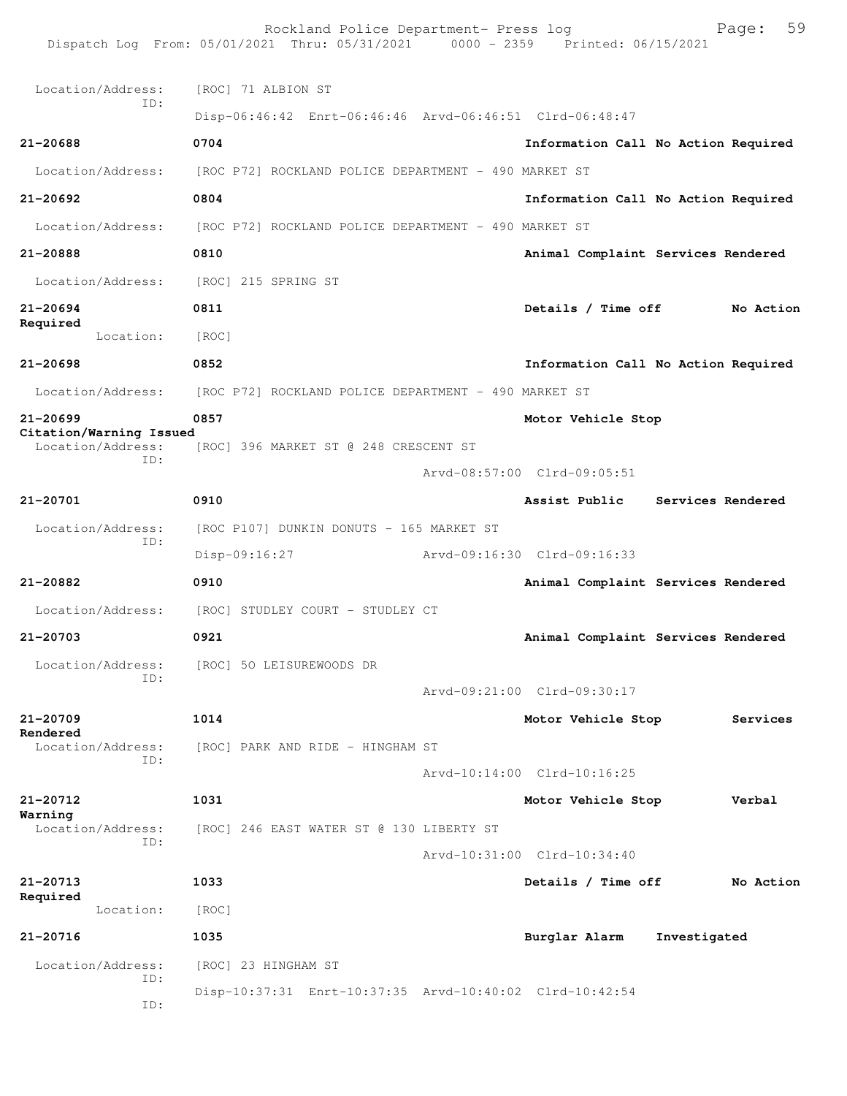|                                              | Rockland Police Department- Press log<br>Dispatch Log From: 05/01/2021 Thru: 05/31/2021 0000 - 2359 Printed: 06/15/2021 |                                     |                   | 59<br>Page: |
|----------------------------------------------|-------------------------------------------------------------------------------------------------------------------------|-------------------------------------|-------------------|-------------|
| Location/Address:                            | [ROC] 71 ALBION ST                                                                                                      |                                     |                   |             |
| ID:                                          | Disp-06:46:42 Enrt-06:46:46 Arvd-06:46:51 Clrd-06:48:47                                                                 |                                     |                   |             |
| 21-20688                                     | 0704                                                                                                                    | Information Call No Action Required |                   |             |
| Location/Address:                            | [ROC P72] ROCKLAND POLICE DEPARTMENT - 490 MARKET ST                                                                    |                                     |                   |             |
| 21-20692                                     | 0804                                                                                                                    | Information Call No Action Required |                   |             |
| Location/Address:                            | [ROC P72] ROCKLAND POLICE DEPARTMENT - 490 MARKET ST                                                                    |                                     |                   |             |
| 21-20888                                     | 0810                                                                                                                    | Animal Complaint Services Rendered  |                   |             |
| Location/Address:                            | [ROC] 215 SPRING ST                                                                                                     |                                     |                   |             |
| 21-20694                                     | 0811                                                                                                                    | Details / Time off                  |                   | No Action   |
| Required<br>Location:                        | [ROC]                                                                                                                   |                                     |                   |             |
| 21-20698                                     | 0852                                                                                                                    | Information Call No Action Required |                   |             |
| Location/Address:                            | [ROC P72] ROCKLAND POLICE DEPARTMENT - 490 MARKET ST                                                                    |                                     |                   |             |
| $21 - 20699$                                 | 0857                                                                                                                    | Motor Vehicle Stop                  |                   |             |
| Citation/Warning Issued<br>Location/Address: | [ROC] 396 MARKET ST @ 248 CRESCENT ST                                                                                   |                                     |                   |             |
| ID:                                          |                                                                                                                         | Arvd-08:57:00 Clrd-09:05:51         |                   |             |
| 21-20701                                     | 0910                                                                                                                    | Assist Public                       | Services Rendered |             |
| Location/Address:<br>ID:                     | [ROC P107] DUNKIN DONUTS - 165 MARKET ST                                                                                |                                     |                   |             |
|                                              | Disp-09:16:27                                                                                                           | Arvd-09:16:30 Clrd-09:16:33         |                   |             |
| 21-20882                                     | 0910                                                                                                                    | Animal Complaint Services Rendered  |                   |             |
| Location/Address:                            | [ROC] STUDLEY COURT - STUDLEY CT                                                                                        |                                     |                   |             |
| 21-20703                                     | 0921                                                                                                                    | Animal Complaint Services Rendered  |                   |             |
| Location/Address:<br>ID:                     | [ROC] 50 LEISUREWOODS DR                                                                                                |                                     |                   |             |
|                                              |                                                                                                                         | Arvd-09:21:00 Clrd-09:30:17         |                   |             |
| 21-20709<br>Rendered                         | 1014                                                                                                                    | Motor Vehicle Stop                  |                   | Services    |
| Location/Address:<br>ID:                     | [ROC] PARK AND RIDE - HINGHAM ST                                                                                        |                                     |                   |             |
|                                              |                                                                                                                         | Arvd-10:14:00 Clrd-10:16:25         |                   |             |
| 21-20712<br>Warning                          | 1031                                                                                                                    | Motor Vehicle Stop                  |                   | Verbal      |
| Location/Address:<br>ID:                     | [ROC] 246 EAST WATER ST @ 130 LIBERTY ST                                                                                |                                     |                   |             |
|                                              |                                                                                                                         | Arvd-10:31:00 Clrd-10:34:40         |                   |             |
| 21-20713<br>Required                         | 1033                                                                                                                    | Details / Time off                  |                   | No Action   |
| Location:                                    | [ROC]                                                                                                                   |                                     |                   |             |
| 21-20716                                     | 1035                                                                                                                    | Burglar Alarm                       | Investigated      |             |
| Location/Address:<br>ID:                     | [ROC] 23 HINGHAM ST                                                                                                     |                                     |                   |             |
| ID:                                          | Disp-10:37:31 Enrt-10:37:35 Arvd-10:40:02 Clrd-10:42:54                                                                 |                                     |                   |             |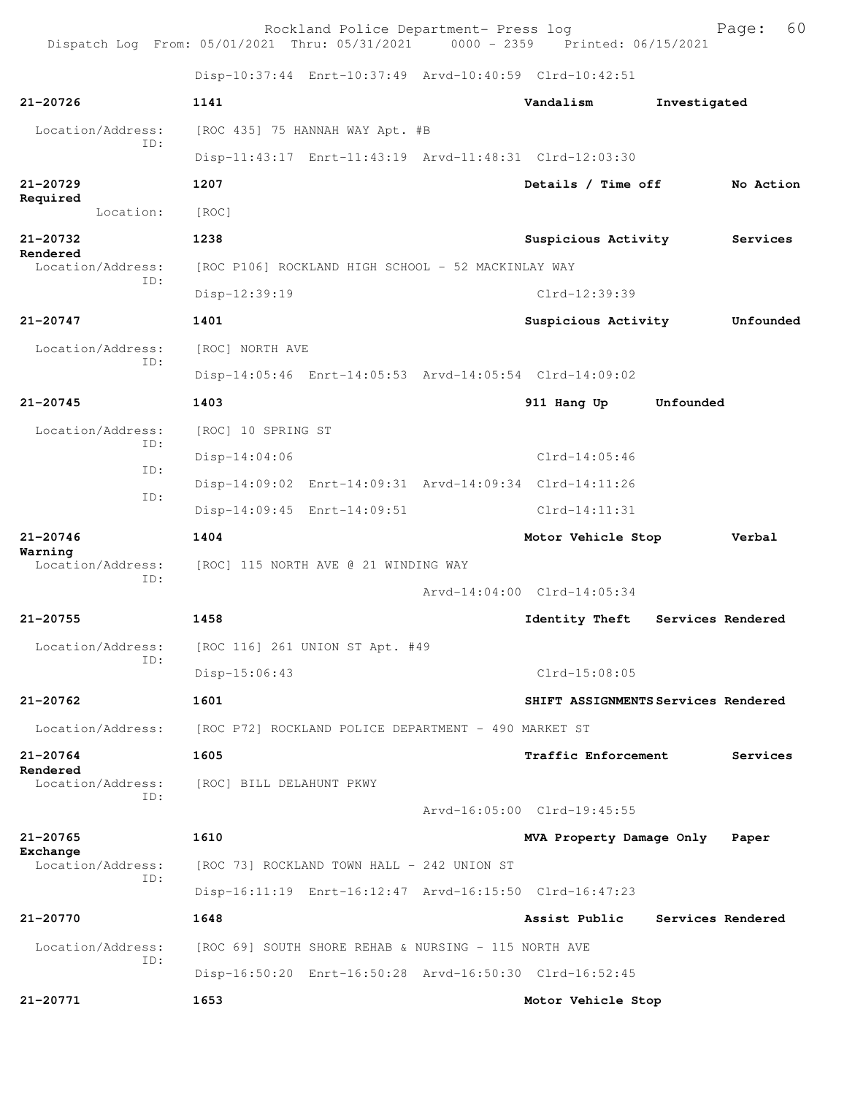Rockland Police Department- Press log Page: 60 Dispatch Log From: 05/01/2021 Thru: 05/31/2021 0000 - 2359 Disp-10:37:44 Enrt-10:37:49 Arvd-10:40:59 Clrd-10:42:51 **21-20726 1141 Vandalism Investigated** Location/Address: [ROC 435] 75 HANNAH WAY Apt. #B ID: Disp-11:43:17 Enrt-11:43:19 Arvd-11:48:31 Clrd-12:03:30 **21-20729 1207 Details / Time off No Action Required**  Location: [ROC] **21-20732 1238 Suspicious Activity Services Rendered**  Location/Address: [ROC P106] ROCKLAND HIGH SCHOOL - 52 MACKINLAY WAY ID: Disp-12:39:19 Clrd-12:39:39 **21-20747 1401 Suspicious Activity Unfounded** Location/Address: [ROC] NORTH AVE ID: Disp-14:05:46 Enrt-14:05:53 Arvd-14:05:54 Clrd-14:09:02 **21-20745 1403 911 Hang Up Unfounded**  Location/Address: [ROC] 10 SPRING ST ID: Disp-14:04:06 Clrd-14:05:46 ID: Disp-14:09:02 Enrt-14:09:31 Arvd-14:09:34 Clrd-14:11:26 ID: Disp-14:09:45 Enrt-14:09:51 Clrd-14:11:31 **21-20746 1404 Motor Vehicle Stop Verbal Warning**  Location/Address: [ROC] 115 NORTH AVE @ 21 WINDING WAY ID: Arvd-14:04:00 Clrd-14:05:34 **21-20755 1458 Identity Theft Services Rendered** Location/Address: [ROC 116] 261 UNION ST Apt. #49 ID: Disp-15:06:43 Clrd-15:08:05 **21-20762 1601 SHIFT ASSIGNMENTS Services Rendered** Location/Address: [ROC P72] ROCKLAND POLICE DEPARTMENT - 490 MARKET ST **21-20764 1605 Traffic Enforcement Services Rendered**  Location/Address: [ROC] BILL DELAHUNT PKWY ID: Arvd-16:05:00 Clrd-19:45:55 **21-20765 1610 MVA Property Damage Only Paper** Exchange<br>Location/Address: [ROC 73] ROCKLAND TOWN HALL - 242 UNION ST ID: Disp-16:11:19 Enrt-16:12:47 Arvd-16:15:50 Clrd-16:47:23 **21-20770 1648 Assist Public Services Rendered** Location/Address: [ROC 69] SOUTH SHORE REHAB & NURSING - 115 NORTH AVE ID: Disp-16:50:20 Enrt-16:50:28 Arvd-16:50:30 Clrd-16:52:45 **21-20771 1653 Motor Vehicle Stop**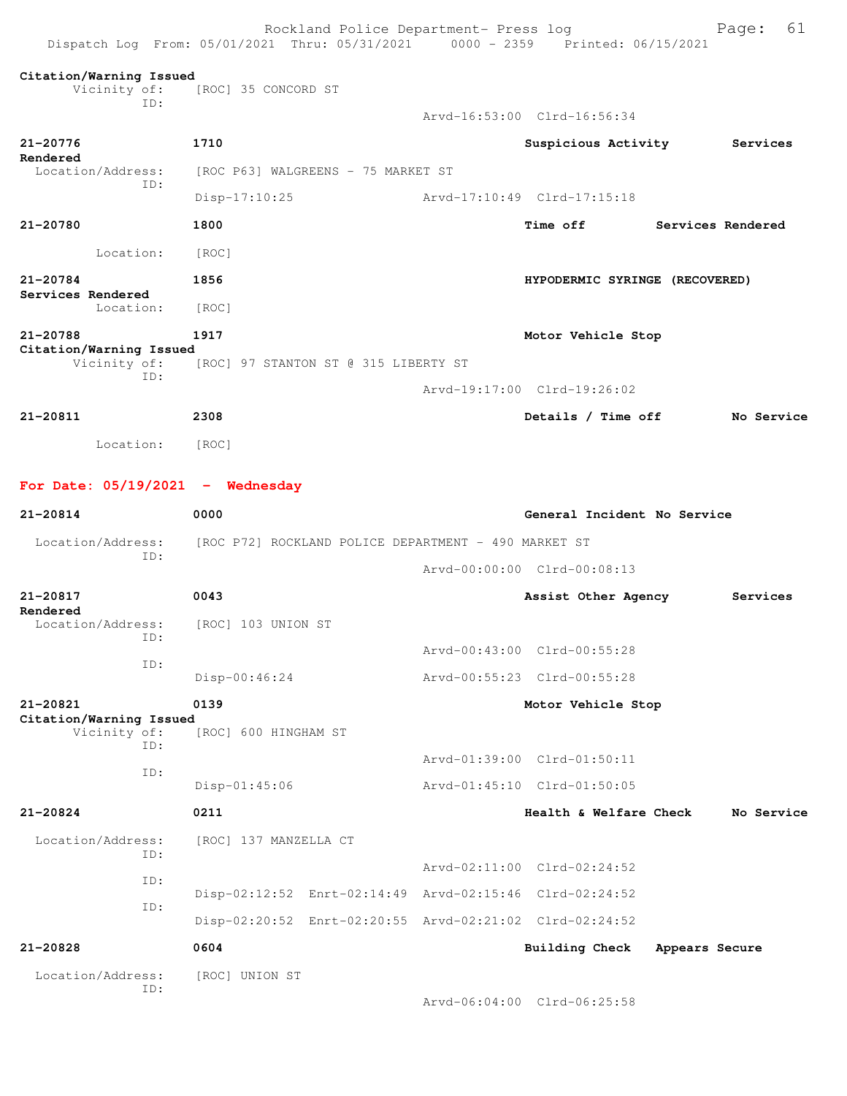| Dispatch Log From: 05/01/2021 Thru: 05/31/2021 0000 - 2359 Printed: 06/15/2021 |                                                         | Rockland Police Department- Press log |                                |                | 61<br>Page:       |
|--------------------------------------------------------------------------------|---------------------------------------------------------|---------------------------------------|--------------------------------|----------------|-------------------|
| Citation/Warning Issued<br>Vicinity of:<br>ID:                                 | [ROC] 35 CONCORD ST                                     |                                       |                                |                |                   |
|                                                                                |                                                         |                                       | Arvd-16:53:00 Clrd-16:56:34    |                |                   |
| 21-20776<br>Rendered                                                           | 1710                                                    |                                       | Suspicious Activity            |                | Services          |
| Location/Address:                                                              | [ROC P63] WALGREENS - 75 MARKET ST                      |                                       |                                |                |                   |
| ID:                                                                            | Disp-17:10:25                                           |                                       | Arvd-17:10:49 Clrd-17:15:18    |                |                   |
| 21-20780                                                                       | 1800                                                    |                                       | <b>Time off</b>                |                | Services Rendered |
| Location:                                                                      | [ROC]                                                   |                                       |                                |                |                   |
| 21-20784                                                                       | 1856                                                    |                                       | HYPODERMIC SYRINGE (RECOVERED) |                |                   |
| Services Rendered<br>Location:                                                 | [ROC]                                                   |                                       |                                |                |                   |
| 21-20788                                                                       | 1917                                                    |                                       | Motor Vehicle Stop             |                |                   |
| Citation/Warning Issued<br>Vicinity of:                                        | [ROC] 97 STANTON ST @ 315 LIBERTY ST                    |                                       |                                |                |                   |
| ID:                                                                            |                                                         |                                       | Arvd-19:17:00 Clrd-19:26:02    |                |                   |
| 21-20811                                                                       | 2308                                                    |                                       | Details / Time off             |                | No Service        |
| Location:                                                                      | [ROC]                                                   |                                       |                                |                |                   |
| For Date: $05/19/2021$ - Wednesday                                             |                                                         |                                       |                                |                |                   |
| 21-20814                                                                       | 0000                                                    |                                       | General Incident No Service    |                |                   |
| Location/Address:                                                              | [ROC P72] ROCKLAND POLICE DEPARTMENT - 490 MARKET ST    |                                       |                                |                |                   |
| ID:                                                                            |                                                         |                                       | Arvd-00:00:00 Clrd-00:08:13    |                |                   |
| $21 - 20817$                                                                   | 0043                                                    |                                       | Assist Other Agency            |                | Services          |
| Rendered<br>Location/Address:                                                  | [ROC] 103 UNION ST                                      |                                       |                                |                |                   |
| ID:                                                                            |                                                         |                                       | Arvd-00:43:00 Clrd-00:55:28    |                |                   |
| ID:                                                                            | $Disp-00:46:24$                                         |                                       | Arvd-00:55:23 Clrd-00:55:28    |                |                   |
| 21-20821                                                                       | 0139                                                    |                                       | Motor Vehicle Stop             |                |                   |
| Citation/Warning Issued<br>Vicinity of:                                        | [ROC] 600 HINGHAM ST                                    |                                       |                                |                |                   |
| ID:                                                                            |                                                         |                                       | Arvd-01:39:00 Clrd-01:50:11    |                |                   |
| ID:                                                                            | Disp-01:45:06                                           |                                       | Arvd-01:45:10 Clrd-01:50:05    |                |                   |
| 21-20824                                                                       | 0211                                                    |                                       | Health & Welfare Check         |                | No Service        |
| Location/Address:                                                              | [ROC] 137 MANZELLA CT                                   |                                       |                                |                |                   |
| ID:                                                                            |                                                         |                                       | Arvd-02:11:00 Clrd-02:24:52    |                |                   |
| ID:                                                                            | Disp-02:12:52 Enrt-02:14:49 Arvd-02:15:46 Clrd-02:24:52 |                                       |                                |                |                   |
| ID:                                                                            | Disp-02:20:52 Enrt-02:20:55 Arvd-02:21:02 Clrd-02:24:52 |                                       |                                |                |                   |
| 21-20828                                                                       | 0604                                                    |                                       | Building Check                 | Appears Secure |                   |
| Location/Address:                                                              | [ROC] UNION ST                                          |                                       |                                |                |                   |
| ID:                                                                            |                                                         |                                       | Arvd-06:04:00 Clrd-06:25:58    |                |                   |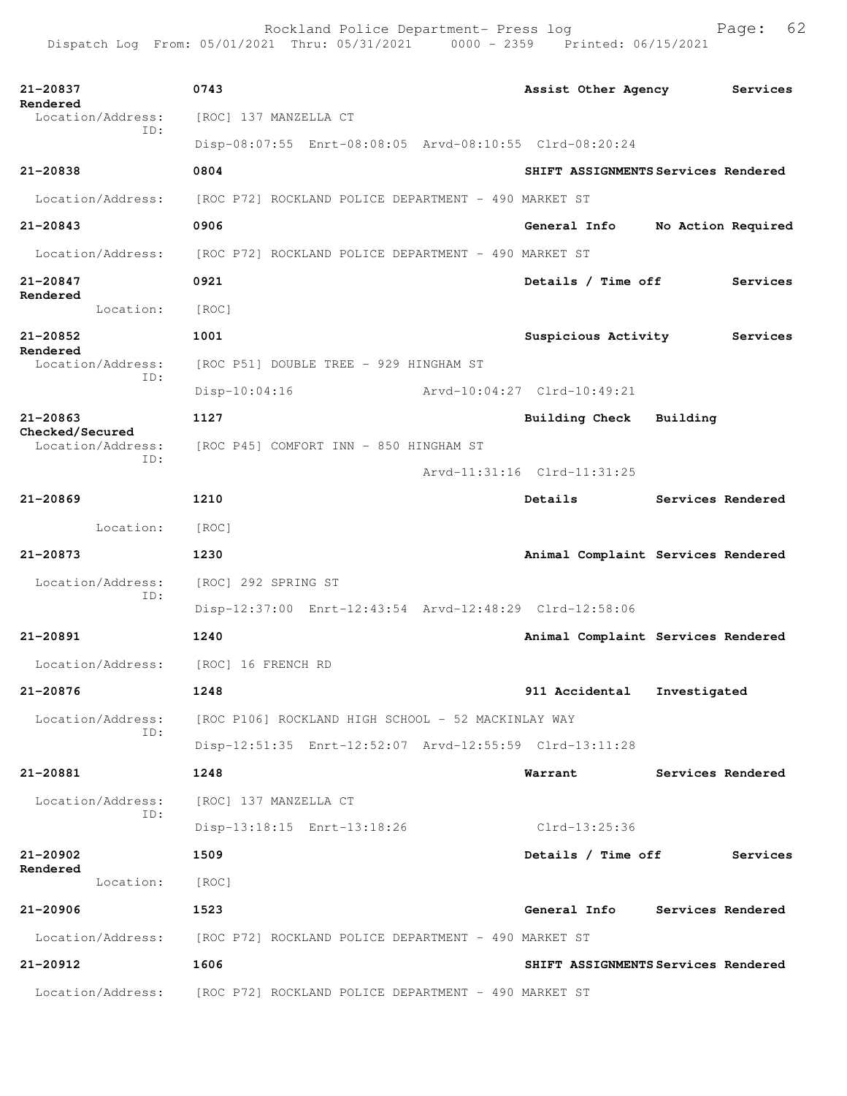| 21-20837                             | 0743                                                                   | Assist Other Agency                 | Services |  |  |  |  |
|--------------------------------------|------------------------------------------------------------------------|-------------------------------------|----------|--|--|--|--|
| Rendered<br>Location/Address:        | [ROC] 137 MANZELLA CT                                                  |                                     |          |  |  |  |  |
| ID:                                  | Disp-08:07:55 Enrt-08:08:05 Arvd-08:10:55 Clrd-08:20:24                |                                     |          |  |  |  |  |
| 21-20838                             | 0804                                                                   | SHIFT ASSIGNMENTS Services Rendered |          |  |  |  |  |
| Location/Address:                    | [ROC P72] ROCKLAND POLICE DEPARTMENT - 490 MARKET ST                   |                                     |          |  |  |  |  |
| $21 - 20843$                         | 0906                                                                   | General Info<br>No Action Required  |          |  |  |  |  |
| Location/Address:                    | [ROC P72] ROCKLAND POLICE DEPARTMENT - 490 MARKET ST                   |                                     |          |  |  |  |  |
| 21-20847                             | 0921                                                                   | Details / Time off                  | Services |  |  |  |  |
| Rendered<br>Location:                | [ROC]                                                                  |                                     |          |  |  |  |  |
| 21-20852                             | 1001                                                                   | Suspicious Activity                 | Services |  |  |  |  |
| Rendered<br>Location/Address:        | [ROC P51] DOUBLE TREE - 929 HINGHAM ST                                 |                                     |          |  |  |  |  |
| ID:                                  | Arvd-10:04:27 Clrd-10:49:21<br>$Disp-10:04:16$                         |                                     |          |  |  |  |  |
| 21-20863                             | 1127                                                                   | Building Check Building             |          |  |  |  |  |
| Checked/Secured<br>Location/Address: | [ROC P45] COMFORT INN - 850 HINGHAM ST                                 |                                     |          |  |  |  |  |
| ID:                                  |                                                                        | Arvd-11:31:16 Clrd-11:31:25         |          |  |  |  |  |
| $21 - 20869$                         | 1210                                                                   | <b>Details</b><br>Services Rendered |          |  |  |  |  |
| Location:                            | [ROC]                                                                  |                                     |          |  |  |  |  |
| 21-20873                             | 1230                                                                   | Animal Complaint Services Rendered  |          |  |  |  |  |
| Location/Address:                    | [ROC] 292 SPRING ST                                                    |                                     |          |  |  |  |  |
| ID:                                  | Disp-12:37:00 Enrt-12:43:54 Arvd-12:48:29 Clrd-12:58:06                |                                     |          |  |  |  |  |
| 21-20891                             | 1240                                                                   | Animal Complaint Services Rendered  |          |  |  |  |  |
| Location/Address: [ROC] 16 FRENCH RD |                                                                        |                                     |          |  |  |  |  |
| 21-20876                             | 1248                                                                   | 911 Accidental Investigated         |          |  |  |  |  |
| Location/Address:                    | [ROC P106] ROCKLAND HIGH SCHOOL - 52 MACKINLAY WAY                     |                                     |          |  |  |  |  |
| ID:                                  | Disp-12:51:35 Enrt-12:52:07 Arvd-12:55:59 Clrd-13:11:28                |                                     |          |  |  |  |  |
| 21-20881                             | 1248                                                                   | Warrant<br>Services Rendered        |          |  |  |  |  |
| Location/Address:                    |                                                                        |                                     |          |  |  |  |  |
| ID:                                  | [ROC] 137 MANZELLA CT                                                  |                                     |          |  |  |  |  |
|                                      | Disp-13:18:15 Enrt-13:18:26                                            | Clrd-13:25:36                       |          |  |  |  |  |
| 21-20902                             | 1509                                                                   | Details / Time off                  | Services |  |  |  |  |
| Rendered<br>Location:                | [ROC]                                                                  |                                     |          |  |  |  |  |
| $21 - 20906$                         | 1523                                                                   | General Info Services Rendered      |          |  |  |  |  |
|                                      | Location/Address: [ROC P72] ROCKLAND POLICE DEPARTMENT - 490 MARKET ST |                                     |          |  |  |  |  |
| 21-20912                             | 1606                                                                   | SHIFT ASSIGNMENTS Services Rendered |          |  |  |  |  |
| Location/Address:                    | [ROC P72] ROCKLAND POLICE DEPARTMENT - 490 MARKET ST                   |                                     |          |  |  |  |  |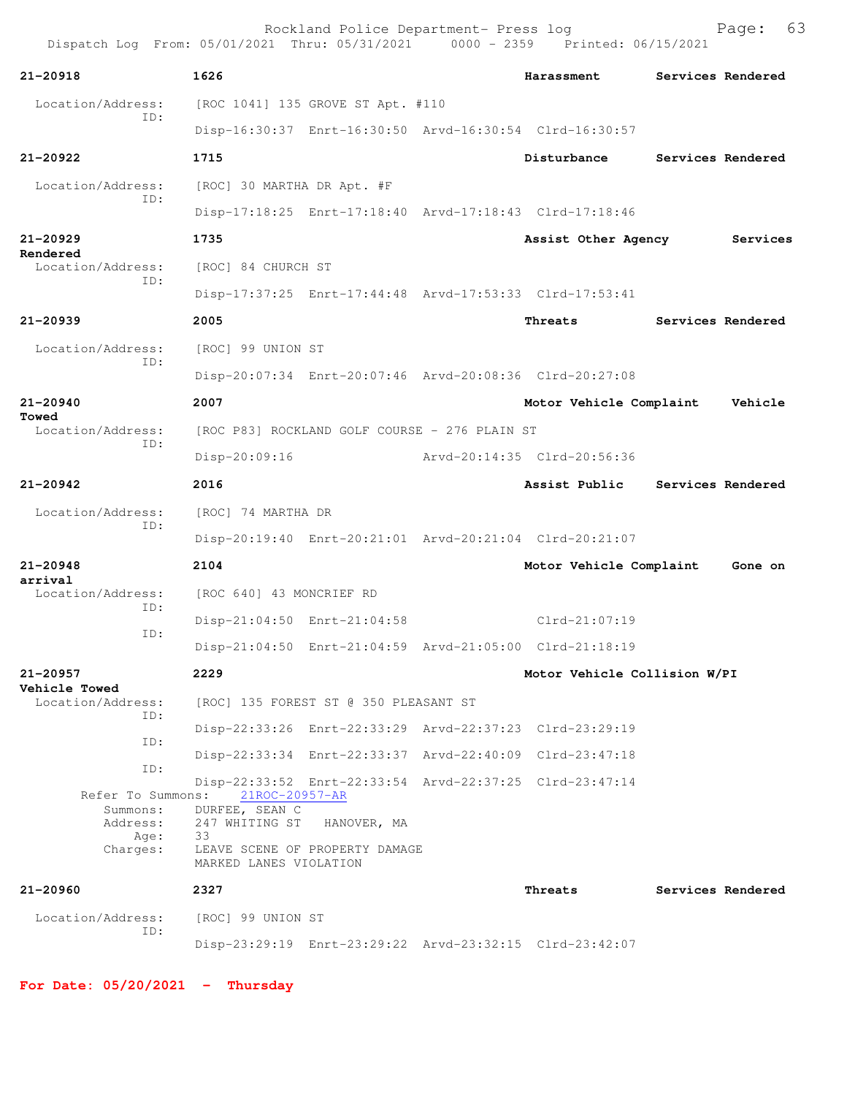Rockland Police Department- Press log Fage: 63 Dispatch Log From: 05/01/2021 Thru: 05/31/2021 0000 - 2359 Printed: 06/15/2021 **21-20918 1626 Harassment Services Rendered** Location/Address: [ROC 1041] 135 GROVE ST Apt. #110 ID: Disp-16:30:37 Enrt-16:30:50 Arvd-16:30:54 Clrd-16:30:57 **21-20922 1715 Disturbance Services Rendered** Location/Address: [ROC] 30 MARTHA DR Apt. #F ID: Disp-17:18:25 Enrt-17:18:40 Arvd-17:18:43 Clrd-17:18:46 **21-20929 1735 Assist Other Agency Services Rendered**  Location/Address: [ROC] 84 CHURCH ST ID: Disp-17:37:25 Enrt-17:44:48 Arvd-17:53:33 Clrd-17:53:41 **21-20939 2005 Threats Services Rendered** Location/Address: [ROC] 99 UNION ST ID: Disp-20:07:34 Enrt-20:07:46 Arvd-20:08:36 Clrd-20:27:08 **21-20940 2007 Motor Vehicle Complaint Vehicle Towed**  Location/Address: [ROC P83] ROCKLAND GOLF COURSE - 276 PLAIN ST ID: Disp-20:09:16 Arvd-20:14:35 Clrd-20:56:36 **21-20942 2016 Assist Public Services Rendered** Location/Address: [ROC] 74 MARTHA DR ID: Disp-20:19:40 Enrt-20:21:01 Arvd-20:21:04 Clrd-20:21:07 **21-20948 2104 Motor Vehicle Complaint Gone on arrival**  [ROC 640] 43 MONCRIEF RD ID: Disp-21:04:50 Enrt-21:04:58 Clrd-21:07:19 ID: Disp-21:04:50 Enrt-21:04:59 Arvd-21:05:00 Clrd-21:18:19 **21-20957 2229 Motor Vehicle Collision W/PI Vehicle Towed**  Location/Address: [ROC] 135 FOREST ST @ 350 PLEASANT ST ID: Disp-22:33:26 Enrt-22:33:29 Arvd-22:37:23 Clrd-23:29:19 ID: Disp-22:33:34 Enrt-22:33:37 Arvd-22:40:09 Clrd-23:47:18 ID: Disp-22:33:52 Enrt-22:33:54 Arvd-22:37:25 Clrd-23:47:14 Refer To Summons: Summons: DURFEE, SEAN C Address: 247 WHITING ST HANOVER, MA Age: Charges: LEAVE SCENE OF PROPERTY DAMAGE MARKED LANES VIOLATION **21-20960 2327 Threats Services Rendered** Location/Address: [ROC] 99 UNION ST ID: Disp-23:29:19 Enrt-23:29:22 Arvd-23:32:15 Clrd-23:42:07

**For Date: 05/20/2021 - Thursday**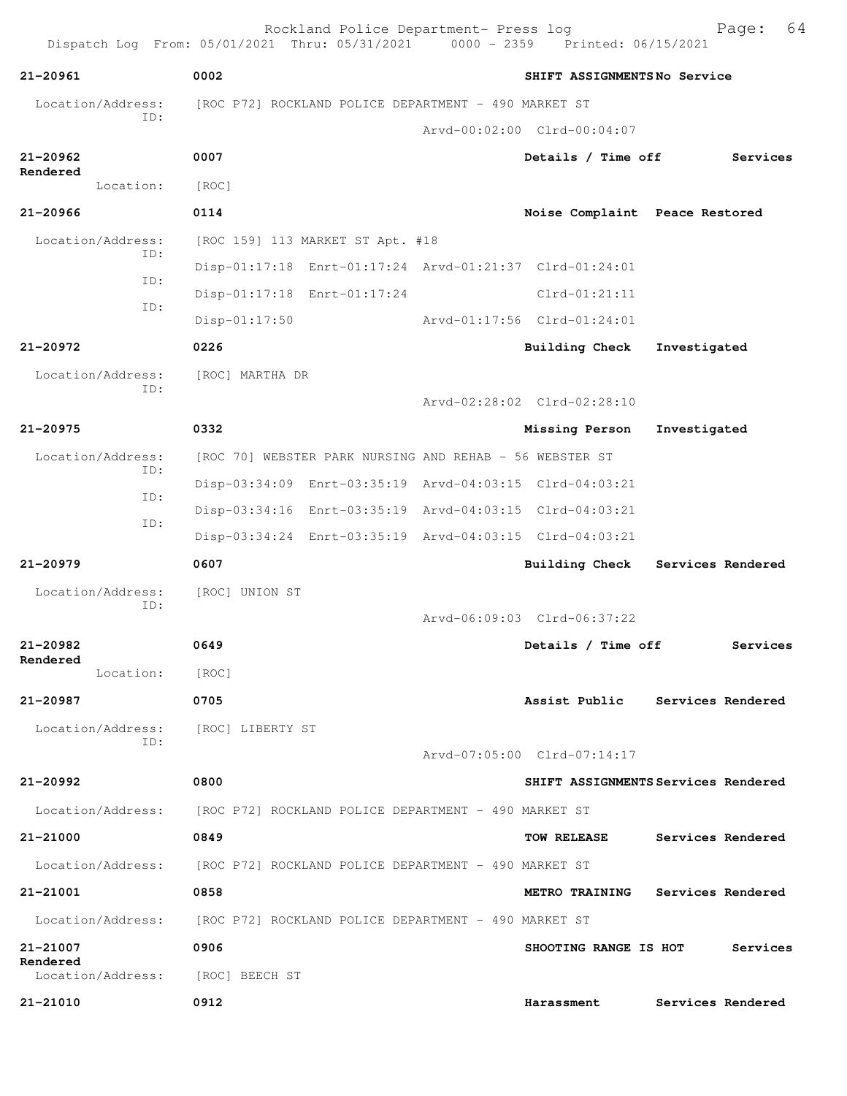| 21-20961                      | 0002                                                                   |  | SHIFT ASSIGNMENTSNo Service    |                                     |  |  |
|-------------------------------|------------------------------------------------------------------------|--|--------------------------------|-------------------------------------|--|--|
| Location/Address:             | [ROC P72] ROCKLAND POLICE DEPARTMENT - 490 MARKET ST                   |  |                                |                                     |  |  |
| ID:                           |                                                                        |  | Arvd-00:02:00 Clrd-00:04:07    |                                     |  |  |
| 21-20962                      | 0007                                                                   |  | Details / Time off             | Services                            |  |  |
| Rendered<br>Location:         | [ROC]                                                                  |  |                                |                                     |  |  |
| 21-20966                      | 0114                                                                   |  | Noise Complaint Peace Restored |                                     |  |  |
| Location/Address:             | [ROC 159] 113 MARKET ST Apt. #18                                       |  |                                |                                     |  |  |
| TD:                           | Disp-01:17:18 Enrt-01:17:24 Arvd-01:21:37 Clrd-01:24:01                |  |                                |                                     |  |  |
| ID:                           | Disp-01:17:18 Enrt-01:17:24                                            |  | $Clrd-01:21:11$                |                                     |  |  |
| ID:                           | $Disp-01:17:50$                                                        |  | Arvd-01:17:56 Clrd-01:24:01    |                                     |  |  |
| 21-20972                      | 0226                                                                   |  | Building Check                 | Investigated                        |  |  |
| Location/Address:             | [ROC] MARTHA DR                                                        |  |                                |                                     |  |  |
| ID:                           |                                                                        |  | Arvd-02:28:02 Clrd-02:28:10    |                                     |  |  |
| $21 - 20975$                  | 0332                                                                   |  | Missing Person                 | Investigated                        |  |  |
| Location/Address:             | [ROC 70] WEBSTER PARK NURSING AND REHAB - 56 WEBSTER ST                |  |                                |                                     |  |  |
| ID:                           | Disp-03:34:09 Enrt-03:35:19 Arvd-04:03:15 Clrd-04:03:21                |  |                                |                                     |  |  |
| ID:                           | Disp-03:34:16 Enrt-03:35:19 Arvd-04:03:15 Clrd-04:03:21                |  |                                |                                     |  |  |
| ID:                           | Disp-03:34:24 Enrt-03:35:19 Arvd-04:03:15 Clrd-04:03:21                |  |                                |                                     |  |  |
| $21 - 20979$                  | 0607                                                                   |  | <b>Building Check</b>          | Services Rendered                   |  |  |
| Location/Address:             | [ROC] UNION ST                                                         |  |                                |                                     |  |  |
| ID:                           |                                                                        |  | Arvd-06:09:03 Clrd-06:37:22    |                                     |  |  |
| $21 - 20982$                  | 0649                                                                   |  | Details / Time off             | Services                            |  |  |
| Rendered<br>Location:         | [ROC]                                                                  |  |                                |                                     |  |  |
| 21-20987                      | 0705                                                                   |  | Assist Public                  | Services Rendered                   |  |  |
| Location/Address:             | [ROC] LIBERTY ST                                                       |  |                                |                                     |  |  |
| ID:                           |                                                                        |  | Arvd-07:05:00 Clrd-07:14:17    |                                     |  |  |
| 21-20992                      | 0800                                                                   |  |                                | SHIFT ASSIGNMENTS Services Rendered |  |  |
|                               | Location/Address: [ROC P72] ROCKLAND POLICE DEPARTMENT - 490 MARKET ST |  |                                |                                     |  |  |
| 21-21000                      | 0849                                                                   |  | TOW RELEASE                    | Services Rendered                   |  |  |
|                               | Location/Address: [ROC P72] ROCKLAND POLICE DEPARTMENT - 490 MARKET ST |  |                                |                                     |  |  |
| 21-21001                      | 0858                                                                   |  | <b>METRO TRAINING</b>          | Services Rendered                   |  |  |
|                               | Location/Address: [ROC P72] ROCKLAND POLICE DEPARTMENT - 490 MARKET ST |  |                                |                                     |  |  |
| 21-21007                      | 0906                                                                   |  | SHOOTING RANGE IS HOT          | Services                            |  |  |
| Rendered<br>Location/Address: | [ROC] BEECH ST                                                         |  |                                |                                     |  |  |
| 21-21010                      | 0912                                                                   |  | Harassment                     | Services Rendered                   |  |  |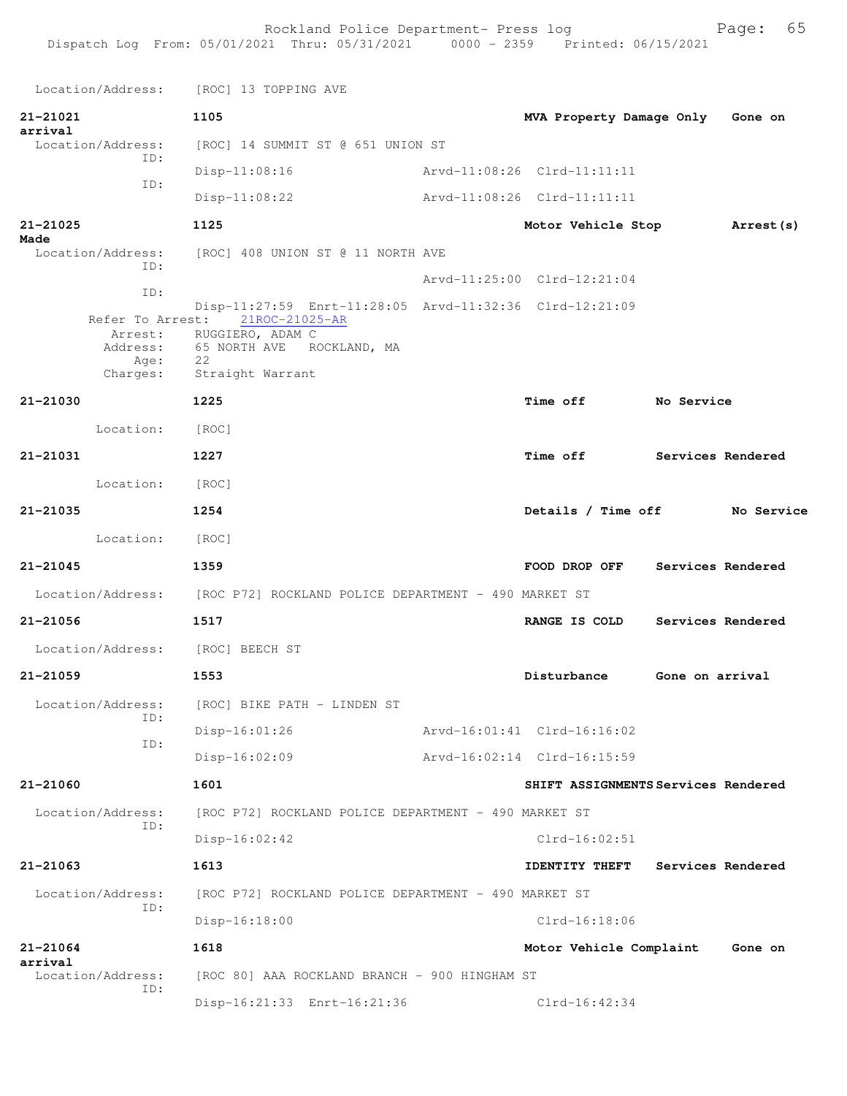Location/Address: [ROC] 13 TOPPING AVE **21-21021 1105 MVA Property Damage Only Gone on arrival**  Location/Address: [ROC] 14 SUMMIT ST @ 651 UNION ST ID: Disp-11:08:16 Arvd-11:08:26 Clrd-11:11:11 ID: Disp-11:08:22 Arvd-11:08:26 Clrd-11:11:11 **21-21025 1125 Motor Vehicle Stop Arrest(s) Made**  Location/Address: [ROC] 408 UNION ST @ 11 NORTH AVE ID: Arvd-11:25:00 Clrd-12:21:04 ID: Disp-11:27:59 Enrt-11:28:05 Arvd-11:32:36 Clrd-12:21:09 Refer To Arrest: Arrest: RUGGIERO, ADAM C Address: 65 NORTH AVE ROCKLAND, MA Age: 22 Charges: Straight Warrant **21-21030 1225 Time off No Service** Location: [ROC] **21-21031 1227 Time off Services Rendered** Location: [ROC] **21-21035 1254 Details / Time off No Service** Location: [ROC] **21-21045 1359 FOOD DROP OFF Services Rendered** Location/Address: [ROC P72] ROCKLAND POLICE DEPARTMENT - 490 MARKET ST **21-21056 1517 RANGE IS COLD Services Rendered** Location/Address: [ROC] BEECH ST **21-21059 1553 Disturbance Gone on arrival** Location/Address: [ROC] BIKE PATH - LINDEN ST ID: Disp-16:01:26 Arvd-16:01:41 Clrd-16:16:02 ID: Disp-16:02:09 Arvd-16:02:14 Clrd-16:15:59 **21-21060 1601 SHIFT ASSIGNMENTS Services Rendered** Location/Address: [ROC P72] ROCKLAND POLICE DEPARTMENT - 490 MARKET ST ID: Disp-16:02:42 Clrd-16:02:51 **21-21063 1613 IDENTITY THEFT Services Rendered** Location/Address: [ROC P72] ROCKLAND POLICE DEPARTMENT - 490 MARKET ST ID: Disp-16:18:00 Clrd-16:18:06 **21-21064 1618 Motor Vehicle Complaint Gone on arrival**  Location/Address: [ROC 80] AAA ROCKLAND BRANCH - 900 HINGHAM ST ID: Disp-16:21:33 Enrt-16:21:36 Clrd-16:42:34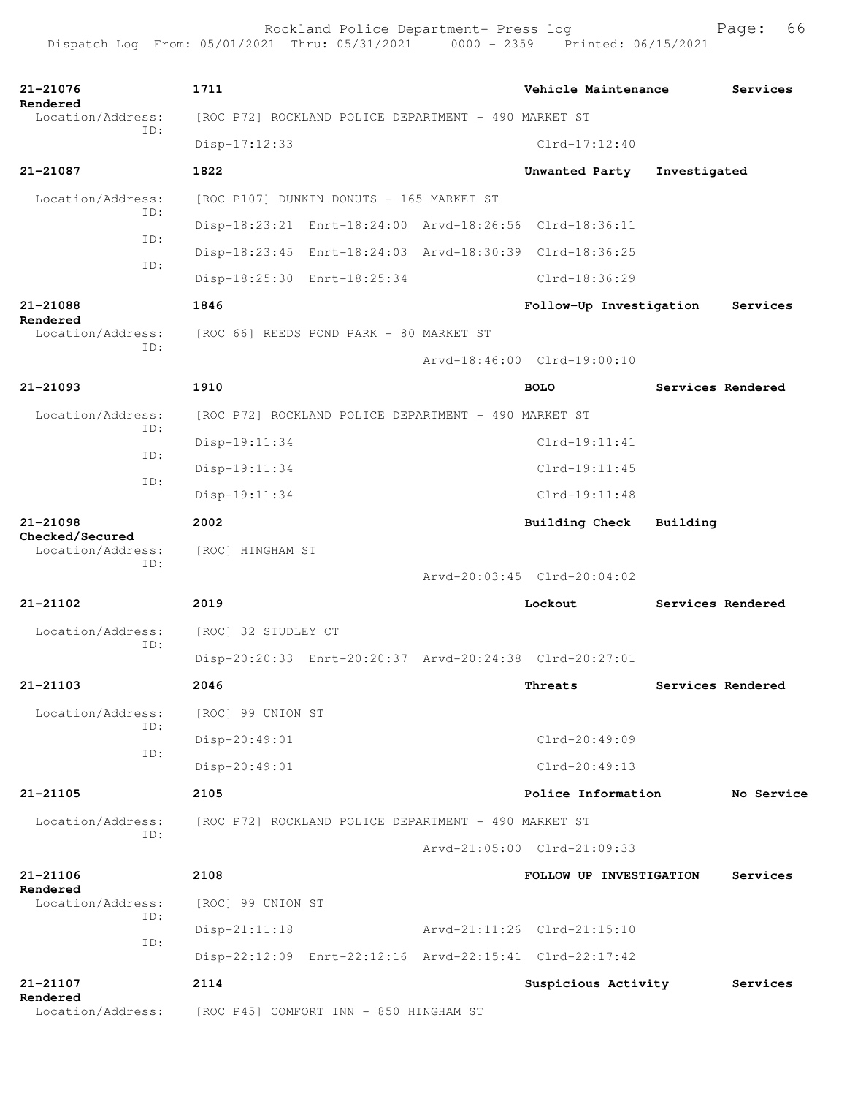| 21-21076                             | 1711                                                 |                                                      |  | Vehicle Maintenance                                     |              | Services          |  |
|--------------------------------------|------------------------------------------------------|------------------------------------------------------|--|---------------------------------------------------------|--------------|-------------------|--|
| Rendered<br>Location/Address:        | [ROC P72] ROCKLAND POLICE DEPARTMENT - 490 MARKET ST |                                                      |  |                                                         |              |                   |  |
| ID:                                  | $Disp-17:12:33$                                      |                                                      |  | $Clrd-17:12:40$                                         |              |                   |  |
| 21-21087                             | 1822                                                 |                                                      |  | Unwanted Party                                          | Investigated |                   |  |
| Location/Address:                    |                                                      | [ROC P107] DUNKIN DONUTS - 165 MARKET ST             |  |                                                         |              |                   |  |
| ID:                                  |                                                      |                                                      |  | Disp-18:23:21 Enrt-18:24:00 Arvd-18:26:56 Clrd-18:36:11 |              |                   |  |
| ID:                                  |                                                      |                                                      |  | Disp-18:23:45 Enrt-18:24:03 Arvd-18:30:39 Clrd-18:36:25 |              |                   |  |
| ID:                                  | Disp-18:25:30 Enrt-18:25:34                          |                                                      |  | Clrd-18:36:29                                           |              |                   |  |
| 21-21088                             | 1846                                                 |                                                      |  | Follow-Up Investigation                                 |              | Services          |  |
| Rendered<br>Location/Address:        | [ROC 66] REEDS POND PARK - 80 MARKET ST              |                                                      |  |                                                         |              |                   |  |
| ID:                                  |                                                      |                                                      |  | Aryd-18:46:00 Clrd-19:00:10                             |              |                   |  |
| 21-21093                             | 1910                                                 |                                                      |  | <b>BOLO</b>                                             |              | Services Rendered |  |
| Location/Address:                    |                                                      | [ROC P72] ROCKLAND POLICE DEPARTMENT - 490 MARKET ST |  |                                                         |              |                   |  |
| TD:                                  | Disp-19:11:34                                        |                                                      |  | Clrd-19:11:41                                           |              |                   |  |
| ID:                                  | $Disp-19:11:34$                                      |                                                      |  | Clrd-19:11:45                                           |              |                   |  |
| ID:                                  | $Disp-19:11:34$                                      |                                                      |  | $Clrd-19:11:48$                                         |              |                   |  |
| $21 - 21098$                         | 2002                                                 |                                                      |  | Building Check                                          | Building     |                   |  |
| Checked/Secured<br>Location/Address: | [ROC] HINGHAM ST                                     |                                                      |  |                                                         |              |                   |  |
| TD:                                  |                                                      |                                                      |  | Arvd-20:03:45 Clrd-20:04:02                             |              |                   |  |
| 21-21102                             | 2019                                                 |                                                      |  | Lockout                                                 |              | Services Rendered |  |
| Location/Address:                    | [ROC] 32 STUDLEY CT                                  |                                                      |  |                                                         |              |                   |  |
| ID:                                  |                                                      |                                                      |  | Disp-20:20:33 Enrt-20:20:37 Arvd-20:24:38 Clrd-20:27:01 |              |                   |  |
| 21-21103                             | 2046                                                 |                                                      |  | Threats                                                 |              | Services Rendered |  |
| Location/Address:                    | [ROC] 99 UNION ST                                    |                                                      |  |                                                         |              |                   |  |
| ID:                                  | Disp-20:49:01                                        |                                                      |  | $Clrd-20:49:09$                                         |              |                   |  |
| ID:                                  | Disp-20:49:01                                        |                                                      |  | $Clrd-20:49:13$                                         |              |                   |  |
| 21-21105                             | 2105                                                 |                                                      |  | Police Information                                      |              | No Service        |  |
| Location/Address:                    | [ROC P72] ROCKLAND POLICE DEPARTMENT - 490 MARKET ST |                                                      |  |                                                         |              |                   |  |
| ID:                                  |                                                      |                                                      |  | Arvd-21:05:00 Clrd-21:09:33                             |              |                   |  |
| 21-21106                             | 2108                                                 |                                                      |  | FOLLOW UP INVESTIGATION                                 |              | Services          |  |
| Rendered<br>Location/Address:        | [ROC] 99 UNION ST                                    |                                                      |  |                                                         |              |                   |  |
| TD:                                  | $Disp-21:11:18$                                      |                                                      |  | Arvd-21:11:26 Clrd-21:15:10                             |              |                   |  |
| ID:                                  |                                                      |                                                      |  | Disp-22:12:09 Enrt-22:12:16 Arvd-22:15:41 Clrd-22:17:42 |              |                   |  |
| 21-21107                             | 2114                                                 |                                                      |  | Suspicious Activity                                     |              | Services          |  |
| Rendered<br>Location/Address:        | [ROC P45] COMFORT INN - 850 HINGHAM ST               |                                                      |  |                                                         |              |                   |  |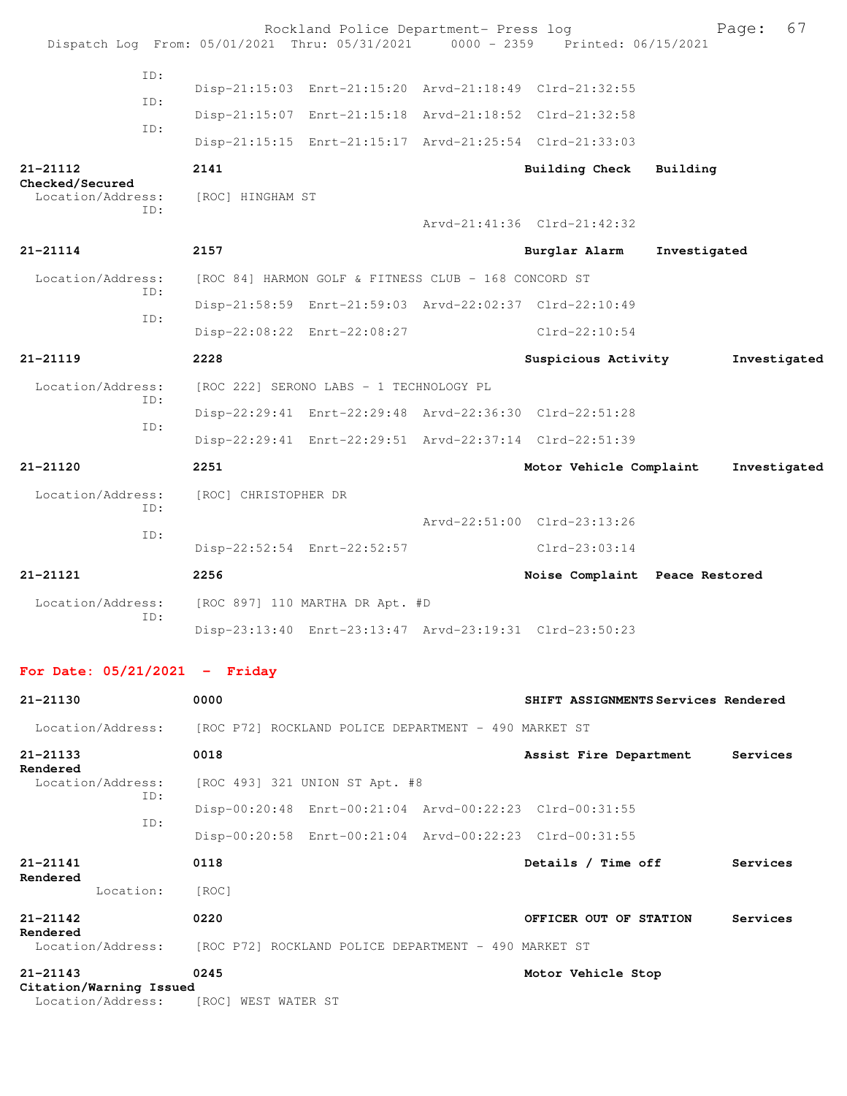|                                      |            |                      | Rockland Police Department- Press log                | Dispatch Log From: 05/01/2021 Thru: 05/31/2021 0000 - 2359 Printed: 06/15/2021 | 67<br>Page:                         |
|--------------------------------------|------------|----------------------|------------------------------------------------------|--------------------------------------------------------------------------------|-------------------------------------|
|                                      | ID:<br>ID: |                      |                                                      | Disp-21:15:03 Enrt-21:15:20 Arvd-21:18:49 Clrd-21:32:55                        |                                     |
|                                      | ID:        |                      |                                                      | Disp-21:15:07 Enrt-21:15:18 Arvd-21:18:52 Clrd-21:32:58                        |                                     |
|                                      |            |                      |                                                      | Disp-21:15:15 Enrt-21:15:17 Arvd-21:25:54 Clrd-21:33:03                        |                                     |
| 21-21112                             |            | 2141                 |                                                      | Building Check                                                                 | Building                            |
| Checked/Secured<br>Location/Address: |            | [ROC] HINGHAM ST     |                                                      |                                                                                |                                     |
|                                      | ID:        |                      |                                                      | Arvd-21:41:36 Clrd-21:42:32                                                    |                                     |
| $21 - 21114$                         |            | 2157                 |                                                      | Burglar Alarm                                                                  | Investigated                        |
| Location/Address:                    | ID:        |                      | [ROC 84] HARMON GOLF & FITNESS CLUB - 168 CONCORD ST |                                                                                |                                     |
|                                      | TD:        |                      |                                                      | Disp-21:58:59 Enrt-21:59:03 Arvd-22:02:37 Clrd-22:10:49                        |                                     |
|                                      |            |                      | Disp-22:08:22 Enrt-22:08:27                          | $Clrd-22:10:54$                                                                |                                     |
| $21 - 21119$                         |            | 2228                 |                                                      | Suspicious Activity                                                            | Investigated                        |
| Location/Address:                    | ID:        |                      | [ROC 222] SERONO LABS - 1 TECHNOLOGY PL              |                                                                                |                                     |
|                                      | ID:        |                      |                                                      | Disp-22:29:41 Enrt-22:29:48 Arvd-22:36:30 Clrd-22:51:28                        |                                     |
|                                      |            |                      |                                                      | Disp-22:29:41 Enrt-22:29:51 Arvd-22:37:14 Clrd-22:51:39                        |                                     |
| $21 - 21120$                         |            | 2251                 |                                                      | Motor Vehicle Complaint                                                        | Investigated                        |
| Location/Address:                    | ID:        | [ROC] CHRISTOPHER DR |                                                      |                                                                                |                                     |
|                                      | TD:        |                      |                                                      | Arvd-22:51:00 Clrd-23:13:26                                                    |                                     |
|                                      |            |                      | Disp-22:52:54 Enrt-22:52:57                          | $Clrd-23:03:14$                                                                |                                     |
| $21 - 21121$                         |            | 2256                 |                                                      |                                                                                | Noise Complaint Peace Restored      |
| Location/Address:                    | ID:        |                      | [ROC 897] 110 MARTHA DR Apt. #D                      |                                                                                |                                     |
|                                      |            |                      |                                                      | Disp-23:13:40 Enrt-23:13:47 Arvd-23:19:31 Clrd-23:50:23                        |                                     |
| For Date: $05/21/2021$ - Friday      |            |                      |                                                      |                                                                                |                                     |
| 21-21130                             |            | 0000                 |                                                      |                                                                                | SHIFT ASSIGNMENTS Services Rendered |

|                                         | Location/Address: [ROC P72] ROCKLAND POLICE DEPARTMENT - 490 MARKET ST |                        |          |  |  |
|-----------------------------------------|------------------------------------------------------------------------|------------------------|----------|--|--|
| 21-21133<br>Rendered                    | 0018                                                                   | Assist Fire Department | Services |  |  |
| Location/Address:<br>ID:                | [ROC 493] 321 UNION ST Apt. #8                                         |                        |          |  |  |
| ID:                                     | Disp-00:20:48 Enrt-00:21:04 Arvd-00:22:23 Clrd-00:31:55                |                        |          |  |  |
|                                         | Disp-00:20:58 Enrt-00:21:04 Arvd-00:22:23 Clrd-00:31:55                |                        |          |  |  |
| 21-21141<br>Rendered                    | 0118                                                                   | Details / Time off     | Services |  |  |
| Location:                               | [ROC]                                                                  |                        |          |  |  |
| 21-21142<br>Rendered                    | 0220                                                                   | OFFICER OUT OF STATION | Services |  |  |
|                                         | Location/Address: [ROC P72] ROCKLAND POLICE DEPARTMENT - 490 MARKET ST |                        |          |  |  |
| $21 - 21143$<br>Citation/Warning Issued | 0245                                                                   | Motor Vehicle Stop     |          |  |  |

Location/Address: [ROC] WEST WATER ST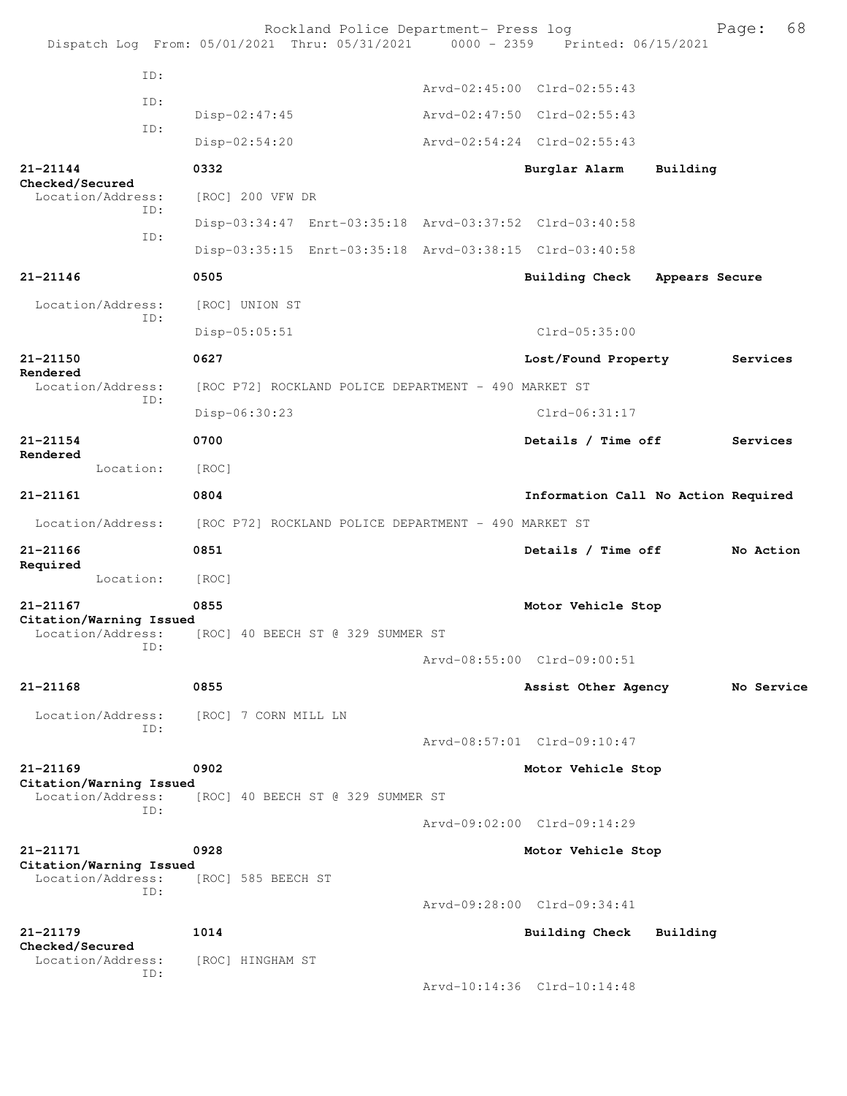| Dispatch Log From: 05/01/2021 Thru: 05/31/2021 0000 - 2359 Printed: 06/15/2021 |                      | Rockland Police Department- Press log                |                                                         |                | Page:      | 68 |
|--------------------------------------------------------------------------------|----------------------|------------------------------------------------------|---------------------------------------------------------|----------------|------------|----|
| ID:                                                                            |                      |                                                      |                                                         |                |            |    |
| ID:                                                                            |                      |                                                      | Arvd-02:45:00 Clrd-02:55:43                             |                |            |    |
| ID:                                                                            | Disp-02:47:45        |                                                      | Arvd-02:47:50 Clrd-02:55:43                             |                |            |    |
|                                                                                | Disp-02:54:20        |                                                      | Arvd-02:54:24 Clrd-02:55:43                             |                |            |    |
| $21 - 21144$<br>Checked/Secured                                                | 0332                 |                                                      | Burglar Alarm                                           | Building       |            |    |
| Location/Address:<br>ID:                                                       | [ROC] 200 VFW DR     |                                                      |                                                         |                |            |    |
| ID:                                                                            |                      |                                                      | Disp-03:34:47 Enrt-03:35:18 Arvd-03:37:52 Clrd-03:40:58 |                |            |    |
|                                                                                |                      |                                                      | Disp-03:35:15 Enrt-03:35:18 Arvd-03:38:15 Clrd-03:40:58 |                |            |    |
| $21 - 21146$                                                                   | 0505                 |                                                      | Building Check                                          | Appears Secure |            |    |
| Location/Address:                                                              | [ROC] UNION ST       |                                                      |                                                         |                |            |    |
| ID:                                                                            | $Disp-05:05:51$      |                                                      | $Clrd-05:35:00$                                         |                |            |    |
| 21-21150                                                                       | 0627                 |                                                      | Lost/Found Property                                     |                | Services   |    |
| Rendered<br>Location/Address:                                                  |                      | [ROC P72] ROCKLAND POLICE DEPARTMENT - 490 MARKET ST |                                                         |                |            |    |
| ID:                                                                            | Disp-06:30:23        |                                                      | $C1rd-06:31:17$                                         |                |            |    |
| $21 - 21154$                                                                   | 0700                 |                                                      | Details / Time off                                      |                | Services   |    |
| Rendered<br>Location:                                                          | [ROC]                |                                                      |                                                         |                |            |    |
| 21-21161                                                                       | 0804                 |                                                      | Information Call No Action Required                     |                |            |    |
| Location/Address:                                                              |                      | [ROC P72] ROCKLAND POLICE DEPARTMENT - 490 MARKET ST |                                                         |                |            |    |
| $21 - 21166$<br>Required                                                       | 0851                 |                                                      | Details / Time off                                      |                | No Action  |    |
| Location:                                                                      | [ROC]                |                                                      |                                                         |                |            |    |
| $21 - 21167$                                                                   | 0855                 |                                                      | Motor Vehicle Stop                                      |                |            |    |
| Citation/Warning Issued<br>Location/Address:<br>ID:                            |                      | [ROC] 40 BEECH ST @ 329 SUMMER ST                    |                                                         |                |            |    |
|                                                                                |                      |                                                      | Arvd-08:55:00 Clrd-09:00:51                             |                |            |    |
| $21 - 21168$                                                                   | 0855                 |                                                      | Assist Other Agency                                     |                | No Service |    |
| Location/Address:                                                              | [ROC] 7 CORN MILL LN |                                                      |                                                         |                |            |    |
| ID:                                                                            |                      |                                                      | Arvd-08:57:01 Clrd-09:10:47                             |                |            |    |
| $21 - 21169$                                                                   | 0902                 |                                                      | Motor Vehicle Stop                                      |                |            |    |
| Citation/Warning Issued<br>Location/Address:                                   |                      | [ROC] 40 BEECH ST @ 329 SUMMER ST                    |                                                         |                |            |    |
| ID:                                                                            |                      |                                                      | Arvd-09:02:00 Clrd-09:14:29                             |                |            |    |
| 21-21171                                                                       | 0928                 |                                                      | Motor Vehicle Stop                                      |                |            |    |
| Citation/Warning Issued<br>Location/Address:                                   | [ROC] 585 BEECH ST   |                                                      |                                                         |                |            |    |
| ID:                                                                            |                      |                                                      | Arvd-09:28:00 Clrd-09:34:41                             |                |            |    |
| $21 - 21179$                                                                   | 1014                 |                                                      | Building Check                                          | Building       |            |    |
| Checked/Secured<br>Location/Address:                                           | [ROC] HINGHAM ST     |                                                      |                                                         |                |            |    |
| ID:                                                                            |                      |                                                      | Arvd-10:14:36 Clrd-10:14:48                             |                |            |    |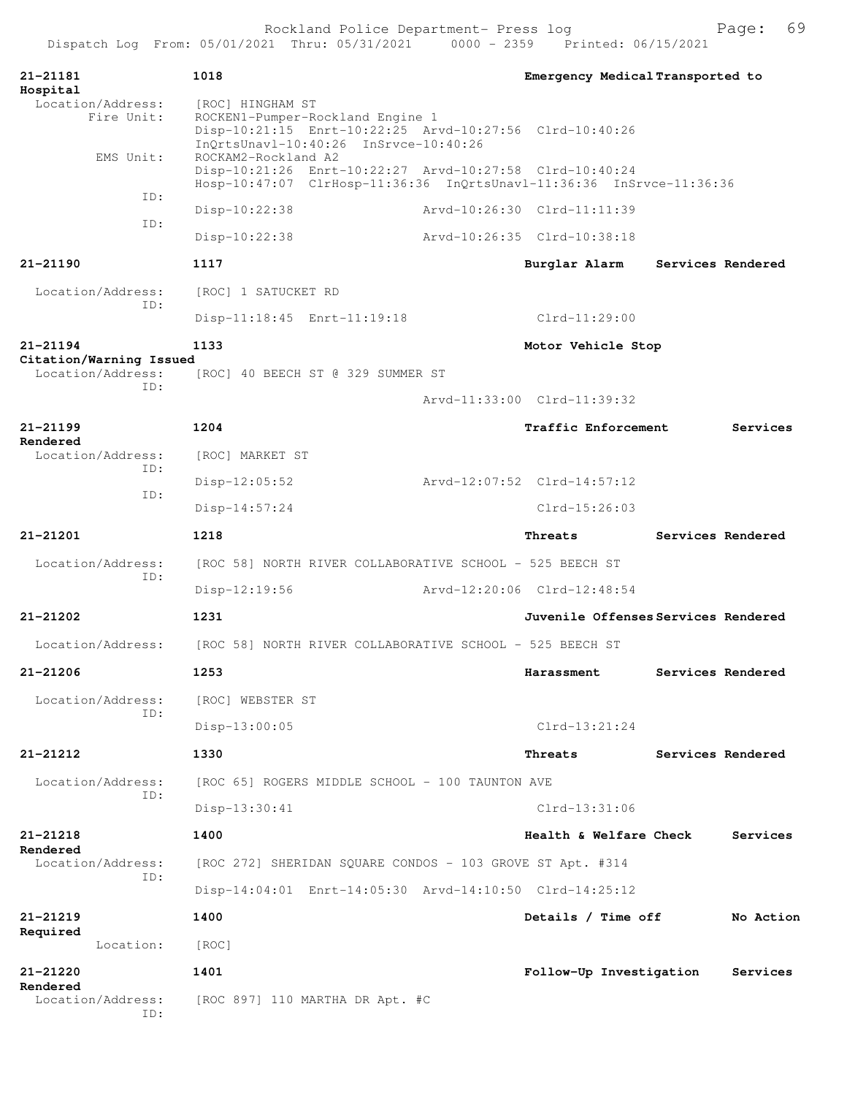| 21-21181<br>Hospital                         | 1018                                    |                                                                                                                                      | Emergency Medical Transported to    |                   |
|----------------------------------------------|-----------------------------------------|--------------------------------------------------------------------------------------------------------------------------------------|-------------------------------------|-------------------|
| Location/Address:<br>Fire Unit:<br>EMS Unit: | [ROC] HINGHAM ST<br>ROCKAM2-Rockland A2 | ROCKEN1-Pumper-Rockland Engine 1<br>Disp-10:21:15 Enrt-10:22:25 Arvd-10:27:56 Clrd-10:40:26<br>InOrtsUnavl-10:40:26 InSrvce-10:40:26 |                                     |                   |
|                                              |                                         | Disp-10:21:26 Enrt-10:22:27 Arvd-10:27:58 Clrd-10:40:24<br>Hosp-10:47:07 ClrHosp-11:36:36 InQrtsUnavl-11:36:36 InSrvce-11:36:36      |                                     |                   |
| ID:                                          | $Disp-10:22:38$                         |                                                                                                                                      | Arvd-10:26:30 Clrd-11:11:39         |                   |
| TD:                                          | $Disp-10:22:38$                         |                                                                                                                                      | Arvd-10:26:35 Clrd-10:38:18         |                   |
| 21-21190                                     | 1117                                    |                                                                                                                                      | Burglar Alarm                       | Services Rendered |
| Location/Address:                            | [ROC] 1 SATUCKET RD                     |                                                                                                                                      |                                     |                   |
| ID:                                          | Disp-11:18:45 Enrt-11:19:18             |                                                                                                                                      | $Clrd-11:29:00$                     |                   |
| $21 - 21194$                                 | 1133                                    |                                                                                                                                      | Motor Vehicle Stop                  |                   |
| Citation/Warning Issued<br>Location/Address: |                                         | [ROC] 40 BEECH ST @ 329 SUMMER ST                                                                                                    |                                     |                   |
| TD:                                          |                                         |                                                                                                                                      | Arvd-11:33:00 Clrd-11:39:32         |                   |
| 21-21199                                     | 1204                                    |                                                                                                                                      | Traffic Enforcement                 | Services          |
| Rendered<br>Location/Address:                | [ROC] MARKET ST                         |                                                                                                                                      |                                     |                   |
| ID:                                          | $Disp-12:05:52$                         |                                                                                                                                      | Arvd-12:07:52 Clrd-14:57:12         |                   |
| ID:                                          | $Disp-14:57:24$                         |                                                                                                                                      | $Clrd-15:26:03$                     |                   |
| 21-21201                                     | 1218                                    |                                                                                                                                      | Threats                             | Services Rendered |
| Location/Address:                            |                                         | [ROC 58] NORTH RIVER COLLABORATIVE SCHOOL - 525 BEECH ST                                                                             |                                     |                   |
| ID:                                          | Disp-12:19:56                           |                                                                                                                                      | Arvd-12:20:06 Clrd-12:48:54         |                   |
| $21 - 21202$                                 | 1231                                    |                                                                                                                                      | Juvenile Offenses Services Rendered |                   |
| Location/Address:                            |                                         | [ROC 58] NORTH RIVER COLLABORATIVE SCHOOL - 525 BEECH ST                                                                             |                                     |                   |
| 21-21206                                     | 1253                                    |                                                                                                                                      | Harassment                          | Services Rendered |
| Location/Address:                            | [ROC] WEBSTER ST                        |                                                                                                                                      |                                     |                   |
| ID:                                          | $Disp-13:00:05$                         |                                                                                                                                      | $Clrd-13:21:24$                     |                   |
| 21-21212                                     | 1330                                    |                                                                                                                                      | Threats                             | Services Rendered |
| Location/Address:                            |                                         | [ROC 65] ROGERS MIDDLE SCHOOL - 100 TAUNTON AVE                                                                                      |                                     |                   |
| ID:                                          | Disp-13:30:41                           |                                                                                                                                      | Clrd-13:31:06                       |                   |
| 21-21218                                     | 1400                                    |                                                                                                                                      | Health & Welfare Check              | Services          |
| Rendered<br>Location/Address:                |                                         | [ROC 272] SHERIDAN SQUARE CONDOS - 103 GROVE ST Apt. #314                                                                            |                                     |                   |
| ID:                                          |                                         | Disp-14:04:01 Enrt-14:05:30 Arvd-14:10:50 Clrd-14:25:12                                                                              |                                     |                   |
| 21-21219                                     | 1400                                    |                                                                                                                                      | Details / Time off                  | No Action         |
| Required<br>Location:                        | [ROC]                                   |                                                                                                                                      |                                     |                   |
| 21-21220                                     | 1401                                    |                                                                                                                                      | Follow-Up Investigation             | Services          |
| Rendered<br>Location/Address:<br>ID:         |                                         | [ROC 897] 110 MARTHA DR Apt. #C                                                                                                      |                                     |                   |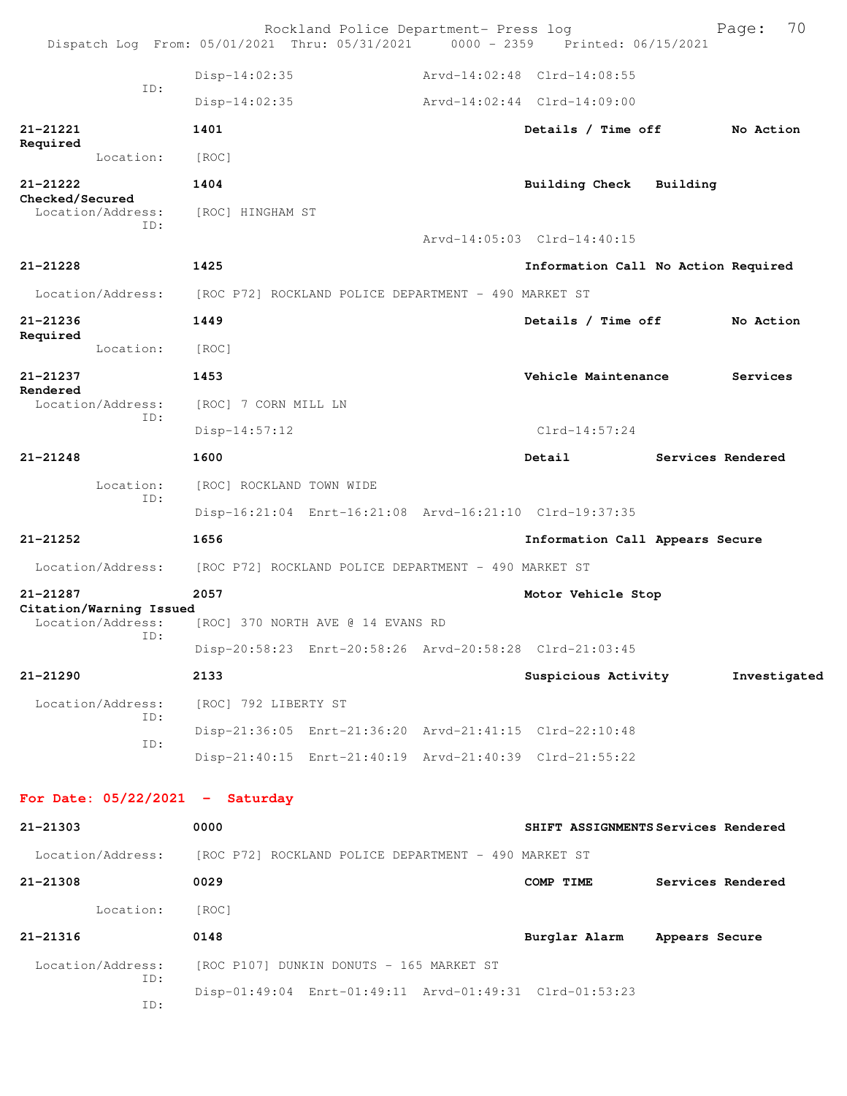|                 |                                              |                                                      | Rockland Police Department- Press log                | Dispatch Log From: 05/01/2021 Thru: 05/31/2021 0000 - 2359 Printed: 06/15/2021 |                | 70<br>Page:       |
|-----------------|----------------------------------------------|------------------------------------------------------|------------------------------------------------------|--------------------------------------------------------------------------------|----------------|-------------------|
|                 |                                              | $Disp-14:02:35$                                      |                                                      | Arvd-14:02:48 Clrd-14:08:55                                                    |                |                   |
|                 | ID:                                          | Disp-14:02:35                                        |                                                      | Arvd-14:02:44 Clrd-14:09:00                                                    |                |                   |
| 21-21221        |                                              | 1401                                                 |                                                      | Details / Time off                                                             |                | No Action         |
| Required        | Location:                                    | [ROC]                                                |                                                      |                                                                                |                |                   |
| 21-21222        |                                              | 1404                                                 |                                                      | <b>Building Check</b>                                                          | Building       |                   |
| Checked/Secured | Location/Address:                            | [ROC] HINGHAM ST                                     |                                                      |                                                                                |                |                   |
|                 | ID:                                          |                                                      |                                                      | Arvd-14:05:03 Clrd-14:40:15                                                    |                |                   |
| 21-21228        |                                              | 1425                                                 |                                                      | Information Call No Action Required                                            |                |                   |
|                 | Location/Address:                            |                                                      | [ROC P72] ROCKLAND POLICE DEPARTMENT - 490 MARKET ST |                                                                                |                |                   |
| 21-21236        |                                              | 1449                                                 |                                                      | Details / Time off                                                             |                | No Action         |
| Required        | Location:                                    | [ROC]                                                |                                                      |                                                                                |                |                   |
| $21 - 21237$    |                                              | 1453                                                 |                                                      | Vehicle Maintenance                                                            |                | Services          |
| Rendered        | Location/Address:                            | [ROC] 7 CORN MILL LN                                 |                                                      |                                                                                |                |                   |
|                 | ID:                                          | $Disp-14:57:12$                                      |                                                      | $Clrd-14:57:24$                                                                |                |                   |
| $21 - 21248$    |                                              | 1600                                                 |                                                      | Detail                                                                         |                | Services Rendered |
| Location:       | [ROC] ROCKLAND TOWN WIDE                     |                                                      |                                                      |                                                                                |                |                   |
|                 | ID:                                          |                                                      |                                                      | Disp-16:21:04 Enrt-16:21:08 Arvd-16:21:10 Clrd-19:37:35                        |                |                   |
| 21-21252        |                                              | 1656                                                 |                                                      | Information Call Appears Secure                                                |                |                   |
|                 | Location/Address:                            | [ROC P72] ROCKLAND POLICE DEPARTMENT - 490 MARKET ST |                                                      |                                                                                |                |                   |
| 21-21287        |                                              | 2057                                                 |                                                      | Motor Vehicle Stop                                                             |                |                   |
|                 | Citation/Warning Issued<br>Location/Address: |                                                      | [ROC] 370 NORTH AVE @ 14 EVANS RD                    |                                                                                |                |                   |
|                 | TD:                                          |                                                      |                                                      | Disp-20:58:23 Enrt-20:58:26 Arvd-20:58:28 Clrd-21:03:45                        |                |                   |
| 21-21290        |                                              | 2133                                                 |                                                      | Suspicious Activity                                                            |                | Investigated      |
|                 | Location/Address:<br>ID:                     | [ROC] 792 LIBERTY ST                                 |                                                      |                                                                                |                |                   |
|                 | ID:                                          |                                                      |                                                      | Disp-21:36:05 Enrt-21:36:20 Arvd-21:41:15 Clrd-22:10:48                        |                |                   |
|                 |                                              |                                                      |                                                      | Disp-21:40:15 Enrt-21:40:19 Arvd-21:40:39 Clrd-21:55:22                        |                |                   |
|                 |                                              | For Date: $05/22/2021$ - Saturday                    |                                                      |                                                                                |                |                   |
| 21-21303        |                                              | 0000                                                 |                                                      | SHIFT ASSIGNMENTS Services Rendered                                            |                |                   |
|                 | Location/Address:                            | [ROC P72] ROCKLAND POLICE DEPARTMENT - 490 MARKET ST |                                                      |                                                                                |                |                   |
| 21-21308        |                                              | 0029                                                 |                                                      | COMP TIME                                                                      |                | Services Rendered |
|                 | Location:                                    | [ROC]                                                |                                                      |                                                                                |                |                   |
| $21 - 21316$    |                                              | 0148                                                 |                                                      | Burglar Alarm                                                                  | Appears Secure |                   |
|                 | Location/Address:                            | [ROC P107] DUNKIN DONUTS - 165 MARKET ST             |                                                      |                                                                                |                |                   |
|                 | ID:                                          |                                                      |                                                      | Disp-01:49:04 Enrt-01:49:11 Arvd-01:49:31 Clrd-01:53:23                        |                |                   |
|                 | ID:                                          |                                                      |                                                      |                                                                                |                |                   |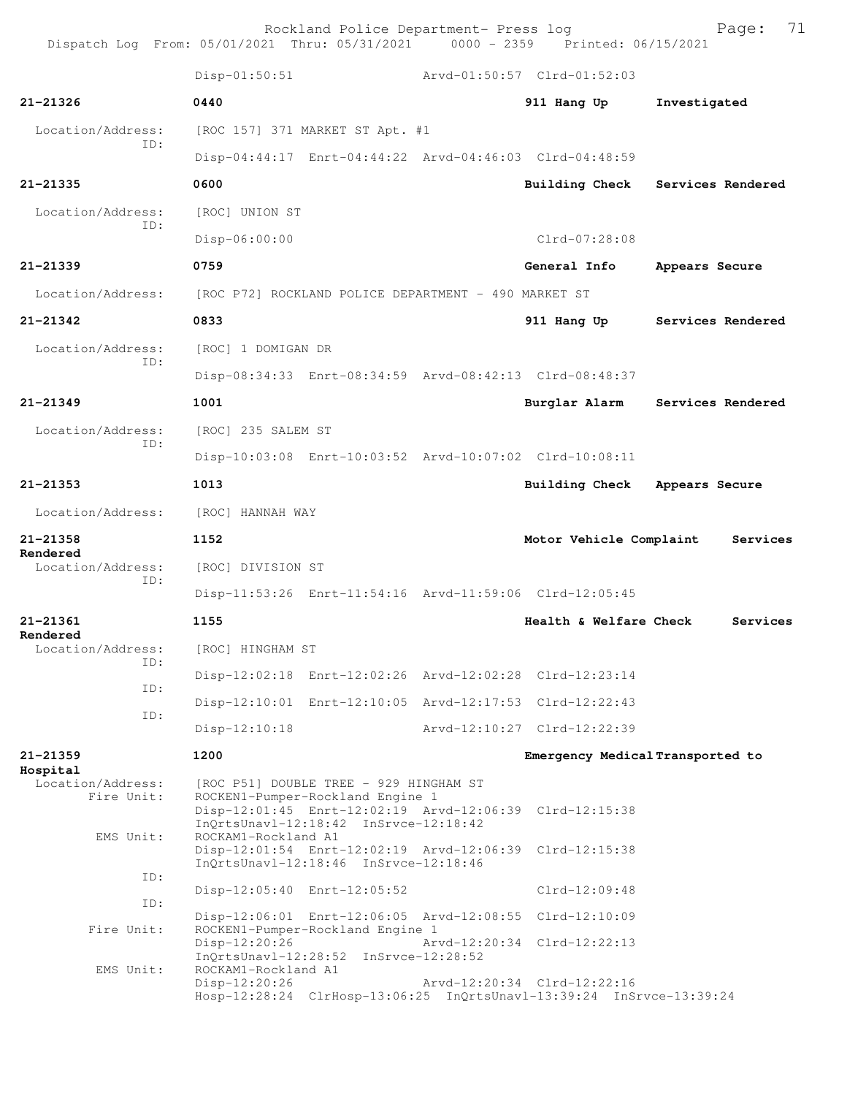Rockland Police Department- Press log Page: 71 Dispatch Log From:  $05/01/2021$  Thru:  $05/31/2021$  0000 - 2359 Disp-01:50:51 Arvd-01:50:57 Clrd-01:52:03 **21-21326 0440 911 Hang Up Investigated** Location/Address: [ROC 157] 371 MARKET ST Apt. #1 ID: Disp-04:44:17 Enrt-04:44:22 Arvd-04:46:03 Clrd-04:48:59 **21-21335 0600 Building Check Services Rendered** Location/Address: [ROC] UNION ST ID: Disp-06:00:00 Clrd-07:28:08 **21-21339 0759 General Info Appears Secure**

Disp-08:34:33 Enrt-08:34:59 Arvd-08:42:13 Clrd-08:48:37

Disp-10:03:08 Enrt-10:03:52 Arvd-10:07:02 Clrd-10:08:11

Disp-11:53:26 Enrt-11:54:16 Arvd-11:59:06 Clrd-12:05:45

Disp-12:02:18 Enrt-12:02:26 Arvd-12:02:28 Clrd-12:23:14

Disp-12:10:01 Enrt-12:10:05 Arvd-12:17:53 Clrd-12:22:43

Disp-12:10:18 Arvd-12:10:27 Clrd-12:22:39

**21-21349 1001 Burglar Alarm Services Rendered**

Location/Address: [ROC P72] ROCKLAND POLICE DEPARTMENT - 490 MARKET ST

**21-21342 0833 911 Hang Up Services Rendered**

 Location/Address: [ROC] 1 DOMIGAN DR ID:

 Location/Address: [ROC] 235 SALEM ST ID:

**21-21353 1013 Building Check Appears Secure**

Location/Address: [ROC] HANNAH WAY

**21-21358 1152 Motor Vehicle Complaint Services**

**Rendered** 

**Rendered**  Location/Address: [ROC] DIVISION ST

ID:

**21-21361 1155 Health & Welfare Check Services**

ID:

Location/Address: [ROC] HINGHAM ST ID: ID:

**21-21359 1200 Emergency Medical Transported to**

**Hospital** 

Location/Address: [ROC P51] DOUBLE TREE - 929 HINGHAM ST<br>Fire Unit: ROCKEN1-Pumper-Rockland Engine 1 ROCKEN1-Pumper-Rockland Engine 1 Disp-12:01:45 Enrt-12:02:19 Arvd-12:06:39 Clrd-12:15:38 InQrtsUnavl-12:18:42 InSrvce-12:18:42<br>EMS Unit: ROCKAM1-Rockland A1 ROCKAM1-Rockland A1 Disp-12:01:54 Enrt-12:02:19 Arvd-12:06:39 Clrd-12:15:38 InQrtsUnavl-12:18:46 InSrvce-12:18:46 ID: Disp-12:05:40 Enrt-12:05:52 Clrd-12:09:48 ID: Disp-12:06:01 Enrt-12:06:05 Arvd-12:08:55 Clrd-12:10:09 Fire Unit: ROCKEN1-Pumper-Rockland Engine 1<br>Disp-12:20:26 Disp-12:20:26 Arvd-12:20:34 Clrd-12:22:13 InQrtsUnavl-12:28:52 InSrvce-12:28:52<br>EMS Unit: ROCKAM1-Rockland A1 ROCKAM1-Rockland A1 Disp-12:20:26 Arvd-12:20:34 Clrd-12:22:16 Hosp-12:28:24 ClrHosp-13:06:25 InQrtsUnavl-13:39:24 InSrvce-13:39:24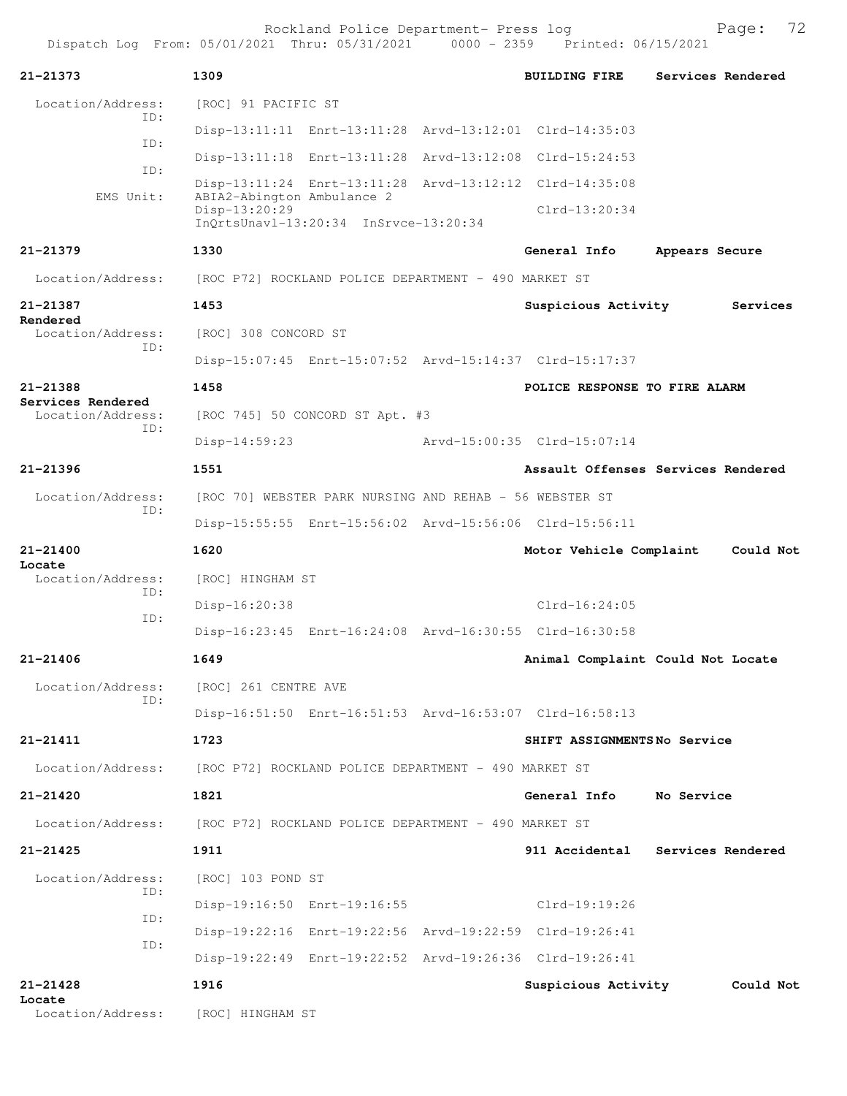| $21 - 21373$                           | 1309                                                                                 | <b>BUILDING FIRE</b><br>Services Rendered |
|----------------------------------------|--------------------------------------------------------------------------------------|-------------------------------------------|
| Location/Address:<br>ID:               | [ROC] 91 PACIFIC ST                                                                  |                                           |
|                                        | Disp-13:11:11 Enrt-13:11:28 Arvd-13:12:01 Clrd-14:35:03                              |                                           |
| ID:                                    | Disp-13:11:18 Enrt-13:11:28 Arvd-13:12:08 Clrd-15:24:53                              |                                           |
| ID:                                    | Disp-13:11:24 Enrt-13:11:28 Arvd-13:12:12 Clrd-14:35:08                              |                                           |
| EMS Unit:                              | ABIA2-Abington Ambulance 2<br>Disp-13:20:29<br>InQrtsUnav1-13:20:34 InSrvce-13:20:34 | $Clrd-13:20:34$                           |
| $21 - 21379$                           | 1330                                                                                 | General Info<br>Appears Secure            |
| Location/Address:                      | [ROC P72] ROCKLAND POLICE DEPARTMENT - 490 MARKET ST                                 |                                           |
| 21-21387<br>Rendered                   | 1453                                                                                 | Suspicious Activity<br>Services           |
| Location/Address:                      | [ROC] 308 CONCORD ST                                                                 |                                           |
| ID:                                    | Disp-15:07:45 Enrt-15:07:52 Arvd-15:14:37 Clrd-15:17:37                              |                                           |
| 21-21388                               | 1458                                                                                 | POLICE RESPONSE TO FIRE ALARM             |
| Services Rendered<br>Location/Address: | [ROC 745] 50 CONCORD ST Apt. #3                                                      |                                           |
| ID:                                    | $Disp-14:59:23$                                                                      | Arvd-15:00:35 Clrd-15:07:14               |
| $21 - 21396$                           | 1551                                                                                 | Assault Offenses Services Rendered        |
| Location/Address:                      | [ROC 70] WEBSTER PARK NURSING AND REHAB - 56 WEBSTER ST                              |                                           |
| ID:                                    | Disp-15:55:55 Enrt-15:56:02 Arvd-15:56:06 Clrd-15:56:11                              |                                           |
| 21-21400                               | 1620                                                                                 | Could Not<br>Motor Vehicle Complaint      |
| Locate<br>Location/Address:            | [ROC] HINGHAM ST                                                                     |                                           |
| ID:                                    | Disp-16:20:38                                                                        | $Clrd-16:24:05$                           |
| ID:                                    | Disp-16:23:45 Enrt-16:24:08 Arvd-16:30:55 Clrd-16:30:58                              |                                           |
| 21-21406                               | 1649                                                                                 | Animal Complaint Could Not Locate         |
| Location/Address:                      | [ROC] 261 CENTRE AVE                                                                 |                                           |
| ID:                                    | Disp-16:51:50 Enrt-16:51:53 Arvd-16:53:07 Clrd-16:58:13                              |                                           |
| 21-21411                               | 1723                                                                                 | SHIFT ASSIGNMENTSNo Service               |
| Location/Address:                      | [ROC P72] ROCKLAND POLICE DEPARTMENT - 490 MARKET ST                                 |                                           |
| 21-21420                               | 1821                                                                                 | General Info<br>No Service                |
| Location/Address:                      | [ROC P72] ROCKLAND POLICE DEPARTMENT - 490 MARKET ST                                 |                                           |
| 21-21425                               | 1911                                                                                 | 911 Accidental<br>Services Rendered       |
| Location/Address:                      | [ROC] 103 POND ST                                                                    |                                           |
| ID:                                    | Disp-19:16:50 Enrt-19:16:55                                                          | Clrd-19:19:26                             |
| ID:                                    | Disp-19:22:16 Enrt-19:22:56 Arvd-19:22:59 Clrd-19:26:41                              |                                           |
| ID:                                    | Disp-19:22:49 Enrt-19:22:52 Arvd-19:26:36 Clrd-19:26:41                              |                                           |
| 21-21428                               | 1916                                                                                 | Suspicious Activity<br>Could Not          |
| Locate<br>Location/Address:            | [ROC] HINGHAM ST                                                                     |                                           |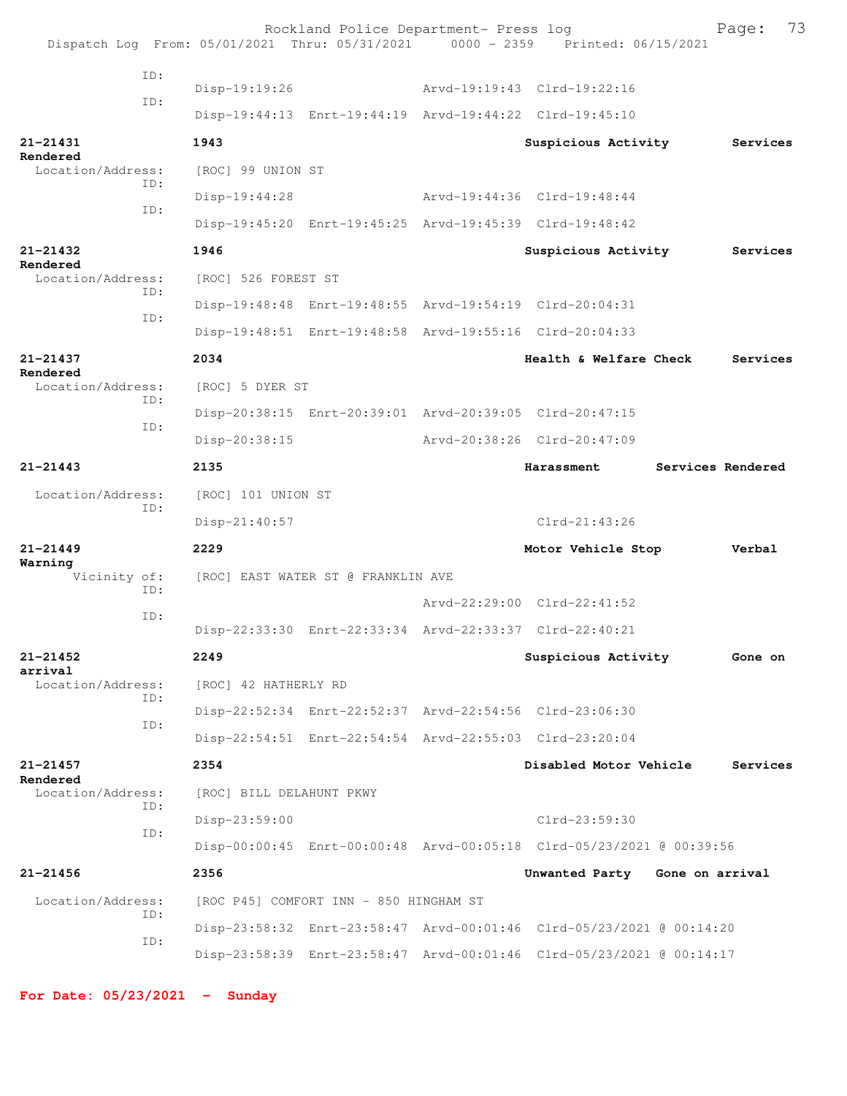|                               | Dispatch Log From: 05/01/2021 Thru: 05/31/2021 0000 - 2359 Printed: 06/15/2021 | Rockland Police Department- Press log                   |                                                                      | 73<br>Page:       |
|-------------------------------|--------------------------------------------------------------------------------|---------------------------------------------------------|----------------------------------------------------------------------|-------------------|
| ID:                           |                                                                                |                                                         |                                                                      |                   |
| ID:                           | Disp-19:19:26                                                                  |                                                         | Arvd-19:19:43 Clrd-19:22:16                                          |                   |
|                               |                                                                                | Disp-19:44:13 Enrt-19:44:19 Arvd-19:44:22 Clrd-19:45:10 |                                                                      |                   |
| 21-21431<br>Rendered          | 1943                                                                           |                                                         | Suspicious Activity                                                  | Services          |
| Location/Address:<br>ID:      | [ROC] 99 UNION ST                                                              |                                                         |                                                                      |                   |
| ID:                           | Disp-19:44:28                                                                  |                                                         | Arvd-19:44:36 Clrd-19:48:44                                          |                   |
|                               |                                                                                | Disp-19:45:20 Enrt-19:45:25 Arvd-19:45:39 Clrd-19:48:42 |                                                                      |                   |
| 21-21432<br>Rendered          | 1946                                                                           |                                                         | Suspicious Activity                                                  | Services          |
| Location/Address:<br>ID:      | [ROC] 526 FOREST ST                                                            |                                                         |                                                                      |                   |
|                               |                                                                                | Disp-19:48:48 Enrt-19:48:55 Arvd-19:54:19 Clrd-20:04:31 |                                                                      |                   |
| ID:                           |                                                                                | Disp-19:48:51 Enrt-19:48:58 Arvd-19:55:16 Clrd-20:04:33 |                                                                      |                   |
| $21 - 21437$                  | 2034                                                                           |                                                         | Health & Welfare Check                                               | Services          |
| Rendered<br>Location/Address: | [ROC] 5 DYER ST                                                                |                                                         |                                                                      |                   |
| ID:<br>ID:                    |                                                                                | Disp-20:38:15 Enrt-20:39:01 Arvd-20:39:05 Clrd-20:47:15 |                                                                      |                   |
|                               | Disp-20:38:15                                                                  |                                                         | Arvd-20:38:26 Clrd-20:47:09                                          |                   |
| $21 - 21443$                  | 2135                                                                           |                                                         | Harassment                                                           | Services Rendered |
| Location/Address:             | [ROC] 101 UNION ST                                                             |                                                         |                                                                      |                   |
| ID:                           | Disp-21:40:57                                                                  |                                                         | $Clrd-21:43:26$                                                      |                   |
| $21 - 21449$                  | 2229                                                                           |                                                         | Motor Vehicle Stop                                                   | Verbal            |
| Warning<br>Vicinity of:       | [ROC] EAST WATER ST @ FRANKLIN AVE                                             |                                                         |                                                                      |                   |
| ID:                           |                                                                                |                                                         | Arvd-22:29:00 Clrd-22:41:52                                          |                   |
| ID:                           |                                                                                | Disp-22:33:30 Enrt-22:33:34 Arvd-22:33:37 Clrd-22:40:21 |                                                                      |                   |
| $21 - 21452$                  | 2249                                                                           |                                                         | Suspicious Activity                                                  | Gone on           |
| arrival<br>Location/Address:  | [ROC] 42 HATHERLY RD                                                           |                                                         |                                                                      |                   |
| ID:                           |                                                                                | Disp-22:52:34 Enrt-22:52:37 Arvd-22:54:56 Clrd-23:06:30 |                                                                      |                   |
| ID:                           |                                                                                | Disp-22:54:51 Enrt-22:54:54 Arvd-22:55:03 Clrd-23:20:04 |                                                                      |                   |
|                               |                                                                                |                                                         |                                                                      |                   |
| $21 - 21457$<br>Rendered      | 2354                                                                           |                                                         | Disabled Motor Vehicle                                               | Services          |
| Location/Address:<br>ID:      | [ROC] BILL DELAHUNT PKWY                                                       |                                                         |                                                                      |                   |
| ID:                           | Disp-23:59:00                                                                  |                                                         | $Clrd-23:59:30$                                                      |                   |
|                               |                                                                                |                                                         | Disp-00:00:45 Enrt-00:00:48 Arvd-00:05:18 Clrd-05/23/2021 @ 00:39:56 |                   |
| $21 - 21456$                  | 2356                                                                           |                                                         | Unwanted Party Gone on arrival                                       |                   |
| Location/Address:<br>ID:      |                                                                                | [ROC P45] COMFORT INN - 850 HINGHAM ST                  |                                                                      |                   |
| ID:                           |                                                                                |                                                         | Disp-23:58:32 Enrt-23:58:47 Arvd-00:01:46 Clrd-05/23/2021 @ 00:14:20 |                   |
|                               |                                                                                |                                                         | Disp-23:58:39 Enrt-23:58:47 Arvd-00:01:46 Clrd-05/23/2021 @ 00:14:17 |                   |

**For Date: 05/23/2021 - Sunday**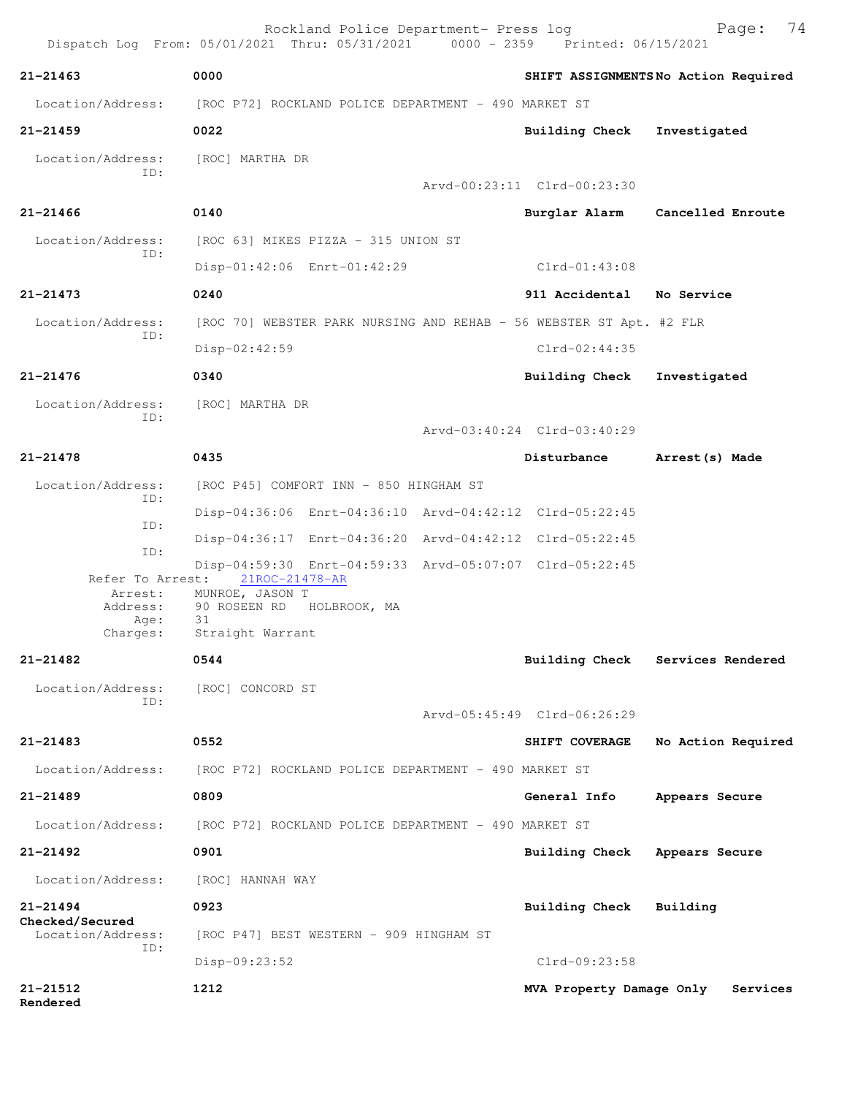|                                                             | Rockland Police Department- Press log<br>Dispatch Log From: 05/01/2021 Thru: 05/31/2021 0000 - 2359 Printed: 06/15/2021 |                             | 74<br>Page:                         |
|-------------------------------------------------------------|-------------------------------------------------------------------------------------------------------------------------|-----------------------------|-------------------------------------|
| $21 - 21463$                                                | 0000                                                                                                                    |                             | SHIFT ASSIGNMENTSNo Action Required |
| Location/Address:                                           | [ROC P72] ROCKLAND POLICE DEPARTMENT - 490 MARKET ST                                                                    |                             |                                     |
| $21 - 21459$                                                | 0022                                                                                                                    | <b>Building Check</b>       | Investigated                        |
| Location/Address:<br>ID:                                    | [ROC] MARTHA DR                                                                                                         |                             |                                     |
|                                                             |                                                                                                                         | Arvd-00:23:11 Clrd-00:23:30 |                                     |
| $21 - 21466$                                                | 0140                                                                                                                    | Burglar Alarm               | Cancelled Enroute                   |
| Location/Address:<br>ID:                                    | [ROC 63] MIKES PIZZA - 315 UNION ST                                                                                     |                             |                                     |
|                                                             | Disp-01:42:06 Enrt-01:42:29                                                                                             | $Clrd-01:43:08$             |                                     |
| $21 - 21473$                                                | 0240                                                                                                                    | 911 Accidental No Service   |                                     |
| Location/Address:<br>ID:                                    | [ROC 70] WEBSTER PARK NURSING AND REHAB - 56 WEBSTER ST Apt. #2 FLR                                                     |                             |                                     |
|                                                             | $Disp-02:42:59$                                                                                                         | $Clrd-02:44:35$             |                                     |
| $21 - 21476$                                                | 0340                                                                                                                    | Building Check              | Investigated                        |
| Location/Address:<br>ID:                                    | [ROC] MARTHA DR                                                                                                         |                             |                                     |
|                                                             |                                                                                                                         | Arvd-03:40:24 Clrd-03:40:29 |                                     |
| $21 - 21478$                                                | 0435                                                                                                                    | Disturbance                 | Arrest (s) Made                     |
| Location/Address:                                           | [ROC P45] COMFORT INN - 850 HINGHAM ST                                                                                  |                             |                                     |
| ID:                                                         | Disp-04:36:06 Enrt-04:36:10 Arvd-04:42:12 Clrd-05:22:45                                                                 |                             |                                     |
| ID:                                                         | Disp-04:36:17 Enrt-04:36:20 Arvd-04:42:12 Clrd-05:22:45                                                                 |                             |                                     |
| ID:                                                         | Disp-04:59:30 Enrt-04:59:33 Arvd-05:07:07 Clrd-05:22:45                                                                 |                             |                                     |
| Refer To Arrest:<br>Arrest:<br>Address:<br>Age:<br>Charges: | 21ROC-21478-AR<br>MUNROE, JASON T<br>90 ROSEEN RD HOLBROOK, MA<br>31<br>Straight Warrant                                |                             |                                     |
| $21 - 21482$                                                | 0544                                                                                                                    |                             | Building Check Services Rendered    |
| Location/Address:                                           | [ROC] CONCORD ST                                                                                                        |                             |                                     |
| ID:                                                         |                                                                                                                         | Arvd-05:45:49 Clrd-06:26:29 |                                     |
| $21 - 21483$                                                | 0552                                                                                                                    | SHIFT COVERAGE              | No Action Required                  |
| Location/Address:                                           | [ROC P72] ROCKLAND POLICE DEPARTMENT - 490 MARKET ST                                                                    |                             |                                     |
| 21-21489                                                    | 0809                                                                                                                    | General Info                | Appears Secure                      |
| Location/Address:                                           | [ROC P72] ROCKLAND POLICE DEPARTMENT - 490 MARKET ST                                                                    |                             |                                     |
| $21 - 21492$                                                | 0901                                                                                                                    | Building Check              | Appears Secure                      |
| Location/Address:                                           | [ROC] HANNAH WAY                                                                                                        |                             |                                     |
| 21-21494                                                    | 0923                                                                                                                    | Building Check              | Building                            |
| Checked/Secured<br>Location/Address:                        | [ROC P47] BEST WESTERN - 909 HINGHAM ST                                                                                 |                             |                                     |
| ID:                                                         | Disp-09:23:52                                                                                                           | Clrd-09:23:58               |                                     |
| 21-21512<br>Rendered                                        | 1212                                                                                                                    | MVA Property Damage Only    | Services                            |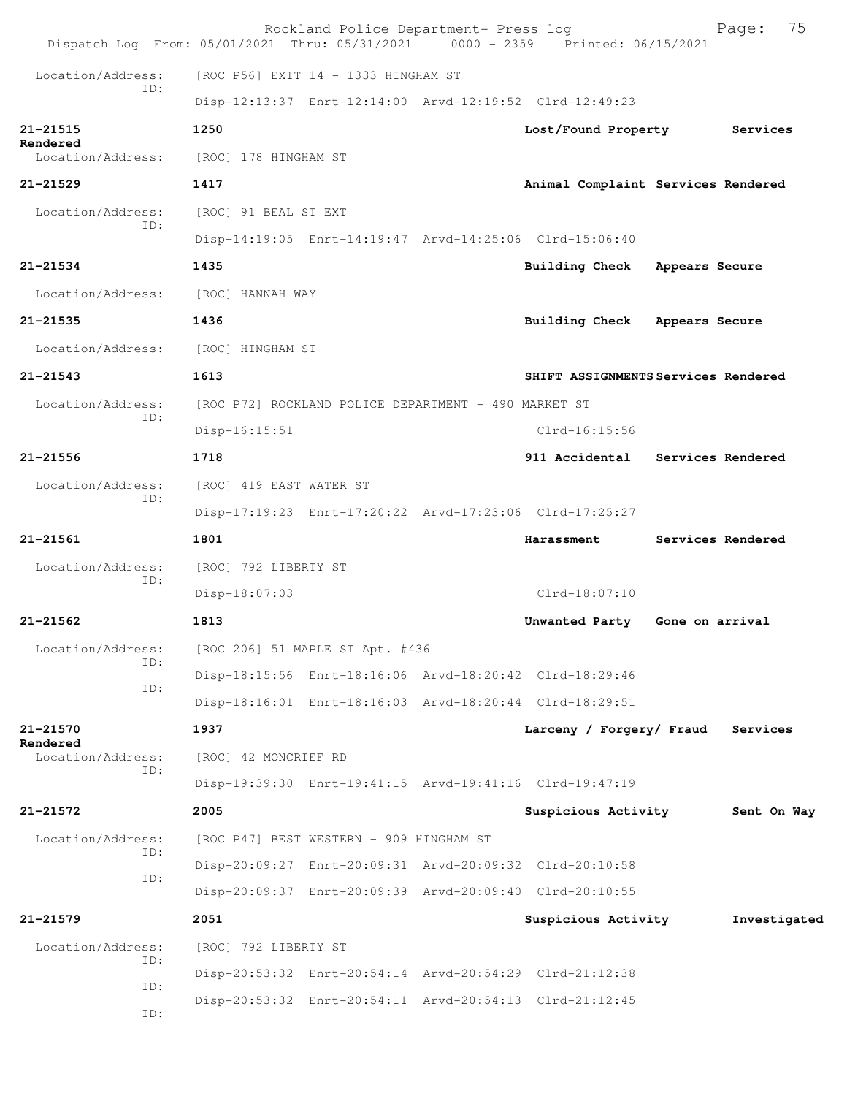| Dispatch Log From: 05/01/2021 Thru: 05/31/2021 0000 - 2359 Printed: 06/15/2021 |                         | Rockland Police Department- Press log                |  |                                                         |                | 75<br>Page:       |  |  |
|--------------------------------------------------------------------------------|-------------------------|------------------------------------------------------|--|---------------------------------------------------------|----------------|-------------------|--|--|
| Location/Address:                                                              |                         | [ROC P56] EXIT 14 - 1333 HINGHAM ST                  |  |                                                         |                |                   |  |  |
| ID:                                                                            |                         |                                                      |  | Disp-12:13:37 Enrt-12:14:00 Arvd-12:19:52 Clrd-12:49:23 |                |                   |  |  |
| $21 - 21515$                                                                   | 1250                    |                                                      |  | Lost/Found Property                                     |                | Services          |  |  |
| Rendered<br>Location/Address:                                                  | [ROC] 178 HINGHAM ST    |                                                      |  |                                                         |                |                   |  |  |
| $21 - 21529$                                                                   | 1417                    |                                                      |  | Animal Complaint Services Rendered                      |                |                   |  |  |
| Location/Address:                                                              | [ROC] 91 BEAL ST EXT    |                                                      |  |                                                         |                |                   |  |  |
| ID:                                                                            |                         |                                                      |  | Disp-14:19:05 Enrt-14:19:47 Arvd-14:25:06 Clrd-15:06:40 |                |                   |  |  |
| $21 - 21534$                                                                   | 1435                    |                                                      |  | Building Check Appears Secure                           |                |                   |  |  |
| Location/Address:                                                              | [ROC] HANNAH WAY        |                                                      |  |                                                         |                |                   |  |  |
| 21-21535                                                                       | 1436                    |                                                      |  | Building Check                                          | Appears Secure |                   |  |  |
| Location/Address:                                                              | [ROC] HINGHAM ST        |                                                      |  |                                                         |                |                   |  |  |
| $21 - 21543$                                                                   | 1613                    |                                                      |  | SHIFT ASSIGNMENTS Services Rendered                     |                |                   |  |  |
| Location/Address:                                                              |                         | [ROC P72] ROCKLAND POLICE DEPARTMENT - 490 MARKET ST |  |                                                         |                |                   |  |  |
| ID:                                                                            | $Disp-16:15:51$         |                                                      |  | $Clrd-16:15:56$                                         |                |                   |  |  |
| $21 - 21556$                                                                   | 1718                    |                                                      |  | 911 Accidental                                          |                | Services Rendered |  |  |
| Location/Address:                                                              | [ROC] 419 EAST WATER ST |                                                      |  |                                                         |                |                   |  |  |
| ID:                                                                            |                         |                                                      |  | Disp-17:19:23 Enrt-17:20:22 Arvd-17:23:06 Clrd-17:25:27 |                |                   |  |  |
| $21 - 21561$                                                                   | 1801                    |                                                      |  | Harassment                                              |                | Services Rendered |  |  |
| Location/Address:                                                              | [ROC] 792 LIBERTY ST    |                                                      |  |                                                         |                |                   |  |  |
| ID:                                                                            | Disp-18:07:03           |                                                      |  | $Clrd-18:07:10$                                         |                |                   |  |  |
| $21 - 21562$                                                                   | 1813                    |                                                      |  | Unwanted Party Gone on arrival                          |                |                   |  |  |
| Location/Address:                                                              |                         | [ROC 206] 51 MAPLE ST Apt. #436                      |  |                                                         |                |                   |  |  |
| TD:                                                                            |                         |                                                      |  | Disp-18:15:56 Enrt-18:16:06 Arvd-18:20:42 Clrd-18:29:46 |                |                   |  |  |
| ID:                                                                            |                         |                                                      |  | Disp-18:16:01 Enrt-18:16:03 Arvd-18:20:44 Clrd-18:29:51 |                |                   |  |  |
| 21-21570                                                                       | 1937                    |                                                      |  | Larceny / Forgery/ Fraud                                |                | Services          |  |  |
| Rendered<br>Location/Address:<br>ID:                                           | [ROC] 42 MONCRIEF RD    |                                                      |  |                                                         |                |                   |  |  |
|                                                                                |                         |                                                      |  | Disp-19:39:30 Enrt-19:41:15 Arvd-19:41:16 Clrd-19:47:19 |                |                   |  |  |
| $21 - 21572$                                                                   | 2005                    |                                                      |  | Suspicious Activity                                     |                | Sent On Way       |  |  |
| Location/Address:<br>ID:                                                       |                         | [ROC P47] BEST WESTERN - 909 HINGHAM ST              |  |                                                         |                |                   |  |  |
| ID:                                                                            |                         |                                                      |  | Disp-20:09:27 Enrt-20:09:31 Arvd-20:09:32 Clrd-20:10:58 |                |                   |  |  |
|                                                                                |                         |                                                      |  | Disp-20:09:37 Enrt-20:09:39 Arvd-20:09:40 Clrd-20:10:55 |                |                   |  |  |
| $21 - 21579$                                                                   | 2051                    |                                                      |  | Suspicious Activity                                     |                | Investigated      |  |  |
| Location/Address:<br>ID:                                                       | [ROC] 792 LIBERTY ST    |                                                      |  |                                                         |                |                   |  |  |
| ID:                                                                            |                         |                                                      |  | Disp-20:53:32 Enrt-20:54:14 Arvd-20:54:29 Clrd-21:12:38 |                |                   |  |  |
| ID:                                                                            |                         |                                                      |  | Disp-20:53:32 Enrt-20:54:11 Arvd-20:54:13 Clrd-21:12:45 |                |                   |  |  |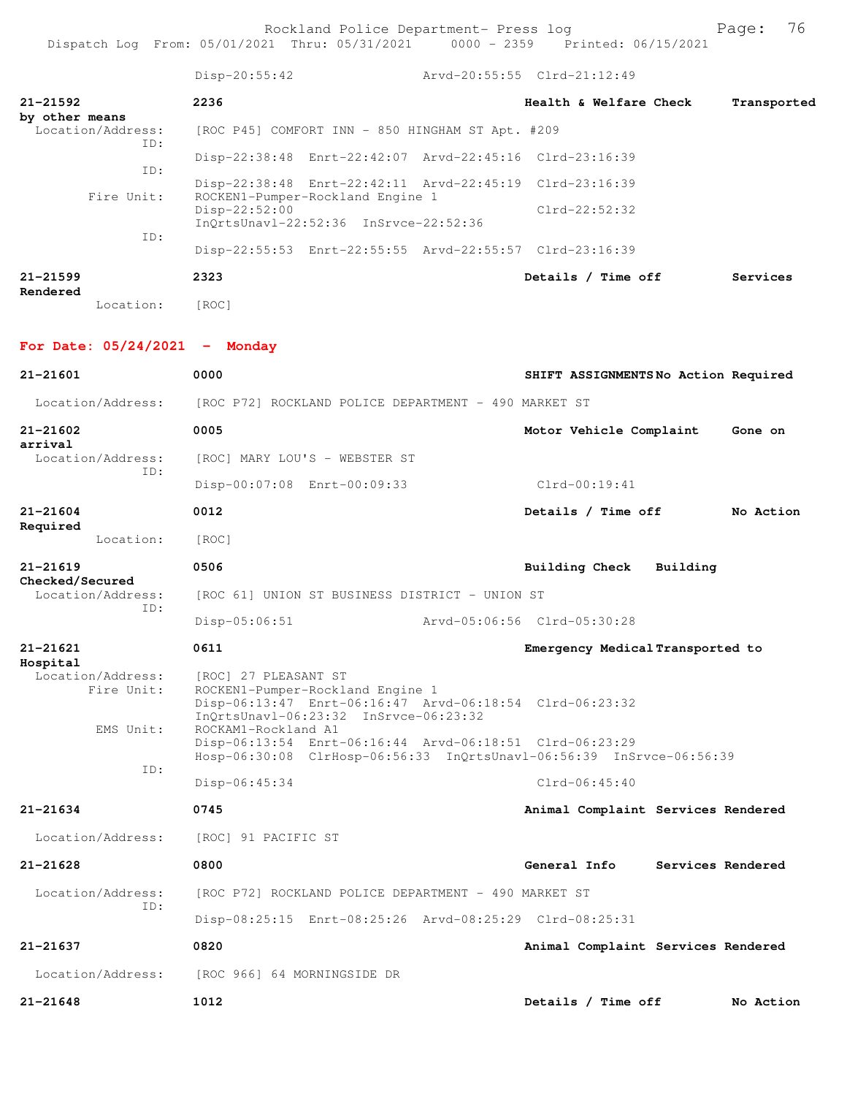Disp-20:55:42 Arvd-20:55:55 Clrd-21:12:49 **21-21592 2236 Health & Welfare Check Transported by other means**  Location/Address: [ROC P45] COMFORT INN - 850 HINGHAM ST Apt. #209 ID: Disp-22:38:48 Enrt-22:42:07 Arvd-22:45:16 Clrd-23:16:39 ID: Disp-22:38:48 Enrt-22:42:11 Arvd-22:45:19 Clrd-23:16:39<br>Fire Unit: ROCKEN1-Pumper-Rockland Engine 1 ROCKEN1-Pumper-Rockland Engine 1 Disp-22:52:00 Clrd-22:52:32 InQrtsUnavl-22:52:36 InSrvce-22:52:36 ID: Disp-22:55:53 Enrt-22:55:55 Arvd-22:55:57 Clrd-23:16:39 **21-21599 2323 Details / Time off Services Rendered**  Location: [ROC] **For Date: 05/24/2021 - Monday 21-21601 0000 SHIFT ASSIGNMENTS No Action Required** Location/Address: [ROC P72] ROCKLAND POLICE DEPARTMENT - 490 MARKET ST **21-21602 0005 Motor Vehicle Complaint Gone on arrival**  Location/Address: [ROC] MARY LOU'S - WEBSTER ST ID: Disp-00:07:08 Enrt-00:09:33 Clrd-00:19:41 **21-21604 0012 Details / Time off No Action Required**  Location: [ROC] **21-21619 0506 Building Check Building Checked/Secured**  Location/Address: [ROC 61] UNION ST BUSINESS DISTRICT - UNION ST ID: Disp-05:06:51 Arvd-05:06:56 Clrd-05:30:28 **21-21621 0611 Emergency Medical Transported to Hospital**  Location/Address: [ROC] 27 PLEASANT ST Fire Unit: ROCKEN1-Pumper-Rockland Engine 1 Disp-06:13:47 Enrt-06:16:47 Arvd-06:18:54 Clrd-06:23:32 InQrtsUnavl-06:23:32 InSrvce-06:23:32 EMS Unit: ROCKAM1-Rockland A1 Disp-06:13:54 Enrt-06:16:44 Arvd-06:18:51 Clrd-06:23:29 Hosp-06:30:08 ClrHosp-06:56:33 InQrtsUnavl-06:56:39 InSrvce-06:56:39 ID: Disp-06:45:34 Clrd-06:45:40 **21-21634 0745 Animal Complaint Services Rendered** Location/Address: [ROC] 91 PACIFIC ST **21-21628 0800 General Info Services Rendered** Location/Address: [ROC P72] ROCKLAND POLICE DEPARTMENT - 490 MARKET ST ID: Disp-08:25:15 Enrt-08:25:26 Arvd-08:25:29 Clrd-08:25:31 **21-21637 0820 Animal Complaint Services Rendered** Location/Address: [ROC 966] 64 MORNINGSIDE DR **21-21648 1012 Details / Time off No Action**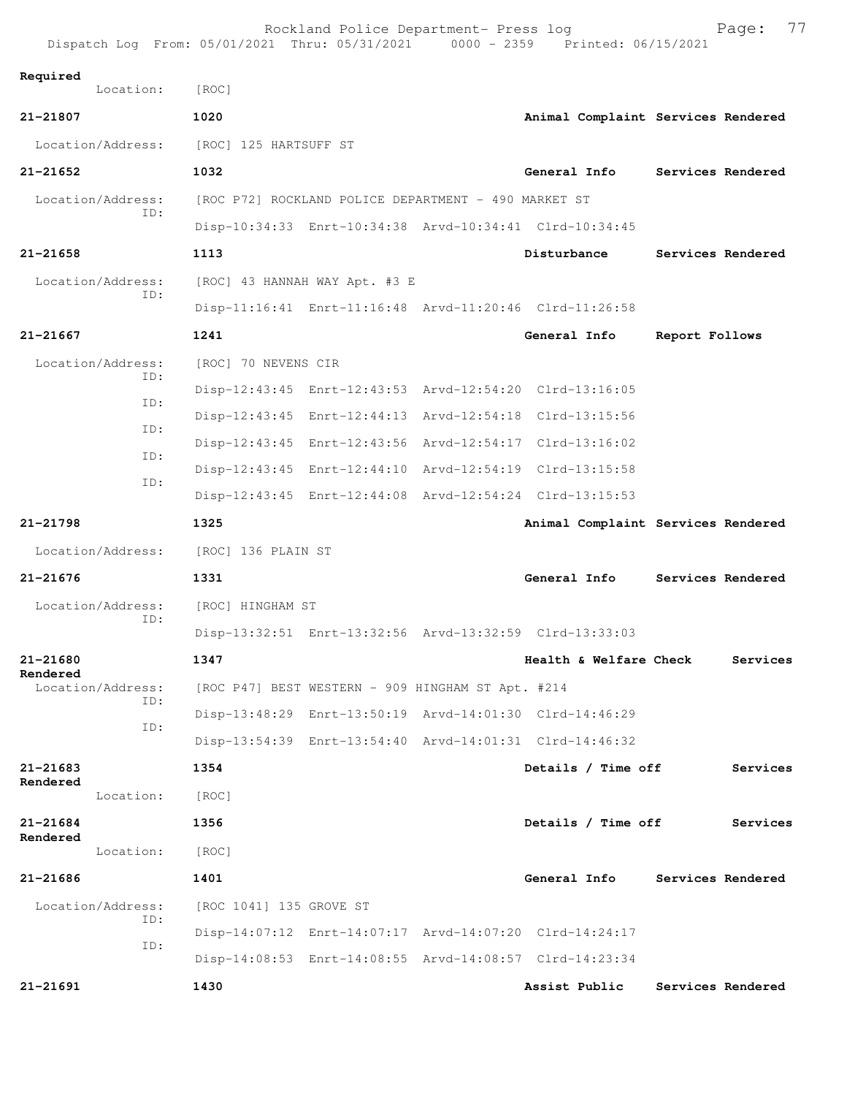| Dispatch Log From: 05/01/2021 Thru: 05/31/2021 0000 - 2359 Printed: 06/15/2021 |                                                      | Rockland Police Department- Press log |                                                         | 77<br>Page:                        |
|--------------------------------------------------------------------------------|------------------------------------------------------|---------------------------------------|---------------------------------------------------------|------------------------------------|
| Required<br>Location:                                                          | [ROC]                                                |                                       |                                                         |                                    |
| 21-21807                                                                       | 1020                                                 |                                       |                                                         | Animal Complaint Services Rendered |
| Location/Address:                                                              | [ROC] 125 HARTSUFF ST                                |                                       |                                                         |                                    |
| $21 - 21652$                                                                   | 1032                                                 |                                       | General Info                                            | Services Rendered                  |
| Location/Address:                                                              | [ROC P72] ROCKLAND POLICE DEPARTMENT - 490 MARKET ST |                                       |                                                         |                                    |
| ID:                                                                            |                                                      |                                       | Disp-10:34:33 Enrt-10:34:38 Arvd-10:34:41 Clrd-10:34:45 |                                    |
| 21-21658                                                                       | 1113                                                 |                                       | Disturbance                                             | Services Rendered                  |
| Location/Address:<br>TD:                                                       |                                                      | [ROC] 43 HANNAH WAY Apt. #3 E         |                                                         |                                    |
|                                                                                |                                                      |                                       | Disp-11:16:41 Enrt-11:16:48 Arvd-11:20:46 Clrd-11:26:58 |                                    |
| 21-21667                                                                       | 1241                                                 |                                       | General Info                                            | Report Follows                     |
| Location/Address:<br>TD:                                                       | [ROC] 70 NEVENS CIR                                  |                                       |                                                         |                                    |
| TD:                                                                            |                                                      |                                       | Disp-12:43:45 Enrt-12:43:53 Arvd-12:54:20 Clrd-13:16:05 |                                    |
| ID:                                                                            |                                                      |                                       | Disp-12:43:45 Enrt-12:44:13 Arvd-12:54:18 Clrd-13:15:56 |                                    |
| ID:                                                                            |                                                      |                                       | Disp-12:43:45 Enrt-12:43:56 Arvd-12:54:17 Clrd-13:16:02 |                                    |
| ID:                                                                            |                                                      |                                       | Disp-12:43:45 Enrt-12:44:10 Arvd-12:54:19 Clrd-13:15:58 |                                    |
|                                                                                |                                                      |                                       | Disp-12:43:45 Enrt-12:44:08 Arvd-12:54:24 Clrd-13:15:53 |                                    |
|                                                                                |                                                      |                                       |                                                         |                                    |
| 21-21798                                                                       | 1325                                                 |                                       |                                                         | Animal Complaint Services Rendered |
| Location/Address:                                                              | [ROC] 136 PLAIN ST                                   |                                       |                                                         |                                    |
| $21 - 21676$                                                                   | 1331                                                 |                                       | General Info                                            | Services Rendered                  |
| Location/Address:                                                              | [ROC] HINGHAM ST                                     |                                       |                                                         |                                    |
| ID:                                                                            |                                                      |                                       | Disp-13:32:51 Enrt-13:32:56 Arvd-13:32:59 Clrd-13:33:03 |                                    |
| 21-21680                                                                       | 1347                                                 |                                       | Health & Welfare Check                                  | Services                           |
| Rendered<br>Location/Address:                                                  | [ROC P47] BEST WESTERN - 909 HINGHAM ST Apt. #214    |                                       |                                                         |                                    |
| ID:                                                                            |                                                      |                                       | Disp-13:48:29 Enrt-13:50:19 Arvd-14:01:30 Clrd-14:46:29 |                                    |
| ID:                                                                            |                                                      |                                       | Disp-13:54:39 Enrt-13:54:40 Arvd-14:01:31 Clrd-14:46:32 |                                    |
| 21-21683                                                                       | 1354                                                 |                                       | Details / Time off                                      | Services                           |
| Rendered<br>Location:                                                          | [ROC]                                                |                                       |                                                         |                                    |
| 21-21684                                                                       | 1356                                                 |                                       | Details / Time off                                      | Services                           |
| Rendered<br>Location:                                                          | [ROC]                                                |                                       |                                                         |                                    |
| 21-21686                                                                       | 1401                                                 |                                       | General Info                                            | Services Rendered                  |
| Location/Address:                                                              | [ROC 1041] 135 GROVE ST                              |                                       |                                                         |                                    |
| ID:                                                                            |                                                      |                                       | Disp-14:07:12 Enrt-14:07:17 Arvd-14:07:20 Clrd-14:24:17 |                                    |
| ID:                                                                            |                                                      |                                       | Disp-14:08:53 Enrt-14:08:55 Arvd-14:08:57 Clrd-14:23:34 |                                    |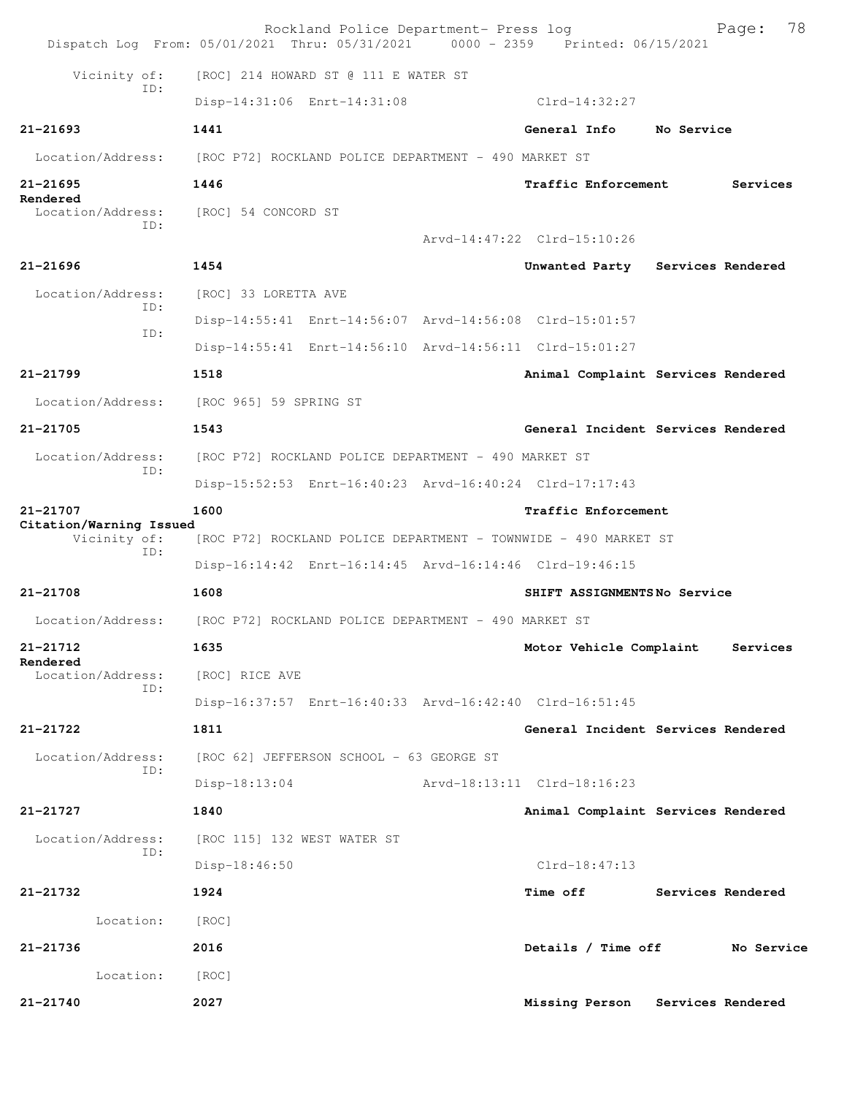| Dispatch Log From: 05/01/2021 Thru: 05/31/2021 0000 - 2359 Printed: 06/15/2021 |                                                                 | Rockland Police Department- Press log                |  |                                                         |  | 78<br>Page:       |  |
|--------------------------------------------------------------------------------|-----------------------------------------------------------------|------------------------------------------------------|--|---------------------------------------------------------|--|-------------------|--|
| Vicinity of:                                                                   |                                                                 | [ROC] 214 HOWARD ST @ 111 E WATER ST                 |  |                                                         |  |                   |  |
| TD:                                                                            |                                                                 | Disp-14:31:06 Enrt-14:31:08                          |  | Clrd-14:32:27                                           |  |                   |  |
| $21 - 21693$                                                                   | 1441                                                            |                                                      |  | General Info No Service                                 |  |                   |  |
| Location/Address:                                                              | [ROC P72] ROCKLAND POLICE DEPARTMENT - 490 MARKET ST            |                                                      |  |                                                         |  |                   |  |
| $21 - 21695$                                                                   | 1446                                                            |                                                      |  | <b>Traffic Enforcement</b>                              |  | Services          |  |
| Rendered<br>Location/Address: [ROC] 54 CONCORD ST                              |                                                                 |                                                      |  |                                                         |  |                   |  |
| TD:                                                                            |                                                                 |                                                      |  | Arvd-14:47:22 Clrd-15:10:26                             |  |                   |  |
| $21 - 21696$                                                                   | 1454                                                            |                                                      |  | Unwanted Party Services Rendered                        |  |                   |  |
| Location/Address:                                                              | [ROC] 33 LORETTA AVE                                            |                                                      |  |                                                         |  |                   |  |
| ID:                                                                            |                                                                 |                                                      |  | Disp-14:55:41 Enrt-14:56:07 Arvd-14:56:08 Clrd-15:01:57 |  |                   |  |
| ID:                                                                            |                                                                 |                                                      |  | Disp-14:55:41 Enrt-14:56:10 Arvd-14:56:11 Clrd-15:01:27 |  |                   |  |
| 21-21799                                                                       | 1518                                                            |                                                      |  | Animal Complaint Services Rendered                      |  |                   |  |
| Location/Address: [ROC 965] 59 SPRING ST                                       |                                                                 |                                                      |  |                                                         |  |                   |  |
| 21-21705                                                                       | 1543                                                            |                                                      |  | General Incident Services Rendered                      |  |                   |  |
| Location/Address:<br>ID:                                                       |                                                                 | [ROC P72] ROCKLAND POLICE DEPARTMENT - 490 MARKET ST |  |                                                         |  |                   |  |
|                                                                                |                                                                 |                                                      |  | Disp-15:52:53 Enrt-16:40:23 Arvd-16:40:24 Clrd-17:17:43 |  |                   |  |
| 21-21707<br>Citation/Warning Issued<br>Vicinity of:<br>ID:                     | 1600                                                            |                                                      |  | Traffic Enforcement                                     |  |                   |  |
|                                                                                | [ROC P72] ROCKLAND POLICE DEPARTMENT - TOWNWIDE - 490 MARKET ST |                                                      |  |                                                         |  |                   |  |
|                                                                                |                                                                 |                                                      |  | Disp-16:14:42 Enrt-16:14:45 Arvd-16:14:46 Clrd-19:46:15 |  |                   |  |
| 21-21708                                                                       | 1608                                                            |                                                      |  | SHIFT ASSIGNMENTSNo Service                             |  |                   |  |
| Location/Address: [ROC P72] ROCKLAND POLICE DEPARTMENT - 490 MARKET ST         |                                                                 |                                                      |  |                                                         |  |                   |  |
| $21 - 21712$<br>Rendered                                                       | 1635                                                            |                                                      |  | Motor Vehicle Complaint                                 |  | Services          |  |
| Location/Address:<br>ID:                                                       | [ROC] RICE AVE                                                  |                                                      |  |                                                         |  |                   |  |
|                                                                                |                                                                 |                                                      |  | Disp-16:37:57 Enrt-16:40:33 Arvd-16:42:40 Clrd-16:51:45 |  |                   |  |
| 21-21722                                                                       | 1811                                                            |                                                      |  | General Incident Services Rendered                      |  |                   |  |
| Location/Address:<br>ID:                                                       |                                                                 | [ROC 62] JEFFERSON SCHOOL - 63 GEORGE ST             |  |                                                         |  |                   |  |
|                                                                                | $Disp-18:13:04$                                                 |                                                      |  | Arvd-18:13:11 Clrd-18:16:23                             |  |                   |  |
| $21 - 21727$                                                                   | 1840                                                            |                                                      |  | Animal Complaint Services Rendered                      |  |                   |  |
| Location/Address:<br>ID:                                                       |                                                                 | [ROC 115] 132 WEST WATER ST                          |  |                                                         |  |                   |  |
|                                                                                | Disp-18:46:50                                                   |                                                      |  | $Clrd-18:47:13$                                         |  |                   |  |
| 21-21732                                                                       | 1924                                                            |                                                      |  | <b>Time off</b>                                         |  | Services Rendered |  |
| Location:                                                                      | [ROC]                                                           |                                                      |  |                                                         |  |                   |  |
| 21-21736                                                                       | 2016                                                            |                                                      |  | Details / Time off                                      |  | No Service        |  |
| Location:                                                                      | [ROC]                                                           |                                                      |  |                                                         |  |                   |  |
| 21-21740                                                                       | 2027                                                            |                                                      |  | Missing Person                                          |  | Services Rendered |  |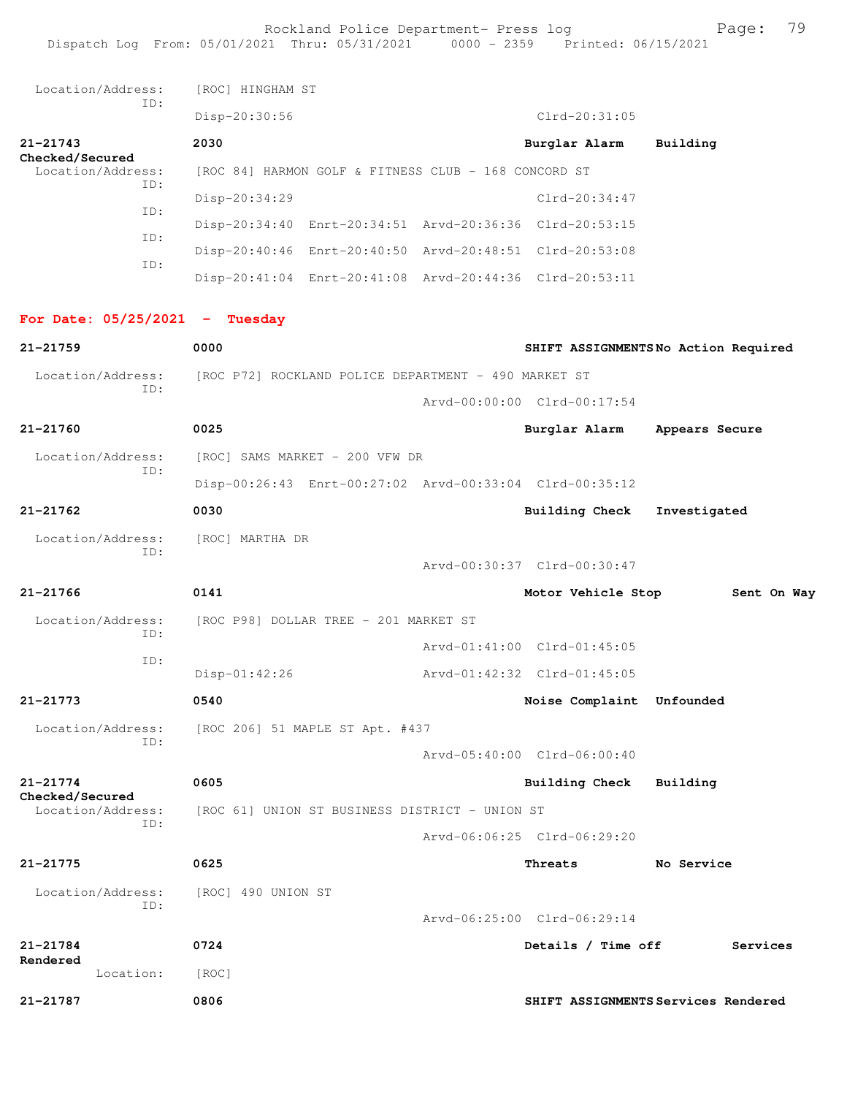Rockland Police Department- Press log entitled and Page: 79 Dispatch Log From: 05/01/2021 Thru: 05/31/2021 0000 - 2359 Printed: 06/15/2021

| Location/Address:                    | ID: | [ROC] HINGHAM ST   |                                                         |                             |                                     |
|--------------------------------------|-----|--------------------|---------------------------------------------------------|-----------------------------|-------------------------------------|
|                                      |     | Disp-20:30:56      |                                                         | $Clrd-20:31:05$             |                                     |
| $21 - 21743$<br>Checked/Secured      |     | 2030               |                                                         | Burglar Alarm               | Building                            |
| Location/Address:<br>ID:             |     |                    | [ROC 84] HARMON GOLF & FITNESS CLUB - 168 CONCORD ST    |                             |                                     |
|                                      | ID: | Disp-20:34:29      |                                                         | Clrd-20:34:47               |                                     |
|                                      | ID: |                    | Disp-20:34:40 Enrt-20:34:51 Arvd-20:36:36 Clrd-20:53:15 |                             |                                     |
|                                      | ID: |                    | Disp-20:40:46 Enrt-20:40:50 Arvd-20:48:51 Clrd-20:53:08 |                             |                                     |
|                                      |     |                    | Disp-20:41:04 Enrt-20:41:08 Arvd-20:44:36 Clrd-20:53:11 |                             |                                     |
| For Date: $05/25/2021$ - Tuesday     |     |                    |                                                         |                             |                                     |
| 21-21759                             |     | 0000               |                                                         |                             | SHIFT ASSIGNMENTSNo Action Required |
| Location/Address:                    |     |                    | [ROC P72] ROCKLAND POLICE DEPARTMENT - 490 MARKET ST    |                             |                                     |
|                                      | ID: |                    |                                                         | Arvd-00:00:00 Clrd-00:17:54 |                                     |
| $21 - 21760$                         |     | 0025               |                                                         | Burglar Alarm               | Appears Secure                      |
| Location/Address:                    |     |                    | [ROC] SAMS MARKET - 200 VFW DR                          |                             |                                     |
|                                      | ID: |                    | Disp-00:26:43 Enrt-00:27:02 Arvd-00:33:04 Clrd-00:35:12 |                             |                                     |
| $21 - 21762$                         |     | 0030               |                                                         | <b>Building Check</b>       | Investigated                        |
| Location/Address:                    |     | [ROC] MARTHA DR    |                                                         |                             |                                     |
|                                      | ID: |                    |                                                         | Arvd-00:30:37 Clrd-00:30:47 |                                     |
| 21-21766                             |     | 0141               |                                                         | Motor Vehicle Stop          | Sent On Way                         |
| Location/Address:                    |     |                    | [ROC P98] DOLLAR TREE - 201 MARKET ST                   |                             |                                     |
|                                      | ID: |                    |                                                         | Arvd-01:41:00 Clrd-01:45:05 |                                     |
|                                      | ID: | Disp-01:42:26      |                                                         | Arvd-01:42:32 Clrd-01:45:05 |                                     |
| 21-21773                             |     | 0540               |                                                         | Noise Complaint Unfounded   |                                     |
| Location/Address:                    |     |                    | [ROC 206] 51 MAPLE ST Apt. #437                         |                             |                                     |
|                                      | ID: |                    |                                                         | Arvd-05:40:00 Clrd-06:00:40 |                                     |
| $21 - 21774$                         |     | 0605               |                                                         | <b>Building Check</b>       | Building                            |
| Checked/Secured<br>Location/Address: |     |                    | [ROC 61] UNION ST BUSINESS DISTRICT - UNION ST          |                             |                                     |
|                                      | ID: |                    |                                                         | Arvd-06:06:25 Clrd-06:29:20 |                                     |
| 21-21775                             |     | 0625               |                                                         | Threats                     | No Service                          |
| Location/Address:                    | ID: | [ROC] 490 UNION ST |                                                         |                             |                                     |
|                                      |     |                    |                                                         | Arvd-06:25:00 Clrd-06:29:14 |                                     |
| 21-21784                             |     | 0724               |                                                         | Details / Time off          | Services                            |
| Rendered<br>Location:                |     | [ROC]              |                                                         |                             |                                     |
| 21-21787                             |     | 0806               |                                                         |                             | SHIFT ASSIGNMENTS Services Rendered |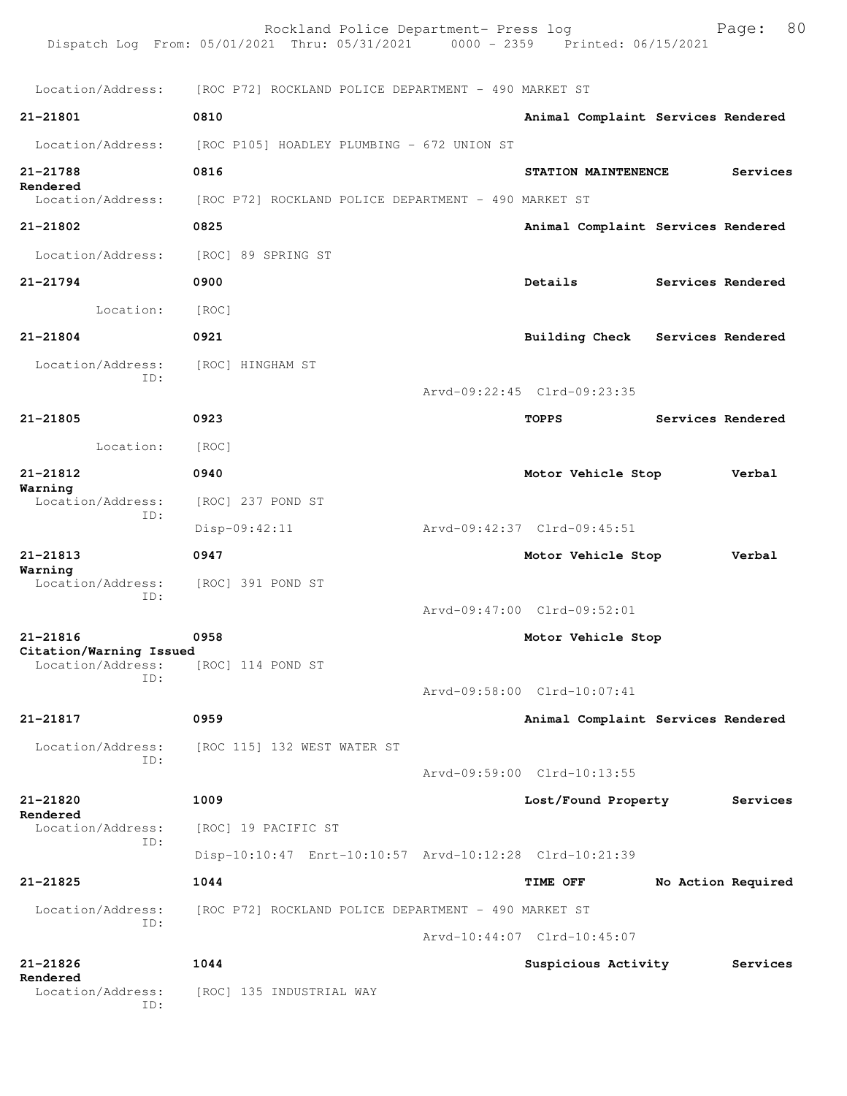|                                     | Rockland Police Department- Press log<br>Dispatch Log From: 05/01/2021 Thru: 05/31/2021 0000 - 2359 Printed: 06/15/2021 |                                    | Page:              | 80 |
|-------------------------------------|-------------------------------------------------------------------------------------------------------------------------|------------------------------------|--------------------|----|
|                                     | Location/Address: [ROC P72] ROCKLAND POLICE DEPARTMENT - 490 MARKET ST                                                  |                                    |                    |    |
| 21-21801                            | 0810                                                                                                                    | Animal Complaint Services Rendered |                    |    |
| Location/Address:                   | [ROC P105] HOADLEY PLUMBING - 672 UNION ST                                                                              |                                    |                    |    |
| 21-21788<br>Rendered                | 0816                                                                                                                    | STATION MAINTENENCE                | Services           |    |
| Location/Address:                   | [ROC P72] ROCKLAND POLICE DEPARTMENT - 490 MARKET ST                                                                    |                                    |                    |    |
| 21-21802                            | 0825                                                                                                                    | Animal Complaint Services Rendered |                    |    |
| Location/Address:                   | [ROC] 89 SPRING ST                                                                                                      |                                    |                    |    |
| $21 - 21794$                        | 0900                                                                                                                    | Details                            | Services Rendered  |    |
| Location:                           | [ROC]                                                                                                                   |                                    |                    |    |
| $21 - 21804$                        | 0921                                                                                                                    | Building Check Services Rendered   |                    |    |
| Location/Address:<br>ID:            | [ROC] HINGHAM ST                                                                                                        |                                    |                    |    |
|                                     |                                                                                                                         | Arvd-09:22:45 Clrd-09:23:35        |                    |    |
| $21 - 21805$                        | 0923                                                                                                                    | TOPPS                              | Services Rendered  |    |
| Location:                           | [ROC]                                                                                                                   |                                    |                    |    |
| 21-21812<br>Warning                 | 0940                                                                                                                    | Motor Vehicle Stop                 | Verbal             |    |
| Location/Address:<br>ID:            | [ROC] 237 POND ST                                                                                                       |                                    |                    |    |
|                                     | Disp-09:42:11                                                                                                           | Arvd-09:42:37 Clrd-09:45:51        |                    |    |
| 21-21813<br>Warning                 | 0947                                                                                                                    | Motor Vehicle Stop                 | Verbal             |    |
| Location/Address:<br>ID:            | [ROC] 391 POND ST                                                                                                       |                                    |                    |    |
|                                     |                                                                                                                         | Arvd-09:47:00 Clrd-09:52:01        |                    |    |
| 21-21816<br>Citation/Warning Issued | 0958                                                                                                                    | Motor Vehicle Stop                 |                    |    |
| Location/Address:<br>ID:            | [ROC] 114 POND ST                                                                                                       |                                    |                    |    |
|                                     |                                                                                                                         | Arvd-09:58:00 Clrd-10:07:41        |                    |    |
| 21-21817                            | 0959                                                                                                                    | Animal Complaint Services Rendered |                    |    |
| Location/Address:<br>ID:            | [ROC 115] 132 WEST WATER ST                                                                                             |                                    |                    |    |
|                                     |                                                                                                                         | Arvd-09:59:00 Clrd-10:13:55        |                    |    |
| 21-21820<br>Rendered                | 1009                                                                                                                    | Lost/Found Property                | Services           |    |
| Location/Address:<br>TD:            | [ROC] 19 PACIFIC ST                                                                                                     |                                    |                    |    |
|                                     | Disp-10:10:47 Enrt-10:10:57 Arvd-10:12:28 Clrd-10:21:39                                                                 |                                    |                    |    |
| 21-21825                            | 1044                                                                                                                    | TIME OFF                           | No Action Required |    |
| Location/Address:<br>ID:            | [ROC P72] ROCKLAND POLICE DEPARTMENT - 490 MARKET ST                                                                    |                                    |                    |    |
|                                     |                                                                                                                         | Arvd-10:44:07 Clrd-10:45:07        |                    |    |
| $21 - 21826$<br>Rendered            | 1044                                                                                                                    | Suspicious Activity                | Services           |    |
| Location/Address:<br>ID:            | [ROC] 135 INDUSTRIAL WAY                                                                                                |                                    |                    |    |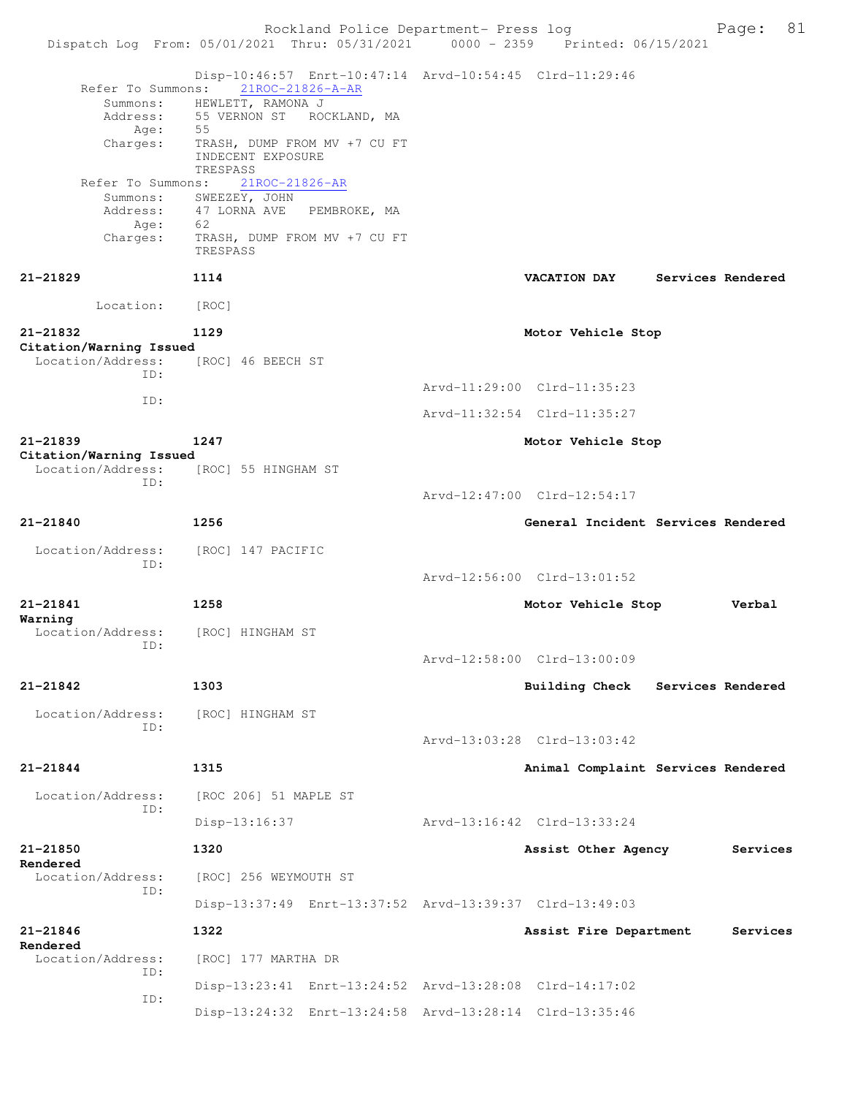Rockland Police Department- Press log Fage: 81 Dispatch Log From: 05/01/2021 Thru: 05/31/2021 0000 - 2359 Printed: 06/15/2021 Disp-10:46:57 Enrt-10:47:14 Arvd-10:54:45 Clrd-11:29:46<br>Refer To Summons: 21ROC-21826-A-AR Refer To Summons: 21ROC-21826-A-AR Summons: HEWLETT, RAMONA J Address: 55 VERNON ST ROCKLAND, MA Age: 55 Charges: TRASH, DUMP FROM MV +7 CU FT INDECENT EXPOSURE TRESPASS Refer To Summons: 21ROC-21826-AR Summons: SWEEZEY, JOHN Address: 47 LORNA AVE PEMBROKE, MA Age: 62 Charges: TRASH, DUMP FROM MV +7 CU FT TRESPASS **21-21829 1114 VACATION DAY Services Rendered** Location: [ROC] **21-21832 1129 Motor Vehicle Stop Citation/Warning Issued**  Location/Address: [ROC] 46 BEECH ST ID: Arvd-11:29:00 Clrd-11:35:23 ID: Arvd-11:32:54 Clrd-11:35:27 **21-21839 1247 Motor Vehicle Stop Citation/Warning Issued**  [ROC] 55 HINGHAM ST ID: Arvd-12:47:00 Clrd-12:54:17 **21-21840 1256 General Incident Services Rendered** Location/Address: [ROC] 147 PACIFIC ID: Arvd-12:56:00 Clrd-13:01:52 **21-21841 1258 Motor Vehicle Stop Verbal Warning**  Location/Address: [ROC] HINGHAM ST ID: Arvd-12:58:00 Clrd-13:00:09 **21-21842 1303 Building Check Services Rendered** Location/Address: [ROC] HINGHAM ST ID: Arvd-13:03:28 Clrd-13:03:42 **21-21844 1315 Animal Complaint Services Rendered** Location/Address: [ROC 206] 51 MAPLE ST ID: Disp-13:16:37 Arvd-13:16:42 Clrd-13:33:24 **21-21850 1320 Assist Other Agency Services Rendered**  Location/Address: [ROC] 256 WEYMOUTH ST ID: Disp-13:37:49 Enrt-13:37:52 Arvd-13:39:37 Clrd-13:49:03 **21-21846 1322 Assist Fire Department Services Rendered**  Location/Address: [ROC] 177 MARTHA DR ID: Disp-13:23:41 Enrt-13:24:52 Arvd-13:28:08 Clrd-14:17:02 ID: Disp-13:24:32 Enrt-13:24:58 Arvd-13:28:14 Clrd-13:35:46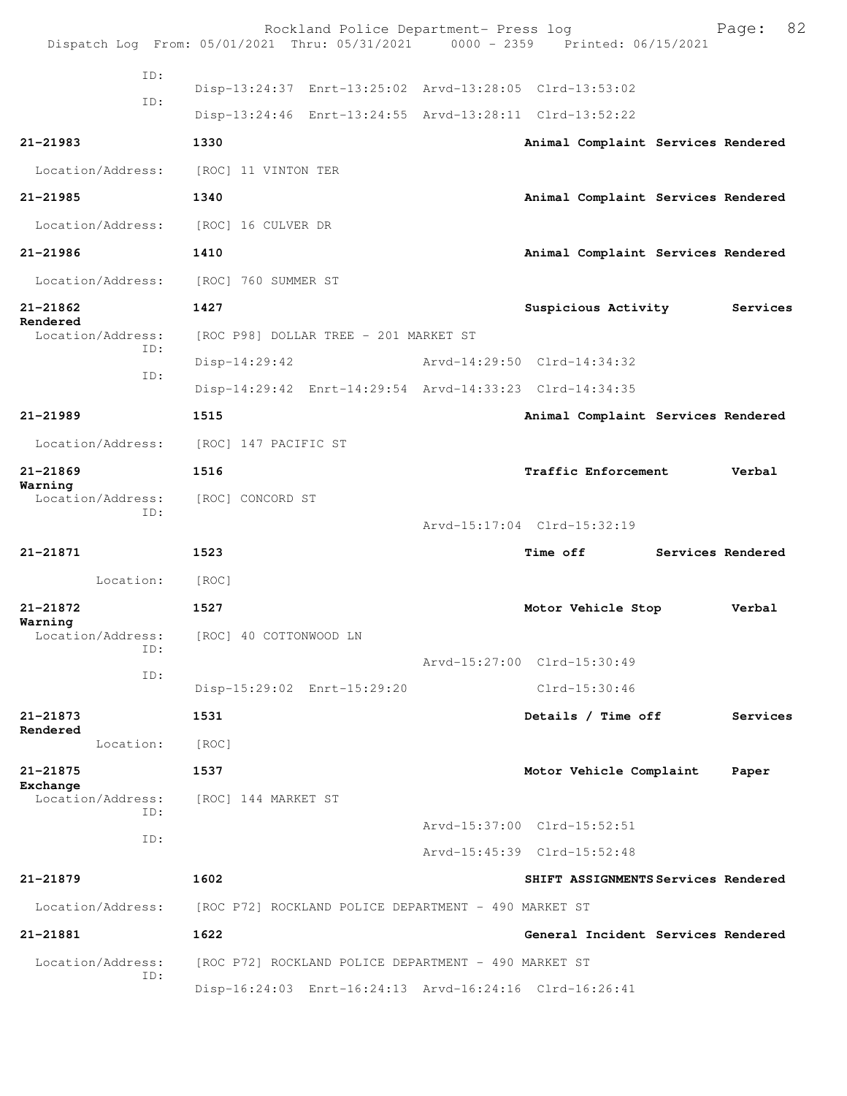|                               | Rockland Police Department- Press log<br>Dispatch Log From: 05/01/2021 Thru: 05/31/2021 0000 - 2359 Printed: 06/15/2021 |  |                                     | 82<br>Page:       |  |  |
|-------------------------------|-------------------------------------------------------------------------------------------------------------------------|--|-------------------------------------|-------------------|--|--|
| ID:                           |                                                                                                                         |  |                                     |                   |  |  |
| ID:                           | Disp-13:24:37 Enrt-13:25:02 Arvd-13:28:05 Clrd-13:53:02                                                                 |  |                                     |                   |  |  |
|                               | Disp-13:24:46 Enrt-13:24:55 Arvd-13:28:11 Clrd-13:52:22                                                                 |  |                                     |                   |  |  |
| $21 - 21983$                  | 1330                                                                                                                    |  | Animal Complaint Services Rendered  |                   |  |  |
| Location/Address:             | [ROC] 11 VINTON TER                                                                                                     |  |                                     |                   |  |  |
| 21-21985                      | 1340                                                                                                                    |  | Animal Complaint Services Rendered  |                   |  |  |
| Location/Address:             | [ROC] 16 CULVER DR                                                                                                      |  |                                     |                   |  |  |
| 21-21986                      | 1410                                                                                                                    |  | Animal Complaint Services Rendered  |                   |  |  |
| Location/Address:             | [ROC] 760 SUMMER ST                                                                                                     |  |                                     |                   |  |  |
| 21-21862                      | 1427                                                                                                                    |  | Suspicious Activity                 | Services          |  |  |
| Rendered<br>Location/Address: | [ROC P98] DOLLAR TREE - 201 MARKET ST                                                                                   |  |                                     |                   |  |  |
| ID:                           | Disp-14:29:42                                                                                                           |  | Arvd-14:29:50 Clrd-14:34:32         |                   |  |  |
| ID:                           | Disp-14:29:42 Enrt-14:29:54 Arvd-14:33:23 Clrd-14:34:35                                                                 |  |                                     |                   |  |  |
| $21 - 21989$                  | 1515                                                                                                                    |  | Animal Complaint Services Rendered  |                   |  |  |
| Location/Address:             | [ROC] 147 PACIFIC ST                                                                                                    |  |                                     |                   |  |  |
| 21-21869                      | 1516                                                                                                                    |  | Traffic Enforcement                 | Verbal            |  |  |
| Warning<br>Location/Address:  | [ROC] CONCORD ST                                                                                                        |  |                                     |                   |  |  |
| ID:                           |                                                                                                                         |  | Arvd-15:17:04 Clrd-15:32:19         |                   |  |  |
| 21-21871                      | 1523                                                                                                                    |  | <b>Time off</b>                     | Services Rendered |  |  |
| Location:                     | [ROC]                                                                                                                   |  |                                     |                   |  |  |
| 21-21872                      | 1527                                                                                                                    |  | Motor Vehicle Stop                  | Verbal            |  |  |
| Warning<br>Location/Address:  | [ROC] 40 COTTONWOOD LN                                                                                                  |  |                                     |                   |  |  |
| ID:                           |                                                                                                                         |  | Arvd-15:27:00 Clrd-15:30:49         |                   |  |  |
| ID:                           | Disp-15:29:02 Enrt-15:29:20                                                                                             |  | $Clrd-15:30:46$                     |                   |  |  |
| 21-21873                      | 1531                                                                                                                    |  | Details / Time off                  | Services          |  |  |
| Rendered<br>Location:         | [ROC]                                                                                                                   |  |                                     |                   |  |  |
| $21 - 21875$                  | 1537                                                                                                                    |  | Motor Vehicle Complaint             | Paper             |  |  |
| Exchange<br>Location/Address: | [ROC] 144 MARKET ST                                                                                                     |  |                                     |                   |  |  |
| TD:                           |                                                                                                                         |  | Arvd-15:37:00 Clrd-15:52:51         |                   |  |  |
| ID:                           |                                                                                                                         |  | Arvd-15:45:39 Clrd-15:52:48         |                   |  |  |
| 21-21879                      | 1602                                                                                                                    |  | SHIFT ASSIGNMENTS Services Rendered |                   |  |  |
| Location/Address:             | [ROC P72] ROCKLAND POLICE DEPARTMENT - 490 MARKET ST                                                                    |  |                                     |                   |  |  |
| 21-21881                      | 1622                                                                                                                    |  | General Incident Services Rendered  |                   |  |  |
| Location/Address:             | [ROC P72] ROCKLAND POLICE DEPARTMENT - 490 MARKET ST                                                                    |  |                                     |                   |  |  |
| ID:                           | Disp-16:24:03 Enrt-16:24:13 Arvd-16:24:16 Clrd-16:26:41                                                                 |  |                                     |                   |  |  |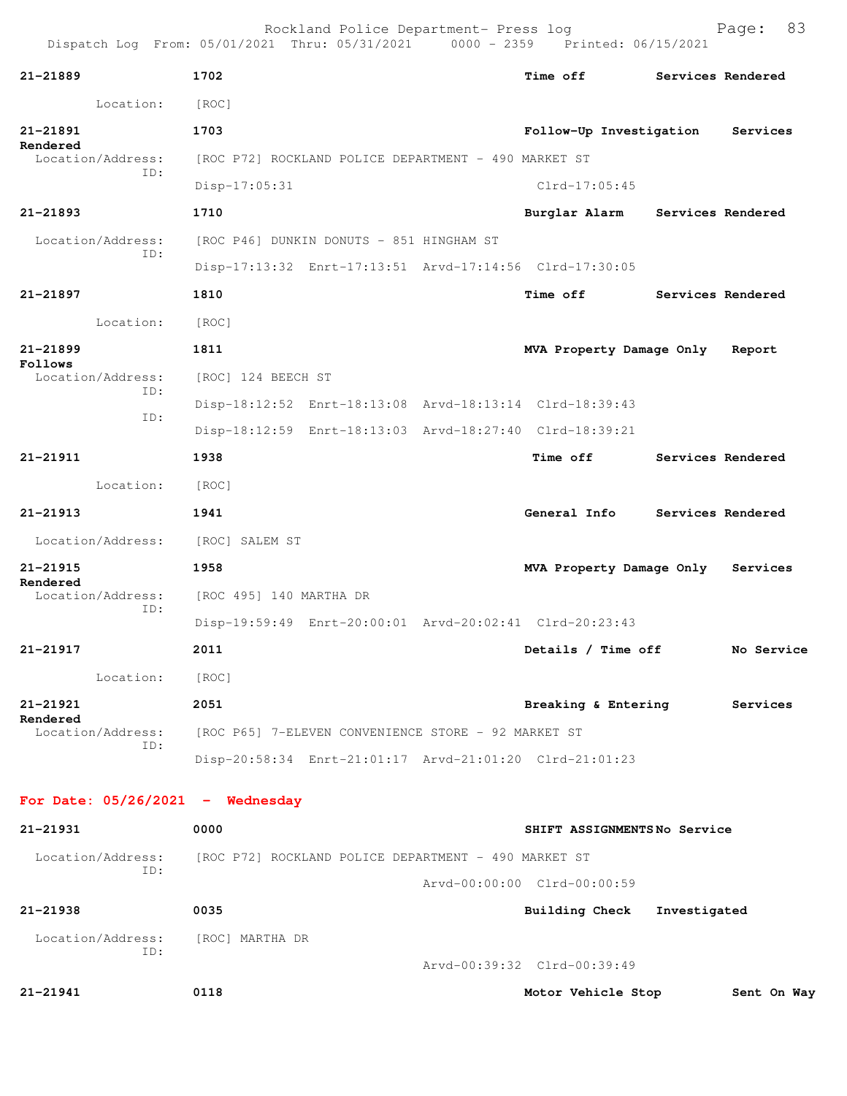| Dispatch Log From: 05/01/2021 Thru: 05/31/2021 0000 - 2359 Printed: 06/15/2021 |                         | Rockland Police Department- Press log                |                                                         |                   | 83<br>Page: |
|--------------------------------------------------------------------------------|-------------------------|------------------------------------------------------|---------------------------------------------------------|-------------------|-------------|
| 21-21889                                                                       | 1702                    |                                                      | Time off                                                | Services Rendered |             |
| Location:                                                                      | [ROC]                   |                                                      |                                                         |                   |             |
| 21-21891                                                                       | 1703                    |                                                      | Follow-Up Investigation                                 |                   | Services    |
| Rendered<br>Location/Address:                                                  |                         | [ROC P72] ROCKLAND POLICE DEPARTMENT - 490 MARKET ST |                                                         |                   |             |
| ID:                                                                            | Disp-17:05:31           |                                                      | $Clrd-17:05:45$                                         |                   |             |
| 21-21893                                                                       | 1710                    |                                                      | Burglar Alarm                                           | Services Rendered |             |
| Location/Address:                                                              |                         | [ROC P46] DUNKIN DONUTS - 851 HINGHAM ST             |                                                         |                   |             |
| TD:                                                                            |                         |                                                      | Disp-17:13:32 Enrt-17:13:51 Arvd-17:14:56 Clrd-17:30:05 |                   |             |
| 21-21897                                                                       | 1810                    |                                                      | <b>Time off</b>                                         | Services Rendered |             |
| Location:                                                                      | [ROC]                   |                                                      |                                                         |                   |             |
| $21 - 21899$                                                                   | 1811                    |                                                      | MVA Property Damage Only                                |                   | Report      |
| Follows<br>Location/Address:                                                   | [ROC] 124 BEECH ST      |                                                      |                                                         |                   |             |
| ID:                                                                            |                         |                                                      | Disp-18:12:52 Enrt-18:13:08 Arvd-18:13:14 Clrd-18:39:43 |                   |             |
| ID:                                                                            |                         |                                                      | Disp-18:12:59 Enrt-18:13:03 Arvd-18:27:40 Clrd-18:39:21 |                   |             |
| 21-21911                                                                       | 1938                    |                                                      | Time off                                                | Services Rendered |             |
| Location:                                                                      | [ROC]                   |                                                      |                                                         |                   |             |
| 21-21913                                                                       | 1941                    |                                                      | General Info                                            | Services Rendered |             |
| Location/Address:                                                              | [ROC] SALEM ST          |                                                      |                                                         |                   |             |
| 21-21915                                                                       | 1958                    |                                                      | MVA Property Damage Only                                |                   | Services    |
| Rendered<br>Location/Address:                                                  | [ROC 495] 140 MARTHA DR |                                                      |                                                         |                   |             |
| TD:                                                                            |                         |                                                      | Disp-19:59:49 Enrt-20:00:01 Arvd-20:02:41 Clrd-20:23:43 |                   |             |
| 21-21917                                                                       | 2011                    |                                                      | Details / Time off                                      |                   | No Service  |
| Location:                                                                      | [ROC]                   |                                                      |                                                         |                   |             |
| 21-21921<br>Rendered                                                           | 2051                    |                                                      | Breaking & Entering                                     |                   | Services    |
| Location/Address:<br>ID:                                                       |                         | [ROC P65] 7-ELEVEN CONVENIENCE STORE - 92 MARKET ST  |                                                         |                   |             |
|                                                                                |                         |                                                      | Disp-20:58:34 Enrt-21:01:17 Arvd-21:01:20 Clrd-21:01:23 |                   |             |
| For Date: $05/26/2021$ - Wednesday                                             |                         |                                                      |                                                         |                   |             |
| 21-21931                                                                       | 0000                    |                                                      | SHIFT ASSIGNMENTSNo Service                             |                   |             |
| Location/Address:<br>ID:                                                       |                         | [ROC P72] ROCKLAND POLICE DEPARTMENT - 490 MARKET ST |                                                         |                   |             |
|                                                                                |                         |                                                      | Arvd-00:00:00 Clrd-00:00:59                             |                   |             |
| 21-21938                                                                       | 0035                    |                                                      | <b>Building Check</b>                                   | Investigated      |             |
| Location/Address:<br>ID:                                                       | [ROC] MARTHA DR         |                                                      | Arvd-00:39:32 Clrd-00:39:49                             |                   |             |
| 21-21941                                                                       | 0118                    |                                                      | Motor Vehicle Stop                                      |                   | Sent On Way |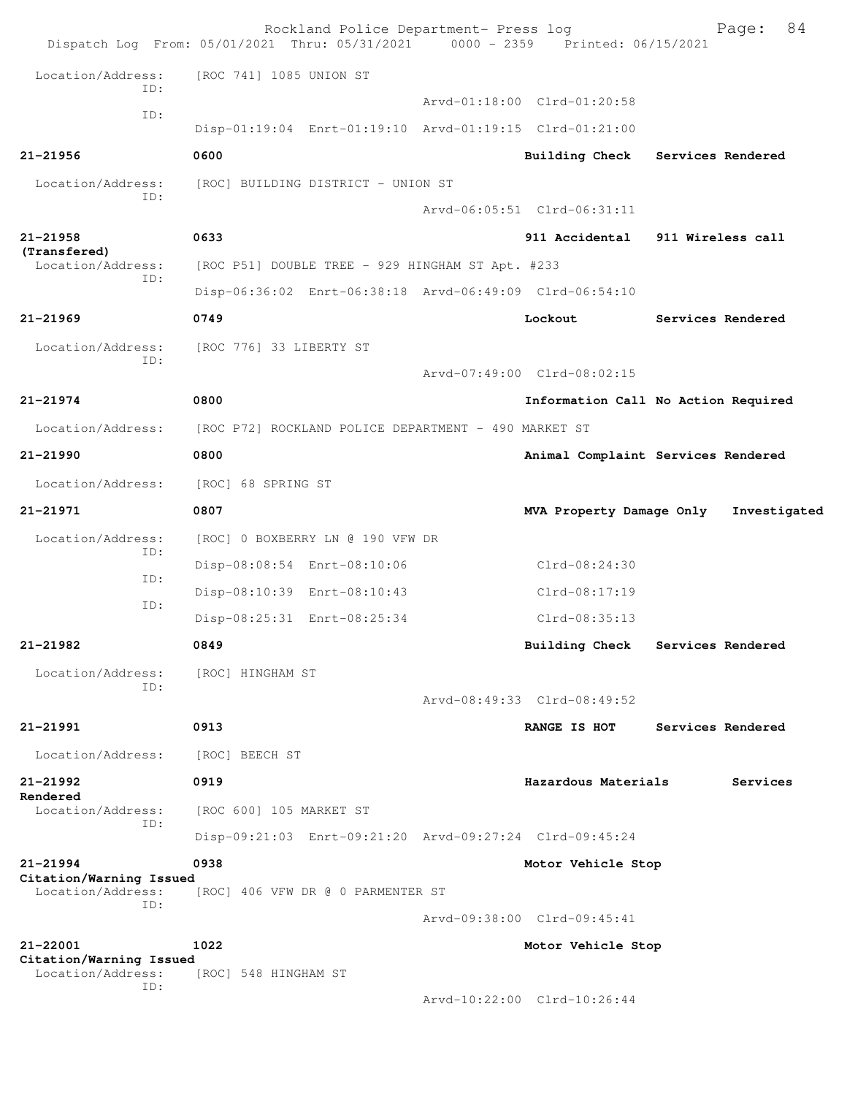| Dispatch Log From: 05/01/2021 Thru: 05/31/2021 |                         | Rockland Police Department- Press log                | 0000 - 2359 Printed: 06/15/2021                         |                   | 84<br>Page:       |
|------------------------------------------------|-------------------------|------------------------------------------------------|---------------------------------------------------------|-------------------|-------------------|
| Location/Address:<br>ID:                       | [ROC 741] 1085 UNION ST |                                                      |                                                         |                   |                   |
| ID:                                            |                         |                                                      | Aryd-01:18:00 Clrd-01:20:58                             |                   |                   |
|                                                |                         |                                                      | Disp-01:19:04 Enrt-01:19:10 Arvd-01:19:15 Clrd-01:21:00 |                   |                   |
| $21 - 21956$                                   | 0600                    |                                                      | <b>Building Check</b>                                   | Services Rendered |                   |
| Location/Address:                              |                         | [ROC] BUILDING DISTRICT - UNION ST                   |                                                         |                   |                   |
| ID:                                            |                         |                                                      | Arvd-06:05:51 Clrd-06:31:11                             |                   |                   |
| $21 - 21958$                                   | 0633                    |                                                      | 911 Accidental                                          | 911 Wireless call |                   |
| (Transfered)<br>Location/Address:              |                         | [ROC P51] DOUBLE TREE - 929 HINGHAM ST Apt. #233     |                                                         |                   |                   |
| ID:                                            |                         |                                                      | Disp-06:36:02 Enrt-06:38:18 Arvd-06:49:09 Clrd-06:54:10 |                   |                   |
| $21 - 21969$                                   | 0749                    |                                                      | Lockout                                                 |                   | Services Rendered |
| Location/Address:                              | [ROC 776] 33 LIBERTY ST |                                                      |                                                         |                   |                   |
| ID:                                            |                         |                                                      | Arvd-07:49:00 Clrd-08:02:15                             |                   |                   |
| $21 - 21974$                                   | 0800                    |                                                      | Information Call No Action Required                     |                   |                   |
| Location/Address:                              |                         | [ROC P72] ROCKLAND POLICE DEPARTMENT - 490 MARKET ST |                                                         |                   |                   |
| 21-21990                                       | 0800                    |                                                      | Animal Complaint Services Rendered                      |                   |                   |
| Location/Address:                              | [ROC] 68 SPRING ST      |                                                      |                                                         |                   |                   |
| $21 - 21971$                                   | 0807                    |                                                      | MVA Property Damage Only                                |                   | Investigated      |
| Location/Address:                              |                         | [ROC] 0 BOXBERRY LN @ 190 VFW DR                     |                                                         |                   |                   |
| ID:                                            |                         | Disp-08:08:54 Enrt-08:10:06                          | $Clrd-08:24:30$                                         |                   |                   |
| ID:<br>ID:                                     |                         | Disp-08:10:39 Enrt-08:10:43                          | Clrd-08:17:19                                           |                   |                   |
|                                                |                         | Disp-08:25:31 Enrt-08:25:34                          | $Clrd-08:35:13$                                         |                   |                   |
| 21-21982                                       | 0849                    |                                                      | Building Check                                          | Services Rendered |                   |
| Location/Address:<br>ID:                       | [ROC] HINGHAM ST        |                                                      |                                                         |                   |                   |
|                                                |                         |                                                      | Arvd-08:49:33 Clrd-08:49:52                             |                   |                   |
| 21-21991                                       | 0913                    |                                                      | RANGE IS HOT                                            |                   | Services Rendered |
| Location/Address:                              | [ROC] BEECH ST          |                                                      |                                                         |                   |                   |
| 21-21992<br>Rendered                           | 0919                    |                                                      | Hazardous Materials                                     |                   | Services          |
| Location/Address:                              | [ROC 600] 105 MARKET ST |                                                      |                                                         |                   |                   |
| ID:                                            |                         |                                                      | Disp-09:21:03 Enrt-09:21:20 Arvd-09:27:24 Clrd-09:45:24 |                   |                   |
| $21 - 21994$                                   | 0938                    |                                                      | Motor Vehicle Stop                                      |                   |                   |
| Citation/Warning Issued<br>Location/Address:   |                         | [ROC] 406 VFW DR @ 0 PARMENTER ST                    |                                                         |                   |                   |
| ID:                                            |                         |                                                      | Arvd-09:38:00 Clrd-09:45:41                             |                   |                   |
| 21-22001                                       | 1022                    |                                                      | Motor Vehicle Stop                                      |                   |                   |
| Citation/Warning Issued<br>Location/Address:   | [ROC] 548 HINGHAM ST    |                                                      |                                                         |                   |                   |
| ID:                                            |                         |                                                      | Arvd-10:22:00 Clrd-10:26:44                             |                   |                   |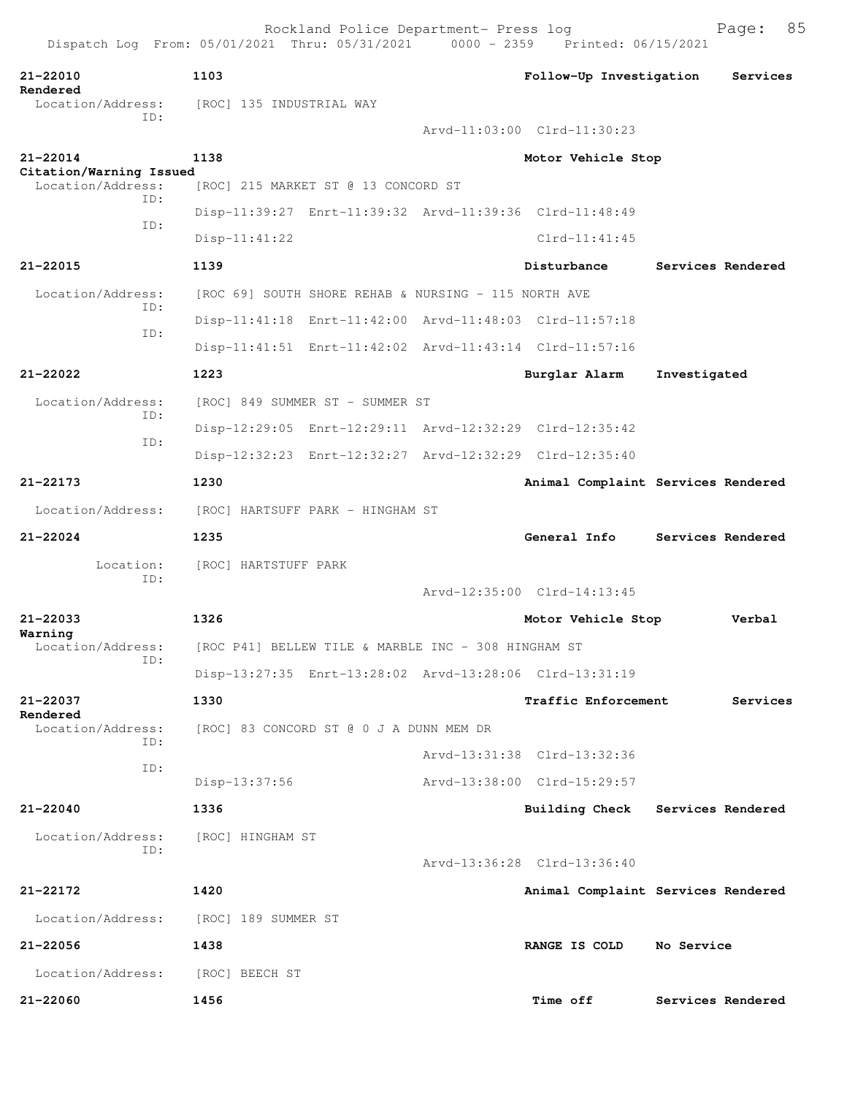| 21-22010<br>Rendered                         | 1103                                                    | Follow-Up Investigation            |                   | Services |
|----------------------------------------------|---------------------------------------------------------|------------------------------------|-------------------|----------|
| Location/Address:                            | [ROC] 135 INDUSTRIAL WAY                                |                                    |                   |          |
| TD:                                          |                                                         | Arvd-11:03:00 Clrd-11:30:23        |                   |          |
| 21-22014                                     | 1138                                                    | Motor Vehicle Stop                 |                   |          |
| Citation/Warning Issued<br>Location/Address: | [ROC] 215 MARKET ST @ 13 CONCORD ST                     |                                    |                   |          |
| TD:                                          | Disp-11:39:27 Enrt-11:39:32 Arvd-11:39:36 Clrd-11:48:49 |                                    |                   |          |
| ID:                                          | $Disp-11:41:22$                                         | $Clrd-11:41:45$                    |                   |          |
| 21-22015                                     | 1139                                                    | Disturbance                        | Services Rendered |          |
| Location/Address:                            | [ROC 69] SOUTH SHORE REHAB & NURSING - 115 NORTH AVE    |                                    |                   |          |
| ID:                                          | Disp-11:41:18 Enrt-11:42:00 Arvd-11:48:03 Clrd-11:57:18 |                                    |                   |          |
| ID:                                          | Disp-11:41:51 Enrt-11:42:02 Arvd-11:43:14 Clrd-11:57:16 |                                    |                   |          |
| 21-22022                                     | 1223                                                    | Burglar Alarm                      | Investigated      |          |
| Location/Address:                            | [ROC] 849 SUMMER ST - SUMMER ST                         |                                    |                   |          |
| ID:                                          | Disp-12:29:05 Enrt-12:29:11 Arvd-12:32:29 Clrd-12:35:42 |                                    |                   |          |
| ID:                                          | Disp-12:32:23 Enrt-12:32:27 Arvd-12:32:29 Clrd-12:35:40 |                                    |                   |          |
| 21-22173                                     | 1230                                                    | Animal Complaint Services Rendered |                   |          |
| Location/Address:                            | [ROC] HARTSUFF PARK - HINGHAM ST                        |                                    |                   |          |
| $21 - 22024$                                 | 1235                                                    | General Info                       | Services Rendered |          |
| Location:                                    | [ROC] HARTSTUFF PARK                                    |                                    |                   |          |
| ID:                                          |                                                         | Arvd-12:35:00 Clrd-14:13:45        |                   |          |
| 21-22033                                     | 1326                                                    | Motor Vehicle Stop                 |                   | Verbal   |
| Warning<br>Location/Address:                 | [ROC P41] BELLEW TILE & MARBLE INC - 308 HINGHAM ST     |                                    |                   |          |
| ID:                                          | Disp-13:27:35 Enrt-13:28:02 Arvd-13:28:06 Clrd-13:31:19 |                                    |                   |          |
| 21-22037                                     | 1330                                                    | Traffic Enforcement                |                   | Services |
| Rendered<br>Location/Address:                | [ROC] 83 CONCORD ST @ 0 J A DUNN MEM DR                 |                                    |                   |          |
| ID:                                          |                                                         | Arvd-13:31:38 Clrd-13:32:36        |                   |          |
| ID:                                          | Disp-13:37:56                                           | Arvd-13:38:00 Clrd-15:29:57        |                   |          |
| $21 - 22040$                                 | 1336                                                    | <b>Building Check</b>              | Services Rendered |          |
| Location/Address:                            | [ROC] HINGHAM ST                                        |                                    |                   |          |
| ID:                                          |                                                         | Arvd-13:36:28 Clrd-13:36:40        |                   |          |
| 21-22172                                     | 1420                                                    | Animal Complaint Services Rendered |                   |          |
| Location/Address:                            | [ROC] 189 SUMMER ST                                     |                                    |                   |          |
| 21-22056                                     | 1438                                                    | RANGE IS COLD                      | No Service        |          |
| Location/Address:                            | [ROC] BEECH ST                                          |                                    |                   |          |
| 21-22060                                     | 1456                                                    | <b>Time off</b>                    | Services Rendered |          |
|                                              |                                                         |                                    |                   |          |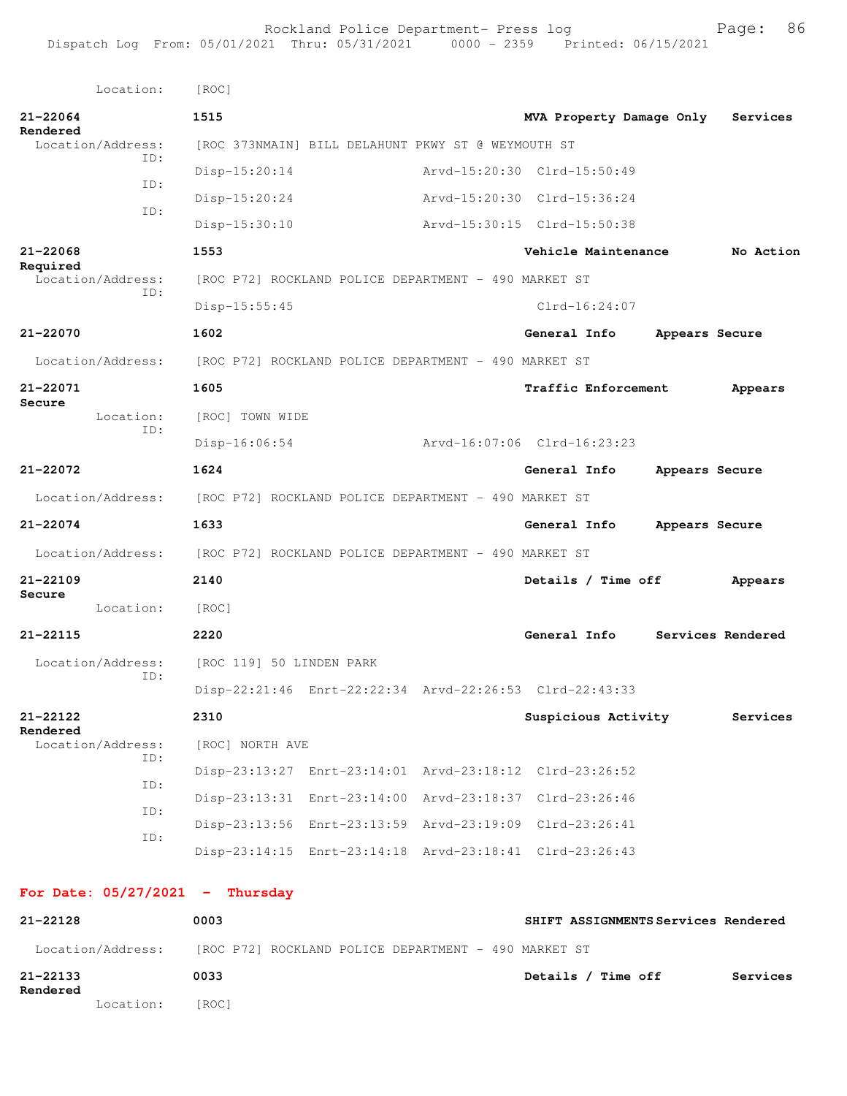|              | Location:                | [ROC]                    |                                                         |                             |                |                   |
|--------------|--------------------------|--------------------------|---------------------------------------------------------|-----------------------------|----------------|-------------------|
| 21-22064     |                          | 1515                     |                                                         | MVA Property Damage Only    |                | Services          |
| Rendered     | Location/Address:        |                          | [ROC 373NMAIN] BILL DELAHUNT PKWY ST @ WEYMOUTH ST      |                             |                |                   |
|              | TD:                      | $Disp-15:20:14$          |                                                         | Arvd-15:20:30 Clrd-15:50:49 |                |                   |
|              | ID:                      | $Disp-15:20:24$          |                                                         | Arvd-15:20:30 Clrd-15:36:24 |                |                   |
|              | ID:                      | Disp-15:30:10            |                                                         | Arvd-15:30:15 Clrd-15:50:38 |                |                   |
| 21-22068     |                          | 1553                     |                                                         | Vehicle Maintenance         |                | No Action         |
| Required     | Location/Address:        |                          | [ROC P72] ROCKLAND POLICE DEPARTMENT - 490 MARKET ST    |                             |                |                   |
|              | TD:                      | $Disp-15:55:45$          |                                                         | $Clrd-16:24:07$             |                |                   |
| 21-22070     |                          | 1602                     |                                                         | General Info                | Appears Secure |                   |
|              | Location/Address:        |                          | [ROC P72] ROCKLAND POLICE DEPARTMENT - 490 MARKET ST    |                             |                |                   |
| 21-22071     |                          | 1605                     |                                                         | Traffic Enforcement         |                | Appears           |
| Secure       | Location:                | [ROC] TOWN WIDE          |                                                         |                             |                |                   |
|              | ID:                      | $Disp-16:06:54$          |                                                         | Arvd-16:07:06 Clrd-16:23:23 |                |                   |
| 21-22072     |                          | 1624                     |                                                         | General Info                | Appears Secure |                   |
|              | Location/Address:        |                          | [ROC P72] ROCKLAND POLICE DEPARTMENT - 490 MARKET ST    |                             |                |                   |
| 21-22074     |                          | 1633                     |                                                         | General Info                | Appears Secure |                   |
|              | Location/Address:        |                          | [ROC P72] ROCKLAND POLICE DEPARTMENT - 490 MARKET ST    |                             |                |                   |
| $21 - 22109$ |                          | 2140                     |                                                         | Details / Time off          |                | Appears           |
| Secure       | Location:                | [ROC]                    |                                                         |                             |                |                   |
| 21-22115     |                          | 2220                     |                                                         | General Info                |                | Services Rendered |
|              | Location/Address:        | [ROC 119] 50 LINDEN PARK |                                                         |                             |                |                   |
|              | ID:                      |                          | Disp-22:21:46 Enrt-22:22:34 Arvd-22:26:53 Clrd-22:43:33 |                             |                |                   |
| 21-22122     |                          | 2310                     |                                                         | Suspicious Activity         |                | Services          |
| Rendered     | Location/Address:        | [ROC] NORTH AVE          |                                                         |                             |                |                   |
|              | ID:                      |                          | Disp-23:13:27 Enrt-23:14:01 Arvd-23:18:12 Clrd-23:26:52 |                             |                |                   |
|              | ID:                      |                          | Disp-23:13:31 Enrt-23:14:00 Arvd-23:18:37 Clrd-23:26:46 |                             |                |                   |
|              | ID:                      |                          | Disp-23:13:56 Enrt-23:13:59 Arvd-23:19:09 Clrd-23:26:41 |                             |                |                   |
|              | ID:                      |                          | Disp-23:14:15 Enrt-23:14:18 Arvd-23:18:41 Clrd-23:26:43 |                             |                |                   |
|              |                          |                          |                                                         |                             |                |                   |
|              | For Date: $05/27/2021$ - | Thursday                 |                                                         |                             |                |                   |

| 21-22128             |                   | 0003                                                 | SHIFT ASSIGNMENTS Services Rendered |
|----------------------|-------------------|------------------------------------------------------|-------------------------------------|
|                      | Location/Address: | [ROC P72] ROCKLAND POLICE DEPARTMENT - 490 MARKET ST |                                     |
| 21-22133<br>Rendered |                   | 0033                                                 | Details / Time off<br>Services      |
|                      | Location:         | [ROC]                                                |                                     |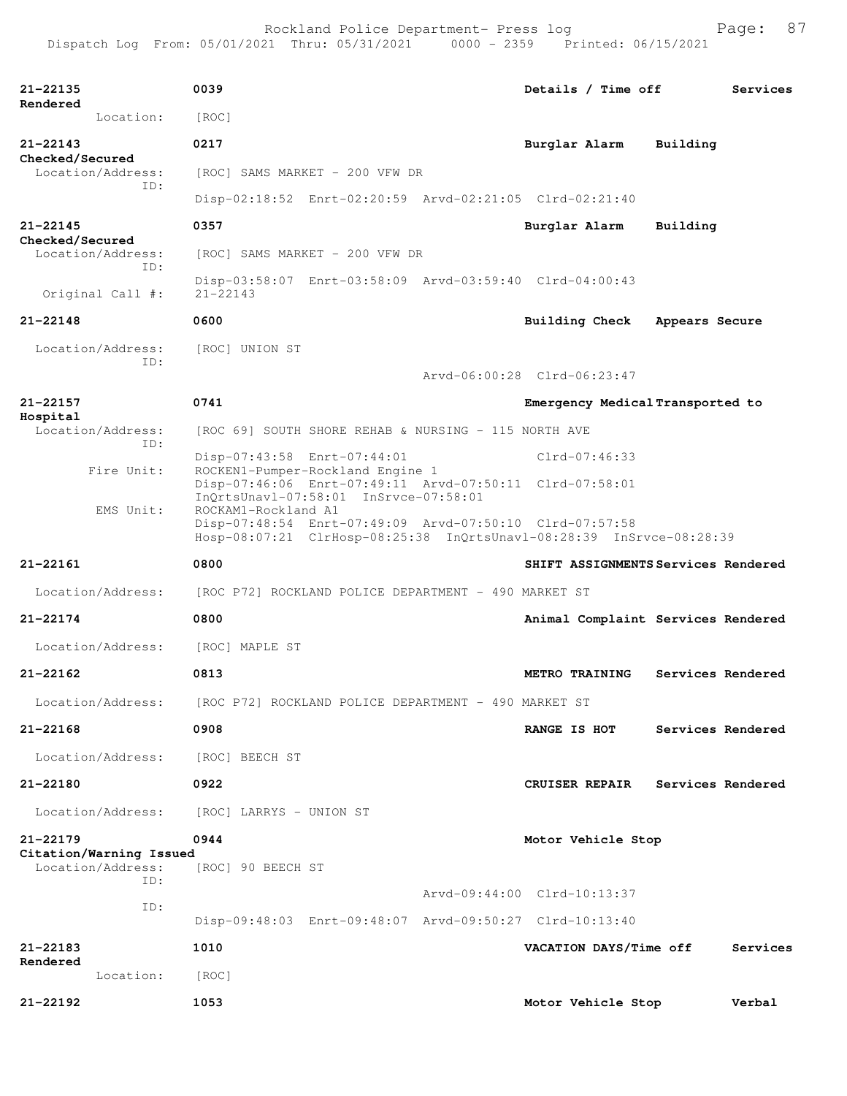| $21 - 22135$<br>Rendered                     | 0039                                                                                                                                                   | Details / Time off               | Services                            |
|----------------------------------------------|--------------------------------------------------------------------------------------------------------------------------------------------------------|----------------------------------|-------------------------------------|
| Location:                                    | [ROC]                                                                                                                                                  |                                  |                                     |
| $21 - 22143$<br>Checked/Secured              | 0217                                                                                                                                                   | Burglar Alarm                    | Building                            |
| Location/Address:<br>TD:                     | [ROC] SAMS MARKET - 200 VFW DR                                                                                                                         |                                  |                                     |
|                                              | Disp-02:18:52 Enrt-02:20:59 Arvd-02:21:05 Clrd-02:21:40                                                                                                |                                  |                                     |
| $21 - 22145$<br>Checked/Secured              | 0357                                                                                                                                                   | Burglar Alarm                    | Building                            |
| Location/Address:<br>TD:                     | [ROC] SAMS MARKET - 200 VFW DR                                                                                                                         |                                  |                                     |
| Original Call #:                             | Disp-03:58:07 Enrt-03:58:09 Arvd-03:59:40 Clrd-04:00:43<br>$21 - 22143$                                                                                |                                  |                                     |
| $21 - 22148$                                 | 0600                                                                                                                                                   | <b>Building Check</b>            | Appears Secure                      |
| Location/Address:                            | [ROC] UNION ST                                                                                                                                         |                                  |                                     |
| TD:                                          |                                                                                                                                                        | Arvd-06:00:28 Clrd-06:23:47      |                                     |
| $21 - 22157$                                 | 0741                                                                                                                                                   | Emergency Medical Transported to |                                     |
| Hospital<br>Location/Address:<br>ID:         | [ROC 69] SOUTH SHORE REHAB & NURSING - 115 NORTH AVE                                                                                                   |                                  |                                     |
| Fire Unit:                                   | Disp-07:43:58 Enrt-07:44:01<br>ROCKEN1-Pumper-Rockland Engine 1                                                                                        | $Clrd-07:46:33$                  |                                     |
|                                              | Disp-07:46:06 Enrt-07:49:11 Arvd-07:50:11 Clrd-07:58:01<br>InQrtsUnavl-07:58:01 InSrvce-07:58:01                                                       |                                  |                                     |
| EMS Unit:                                    | ROCKAM1-Rockland A1<br>Disp-07:48:54 Enrt-07:49:09 Arvd-07:50:10 Clrd-07:57:58<br>Hosp-08:07:21 ClrHosp-08:25:38 InQrtsUnavl-08:28:39 InSrvce-08:28:39 |                                  |                                     |
|                                              |                                                                                                                                                        |                                  |                                     |
| $21 - 22161$                                 | 0800                                                                                                                                                   |                                  | SHIFT ASSIGNMENTS Services Rendered |
| Location/Address:                            | [ROC P72] ROCKLAND POLICE DEPARTMENT - 490 MARKET ST                                                                                                   |                                  |                                     |
| $21 - 22174$                                 | 0800                                                                                                                                                   |                                  | Animal Complaint Services Rendered  |
| Location/Address:                            | [ROC] MAPLE ST                                                                                                                                         |                                  |                                     |
| $21 - 22162$                                 | 0813                                                                                                                                                   | METRO TRAINING                   | Services Rendered                   |
| Location/Address:                            | [ROC P72] ROCKLAND POLICE DEPARTMENT - 490 MARKET ST                                                                                                   |                                  |                                     |
| 21-22168                                     | 0908                                                                                                                                                   | RANGE IS HOT                     | Services Rendered                   |
| Location/Address:                            | [ROC] BEECH ST                                                                                                                                         |                                  |                                     |
| 21-22180                                     | 0922                                                                                                                                                   | <b>CRUISER REPAIR</b>            | Services Rendered                   |
| Location/Address:                            | [ROC] LARRYS - UNION ST                                                                                                                                |                                  |                                     |
| $21 - 22179$                                 | 0944                                                                                                                                                   | Motor Vehicle Stop               |                                     |
| Citation/Warning Issued<br>Location/Address: | [ROC] 90 BEECH ST                                                                                                                                      |                                  |                                     |
| ID:                                          |                                                                                                                                                        | Arvd-09:44:00 Clrd-10:13:37      |                                     |
| ID:                                          | Disp-09:48:03 Enrt-09:48:07 Arvd-09:50:27 Clrd-10:13:40                                                                                                |                                  |                                     |
| 21-22183                                     | 1010                                                                                                                                                   | VACATION DAYS/Time off           | Services                            |
| Rendered<br>Location:                        | [ROC]                                                                                                                                                  |                                  |                                     |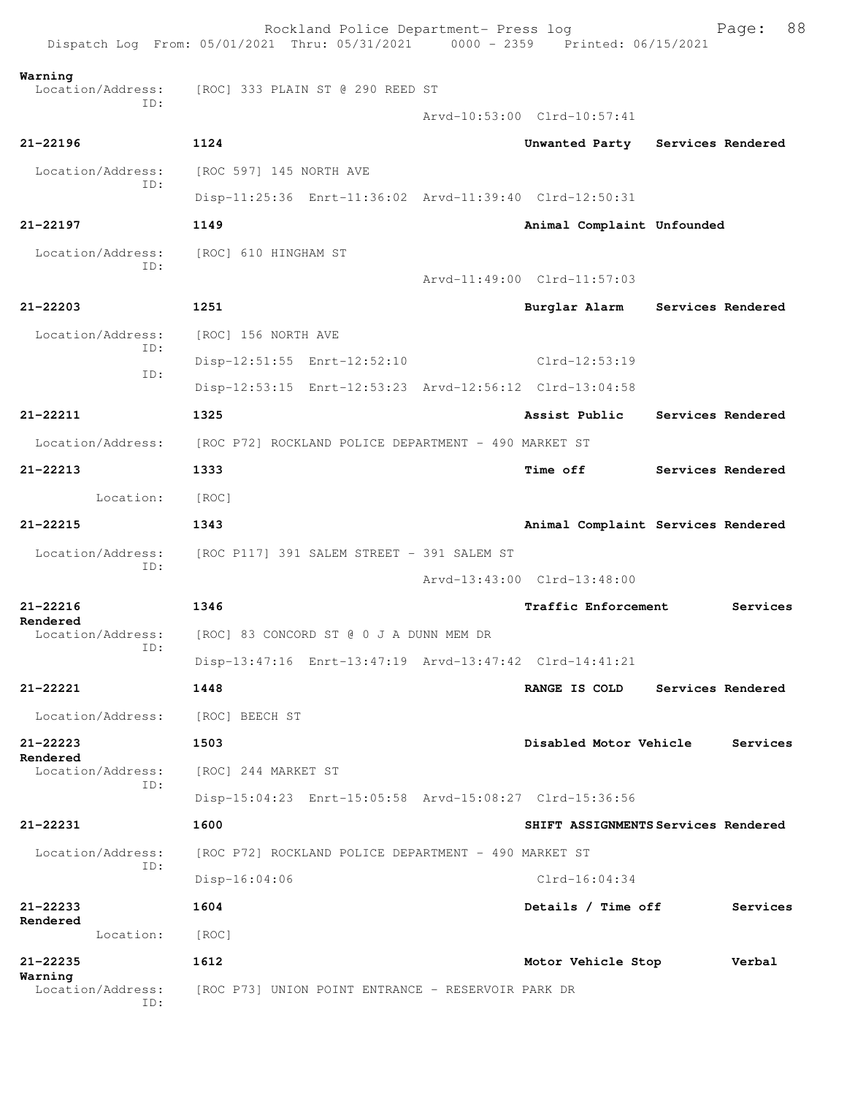|                                     | Rockland Police Department- Press log<br>Dispatch Log From: 05/01/2021 Thru: 05/31/2021 0000 - 2359 Printed: 06/15/2021 |                                     | Page:             | 88 |
|-------------------------------------|-------------------------------------------------------------------------------------------------------------------------|-------------------------------------|-------------------|----|
| Warning<br>Location/Address:<br>ID: | [ROC] 333 PLAIN ST @ 290 REED ST                                                                                        |                                     |                   |    |
|                                     |                                                                                                                         | Arvd-10:53:00 Clrd-10:57:41         |                   |    |
| $21 - 22196$                        | 1124                                                                                                                    | Unwanted Party Services Rendered    |                   |    |
| Location/Address:<br>ID:            | [ROC 597] 145 NORTH AVE                                                                                                 |                                     |                   |    |
|                                     | Disp-11:25:36 Enrt-11:36:02 Arvd-11:39:40 Clrd-12:50:31                                                                 |                                     |                   |    |
| $21 - 22197$                        | 1149                                                                                                                    | Animal Complaint Unfounded          |                   |    |
| Location/Address:<br>TD:            | [ROC] 610 HINGHAM ST                                                                                                    |                                     |                   |    |
|                                     |                                                                                                                         | Arvd-11:49:00 Clrd-11:57:03         |                   |    |
| 21-22203                            | 1251                                                                                                                    | Burglar Alarm Services Rendered     |                   |    |
| Location/Address:                   | [ROC] 156 NORTH AVE                                                                                                     |                                     |                   |    |
| ID:                                 | Disp-12:51:55 Enrt-12:52:10                                                                                             | Clrd-12:53:19                       |                   |    |
| ID:                                 | Disp-12:53:15 Enrt-12:53:23 Arvd-12:56:12 Clrd-13:04:58                                                                 |                                     |                   |    |
| 21-22211                            | 1325                                                                                                                    | Assist Public                       | Services Rendered |    |
| Location/Address:                   | [ROC P72] ROCKLAND POLICE DEPARTMENT - 490 MARKET ST                                                                    |                                     |                   |    |
| 21-22213                            | 1333                                                                                                                    | <b>Time off</b>                     | Services Rendered |    |
| Location:                           | [ROC]                                                                                                                   |                                     |                   |    |
| $21 - 22215$                        | 1343                                                                                                                    | Animal Complaint Services Rendered  |                   |    |
| Location/Address:                   | [ROC P117] 391 SALEM STREET - 391 SALEM ST                                                                              |                                     |                   |    |
| ID:                                 |                                                                                                                         | Arvd-13:43:00 Clrd-13:48:00         |                   |    |
| $21 - 22216$                        | 1346                                                                                                                    | Traffic Enforcement                 | Services          |    |
| Rendered<br>Location/Address:       | [ROC] 83 CONCORD ST @ 0 J A DUNN MEM DR                                                                                 |                                     |                   |    |
| ID:                                 | Disp-13:47:16 Enrt-13:47:19 Arvd-13:47:42 Clrd-14:41:21                                                                 |                                     |                   |    |
| 21-22221                            | 1448                                                                                                                    | RANGE IS COLD                       | Services Rendered |    |
| Location/Address:                   | [ROC] BEECH ST                                                                                                          |                                     |                   |    |
| $21 - 22223$<br>Rendered            | 1503                                                                                                                    | Disabled Motor Vehicle              | Services          |    |
| Location/Address:<br>ID:            | [ROC] 244 MARKET ST                                                                                                     |                                     |                   |    |
|                                     | Disp-15:04:23 Enrt-15:05:58 Arvd-15:08:27 Clrd-15:36:56                                                                 |                                     |                   |    |
| 21-22231                            | 1600                                                                                                                    | SHIFT ASSIGNMENTS Services Rendered |                   |    |
| Location/Address:<br>ID:            | [ROC P72] ROCKLAND POLICE DEPARTMENT - 490 MARKET ST                                                                    |                                     |                   |    |
|                                     | $Disp-16:04:06$                                                                                                         | $Clrd-16:04:34$                     |                   |    |
| $21 - 22233$                        | 1604                                                                                                                    | Details / Time off                  | Services          |    |
| Rendered<br>Location:               | [ROC]                                                                                                                   |                                     |                   |    |
| 21-22235                            | 1612                                                                                                                    | Motor Vehicle Stop                  | Verbal            |    |
| Warning<br>Location/Address:<br>ID: | [ROC P73] UNION POINT ENTRANCE - RESERVOIR PARK DR                                                                      |                                     |                   |    |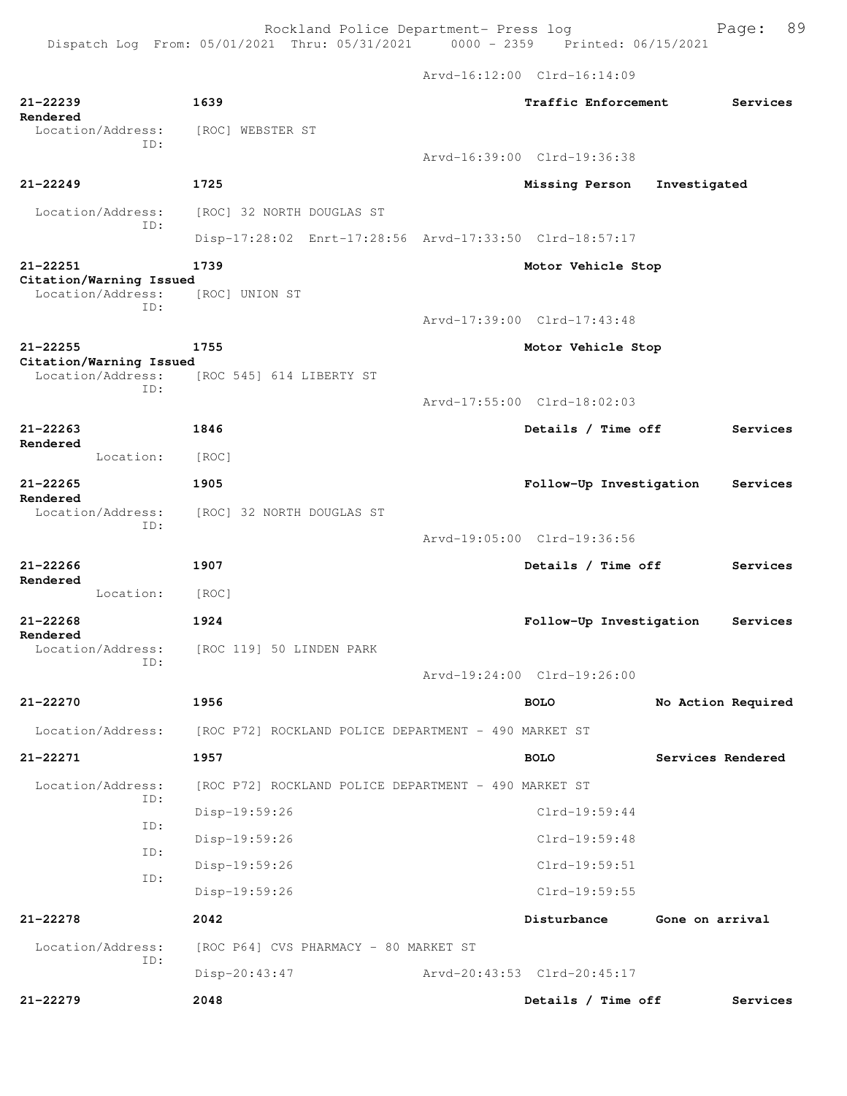Arvd-16:12:00 Clrd-16:14:09

| 21-22239<br>Rendered                         | 1639                                                                   | Traffic Enforcement         |                    | Services |
|----------------------------------------------|------------------------------------------------------------------------|-----------------------------|--------------------|----------|
| Location/Address:<br>ID:                     | [ROC] WEBSTER ST                                                       |                             |                    |          |
|                                              |                                                                        | Arvd-16:39:00 Clrd-19:36:38 |                    |          |
| $21 - 22249$                                 | 1725                                                                   | Missing Person              | Investigated       |          |
| Location/Address:<br>ID:                     | [ROC] 32 NORTH DOUGLAS ST                                              |                             |                    |          |
|                                              | Disp-17:28:02 Enrt-17:28:56 Arvd-17:33:50 Clrd-18:57:17                |                             |                    |          |
| 21-22251<br>Citation/Warning Issued          | 1739                                                                   | Motor Vehicle Stop          |                    |          |
| Location/Address:                            | [ROC] UNION ST                                                         |                             |                    |          |
| TD:                                          |                                                                        | Arvd-17:39:00 Clrd-17:43:48 |                    |          |
| 21-22255                                     | 1755                                                                   | Motor Vehicle Stop          |                    |          |
| Citation/Warning Issued<br>Location/Address: | [ROC 545] 614 LIBERTY ST                                               |                             |                    |          |
| TD:                                          |                                                                        | Arvd-17:55:00 Clrd-18:02:03 |                    |          |
| $21 - 22263$                                 | 1846                                                                   | Details / Time off          |                    | Services |
| Rendered<br>Location:                        | [ROC]                                                                  |                             |                    |          |
| $21 - 22265$                                 | 1905                                                                   | Follow-Up Investigation     |                    | Services |
| Rendered<br>Location/Address:                | [ROC] 32 NORTH DOUGLAS ST                                              |                             |                    |          |
| ID:                                          |                                                                        | Arvd-19:05:00 Clrd-19:36:56 |                    |          |
|                                              |                                                                        |                             |                    |          |
| $21 - 22266$<br>Rendered                     | 1907                                                                   | Details / Time off          |                    | Services |
| Location:                                    | [ROC]                                                                  |                             |                    |          |
| $21 - 22268$<br>Rendered                     | 1924                                                                   | Follow-Up Investigation     |                    | Services |
| Location/Address:<br>ID:                     | [ROC 119] 50 LINDEN PARK                                               |                             |                    |          |
|                                              |                                                                        | Arvd-19:24:00 Clrd-19:26:00 |                    |          |
| 21-22270                                     | 1956                                                                   | <b>BOLO</b>                 | No Action Required |          |
|                                              | Location/Address: [ROC P72] ROCKLAND POLICE DEPARTMENT - 490 MARKET ST |                             |                    |          |
| $21 - 22271$                                 | 1957                                                                   | <b>BOLO</b>                 | Services Rendered  |          |
| Location/Address:                            | [ROC P72] ROCKLAND POLICE DEPARTMENT - 490 MARKET ST                   |                             |                    |          |
| ID:                                          | Disp-19:59:26                                                          | $Clrd-19:59:44$             |                    |          |
| ID:                                          | Disp-19:59:26                                                          | Clrd-19:59:48               |                    |          |
| ID:                                          | Disp-19:59:26                                                          | Clrd-19:59:51               |                    |          |
| ID:                                          | Disp-19:59:26                                                          | Clrd-19:59:55               |                    |          |
| 21-22278                                     | 2042                                                                   | Disturbance                 | Gone on arrival    |          |
| Location/Address:                            | [ROC P64] CVS PHARMACY - 80 MARKET ST                                  |                             |                    |          |
| ID:                                          | Disp-20:43:47                                                          | Arvd-20:43:53 Clrd-20:45:17 |                    |          |
| $21 - 22279$                                 | 2048                                                                   | Details / Time off          |                    | Services |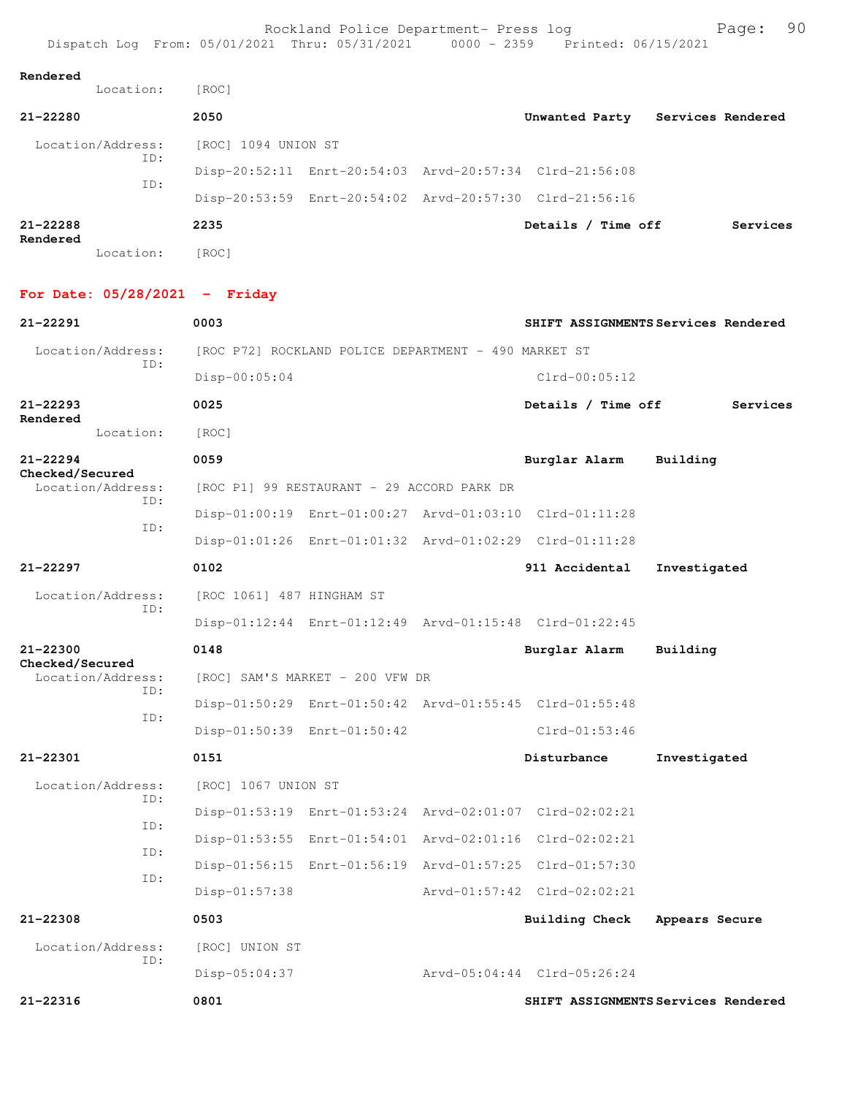| Rendered |
|----------|
|----------|

| Location:                | [ROC]               |  |                                                         |                   |
|--------------------------|---------------------|--|---------------------------------------------------------|-------------------|
| 21-22280                 | 2050                |  | Unwanted Party                                          | Services Rendered |
| Location/Address:<br>ID: | [ROC] 1094 UNION ST |  |                                                         |                   |
| ID:                      |                     |  | Disp-20:52:11 Enrt-20:54:03 Arvd-20:57:34 Clrd-21:56:08 |                   |
|                          |                     |  | Disp-20:53:59 Enrt-20:54:02 Arvd-20:57:30 Clrd-21:56:16 |                   |
| $21 - 22288$<br>Rendered | 2235                |  | Details / Time off                                      | Services          |

Location: [ROC]

## **For Date: 05/28/2021 - Friday**

| $21 - 22291$                         | 0003                                                    |  | SHIFT ASSIGNMENTS Services Rendered |                                     |  |
|--------------------------------------|---------------------------------------------------------|--|-------------------------------------|-------------------------------------|--|
| Location/Address:<br>TD:             | [ROC P72] ROCKLAND POLICE DEPARTMENT - 490 MARKET ST    |  |                                     |                                     |  |
|                                      | $Disp-00:05:04$                                         |  | $Clrd-00:05:12$                     |                                     |  |
| 21-22293<br>Rendered                 | 0025                                                    |  | Details / Time off                  | Services                            |  |
| Location:                            | [ROC]                                                   |  |                                     |                                     |  |
| $21 - 22294$                         | 0059                                                    |  | Burglar Alarm                       | Building                            |  |
| Checked/Secured<br>Location/Address: | [ROC P1] 99 RESTAURANT - 29 ACCORD PARK DR              |  |                                     |                                     |  |
| TD:                                  | Disp-01:00:19 Enrt-01:00:27 Arvd-01:03:10 Clrd-01:11:28 |  |                                     |                                     |  |
| ID:                                  | Disp-01:01:26 Enrt-01:01:32 Arvd-01:02:29 Clrd-01:11:28 |  |                                     |                                     |  |
| $21 - 22297$                         | 0102                                                    |  | 911 Accidental                      | Investigated                        |  |
| Location/Address:                    | [ROC 1061] 487 HINGHAM ST                               |  |                                     |                                     |  |
| TD:                                  | Disp-01:12:44 Enrt-01:12:49 Arvd-01:15:48 Clrd-01:22:45 |  |                                     |                                     |  |
| $21 - 22300$                         | 0148                                                    |  | Burglar Alarm                       | Building                            |  |
| Checked/Secured<br>Location/Address: | [ROC] SAM'S MARKET - 200 VFW DR                         |  |                                     |                                     |  |
| TD:                                  | Disp-01:50:29 Enrt-01:50:42 Arvd-01:55:45 Clrd-01:55:48 |  |                                     |                                     |  |
| ID:                                  | Disp-01:50:39 Enrt-01:50:42                             |  | $Clrd-01:53:46$                     |                                     |  |
| $21 - 22301$                         | 0151                                                    |  | Disturbance                         | Investigated                        |  |
| Location/Address:<br>TD:             | [ROC] 1067 UNION ST                                     |  |                                     |                                     |  |
| TD:                                  | Disp-01:53:19 Enrt-01:53:24 Arvd-02:01:07 Clrd-02:02:21 |  |                                     |                                     |  |
| ID:                                  | Disp-01:53:55 Enrt-01:54:01 Arvd-02:01:16 Clrd-02:02:21 |  |                                     |                                     |  |
| ID:                                  | Disp-01:56:15 Enrt-01:56:19 Arvd-01:57:25 Clrd-01:57:30 |  |                                     |                                     |  |
|                                      | Disp-01:57:38                                           |  | Arvd-01:57:42 Clrd-02:02:21         |                                     |  |
| $21 - 22308$                         | 0503                                                    |  | Building Check                      | Appears Secure                      |  |
| Location/Address:<br>TD:             | [ROC] UNION ST                                          |  |                                     |                                     |  |
|                                      | Disp-05:04:37                                           |  | Arvd-05:04:44 Clrd-05:26:24         |                                     |  |
| $21 - 22316$                         | 0801                                                    |  |                                     | SHIFT ASSIGNMENTS Services Rendered |  |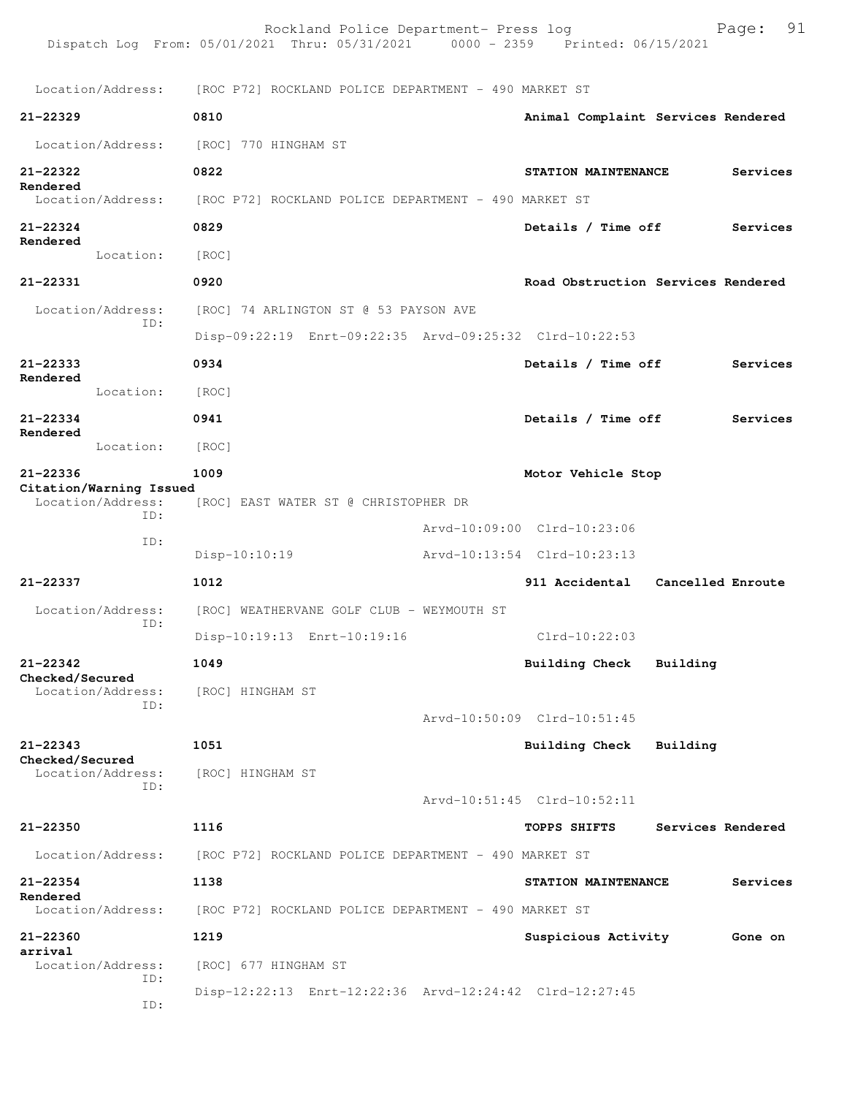|                                     | Rockland Police Department- Press log<br>Dispatch Log From: 05/01/2021 Thru: 05/31/2021 | Page: 91<br>0000 - 2359 Printed: 06/15/2021 |  |  |  |  |
|-------------------------------------|-----------------------------------------------------------------------------------------|---------------------------------------------|--|--|--|--|
| Location/Address:                   | [ROC P72] ROCKLAND POLICE DEPARTMENT - 490 MARKET ST                                    |                                             |  |  |  |  |
| 21-22329                            | 0810                                                                                    | Animal Complaint Services Rendered          |  |  |  |  |
| Location/Address:                   | [ROC] 770 HINGHAM ST                                                                    |                                             |  |  |  |  |
| 21-22322                            | 0822                                                                                    | STATION MAINTENANCE<br>Services             |  |  |  |  |
| Rendered<br>Location/Address:       | [ROC P72] ROCKLAND POLICE DEPARTMENT - 490 MARKET ST                                    |                                             |  |  |  |  |
| $21 - 22324$                        | 0829                                                                                    | Details / Time off<br>Services              |  |  |  |  |
| Rendered<br>Location:               | [ROC]                                                                                   |                                             |  |  |  |  |
| 21-22331                            | 0920                                                                                    | Road Obstruction Services Rendered          |  |  |  |  |
| Location/Address:<br>ID:            | [ROC] 74 ARLINGTON ST @ 53 PAYSON AVE                                                   |                                             |  |  |  |  |
|                                     | Disp-09:22:19 Enrt-09:22:35 Arvd-09:25:32 Clrd-10:22:53                                 |                                             |  |  |  |  |
| 21-22333                            | 0934                                                                                    | Details / Time off<br>Services              |  |  |  |  |
| Rendered<br>Location:               | [ROC]                                                                                   |                                             |  |  |  |  |
| 21-22334<br>Rendered                | 0941                                                                                    | Details / Time off<br>Services              |  |  |  |  |
| Location:                           | [ROC]                                                                                   |                                             |  |  |  |  |
| 21-22336<br>Citation/Warning Issued | 1009                                                                                    | Motor Vehicle Stop                          |  |  |  |  |
| Location/Address:<br>ID:            | [ROC] EAST WATER ST @ CHRISTOPHER DR                                                    |                                             |  |  |  |  |
| ID:                                 |                                                                                         | Arvd-10:09:00 Clrd-10:23:06                 |  |  |  |  |
|                                     | $Disp-10:10:19$                                                                         | Arvd-10:13:54 Clrd-10:23:13                 |  |  |  |  |
| 21-22337                            | 1012                                                                                    | 911 Accidental<br>Cancelled Enroute         |  |  |  |  |
| Location/Address:<br>ID:            | [ROC] WEATHERVANE GOLF CLUB - WEYMOUTH ST                                               |                                             |  |  |  |  |
|                                     | Disp-10:19:13 Enrt-10:19:16                                                             | $Clrd-10:22:03$                             |  |  |  |  |
| $21 - 22342$<br>Checked/Secured     | 1049                                                                                    | Building Check<br>Building                  |  |  |  |  |
| Location/Address:<br>ID:            | [ROC] HINGHAM ST                                                                        |                                             |  |  |  |  |
|                                     |                                                                                         | Arvd-10:50:09 Clrd-10:51:45                 |  |  |  |  |
| $21 - 22343$<br>Checked/Secured     | 1051                                                                                    | <b>Building Check</b><br>Building           |  |  |  |  |
| Location/Address:<br>TD:            | [ROC] HINGHAM ST                                                                        |                                             |  |  |  |  |
|                                     |                                                                                         | Arvd-10:51:45 Clrd-10:52:11                 |  |  |  |  |
| 21-22350                            | 1116                                                                                    | TOPPS SHIFTS<br>Services Rendered           |  |  |  |  |
| Location/Address:                   | [ROC P72] ROCKLAND POLICE DEPARTMENT - 490 MARKET ST                                    |                                             |  |  |  |  |
| $21 - 22354$<br>Rendered            | 1138                                                                                    | Services<br>STATION MAINTENANCE             |  |  |  |  |
| Location/Address:                   | [ROC P72] ROCKLAND POLICE DEPARTMENT - 490 MARKET ST                                    |                                             |  |  |  |  |
| $21 - 22360$<br>arrival             | 1219                                                                                    | Suspicious Activity<br>Gone on              |  |  |  |  |
| Location/Address:<br>ID:<br>ID:     | [ROC] 677 HINGHAM ST<br>Disp-12:22:13 Enrt-12:22:36 Arvd-12:24:42 Clrd-12:27:45         |                                             |  |  |  |  |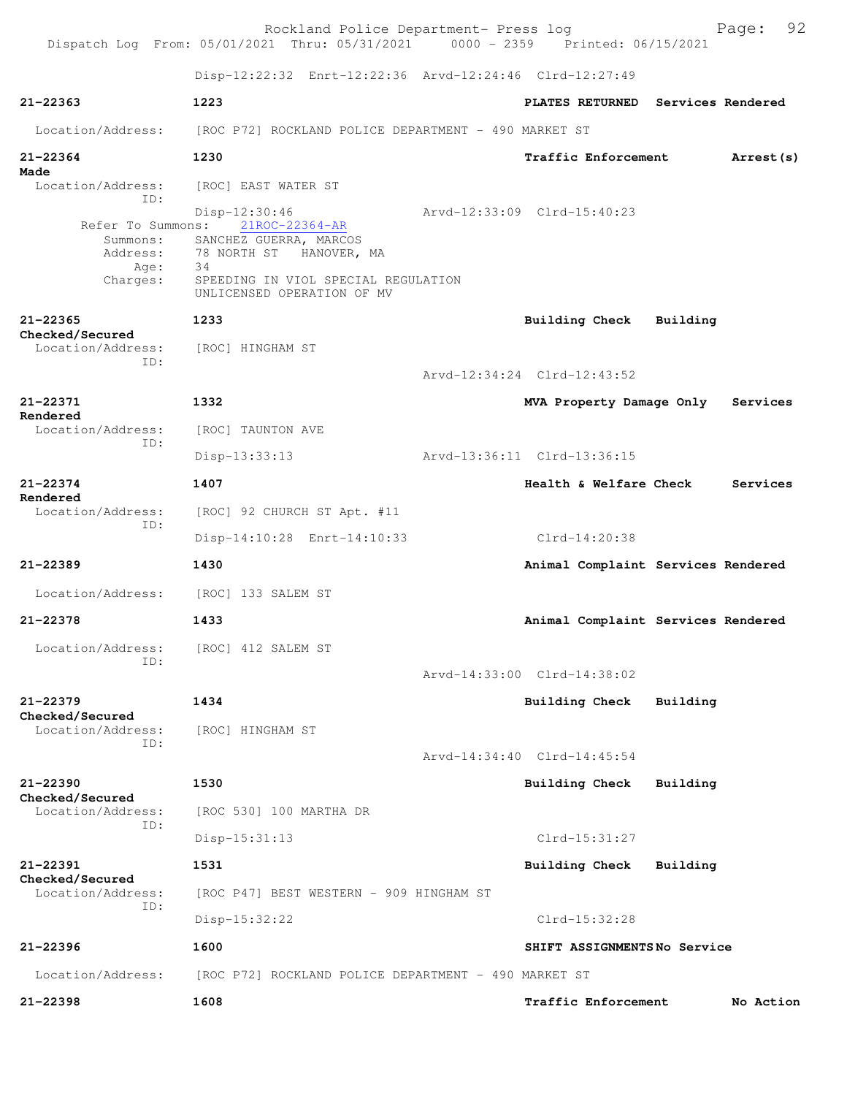|                                                   | Rockland Police Department- Press log<br>Dispatch Log From: 05/01/2021 Thru: 05/31/2021 0000 - 2359 Printed: 06/15/2021 |                                    |          | Page: 92   |
|---------------------------------------------------|-------------------------------------------------------------------------------------------------------------------------|------------------------------------|----------|------------|
|                                                   | Disp-12:22:32 Enrt-12:22:36 Arvd-12:24:46 Clrd-12:27:49                                                                 |                                    |          |            |
| $21 - 22363$                                      | 1223                                                                                                                    | PLATES RETURNED Services Rendered  |          |            |
| Location/Address:                                 | [ROC P72] ROCKLAND POLICE DEPARTMENT - 490 MARKET ST                                                                    |                                    |          |            |
| 21-22364<br>Made                                  | 1230                                                                                                                    | Traffic Enforcement                |          | Arrest (s) |
| Location/Address:<br>TD:                          | [ROC] EAST WATER ST                                                                                                     |                                    |          |            |
| Refer To Summons:<br>Summons:<br>Address:<br>Age: | Disp-12:30:46<br>21ROC-22364-AR<br>SANCHEZ GUERRA, MARCOS<br>78 NORTH ST<br>HANOVER, MA<br>- 34                         | Arvd-12:33:09 Clrd-15:40:23        |          |            |
| Charges:                                          | SPEEDING IN VIOL SPECIAL REGULATION<br>UNLICENSED OPERATION OF MV                                                       |                                    |          |            |
| $21 - 22365$<br>Checked/Secured                   | 1233                                                                                                                    | <b>Building Check</b>              | Building |            |
| Location/Address:<br>ID:                          | [ROC] HINGHAM ST                                                                                                        | Arvd-12:34:24 Clrd-12:43:52        |          |            |
| 21-22371                                          | 1332                                                                                                                    | MVA Property Damage Only           |          | Services   |
| Rendered<br>Location/Address:                     | [ROC] TAUNTON AVE                                                                                                       |                                    |          |            |
| ID:                                               | $Disp-13:33:13$                                                                                                         | Arvd-13:36:11 Clrd-13:36:15        |          |            |
| $21 - 22374$                                      | 1407                                                                                                                    | <b>Health &amp; Welfare Check</b>  |          | Services   |
| Rendered<br>Location/Address:                     | [ROC] 92 CHURCH ST Apt. #11                                                                                             |                                    |          |            |
| ID:                                               | Disp-14:10:28 Enrt-14:10:33                                                                                             | Clrd-14:20:38                      |          |            |
| $21 - 22389$                                      | 1430                                                                                                                    | Animal Complaint Services Rendered |          |            |
| Location/Address:                                 | [ROC] 133 SALEM ST                                                                                                      |                                    |          |            |
| 21-22378                                          | 1433                                                                                                                    | Animal Complaint Services Rendered |          |            |
| Location/Address:<br>ID:                          | [ROC] 412 SALEM ST                                                                                                      |                                    |          |            |
|                                                   |                                                                                                                         | Arvd-14:33:00 Clrd-14:38:02        |          |            |
| $21 - 22379$<br>Checked/Secured                   | 1434                                                                                                                    | <b>Building Check</b>              | Building |            |
| Location/Address:<br>ID:                          | [ROC] HINGHAM ST                                                                                                        |                                    |          |            |
|                                                   |                                                                                                                         | Arvd-14:34:40 Clrd-14:45:54        |          |            |
| 21-22390<br>Checked/Secured                       | 1530                                                                                                                    | <b>Building Check</b>              | Building |            |
| Location/Address:<br>ID:                          | [ROC 530] 100 MARTHA DR                                                                                                 |                                    |          |            |
|                                                   | $Disp-15:31:13$                                                                                                         | Clrd-15:31:27                      |          |            |
| $21 - 22391$<br>Checked/Secured                   | 1531                                                                                                                    | Building Check                     | Building |            |
| Location/Address:<br>ID:                          | [ROC P47] BEST WESTERN - 909 HINGHAM ST                                                                                 |                                    |          |            |
|                                                   | $Disp-15:32:22$                                                                                                         | Clrd-15:32:28                      |          |            |
| 21-22396                                          | 1600                                                                                                                    | SHIFT ASSIGNMENTSNo Service        |          |            |
| Location/Address:                                 | [ROC P72] ROCKLAND POLICE DEPARTMENT - 490 MARKET ST                                                                    |                                    |          |            |
| 21-22398                                          | 1608                                                                                                                    | Traffic Enforcement                |          | No Action  |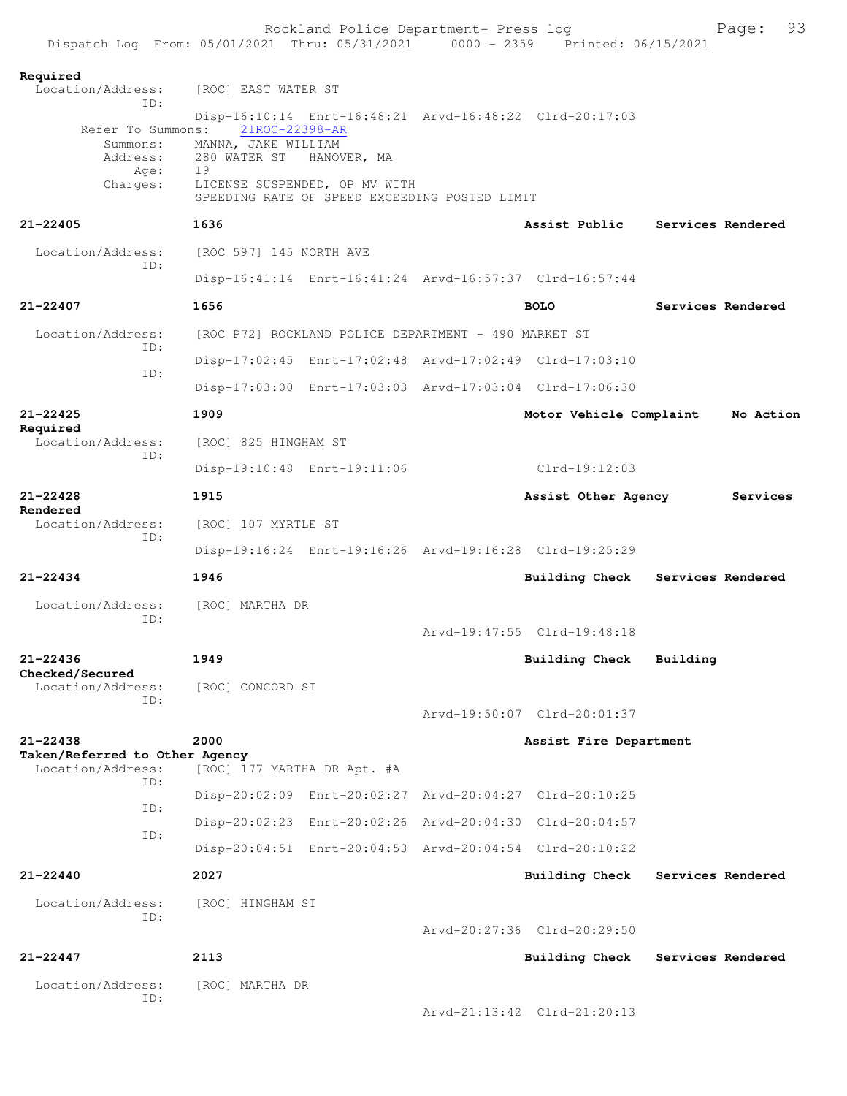|                                                                                |                                                                                              | Rockland Police Department- Press log                        |                                                         |          | Page:             | 93 |
|--------------------------------------------------------------------------------|----------------------------------------------------------------------------------------------|--------------------------------------------------------------|---------------------------------------------------------|----------|-------------------|----|
| Dispatch Log From: 05/01/2021 Thru: 05/31/2021 0000 - 2359 Printed: 06/15/2021 |                                                                                              |                                                              |                                                         |          |                   |    |
| Required<br>Location/Address:                                                  | [ROC] EAST WATER ST                                                                          |                                                              |                                                         |          |                   |    |
| ID:                                                                            |                                                                                              |                                                              |                                                         |          |                   |    |
| Refer To Summons:<br>Summons:<br>Address:<br>Age:<br>Charges:                  | 21ROC-22398-AR<br>MANNA, JAKE WILLIAM<br>280 WATER ST<br>19<br>LICENSE SUSPENDED, OP MV WITH | HANOVER, MA<br>SPEEDING RATE OF SPEED EXCEEDING POSTED LIMIT | Disp-16:10:14 Enrt-16:48:21 Arvd-16:48:22 Clrd-20:17:03 |          |                   |    |
| $21 - 22405$                                                                   | 1636                                                                                         |                                                              | Assist Public Services Rendered                         |          |                   |    |
| Location/Address:<br>TD:                                                       | [ROC 597] 145 NORTH AVE                                                                      |                                                              |                                                         |          |                   |    |
|                                                                                |                                                                                              |                                                              | Disp-16:41:14 Enrt-16:41:24 Arvd-16:57:37 Clrd-16:57:44 |          |                   |    |
| $21 - 22407$                                                                   | 1656                                                                                         |                                                              | <b>BOLO</b>                                             |          | Services Rendered |    |
| Location/Address:<br>TD:                                                       |                                                                                              | [ROC P72] ROCKLAND POLICE DEPARTMENT - 490 MARKET ST         |                                                         |          |                   |    |
| ID:                                                                            |                                                                                              |                                                              | Disp-17:02:45 Enrt-17:02:48 Arvd-17:02:49 Clrd-17:03:10 |          |                   |    |
|                                                                                |                                                                                              |                                                              | Disp-17:03:00 Enrt-17:03:03 Arvd-17:03:04 Clrd-17:06:30 |          |                   |    |
| 21-22425<br>Required                                                           | 1909                                                                                         |                                                              | Motor Vehicle Complaint                                 |          | No Action         |    |
| Location/Address:                                                              | [ROC] 825 HINGHAM ST                                                                         |                                                              |                                                         |          |                   |    |
| TD:                                                                            | Disp-19:10:48 Enrt-19:11:06                                                                  |                                                              | Clrd-19:12:03                                           |          |                   |    |
| $21 - 22428$<br>Rendered                                                       | 1915                                                                                         |                                                              | Assist Other Agency                                     |          | Services          |    |
| Location/Address:<br>ID:                                                       | [ROC] 107 MYRTLE ST                                                                          |                                                              |                                                         |          |                   |    |
|                                                                                |                                                                                              |                                                              | Disp-19:16:24 Enrt-19:16:26 Arvd-19:16:28 Clrd-19:25:29 |          |                   |    |
| $21 - 22434$                                                                   | 1946                                                                                         |                                                              | Building Check Services Rendered                        |          |                   |    |
| Location/Address:<br>TD:                                                       | [ROC] MARTHA DR                                                                              |                                                              |                                                         |          |                   |    |
|                                                                                |                                                                                              |                                                              | Arvd-19:47:55 Clrd-19:48:18                             |          |                   |    |
| $21 - 22436$<br>Checked/Secured                                                | 1949                                                                                         |                                                              | <b>Building Check</b>                                   | Building |                   |    |
| Location/Address:<br>TD:                                                       | [ROC] CONCORD ST                                                                             |                                                              |                                                         |          |                   |    |
|                                                                                |                                                                                              |                                                              | Arvd-19:50:07 Clrd-20:01:37                             |          |                   |    |
| $21 - 22438$                                                                   | 2000                                                                                         |                                                              | Assist Fire Department                                  |          |                   |    |
| Taken/Referred to Other Agency<br>Location/Address:                            | [ROC] 177 MARTHA DR Apt. #A                                                                  |                                                              |                                                         |          |                   |    |
| TD:                                                                            |                                                                                              |                                                              | Disp-20:02:09 Enrt-20:02:27 Arvd-20:04:27 Clrd-20:10:25 |          |                   |    |
| ID:                                                                            |                                                                                              |                                                              | Disp-20:02:23 Enrt-20:02:26 Arvd-20:04:30 Clrd-20:04:57 |          |                   |    |
| ID:                                                                            |                                                                                              |                                                              | Disp-20:04:51 Enrt-20:04:53 Arvd-20:04:54 Clrd-20:10:22 |          |                   |    |
| $21 - 22440$                                                                   | 2027                                                                                         |                                                              | Building Check                                          |          | Services Rendered |    |
| Location/Address:<br>ID:                                                       | [ROC] HINGHAM ST                                                                             |                                                              |                                                         |          |                   |    |
|                                                                                |                                                                                              |                                                              | Arvd-20:27:36 Clrd-20:29:50                             |          |                   |    |
| $21 - 22447$                                                                   | 2113                                                                                         |                                                              | <b>Building Check</b>                                   |          | Services Rendered |    |
| Location/Address:                                                              | [ROC] MARTHA DR                                                                              |                                                              |                                                         |          |                   |    |
| ID:                                                                            |                                                                                              |                                                              | Arvd-21:13:42 Clrd-21:20:13                             |          |                   |    |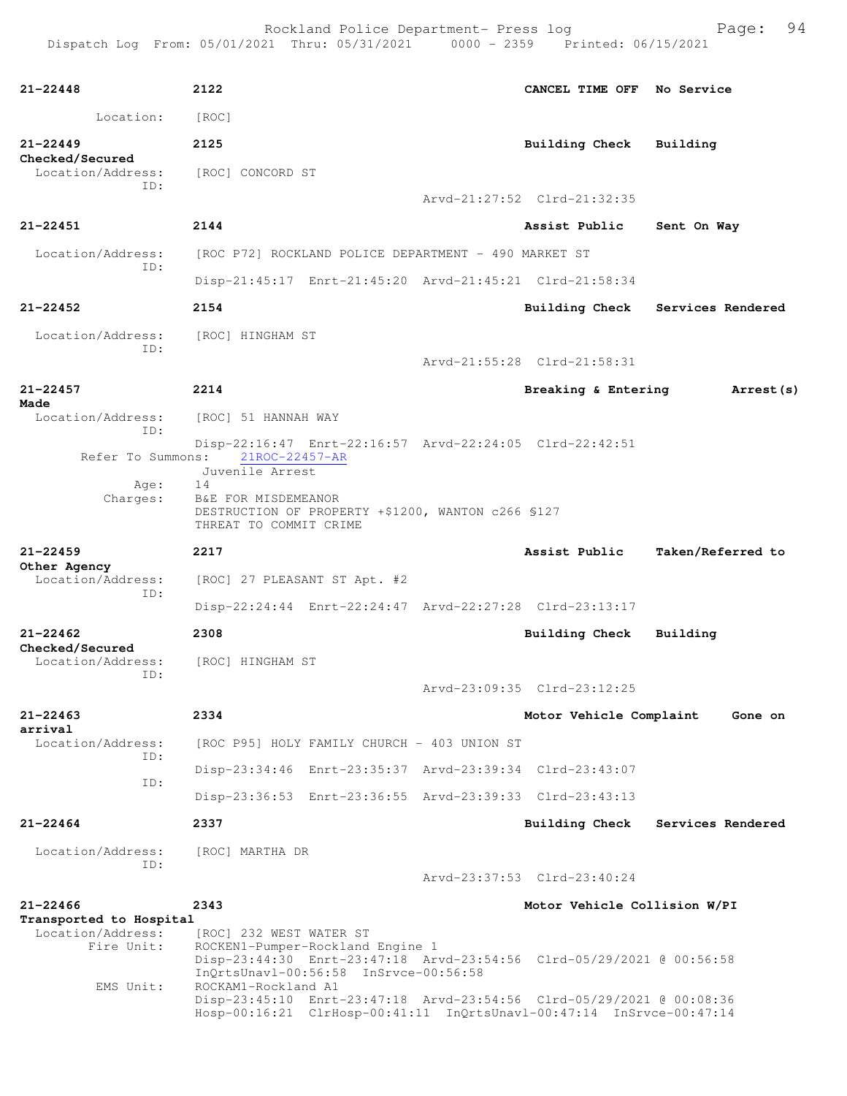| $21 - 22448$                                                | 2122                                                |                                                                           | CANCEL TIME OFF No Service                                                                                                                   |                   |
|-------------------------------------------------------------|-----------------------------------------------------|---------------------------------------------------------------------------|----------------------------------------------------------------------------------------------------------------------------------------------|-------------------|
| Location:                                                   | [ROC]                                               |                                                                           |                                                                                                                                              |                   |
| $21 - 22449$                                                | 2125                                                |                                                                           | <b>Building Check</b>                                                                                                                        | Building          |
| Checked/Secured<br>Location/Address:<br>TD:                 | [ROC] CONCORD ST                                    |                                                                           |                                                                                                                                              |                   |
|                                                             |                                                     |                                                                           | Arvd-21:27:52 Clrd-21:32:35                                                                                                                  |                   |
| 21-22451                                                    | 2144                                                |                                                                           | Assist Public                                                                                                                                | Sent On Way       |
| Location/Address:<br>ID:                                    |                                                     | [ROC P72] ROCKLAND POLICE DEPARTMENT - 490 MARKET ST                      |                                                                                                                                              |                   |
|                                                             |                                                     |                                                                           | Disp-21:45:17 Enrt-21:45:20 Arvd-21:45:21 Clrd-21:58:34                                                                                      |                   |
| $21 - 22452$                                                | 2154                                                |                                                                           | <b>Building Check</b>                                                                                                                        | Services Rendered |
| Location/Address:                                           | [ROC] HINGHAM ST                                    |                                                                           |                                                                                                                                              |                   |
| ID:                                                         |                                                     |                                                                           | Arvd-21:55:28 Clrd-21:58:31                                                                                                                  |                   |
| $21 - 22457$                                                | 2214                                                |                                                                           | Breaking & Entering                                                                                                                          | Arrest (s)        |
| Made<br>Location/Address:                                   | [ROC] 51 HANNAH WAY                                 |                                                                           |                                                                                                                                              |                   |
| ID:                                                         | Refer To Summons: 21ROC-22457-AR<br>Juvenile Arrest |                                                                           | Disp-22:16:47 Enrt-22:16:57 Arvd-22:24:05 Clrd-22:42:51                                                                                      |                   |
| Age:<br>Charges:                                            | 14<br>B&E FOR MISDEMEANOR<br>THREAT TO COMMIT CRIME | DESTRUCTION OF PROPERTY +\$1200, WANTON c266 \$127                        |                                                                                                                                              |                   |
| $21 - 22459$                                                | 2217                                                |                                                                           | Assist Public                                                                                                                                | Taken/Referred to |
| Other Agency<br>Location/Address:<br>TD:                    | [ROC] 27 PLEASANT ST Apt. #2                        |                                                                           |                                                                                                                                              |                   |
|                                                             |                                                     |                                                                           | Disp-22:24:44 Enrt-22:24:47 Arvd-22:27:28 Clrd-23:13:17                                                                                      |                   |
| $21 - 22462$<br>Checked/Secured<br>Location/Address:<br>ID: | 2308<br>[ROC] HINGHAM ST                            |                                                                           | Building Check                                                                                                                               | Building          |
|                                                             |                                                     |                                                                           | Arvd-23:09:35 Clrd-23:12:25                                                                                                                  |                   |
| $21 - 22463$<br>arrival                                     | 2334                                                |                                                                           | Motor Vehicle Complaint                                                                                                                      | Gone on           |
| Location/Address:<br>TD:                                    |                                                     | [ROC P95] HOLY FAMILY CHURCH - 403 UNION ST                               |                                                                                                                                              |                   |
| ID:                                                         |                                                     |                                                                           | Disp-23:34:46 Enrt-23:35:37 Arvd-23:39:34 Clrd-23:43:07                                                                                      |                   |
|                                                             |                                                     |                                                                           | Disp-23:36:53 Enrt-23:36:55 Arvd-23:39:33 Clrd-23:43:13                                                                                      |                   |
| $21 - 22464$                                                | 2337                                                |                                                                           | Building Check                                                                                                                               | Services Rendered |
| Location/Address:<br>ID:                                    | [ROC] MARTHA DR                                     |                                                                           |                                                                                                                                              |                   |
|                                                             |                                                     |                                                                           | Arvd-23:37:53 Clrd-23:40:24                                                                                                                  |                   |
| $21 - 22466$<br>Transported to Hospital                     | 2343                                                |                                                                           | Motor Vehicle Collision W/PI                                                                                                                 |                   |
| Location/Address:<br>Fire Unit:<br>EMS Unit:                | [ROC] 232 WEST WATER ST<br>ROCKAM1-Rockland A1      | ROCKEN1-Pumper-Rockland Engine 1<br>InQrtsUnavl-00:56:58 InSrvce-00:56:58 | Disp-23:44:30 Enrt-23:47:18 Arvd-23:54:56 Clrd-05/29/2021 @ 00:56:58                                                                         |                   |
|                                                             |                                                     |                                                                           | Disp-23:45:10 Enrt-23:47:18 Arvd-23:54:56 Clrd-05/29/2021 @ 00:08:36<br>Hosp-00:16:21 ClrHosp-00:41:11 InQrtsUnavl-00:47:14 InSrvce-00:47:14 |                   |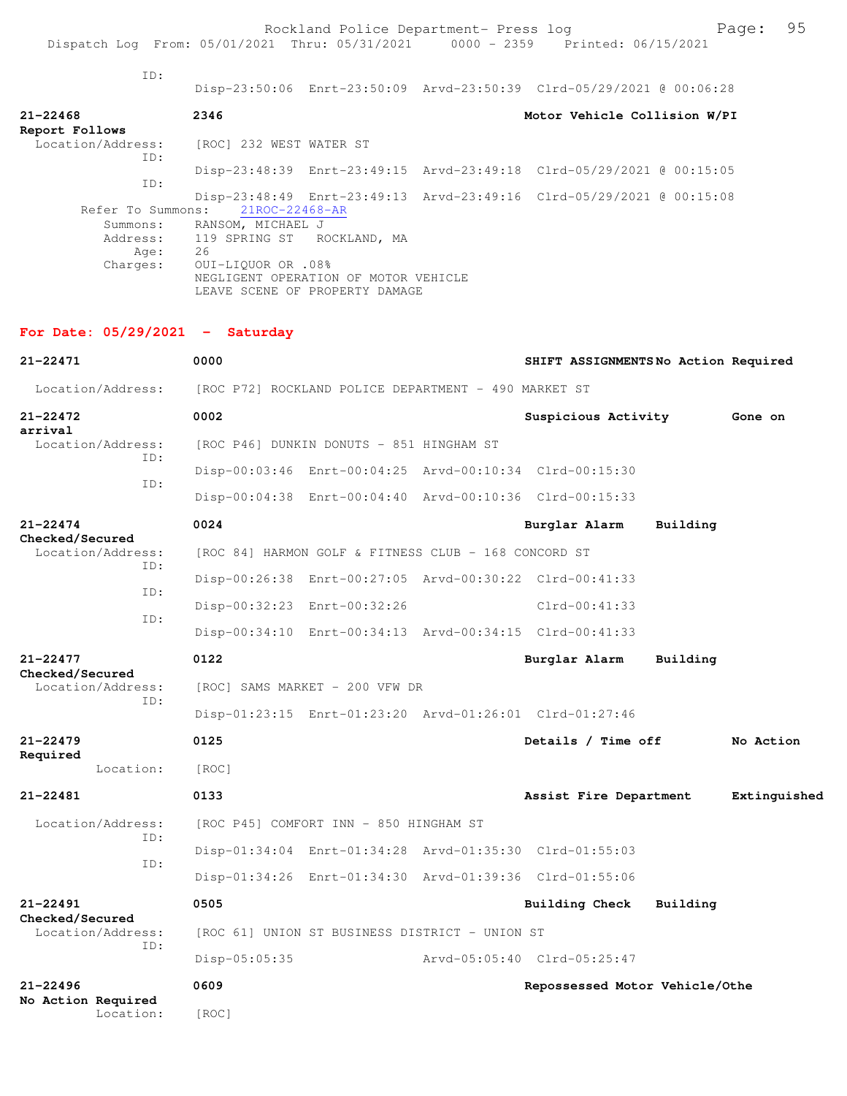ID:

Disp-23:50:06 Enrt-23:50:09 Arvd-23:50:39 Clrd-05/29/2021 @ 00:06:28

| $21 - 22468$<br>Report Follows | 2346                                                                                         | Motor Vehicle Collision W/PI |
|--------------------------------|----------------------------------------------------------------------------------------------|------------------------------|
| Location/Address:<br>ID:       | [ROC] 232 WEST WATER ST                                                                      |                              |
|                                | Disp-23:48:39 Enrt-23:49:15 Arvd-23:49:18 Clrd-05/29/2021 @ 00:15:05                         |                              |
| ID:                            |                                                                                              |                              |
|                                | Disp-23:48:49 Enrt-23:49:13 Arvd-23:49:16 Clrd-05/29/2021 @ 00:15:08                         |                              |
| Refer To Summons:              | 21ROC-22468-AR                                                                               |                              |
| Summons:                       | RANSOM, MICHAEL J                                                                            |                              |
| Address:                       | 119 SPRING ST ROCKLAND, MA                                                                   |                              |
| Age:                           | 26                                                                                           |                              |
| Charges:                       | 0UI-LIOUOR OR .08%<br>NEGLIGENT OPERATION OF MOTOR VEHICLE<br>LEAVE SCENE OF PROPERTY DAMAGE |                              |

## **For Date: 05/29/2021 - Saturday**

| $21 - 22471$                         |     | 0000                                                 |                                                         |                             |               |                        | SHIFT ASSIGNMENTSNo Action Required |           |              |
|--------------------------------------|-----|------------------------------------------------------|---------------------------------------------------------|-----------------------------|---------------|------------------------|-------------------------------------|-----------|--------------|
| Location/Address:                    |     | [ROC P72] ROCKLAND POLICE DEPARTMENT - 490 MARKET ST |                                                         |                             |               |                        |                                     |           |              |
| $21 - 22472$                         |     | 0002                                                 |                                                         |                             |               | Suspicious Activity    |                                     | Gone on   |              |
| arrival<br>Location/Address:         | ID: |                                                      | [ROC P46] DUNKIN DONUTS - 851 HINGHAM ST                |                             |               |                        |                                     |           |              |
| ID:                                  |     |                                                      | Disp-00:03:46 Enrt-00:04:25 Arvd-00:10:34 Clrd-00:15:30 |                             |               |                        |                                     |           |              |
|                                      |     |                                                      | Disp-00:04:38 Enrt-00:04:40 Arvd-00:10:36 Clrd-00:15:33 |                             |               |                        |                                     |           |              |
| $21 - 22474$                         |     | 0024                                                 |                                                         |                             | Burglar Alarm |                        | Building                            |           |              |
| Checked/Secured<br>Location/Address: | ID: |                                                      | [ROC 84] HARMON GOLF & FITNESS CLUB - 168 CONCORD ST    |                             |               |                        |                                     |           |              |
|                                      |     |                                                      | Disp-00:26:38 Enrt-00:27:05 Arvd-00:30:22 Clrd-00:41:33 |                             |               |                        |                                     |           |              |
| ID:                                  |     |                                                      | Disp-00:32:23 Enrt-00:32:26                             |                             |               | $Clrd-00:41:33$        |                                     |           |              |
|                                      | ID: |                                                      | Disp-00:34:10 Enrt-00:34:13 Arvd-00:34:15 Clrd-00:41:33 |                             |               |                        |                                     |           |              |
| $21 - 22477$                         |     | 0122                                                 |                                                         |                             | Burglar Alarm |                        | Building                            |           |              |
| Checked/Secured<br>Location/Address: |     | [ROC] SAMS MARKET - 200 VFW DR                       |                                                         |                             |               |                        |                                     |           |              |
|                                      | ID: |                                                      | Disp-01:23:15 Enrt-01:23:20 Arvd-01:26:01 Clrd-01:27:46 |                             |               |                        |                                     |           |              |
| $21 - 22479$                         |     | 0125                                                 |                                                         |                             |               | Details / Time off     |                                     | No Action |              |
| Required<br>Location:                |     | [ROC]                                                |                                                         |                             |               |                        |                                     |           |              |
| $21 - 22481$                         |     | 0133                                                 |                                                         |                             |               | Assist Fire Department |                                     |           | Extinguished |
| Location/Address:                    |     |                                                      | [ROC P45] COMFORT INN - 850 HINGHAM ST                  |                             |               |                        |                                     |           |              |
|                                      | TD: |                                                      | Disp-01:34:04 Enrt-01:34:28 Arvd-01:35:30 Clrd-01:55:03 |                             |               |                        |                                     |           |              |
|                                      | ID: |                                                      | Disp-01:34:26 Enrt-01:34:30 Arvd-01:39:36 Clrd-01:55:06 |                             |               |                        |                                     |           |              |
| 21-22491                             |     | 0505                                                 |                                                         |                             |               | Building Check         | Building                            |           |              |
| Checked/Secured<br>Location/Address: |     |                                                      | [ROC 61] UNION ST BUSINESS DISTRICT - UNION ST          |                             |               |                        |                                     |           |              |
|                                      | TD: | $Disp-05:05:35$                                      |                                                         | Arvd-05:05:40 Clrd-05:25:47 |               |                        |                                     |           |              |
| $21 - 22496$<br>No Action Required   |     | 0609                                                 |                                                         |                             |               |                        | Repossessed Motor Vehicle/Othe      |           |              |
| Location:                            |     | [ROC]                                                |                                                         |                             |               |                        |                                     |           |              |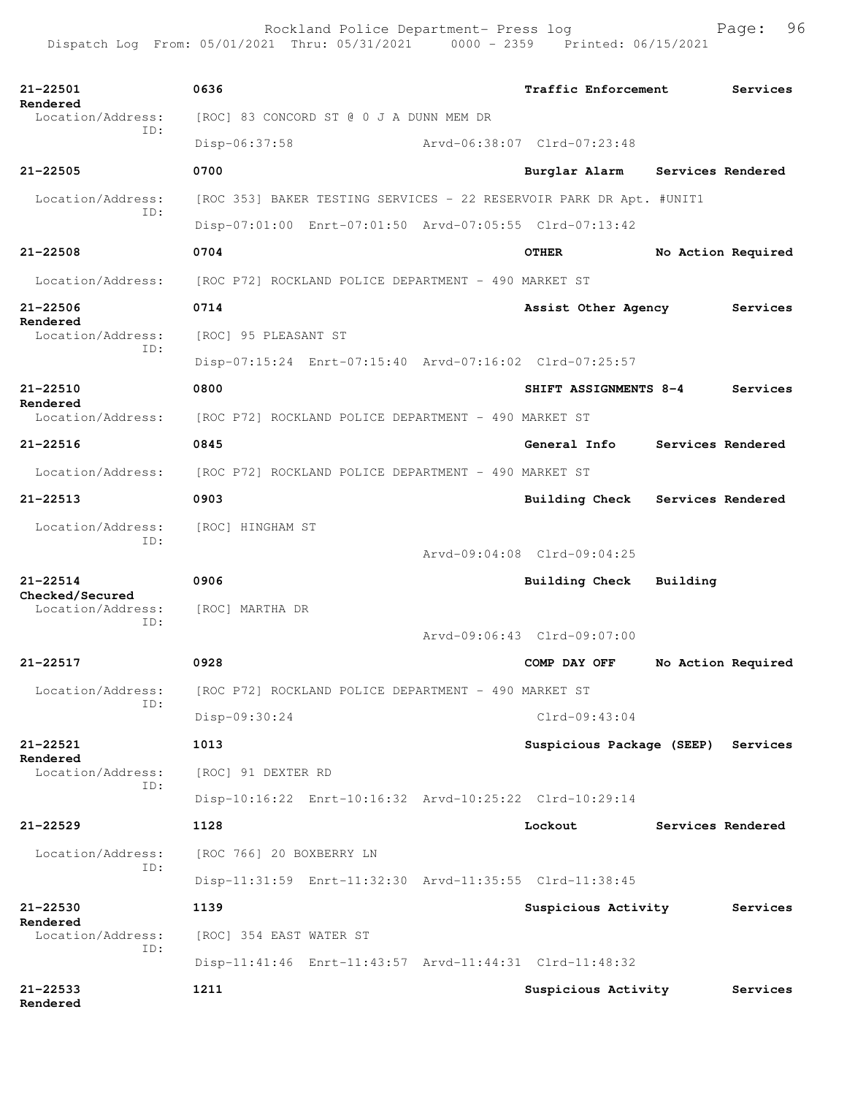| 21-22501<br>Rendered                 | 0636                                                                   | Traffic Enforcement |                                    | Services           |          |  |  |
|--------------------------------------|------------------------------------------------------------------------|---------------------|------------------------------------|--------------------|----------|--|--|
| Location/Address:<br>TD:             | [ROC] 83 CONCORD ST @ 0 J A DUNN MEM DR                                |                     |                                    |                    |          |  |  |
|                                      | Disp-06:37:58                                                          |                     | Arvd-06:38:07 Clrd-07:23:48        |                    |          |  |  |
| $21 - 22505$                         | 0700                                                                   |                     | Burglar Alarm                      | Services Rendered  |          |  |  |
| Location/Address:<br>TD:             | [ROC 353] BAKER TESTING SERVICES - 22 RESERVOIR PARK DR Apt. #UNIT1    |                     |                                    |                    |          |  |  |
|                                      | Disp-07:01:00 Enrt-07:01:50 Arvd-07:05:55 Clrd-07:13:42                |                     |                                    |                    |          |  |  |
| $21 - 22508$                         | 0704                                                                   |                     | <b>OTHER</b>                       | No Action Required |          |  |  |
| Location/Address:                    | [ROC P72] ROCKLAND POLICE DEPARTMENT - 490 MARKET ST                   |                     |                                    |                    |          |  |  |
| 21-22506                             | 0714                                                                   |                     | Assist Other Agency                |                    | Services |  |  |
| Rendered<br>Location/Address:<br>TD: | [ROC] 95 PLEASANT ST                                                   |                     |                                    |                    |          |  |  |
|                                      | Disp-07:15:24 Enrt-07:15:40 Arvd-07:16:02 Clrd-07:25:57                |                     |                                    |                    |          |  |  |
| $21 - 22510$                         | 0800                                                                   |                     | SHIFT ASSIGNMENTS 8-4              |                    | Services |  |  |
| Rendered<br>Location/Address:        | [ROC P72] ROCKLAND POLICE DEPARTMENT - 490 MARKET ST                   |                     |                                    |                    |          |  |  |
| $21 - 22516$                         | 0845                                                                   |                     | General Info                       | Services Rendered  |          |  |  |
| Location/Address:                    | [ROC P72] ROCKLAND POLICE DEPARTMENT - 490 MARKET ST                   |                     |                                    |                    |          |  |  |
| $21 - 22513$                         | 0903                                                                   |                     | Building Check                     | Services Rendered  |          |  |  |
| Location/Address:                    | [ROC] HINGHAM ST                                                       |                     |                                    |                    |          |  |  |
| ID:                                  |                                                                        |                     | Arvd-09:04:08 Clrd-09:04:25        |                    |          |  |  |
| $21 - 22514$                         | 0906                                                                   |                     | Building Check                     | Building           |          |  |  |
| Checked/Secured<br>Location/Address: | [ROC] MARTHA DR                                                        |                     |                                    |                    |          |  |  |
| ID:                                  |                                                                        |                     | Arvd-09:06:43 Clrd-09:07:00        |                    |          |  |  |
| 21-22517                             | 0928                                                                   |                     | COMP DAY OFF                       | No Action Required |          |  |  |
|                                      | Location/Address: [ROC P72] ROCKLAND POLICE DEPARTMENT - 490 MARKET ST |                     |                                    |                    |          |  |  |
| ID:                                  | Disp-09:30:24                                                          |                     | $Clrd-09:43:04$                    |                    |          |  |  |
| 21-22521                             | 1013                                                                   |                     | Suspicious Package (SEEP) Services |                    |          |  |  |
| Rendered<br>Location/Address:        | [ROC] 91 DEXTER RD                                                     |                     |                                    |                    |          |  |  |
| ID:                                  | Disp-10:16:22 Enrt-10:16:32 Arvd-10:25:22 Clrd-10:29:14                |                     |                                    |                    |          |  |  |
| $21 - 22529$                         | 1128                                                                   |                     | Lockout                            | Services Rendered  |          |  |  |
| Location/Address:                    | [ROC 766] 20 BOXBERRY LN                                               |                     |                                    |                    |          |  |  |
| TD:                                  | Disp-11:31:59 Enrt-11:32:30 Arvd-11:35:55 Clrd-11:38:45                |                     |                                    |                    |          |  |  |
| 21-22530                             | 1139                                                                   |                     | Suspicious Activity                |                    | Services |  |  |
| Rendered<br>Location/Address:        | [ROC] 354 EAST WATER ST                                                |                     |                                    |                    |          |  |  |
| ID:                                  | Disp-11:41:46 Enrt-11:43:57 Arvd-11:44:31 Clrd-11:48:32                |                     |                                    |                    |          |  |  |
| $21 - 22533$<br>Rendered             | 1211                                                                   |                     | Suspicious Activity                |                    | Services |  |  |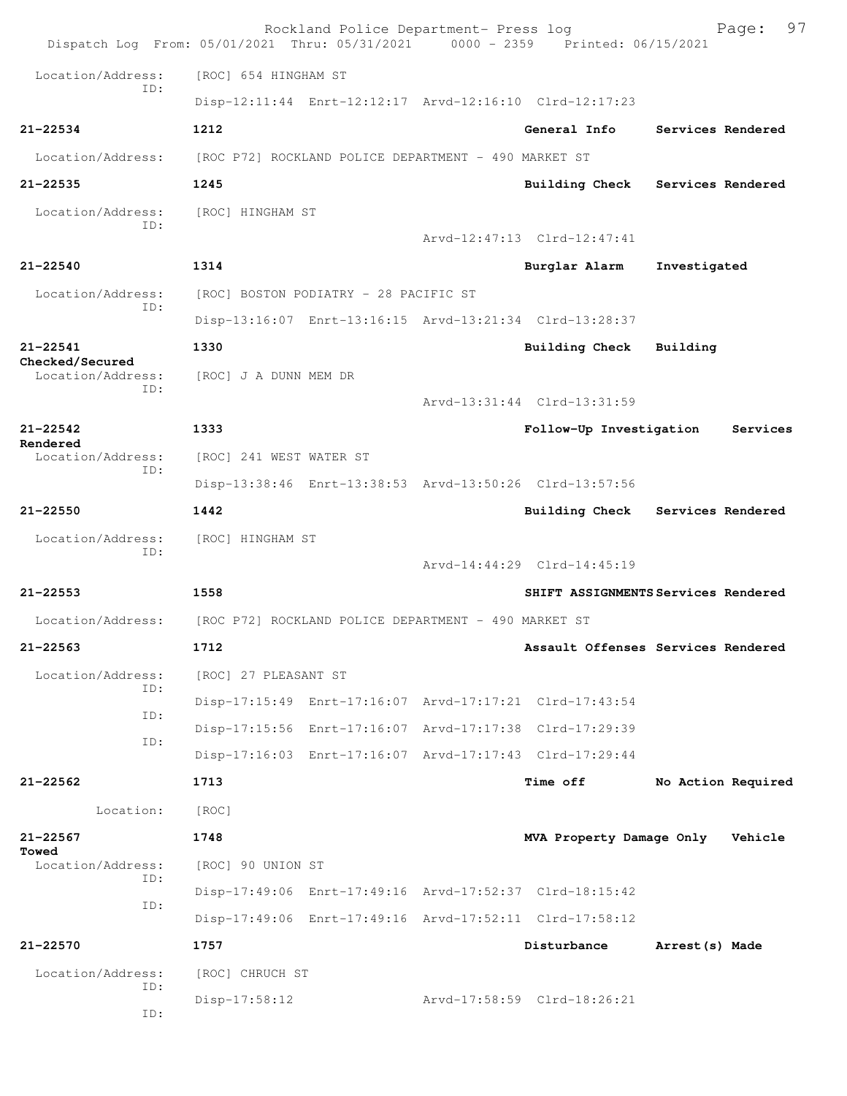| Dispatch Log From: 05/01/2021 Thru: 05/31/2021 0000 - 2359 Printed: 06/15/2021 |                                                         |  | Rockland Police Department- Press log |                             | 97<br>Page:                         |  |  |
|--------------------------------------------------------------------------------|---------------------------------------------------------|--|---------------------------------------|-----------------------------|-------------------------------------|--|--|
| Location/Address:                                                              | [ROC] 654 HINGHAM ST                                    |  |                                       |                             |                                     |  |  |
| TD:                                                                            | Disp-12:11:44 Enrt-12:12:17 Arvd-12:16:10 Clrd-12:17:23 |  |                                       |                             |                                     |  |  |
| $21 - 22534$                                                                   | 1212                                                    |  |                                       | General Info                | Services Rendered                   |  |  |
| Location/Address:                                                              | [ROC P72] ROCKLAND POLICE DEPARTMENT - 490 MARKET ST    |  |                                       |                             |                                     |  |  |
| $21 - 22535$                                                                   | 1245                                                    |  |                                       |                             | Building Check Services Rendered    |  |  |
| Location/Address:                                                              | [ROC] HINGHAM ST                                        |  |                                       |                             |                                     |  |  |
| TD:                                                                            |                                                         |  |                                       | Arvd-12:47:13 Clrd-12:47:41 |                                     |  |  |
| $21 - 22540$                                                                   | 1314                                                    |  |                                       | Burglar Alarm               | Investigated                        |  |  |
| Location/Address:                                                              | [ROC] BOSTON PODIATRY - 28 PACIFIC ST                   |  |                                       |                             |                                     |  |  |
| ID:                                                                            | Disp-13:16:07 Enrt-13:16:15 Arvd-13:21:34 Clrd-13:28:37 |  |                                       |                             |                                     |  |  |
| $21 - 22541$                                                                   | 1330                                                    |  |                                       | Building Check              | Building                            |  |  |
| Checked/Secured<br>Location/Address:                                           | [ROC] J A DUNN MEM DR                                   |  |                                       |                             |                                     |  |  |
| ID:                                                                            |                                                         |  |                                       | Arvd-13:31:44 Clrd-13:31:59 |                                     |  |  |
| $21 - 22542$                                                                   | 1333                                                    |  |                                       | Follow-Up Investigation     | Services                            |  |  |
| Rendered<br>Location/Address:                                                  | [ROC] 241 WEST WATER ST                                 |  |                                       |                             |                                     |  |  |
| ID:                                                                            | Disp-13:38:46 Enrt-13:38:53 Arvd-13:50:26 Clrd-13:57:56 |  |                                       |                             |                                     |  |  |
| $21 - 22550$                                                                   | 1442                                                    |  |                                       |                             | Building Check Services Rendered    |  |  |
| Location/Address:                                                              | [ROC] HINGHAM ST                                        |  |                                       |                             |                                     |  |  |
| ID:                                                                            |                                                         |  |                                       | Arvd-14:44:29 Clrd-14:45:19 |                                     |  |  |
| $21 - 22553$                                                                   | 1558                                                    |  |                                       |                             | SHIFT ASSIGNMENTS Services Rendered |  |  |
| Location/Address:                                                              | [ROC P72] ROCKLAND POLICE DEPARTMENT - 490 MARKET ST    |  |                                       |                             |                                     |  |  |
| 21-22563                                                                       | 1712                                                    |  |                                       |                             | Assault Offenses Services Rendered  |  |  |
| Location/Address:                                                              | [ROC] 27 PLEASANT ST                                    |  |                                       |                             |                                     |  |  |
| ID:                                                                            | Disp-17:15:49 Enrt-17:16:07 Arvd-17:17:21 Clrd-17:43:54 |  |                                       |                             |                                     |  |  |
| ID:                                                                            | Disp-17:15:56 Enrt-17:16:07 Arvd-17:17:38 Clrd-17:29:39 |  |                                       |                             |                                     |  |  |
| ID:                                                                            | Disp-17:16:03 Enrt-17:16:07 Arvd-17:17:43 Clrd-17:29:44 |  |                                       |                             |                                     |  |  |
| 21-22562                                                                       | 1713                                                    |  |                                       | <b>Time off</b>             | No Action Required                  |  |  |
| Location:                                                                      | [ROC]                                                   |  |                                       |                             |                                     |  |  |
| $21 - 22567$                                                                   | 1748                                                    |  |                                       | MVA Property Damage Only    | Vehicle                             |  |  |
| Towed<br>Location/Address:                                                     | [ROC] 90 UNION ST                                       |  |                                       |                             |                                     |  |  |
| ID:<br>ID:                                                                     | Disp-17:49:06 Enrt-17:49:16 Arvd-17:52:37 Clrd-18:15:42 |  |                                       |                             |                                     |  |  |
|                                                                                | Disp-17:49:06 Enrt-17:49:16 Arvd-17:52:11 Clrd-17:58:12 |  |                                       |                             |                                     |  |  |
| $21 - 22570$                                                                   | 1757                                                    |  |                                       | Disturbance                 | Arrest (s) Made                     |  |  |
| Location/Address:                                                              | [ROC] CHRUCH ST                                         |  |                                       |                             |                                     |  |  |
| ID:<br>ID:                                                                     | $Disp-17:58:12$                                         |  |                                       | Arvd-17:58:59 Clrd-18:26:21 |                                     |  |  |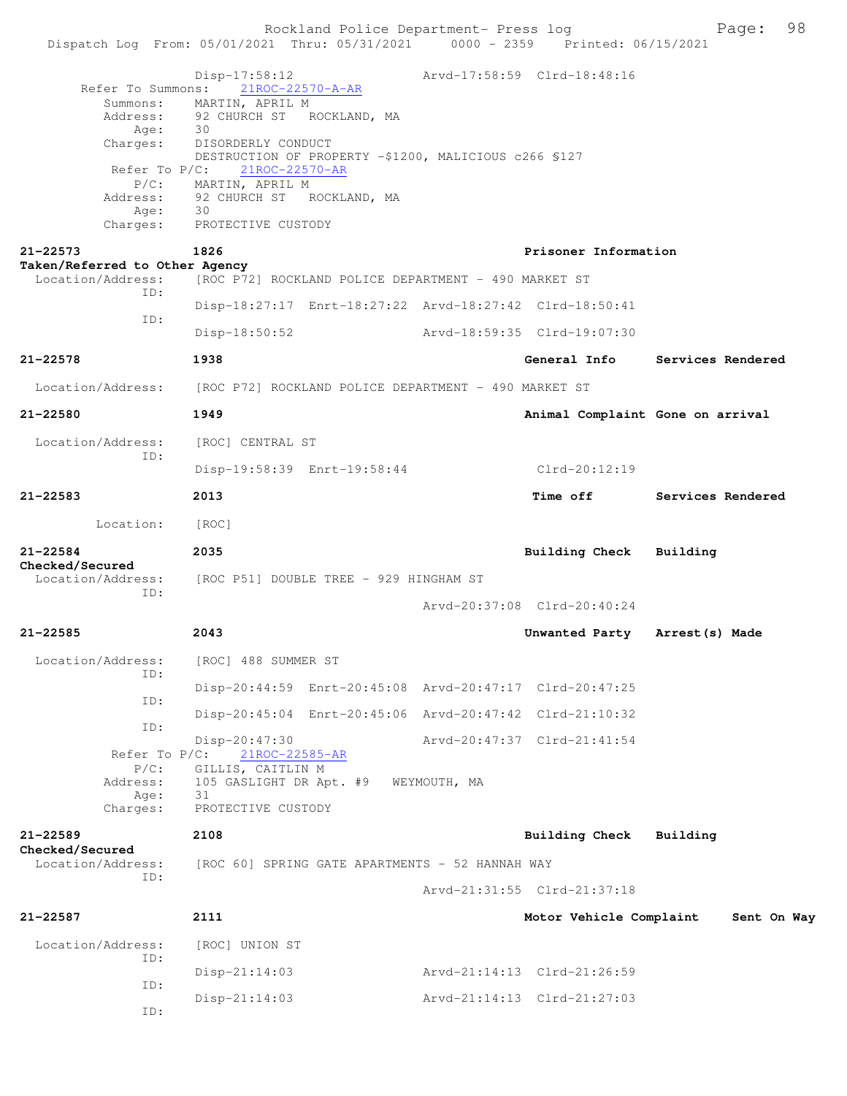Rockland Police Department- Press log Fage: 98 Dispatch Log From: 05/01/2021 Thru: 05/31/2021 0000 - 2359 Printed: 06/15/2021 Disp-17:58:12 Arvd-17:58:59 Clrd-18:48:16 Refer To Summons: 21ROC-22570-A-AR Summons: MARTIN, APRIL M Address: 92 CHURCH ST ROCKLAND, MA<br>Age: 30 Age: Charges: DISORDERLY CONDUCT DESTRUCTION OF PROPERTY -\$1200, MALICIOUS c266 \$127<br>Refer To P/C: 21ROC-22570-AR 21ROC-22570-AR P/C: MARTIN, APRIL M Address: 92 CHURCH ST ROCKLAND, MA Age: 30 Charges: PROTECTIVE CUSTODY **21-22573 1826 Prisoner Information Taken/Referred to Other Agency**  Location/Address: [ROC P72] ROCKLAND POLICE DEPARTMENT - 490 MARKET ST ID: Disp-18:27:17 Enrt-18:27:22 Arvd-18:27:42 Clrd-18:50:41 ID: Disp-18:50:52 Arvd-18:59:35 Clrd-19:07:30 **21-22578 1938 General Info Services Rendered** Location/Address: [ROC P72] ROCKLAND POLICE DEPARTMENT - 490 MARKET ST **21-22580 1949 Animal Complaint Gone on arrival** Location/Address: [ROC] CENTRAL ST ID: Disp-19:58:39 Enrt-19:58:44 Clrd-20:12:19 **21-22583 2013 Time off Services Rendered** Location: [ROC] **21-22584 2035 Building Check Building Checked/Secured**  Location/Address: [ROC P51] DOUBLE TREE - 929 HINGHAM ST ID: Arvd-20:37:08 Clrd-20:40:24 **21-22585 2043 Unwanted Party Arrest(s) Made** Location/Address: [ROC] 488 SUMMER ST ID: Disp-20:44:59 Enrt-20:45:08 Arvd-20:47:17 Clrd-20:47:25 ID: Disp-20:45:04 Enrt-20:45:06 Arvd-20:47:42 Clrd-21:10:32 ID: Disp-20:47:30 Arvd-20:47:37 Clrd-21:41:54 Refer To P/C: 21ROC-22585-AR P/C: GILLIS, CAITLIN M Address: 105 GASLIGHT DR Apt. #9 WEYMOUTH, MA Age: 31 Charges: PROTECTIVE CUSTODY **21-22589 2108 Building Check Building Checked/Secured**  Location/Address: [ROC 60] SPRING GATE APARTMENTS - 52 HANNAH WAY ID: Arvd-21:31:55 Clrd-21:37:18 **21-22587 2111 Motor Vehicle Complaint Sent On Way** Location/Address: [ROC] UNION ST ID: Disp-21:14:03 Arvd-21:14:13 Clrd-21:26:59 ID: Disp-21:14:03 Arvd-21:14:13 Clrd-21:27:03

ID: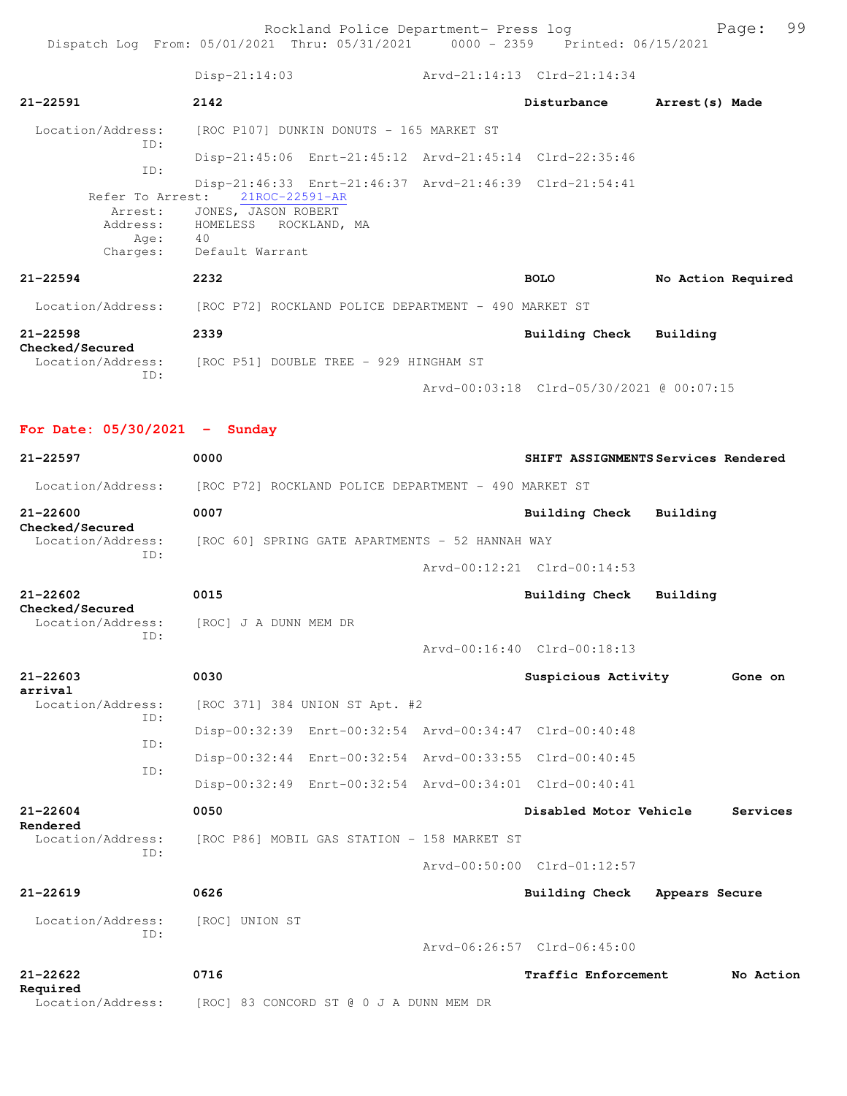Rockland Police Department- Press log Freed Page: 99

Dispatch Log From: 05/01/2021 Thru: 05/31/2021 0000 - 2359 Printed: 06/15/2021

 Disp-21:14:03 Arvd-21:14:13 Clrd-21:14:34 **21-22591 2142 Disturbance Arrest(s) Made** Location/Address: [ROC P107] DUNKIN DONUTS - 165 MARKET ST ID: Disp-21:45:06 Enrt-21:45:12 Arvd-21:45:14 Clrd-22:35:46 ID: Disp-21:46:33 Enrt-21:46:37 Arvd-21:46:39 Clrd-21:54:41<br>Refer To Arrest: 21ROC-22591-AR 21ROC-22591-AR Arrest: JONES, JASON ROBERT Address: HOMELESS ROCKLAND, MA Age: 40 Charges: Default Warrant **21-22594 2232 BOLO No Action Required** Location/Address: [ROC P72] ROCKLAND POLICE DEPARTMENT - 490 MARKET ST **21-22598 2339 Building Check Building Checked/Secured**  Location/Address: [ROC P51] DOUBLE TREE - 929 HINGHAM ST ID: Arvd-00:03:18 Clrd-05/30/2021 @ 00:07:15 **For Date: 05/30/2021 - Sunday 21-22597 0000 SHIFT ASSIGNMENTS Services Rendered** Location/Address: [ROC P72] ROCKLAND POLICE DEPARTMENT - 490 MARKET ST **21-22600 0007 Building Check Building**

**Checked/Secured**  Location/Address: [ROC 60] SPRING GATE APARTMENTS - 52 HANNAH WAY ID: Arvd-00:12:21 Clrd-00:14:53

**21-22602 0015 Building Check Building Checked/Secured**  Location/Address: [ROC] J A DUNN MEM DR ID: Arvd-00:16:40 Clrd-00:18:13 **21-22603 0030 Suspicious Activity Gone on arrival**  Location/Address: [ROC 371] 384 UNION ST Apt. #2 ID:

> Disp-00:32:39 Enrt-00:32:54 Arvd-00:34:47 Clrd-00:40:48 ID: Disp-00:32:44 Enrt-00:32:54 Arvd-00:33:55 Clrd-00:40:45 ID: Disp-00:32:49 Enrt-00:32:54 Arvd-00:34:01 Clrd-00:40:41

**21-22604 0050 Disabled Motor Vehicle Services Rendered**  Location/Address: [ROC P86] MOBIL GAS STATION - 158 MARKET ST ID: Arvd-00:50:00 Clrd-01:12:57 **21-22619 0626 Building Check Appears Secure** Location/Address: [ROC] UNION ST ID:

Arvd-06:26:57 Clrd-06:45:00

**21-22622 0716 Traffic Enforcement No Action Required**  Location/Address: [ROC] 83 CONCORD ST @ 0 J A DUNN MEM DR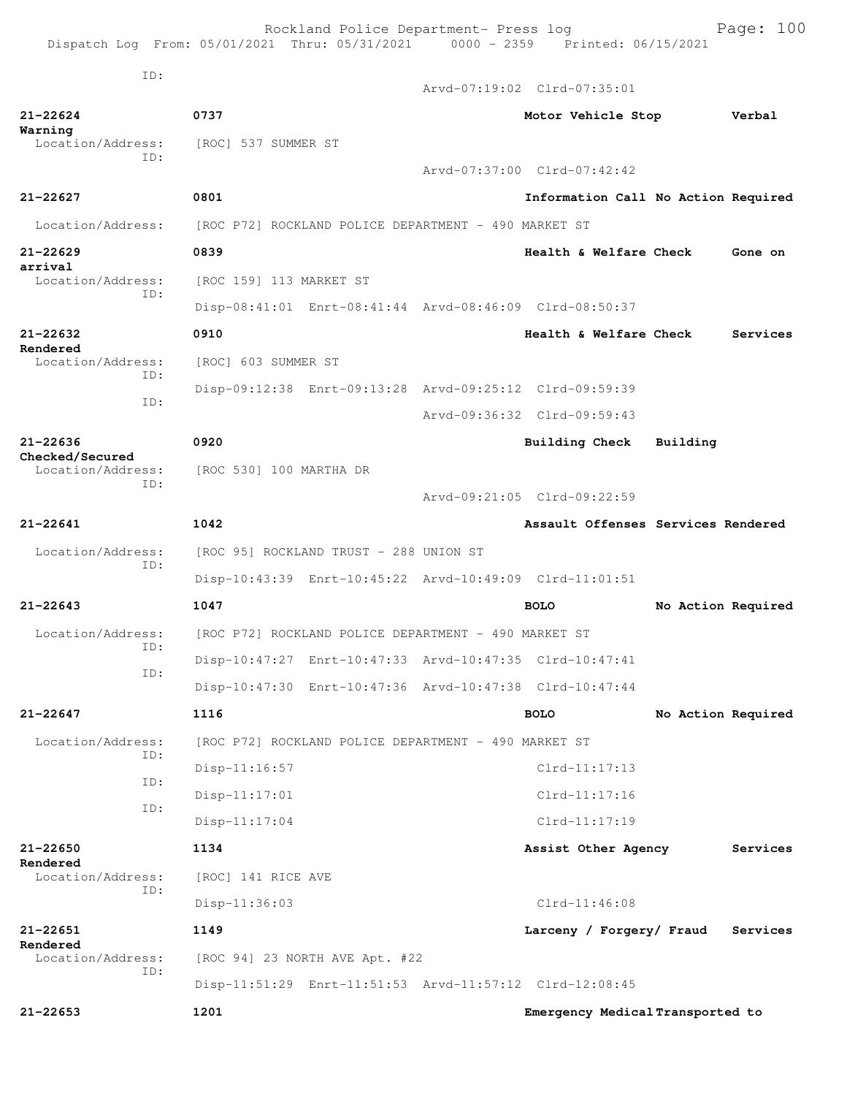Rockland Police Department- Press log Bookland Police Department- Press log<br>21 Thru: 05/31/2021 0000 - 2359 Printed: 06/15/2021 Dispatch Log From:  $05/01/2021$  Thru:  $05/31/2021$  0000 - 2359 ID: Arvd-07:19:02 Clrd-07:35:01 **21-22624 0737 Motor Vehicle Stop Verbal Warning**  Location/Address: [ROC] 537 SUMMER ST ID: Arvd-07:37:00 Clrd-07:42:42 **21-22627 0801 Information Call No Action Required** Location/Address: [ROC P72] ROCKLAND POLICE DEPARTMENT - 490 MARKET ST **21-22629 0839 Health & Welfare Check Gone on arrival**  Location/Address: [ROC 159] 113 MARKET ST ID: Disp-08:41:01 Enrt-08:41:44 Arvd-08:46:09 Clrd-08:50:37 **21-22632 0910 Health & Welfare Check Services Rendered**<br>Location/Address: [ROC] 603 SUMMER ST ID: Disp-09:12:38 Enrt-09:13:28 Arvd-09:25:12 Clrd-09:59:39 ID: Arvd-09:36:32 Clrd-09:59:43 **21-22636 0920 Building Check Building Checked/Secured**  Location/Address: [ROC 530] 100 MARTHA DR ID: Arvd-09:21:05 Clrd-09:22:59 **21-22641 1042 Assault Offenses Services Rendered** Location/Address: [ROC 95] ROCKLAND TRUST - 288 UNION ST ID: Disp-10:43:39 Enrt-10:45:22 Arvd-10:49:09 Clrd-11:01:51 **21-22643 1047 BOLO No Action Required** Location/Address: [ROC P72] ROCKLAND POLICE DEPARTMENT - 490 MARKET ST ID: Disp-10:47:27 Enrt-10:47:33 Arvd-10:47:35 Clrd-10:47:41 ID: Disp-10:47:30 Enrt-10:47:36 Arvd-10:47:38 Clrd-10:47:44 **21-22647 1116 BOLO No Action Required** Location/Address: [ROC P72] ROCKLAND POLICE DEPARTMENT - 490 MARKET ST ID: Disp-11:16:57 Clrd-11:17:13 ID: Disp-11:17:01 Clrd-11:17:16 ID: Disp-11:17:04 Clrd-11:17:19 **21-22650 1134 Assist Other Agency Services Rendered**  Location/Address: [ROC] 141 RICE AVE ID: Disp-11:36:03 Clrd-11:46:08 **21-22651 1149 Larceny / Forgery/ Fraud Services Rendered**<br>Location/Address:  $[ROC 94] 23 NORTH AVE Apt. #22$  ID: Disp-11:51:29 Enrt-11:51:53 Arvd-11:57:12 Clrd-12:08:45 **21-22653 1201 Emergency Medical Transported to**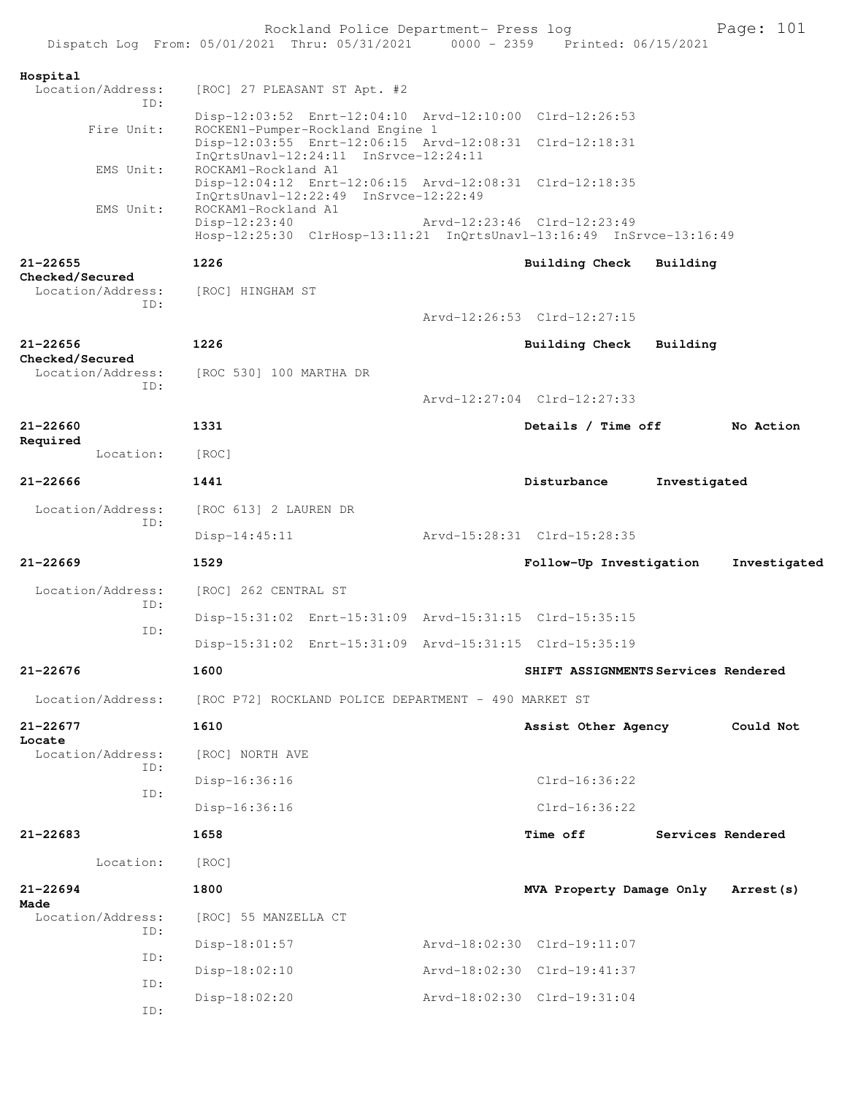|                                      | Rockland Police Department- Press log<br>Dispatch Log From: 05/01/2021 Thru: 05/31/2021 0000 - 2359 Printed: 06/15/2021 |                                     |              | Page: 101         |
|--------------------------------------|-------------------------------------------------------------------------------------------------------------------------|-------------------------------------|--------------|-------------------|
| Hospital                             |                                                                                                                         |                                     |              |                   |
| Location/Address:<br>TD:             | [ROC] 27 PLEASANT ST Apt. #2                                                                                            |                                     |              |                   |
| Fire Unit:                           | Disp-12:03:52 Enrt-12:04:10 Arvd-12:10:00 Clrd-12:26:53<br>ROCKEN1-Pumper-Rockland Engine 1                             |                                     |              |                   |
|                                      | Disp-12:03:55 Enrt-12:06:15 Arvd-12:08:31 Clrd-12:18:31<br>InQrtsUnavl-12:24:11 InSrvce-12:24:11                        |                                     |              |                   |
| EMS Unit:                            | ROCKAM1-Rockland A1                                                                                                     |                                     |              |                   |
|                                      | Disp-12:04:12 Enrt-12:06:15 Arvd-12:08:31 Clrd-12:18:35<br>InQrtsUnavl-12:22:49 InSrvce-12:22:49                        |                                     |              |                   |
| EMS Unit:                            | ROCKAM1-Rockland A1<br>$Disp-12:23:40$<br>Hosp-12:25:30 ClrHosp-13:11:21 InQrtsUnavl-13:16:49 InSrvce-13:16:49          | Arvd-12:23:46 Clrd-12:23:49         |              |                   |
| $21 - 22655$                         | 1226                                                                                                                    | <b>Building Check</b>               | Building     |                   |
| Checked/Secured<br>Location/Address: | [ROC] HINGHAM ST                                                                                                        |                                     |              |                   |
| ID:                                  |                                                                                                                         | Arvd-12:26:53 Clrd-12:27:15         |              |                   |
| $21 - 22656$                         | 1226                                                                                                                    | <b>Building Check</b>               | Building     |                   |
| Checked/Secured<br>Location/Address: | [ROC 530] 100 MARTHA DR                                                                                                 |                                     |              |                   |
| ID:                                  |                                                                                                                         | Arvd-12:27:04 Clrd-12:27:33         |              |                   |
| 21-22660                             | 1331                                                                                                                    | Details / Time off                  |              | No Action         |
| Required                             |                                                                                                                         |                                     |              |                   |
| Location:                            | [ROC]                                                                                                                   |                                     |              |                   |
| $21 - 22666$                         | 1441                                                                                                                    | Disturbance                         | Investigated |                   |
| Location/Address:<br>ID:             | [ROC 613] 2 LAUREN DR                                                                                                   |                                     |              |                   |
|                                      | $Disp-14:45:11$                                                                                                         | Arvd-15:28:31 Clrd-15:28:35         |              |                   |
| $21 - 22669$                         | 1529                                                                                                                    | Follow-Up Investigation             |              | Investigated      |
| Location/Address:<br>ID:             | [ROC] 262 CENTRAL ST                                                                                                    |                                     |              |                   |
|                                      | Disp-15:31:02 Enrt-15:31:09 Arvd-15:31:15 Clrd-15:35:15                                                                 |                                     |              |                   |
| ID:                                  | Disp-15:31:02 Enrt-15:31:09 Arvd-15:31:15 Clrd-15:35:19                                                                 |                                     |              |                   |
| $21 - 22676$                         | 1600                                                                                                                    | SHIFT ASSIGNMENTS Services Rendered |              |                   |
| Location/Address:                    | [ROC P72] ROCKLAND POLICE DEPARTMENT - 490 MARKET ST                                                                    |                                     |              |                   |
| $21 - 22677$                         | 1610                                                                                                                    | Assist Other Agency                 |              | Could Not         |
| Locate<br>Location/Address:          | [ROC] NORTH AVE                                                                                                         |                                     |              |                   |
| ID:                                  | Disp-16:36:16                                                                                                           | $Clrd-16:36:22$                     |              |                   |
| ID:                                  | Disp-16:36:16                                                                                                           | $Clrd-16:36:22$                     |              |                   |
| 21-22683                             | 1658                                                                                                                    | <b>Time off</b>                     |              | Services Rendered |
| Location:                            | [ROC]                                                                                                                   |                                     |              |                   |
| $21 - 22694$<br>Made                 | 1800                                                                                                                    | MVA Property Damage Only Arrest (s) |              |                   |
| Location/Address:<br>ID:             | [ROC] 55 MANZELLA CT                                                                                                    |                                     |              |                   |
|                                      | Disp-18:01:57                                                                                                           | Arvd-18:02:30 Clrd-19:11:07         |              |                   |
| ID:                                  | Disp-18:02:10                                                                                                           | Arvd-18:02:30 Clrd-19:41:37         |              |                   |
| ID:                                  | $Disp-18:02:20$                                                                                                         | Arvd-18:02:30 Clrd-19:31:04         |              |                   |
| ID:                                  |                                                                                                                         |                                     |              |                   |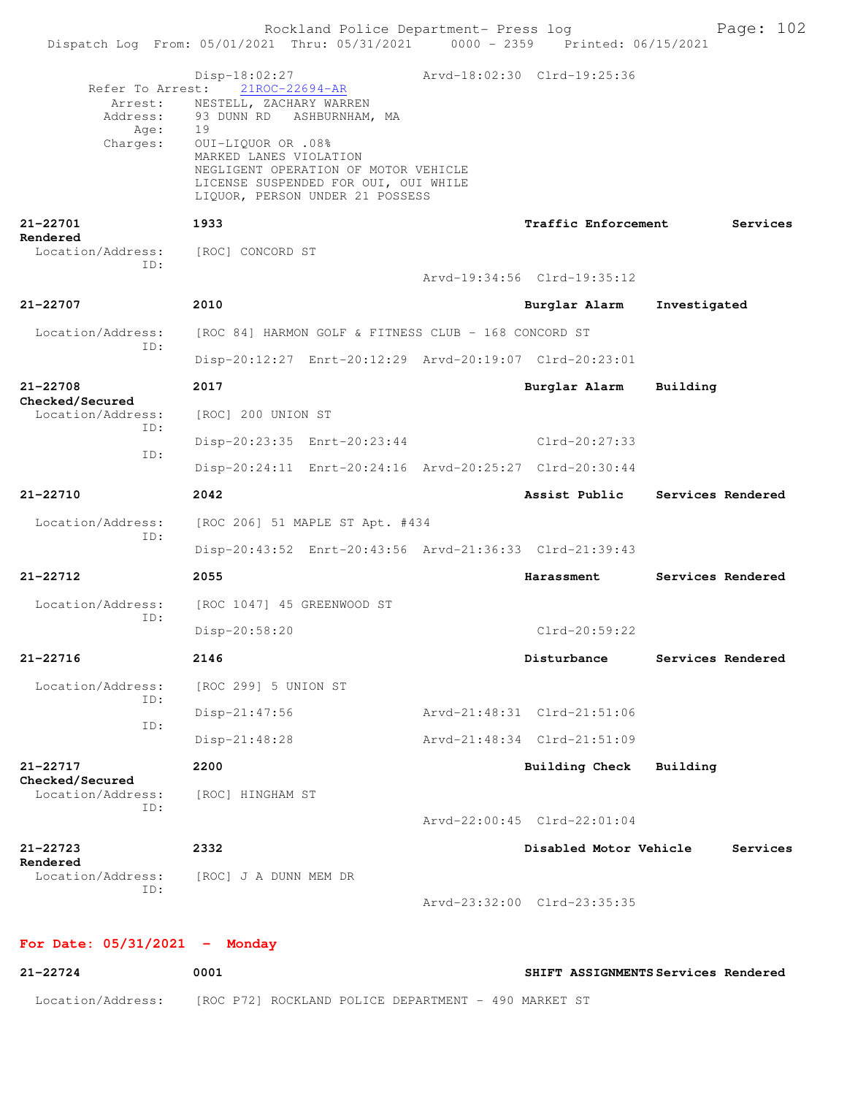| Arvd-18:02:30 Clrd-19:25:36<br>$Disp-18:02:27$<br>Refer To Arrest:<br>21ROC-22694-AR<br>NESTELL, ZACHARY WARREN<br>Arrest:<br>93 DUNN RD ASHBURNHAM, MA<br>Address:<br>Age:<br>19<br>Charges:<br>0UI-LIQUOR OR .08%<br>MARKED LANES VIOLATION<br>NEGLIGENT OPERATION OF MOTOR VEHICLE<br>LICENSE SUSPENDED FOR OUI, OUI WHILE<br>LIQUOR, PERSON UNDER 21 POSSESS<br>21-22701<br>1933<br><b>Traffic Enforcement</b><br>Rendered<br>Location/Address:<br>[ROC] CONCORD ST<br>ID:<br>Arvd-19:34:56 Clrd-19:35:12<br>$21 - 22707$<br>2010<br>Burglar Alarm<br>Investigated<br>[ROC 84] HARMON GOLF & FITNESS CLUB - 168 CONCORD ST<br>Location/Address:<br>ID:<br>Disp-20:12:27 Enrt-20:12:29 Arvd-20:19:07 Clrd-20:23:01<br>21-22708<br>2017<br>Burglar Alarm<br>Building<br>Checked/Secured<br>Location/Address:<br>[ROC] 200 UNION ST<br>ID:<br>Clrd-20:27:33<br>Disp-20:23:35 Enrt-20:23:44<br>ID:<br>Disp-20:24:11 Enrt-20:24:16 Arvd-20:25:27 Clrd-20:30:44<br>21-22710<br>2042<br>Services Rendered<br>Assist Public<br>Location/Address:<br>[ROC 206] 51 MAPLE ST Apt. #434<br>ID:<br>Disp-20:43:52 Enrt-20:43:56 Arvd-21:36:33 Clrd-21:39:43<br>21-22712<br>2055<br>Harassment<br>Services Rendered<br>Location/Address:<br>[ROC 1047] 45 GREENWOOD ST<br>ID:<br>$Clrd-20:59:22$<br>Disp-20:58:20<br>$21 - 22716$<br>2146<br>Disturbance<br>Services Rendered<br>Location/Address:<br>[ROC 299] 5 UNION ST<br>ID:<br>Arvd-21:48:31 Clrd-21:51:06<br>$Disp-21:47:56$<br>ID:<br>Arvd-21:48:34 Clrd-21:51:09<br>Disp-21:48:28<br>21-22717<br>2200<br><b>Building Check</b><br>Building<br>Checked/Secured<br>Location/Address:<br>[ROC] HINGHAM ST<br>ID:<br>Arvd-22:00:45 Clrd-22:01:04<br>21-22723<br>2332<br>Disabled Motor Vehicle<br>Services<br>Rendered<br>Location/Address:<br>[ROC] J A DUNN MEM DR<br>ID:<br>Arvd-23:32:00 Clrd-23:35:35 |  | Dispatch Log From: 05/01/2021 Thru: 05/31/2021 0000 - 2359 Printed: 06/15/2021 | Rockland Police Department- Press log | Page: 102 |
|------------------------------------------------------------------------------------------------------------------------------------------------------------------------------------------------------------------------------------------------------------------------------------------------------------------------------------------------------------------------------------------------------------------------------------------------------------------------------------------------------------------------------------------------------------------------------------------------------------------------------------------------------------------------------------------------------------------------------------------------------------------------------------------------------------------------------------------------------------------------------------------------------------------------------------------------------------------------------------------------------------------------------------------------------------------------------------------------------------------------------------------------------------------------------------------------------------------------------------------------------------------------------------------------------------------------------------------------------------------------------------------------------------------------------------------------------------------------------------------------------------------------------------------------------------------------------------------------------------------------------------------------------------------------------------------------------------------------------------------------------------------------------------------------------------------------------------------------------|--|--------------------------------------------------------------------------------|---------------------------------------|-----------|
|                                                                                                                                                                                                                                                                                                                                                                                                                                                                                                                                                                                                                                                                                                                                                                                                                                                                                                                                                                                                                                                                                                                                                                                                                                                                                                                                                                                                                                                                                                                                                                                                                                                                                                                                                                                                                                                      |  |                                                                                |                                       |           |
|                                                                                                                                                                                                                                                                                                                                                                                                                                                                                                                                                                                                                                                                                                                                                                                                                                                                                                                                                                                                                                                                                                                                                                                                                                                                                                                                                                                                                                                                                                                                                                                                                                                                                                                                                                                                                                                      |  |                                                                                |                                       | Services  |
|                                                                                                                                                                                                                                                                                                                                                                                                                                                                                                                                                                                                                                                                                                                                                                                                                                                                                                                                                                                                                                                                                                                                                                                                                                                                                                                                                                                                                                                                                                                                                                                                                                                                                                                                                                                                                                                      |  |                                                                                |                                       |           |
|                                                                                                                                                                                                                                                                                                                                                                                                                                                                                                                                                                                                                                                                                                                                                                                                                                                                                                                                                                                                                                                                                                                                                                                                                                                                                                                                                                                                                                                                                                                                                                                                                                                                                                                                                                                                                                                      |  |                                                                                |                                       |           |
|                                                                                                                                                                                                                                                                                                                                                                                                                                                                                                                                                                                                                                                                                                                                                                                                                                                                                                                                                                                                                                                                                                                                                                                                                                                                                                                                                                                                                                                                                                                                                                                                                                                                                                                                                                                                                                                      |  |                                                                                |                                       |           |
|                                                                                                                                                                                                                                                                                                                                                                                                                                                                                                                                                                                                                                                                                                                                                                                                                                                                                                                                                                                                                                                                                                                                                                                                                                                                                                                                                                                                                                                                                                                                                                                                                                                                                                                                                                                                                                                      |  |                                                                                |                                       |           |
|                                                                                                                                                                                                                                                                                                                                                                                                                                                                                                                                                                                                                                                                                                                                                                                                                                                                                                                                                                                                                                                                                                                                                                                                                                                                                                                                                                                                                                                                                                                                                                                                                                                                                                                                                                                                                                                      |  |                                                                                |                                       |           |
|                                                                                                                                                                                                                                                                                                                                                                                                                                                                                                                                                                                                                                                                                                                                                                                                                                                                                                                                                                                                                                                                                                                                                                                                                                                                                                                                                                                                                                                                                                                                                                                                                                                                                                                                                                                                                                                      |  |                                                                                |                                       |           |
|                                                                                                                                                                                                                                                                                                                                                                                                                                                                                                                                                                                                                                                                                                                                                                                                                                                                                                                                                                                                                                                                                                                                                                                                                                                                                                                                                                                                                                                                                                                                                                                                                                                                                                                                                                                                                                                      |  |                                                                                |                                       |           |
|                                                                                                                                                                                                                                                                                                                                                                                                                                                                                                                                                                                                                                                                                                                                                                                                                                                                                                                                                                                                                                                                                                                                                                                                                                                                                                                                                                                                                                                                                                                                                                                                                                                                                                                                                                                                                                                      |  |                                                                                |                                       |           |
|                                                                                                                                                                                                                                                                                                                                                                                                                                                                                                                                                                                                                                                                                                                                                                                                                                                                                                                                                                                                                                                                                                                                                                                                                                                                                                                                                                                                                                                                                                                                                                                                                                                                                                                                                                                                                                                      |  |                                                                                |                                       |           |
|                                                                                                                                                                                                                                                                                                                                                                                                                                                                                                                                                                                                                                                                                                                                                                                                                                                                                                                                                                                                                                                                                                                                                                                                                                                                                                                                                                                                                                                                                                                                                                                                                                                                                                                                                                                                                                                      |  |                                                                                |                                       |           |
|                                                                                                                                                                                                                                                                                                                                                                                                                                                                                                                                                                                                                                                                                                                                                                                                                                                                                                                                                                                                                                                                                                                                                                                                                                                                                                                                                                                                                                                                                                                                                                                                                                                                                                                                                                                                                                                      |  |                                                                                |                                       |           |
|                                                                                                                                                                                                                                                                                                                                                                                                                                                                                                                                                                                                                                                                                                                                                                                                                                                                                                                                                                                                                                                                                                                                                                                                                                                                                                                                                                                                                                                                                                                                                                                                                                                                                                                                                                                                                                                      |  |                                                                                |                                       |           |
|                                                                                                                                                                                                                                                                                                                                                                                                                                                                                                                                                                                                                                                                                                                                                                                                                                                                                                                                                                                                                                                                                                                                                                                                                                                                                                                                                                                                                                                                                                                                                                                                                                                                                                                                                                                                                                                      |  |                                                                                |                                       |           |
|                                                                                                                                                                                                                                                                                                                                                                                                                                                                                                                                                                                                                                                                                                                                                                                                                                                                                                                                                                                                                                                                                                                                                                                                                                                                                                                                                                                                                                                                                                                                                                                                                                                                                                                                                                                                                                                      |  |                                                                                |                                       |           |
|                                                                                                                                                                                                                                                                                                                                                                                                                                                                                                                                                                                                                                                                                                                                                                                                                                                                                                                                                                                                                                                                                                                                                                                                                                                                                                                                                                                                                                                                                                                                                                                                                                                                                                                                                                                                                                                      |  |                                                                                |                                       |           |
|                                                                                                                                                                                                                                                                                                                                                                                                                                                                                                                                                                                                                                                                                                                                                                                                                                                                                                                                                                                                                                                                                                                                                                                                                                                                                                                                                                                                                                                                                                                                                                                                                                                                                                                                                                                                                                                      |  |                                                                                |                                       |           |
|                                                                                                                                                                                                                                                                                                                                                                                                                                                                                                                                                                                                                                                                                                                                                                                                                                                                                                                                                                                                                                                                                                                                                                                                                                                                                                                                                                                                                                                                                                                                                                                                                                                                                                                                                                                                                                                      |  |                                                                                |                                       |           |
|                                                                                                                                                                                                                                                                                                                                                                                                                                                                                                                                                                                                                                                                                                                                                                                                                                                                                                                                                                                                                                                                                                                                                                                                                                                                                                                                                                                                                                                                                                                                                                                                                                                                                                                                                                                                                                                      |  |                                                                                |                                       |           |
|                                                                                                                                                                                                                                                                                                                                                                                                                                                                                                                                                                                                                                                                                                                                                                                                                                                                                                                                                                                                                                                                                                                                                                                                                                                                                                                                                                                                                                                                                                                                                                                                                                                                                                                                                                                                                                                      |  |                                                                                |                                       |           |
|                                                                                                                                                                                                                                                                                                                                                                                                                                                                                                                                                                                                                                                                                                                                                                                                                                                                                                                                                                                                                                                                                                                                                                                                                                                                                                                                                                                                                                                                                                                                                                                                                                                                                                                                                                                                                                                      |  |                                                                                |                                       |           |
|                                                                                                                                                                                                                                                                                                                                                                                                                                                                                                                                                                                                                                                                                                                                                                                                                                                                                                                                                                                                                                                                                                                                                                                                                                                                                                                                                                                                                                                                                                                                                                                                                                                                                                                                                                                                                                                      |  |                                                                                |                                       |           |
|                                                                                                                                                                                                                                                                                                                                                                                                                                                                                                                                                                                                                                                                                                                                                                                                                                                                                                                                                                                                                                                                                                                                                                                                                                                                                                                                                                                                                                                                                                                                                                                                                                                                                                                                                                                                                                                      |  |                                                                                |                                       |           |
|                                                                                                                                                                                                                                                                                                                                                                                                                                                                                                                                                                                                                                                                                                                                                                                                                                                                                                                                                                                                                                                                                                                                                                                                                                                                                                                                                                                                                                                                                                                                                                                                                                                                                                                                                                                                                                                      |  |                                                                                |                                       |           |
|                                                                                                                                                                                                                                                                                                                                                                                                                                                                                                                                                                                                                                                                                                                                                                                                                                                                                                                                                                                                                                                                                                                                                                                                                                                                                                                                                                                                                                                                                                                                                                                                                                                                                                                                                                                                                                                      |  |                                                                                |                                       |           |

## **For Date: 05/31/2021 - Monday**

| 21-22724          | 0001                                                 | SHIFT ASSIGNMENTS Services Rendered |
|-------------------|------------------------------------------------------|-------------------------------------|
| Location/Address: | [ROC P72] ROCKLAND POLICE DEPARTMENT - 490 MARKET ST |                                     |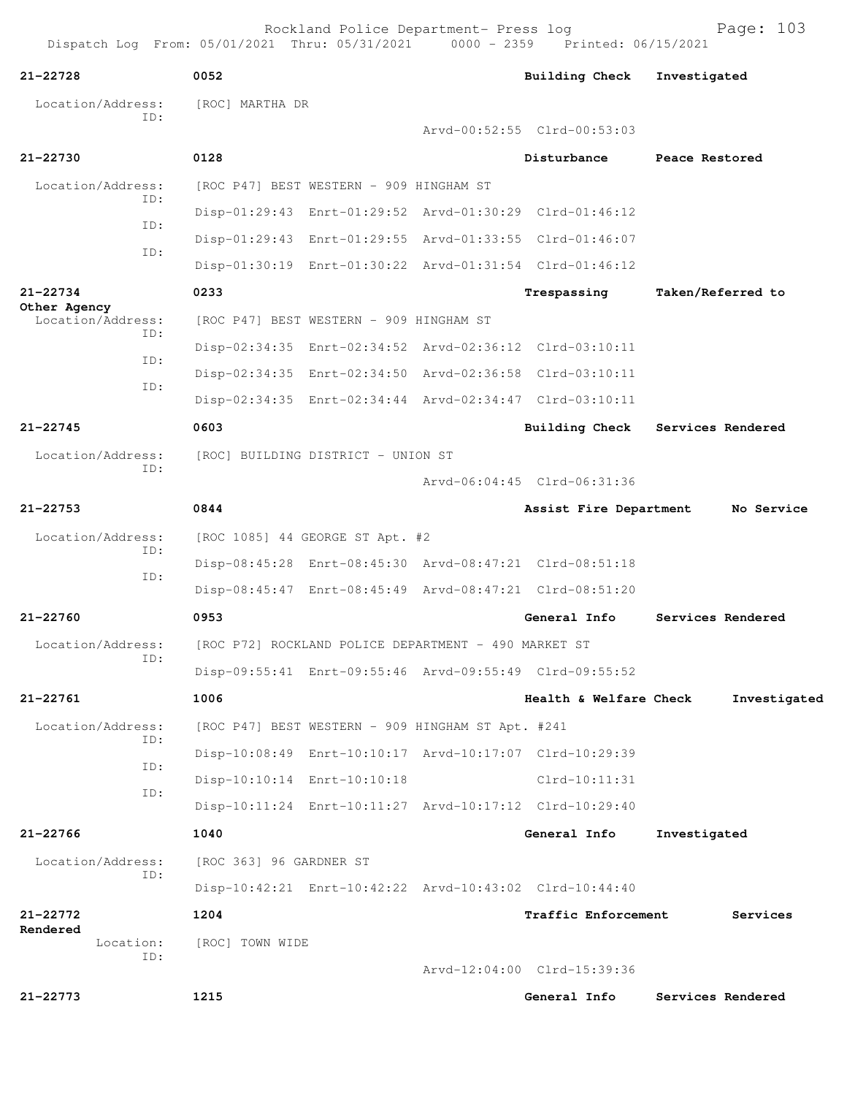| $21 - 22728$                      | 0052                    |                                                      |  | <b>Building Check</b>                                   | Investigated      |  |  |  |
|-----------------------------------|-------------------------|------------------------------------------------------|--|---------------------------------------------------------|-------------------|--|--|--|
| Location/Address:<br>TD:          |                         | [ROC] MARTHA DR                                      |  |                                                         |                   |  |  |  |
|                                   |                         |                                                      |  | Arvd-00:52:55 Clrd-00:53:03                             |                   |  |  |  |
| $21 - 22730$                      | 0128                    |                                                      |  | Disturbance                                             | Peace Restored    |  |  |  |
| Location/Address:                 |                         | [ROC P47] BEST WESTERN - 909 HINGHAM ST              |  |                                                         |                   |  |  |  |
| ID:                               |                         |                                                      |  | Disp-01:29:43 Enrt-01:29:52 Arvd-01:30:29 Clrd-01:46:12 |                   |  |  |  |
| ID:                               |                         |                                                      |  | Disp-01:29:43 Enrt-01:29:55 Arvd-01:33:55 Clrd-01:46:07 |                   |  |  |  |
| ID:                               |                         |                                                      |  | Disp-01:30:19 Enrt-01:30:22 Arvd-01:31:54 Clrd-01:46:12 |                   |  |  |  |
| 21-22734                          | 0233                    |                                                      |  | Trespassing                                             | Taken/Referred to |  |  |  |
| Other Agency<br>Location/Address: |                         | [ROC P47] BEST WESTERN - 909 HINGHAM ST              |  |                                                         |                   |  |  |  |
| ID:                               |                         |                                                      |  | Disp-02:34:35 Enrt-02:34:52 Arvd-02:36:12 Clrd-03:10:11 |                   |  |  |  |
| ID:                               |                         |                                                      |  | Disp-02:34:35 Enrt-02:34:50 Arvd-02:36:58 Clrd-03:10:11 |                   |  |  |  |
| ID:                               |                         |                                                      |  | Disp-02:34:35 Enrt-02:34:44 Arvd-02:34:47 Clrd-03:10:11 |                   |  |  |  |
| $21 - 22745$                      | 0603                    |                                                      |  | <b>Building Check</b>                                   | Services Rendered |  |  |  |
| Location/Address:                 |                         | [ROC] BUILDING DISTRICT - UNION ST                   |  |                                                         |                   |  |  |  |
| ID:                               |                         |                                                      |  | Arvd-06:04:45 Clrd-06:31:36                             |                   |  |  |  |
| $21 - 22753$                      | 0844                    |                                                      |  | Assist Fire Department                                  | No Service        |  |  |  |
| Location/Address:                 |                         | [ROC 1085] 44 GEORGE ST Apt. #2                      |  |                                                         |                   |  |  |  |
| ID:                               |                         |                                                      |  | Disp-08:45:28 Enrt-08:45:30 Arvd-08:47:21 Clrd-08:51:18 |                   |  |  |  |
| ID:                               |                         |                                                      |  | Disp-08:45:47 Enrt-08:45:49 Arvd-08:47:21 Clrd-08:51:20 |                   |  |  |  |
| $21 - 22760$                      | 0953                    |                                                      |  | General Info                                            | Services Rendered |  |  |  |
| Location/Address:                 |                         | [ROC P72] ROCKLAND POLICE DEPARTMENT - 490 MARKET ST |  |                                                         |                   |  |  |  |
| TD:                               |                         |                                                      |  | Disp-09:55:41 Enrt-09:55:46 Arvd-09:55:49 Clrd-09:55:52 |                   |  |  |  |
| 21-22761                          | 1006                    |                                                      |  | Health & Welfare Check                                  |                   |  |  |  |
|                                   |                         |                                                      |  |                                                         | Investigated      |  |  |  |
| Location/Address:<br>ID:          |                         | [ROC P47] BEST WESTERN - 909 HINGHAM ST Apt. #241    |  |                                                         |                   |  |  |  |
| ID:                               |                         |                                                      |  | Disp-10:08:49 Enrt-10:10:17 Arvd-10:17:07 Clrd-10:29:39 |                   |  |  |  |
| ID:                               |                         | Disp-10:10:14 Enrt-10:10:18                          |  | $Clrd-10:11:31$                                         |                   |  |  |  |
|                                   |                         |                                                      |  | Disp-10:11:24 Enrt-10:11:27 Arvd-10:17:12 Clrd-10:29:40 |                   |  |  |  |
| 21-22766                          | 1040                    |                                                      |  | General Info                                            | Investigated      |  |  |  |
| Location/Address:<br>ID:          | [ROC 363] 96 GARDNER ST |                                                      |  |                                                         |                   |  |  |  |
|                                   |                         |                                                      |  | Disp-10:42:21 Enrt-10:42:22 Arvd-10:43:02 Clrd-10:44:40 |                   |  |  |  |
| 21-22772<br>Rendered              | 1204                    |                                                      |  | Traffic Enforcement                                     | Services          |  |  |  |
| Location:<br>ID:                  | [ROC] TOWN WIDE         |                                                      |  |                                                         |                   |  |  |  |
|                                   |                         |                                                      |  | Arvd-12:04:00 Clrd-15:39:36                             |                   |  |  |  |
| 21-22773                          | 1215                    |                                                      |  | General Info                                            | Services Rendered |  |  |  |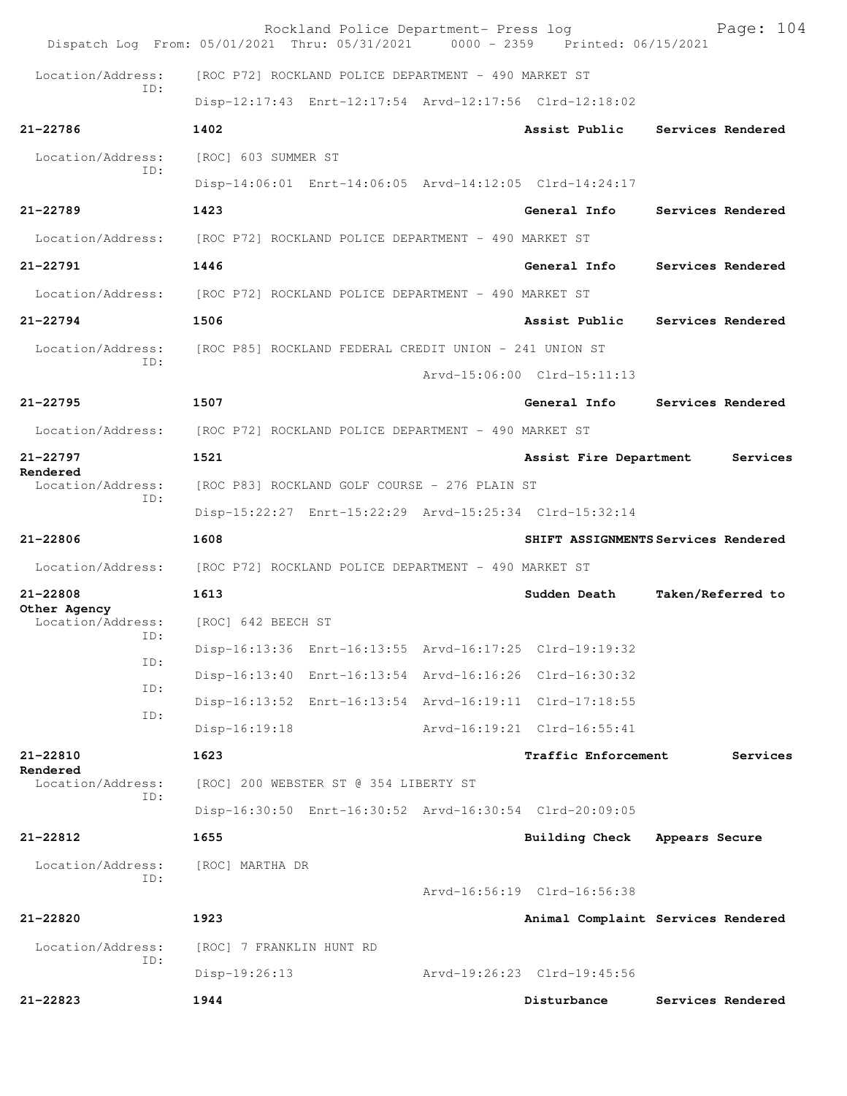|                                   | Rockland Police Department- Press log<br>Dispatch Log From: 05/01/2021 Thru: 05/31/2021 0000 - 2359 Printed: 06/15/2021 | Page: 104                           |  |  |  |  |
|-----------------------------------|-------------------------------------------------------------------------------------------------------------------------|-------------------------------------|--|--|--|--|
| Location/Address:<br>TD:          | [ROC P72] ROCKLAND POLICE DEPARTMENT - 490 MARKET ST                                                                    |                                     |  |  |  |  |
|                                   | Disp-12:17:43 Enrt-12:17:54 Arvd-12:17:56 Clrd-12:18:02                                                                 |                                     |  |  |  |  |
| 21-22786                          | 1402                                                                                                                    | Assist Public<br>Services Rendered  |  |  |  |  |
| Location/Address:                 | [ROC] 603 SUMMER ST                                                                                                     |                                     |  |  |  |  |
| ID:                               | Disp-14:06:01 Enrt-14:06:05 Arvd-14:12:05 Clrd-14:24:17                                                                 |                                     |  |  |  |  |
| $21 - 22789$                      | 1423                                                                                                                    | General Info<br>Services Rendered   |  |  |  |  |
| Location/Address:                 | [ROC P72] ROCKLAND POLICE DEPARTMENT - 490 MARKET ST                                                                    |                                     |  |  |  |  |
| 21-22791                          | 1446                                                                                                                    | General Info<br>Services Rendered   |  |  |  |  |
| Location/Address:                 | [ROC P72] ROCKLAND POLICE DEPARTMENT - 490 MARKET ST                                                                    |                                     |  |  |  |  |
| $21 - 22794$                      | 1506                                                                                                                    | Services Rendered<br>Assist Public  |  |  |  |  |
| Location/Address:                 | [ROC P85] ROCKLAND FEDERAL CREDIT UNION - 241 UNION ST                                                                  |                                     |  |  |  |  |
| ID:                               |                                                                                                                         | Arvd-15:06:00 Clrd-15:11:13         |  |  |  |  |
| $21 - 22795$                      | 1507                                                                                                                    | General Info<br>Services Rendered   |  |  |  |  |
| Location/Address:                 | [ROC P72] ROCKLAND POLICE DEPARTMENT - 490 MARKET ST                                                                    |                                     |  |  |  |  |
| 21-22797                          | 1521                                                                                                                    | Assist Fire Department<br>Services  |  |  |  |  |
| Rendered<br>Location/Address:     | [ROC P83] ROCKLAND GOLF COURSE - 276 PLAIN ST                                                                           |                                     |  |  |  |  |
| ID:                               | Disp-15:22:27 Enrt-15:22:29 Arvd-15:25:34 Clrd-15:32:14                                                                 |                                     |  |  |  |  |
| 21-22806                          | 1608                                                                                                                    | SHIFT ASSIGNMENTS Services Rendered |  |  |  |  |
| Location/Address:                 | [ROC P72] ROCKLAND POLICE DEPARTMENT - 490 MARKET ST                                                                    |                                     |  |  |  |  |
| 21-22808                          | 1613                                                                                                                    | Taken/Referred to<br>Sudden Death   |  |  |  |  |
| Other Agency<br>Location/Address: | [ROC] 642 BEECH ST                                                                                                      |                                     |  |  |  |  |
| ID:                               | Disp-16:13:36 Enrt-16:13:55 Arvd-16:17:25 Clrd-19:19:32                                                                 |                                     |  |  |  |  |
| ID:                               | Disp-16:13:40 Enrt-16:13:54 Arvd-16:16:26 Clrd-16:30:32                                                                 |                                     |  |  |  |  |
| ID:                               | Disp-16:13:52 Enrt-16:13:54 Arvd-16:19:11 Clrd-17:18:55                                                                 |                                     |  |  |  |  |
| ID:                               | $Disp-16:19:18$                                                                                                         | Arvd-16:19:21 Clrd-16:55:41         |  |  |  |  |
| 21-22810                          | 1623                                                                                                                    | Traffic Enforcement<br>Services     |  |  |  |  |
| Rendered<br>Location/Address:     | [ROC] 200 WEBSTER ST @ 354 LIBERTY ST                                                                                   |                                     |  |  |  |  |
| ID:                               | Disp-16:30:50 Enrt-16:30:52 Arvd-16:30:54 Clrd-20:09:05                                                                 |                                     |  |  |  |  |
| $21 - 22812$                      | 1655                                                                                                                    | Building Check<br>Appears Secure    |  |  |  |  |
| Location/Address:                 | [ROC] MARTHA DR                                                                                                         |                                     |  |  |  |  |
| ID:                               |                                                                                                                         | Arvd-16:56:19 Clrd-16:56:38         |  |  |  |  |
| 21-22820                          | 1923                                                                                                                    | Animal Complaint Services Rendered  |  |  |  |  |
| Location/Address:                 | [ROC] 7 FRANKLIN HUNT RD                                                                                                |                                     |  |  |  |  |
| ID:                               |                                                                                                                         |                                     |  |  |  |  |
|                                   | $Disp-19:26:13$                                                                                                         | Arvd-19:26:23 Clrd-19:45:56         |  |  |  |  |